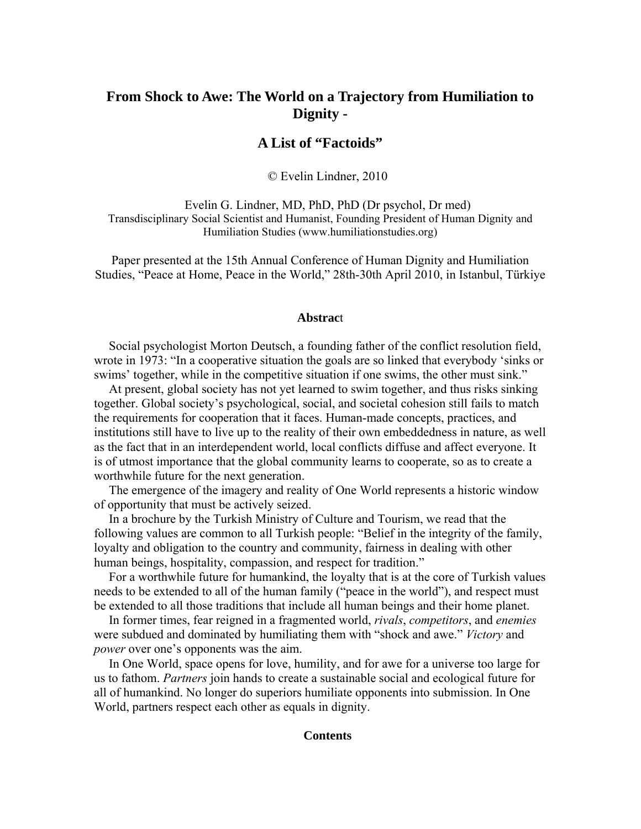# **From Shock to Awe: The World on a Trajectory from Humiliation to Dignity -**

## **A List of "Factoids"**

© Evelin Lindner, 2010

Evelin G. Lindner, MD, PhD, PhD (Dr psychol, Dr med) Transdisciplinary Social Scientist and Humanist, Founding President of Human Dignity and Humiliation Studies (www.humiliationstudies.org)

Paper presented at the 15th Annual Conference of Human Dignity and Humiliation Studies, "Peace at Home, Peace in the World," 28th-30th April 2010, in Istanbul, Türkiye

#### **Abstrac**t

Social psychologist Morton Deutsch, a founding father of the conflict resolution field, wrote in 1973: "In a cooperative situation the goals are so linked that everybody 'sinks or swims' together, while in the competitive situation if one swims, the other must sink."

At present, global society has not yet learned to swim together, and thus risks sinking together. Global society's psychological, social, and societal cohesion still fails to match the requirements for cooperation that it faces. Human-made concepts, practices, and institutions still have to live up to the reality of their own embeddedness in nature, as well as the fact that in an interdependent world, local conflicts diffuse and affect everyone. It is of utmost importance that the global community learns to cooperate, so as to create a worthwhile future for the next generation.

The emergence of the imagery and reality of One World represents a historic window of opportunity that must be actively seized.

In a brochure by the Turkish Ministry of Culture and Tourism, we read that the following values are common to all Turkish people: "Belief in the integrity of the family, loyalty and obligation to the country and community, fairness in dealing with other human beings, hospitality, compassion, and respect for tradition."

For a worthwhile future for humankind, the loyalty that is at the core of Turkish values needs to be extended to all of the human family ("peace in the world"), and respect must be extended to all those traditions that include all human beings and their home planet.

In former times, fear reigned in a fragmented world, *rivals*, *competitors*, and *enemies*  were subdued and dominated by humiliating them with "shock and awe." *Victory* and *power* over one's opponents was the aim.

In One World, space opens for love, humility, and for awe for a universe too large for us to fathom. *Partners* join hands to create a sustainable social and ecological future for all of humankind. No longer do superiors humiliate opponents into submission. In One World, partners respect each other as equals in dignity.

### **Contents**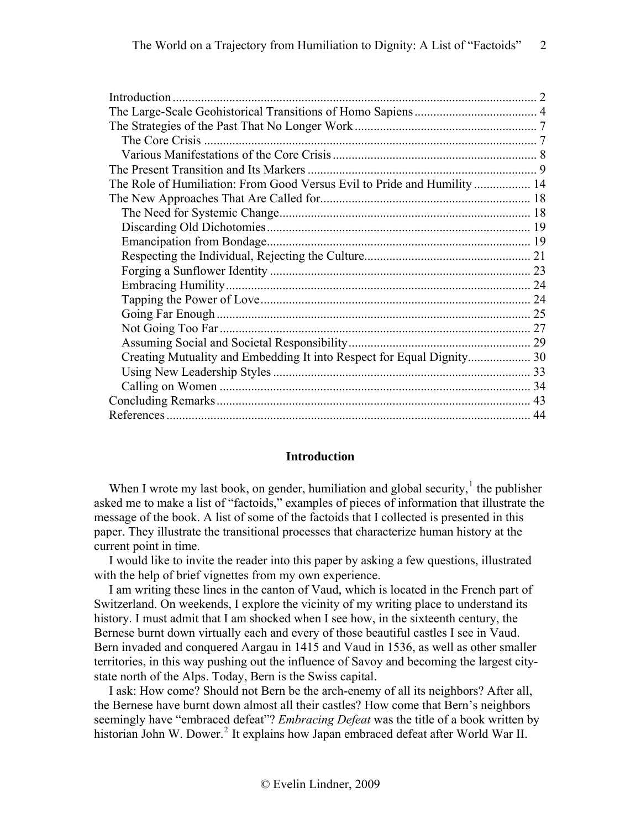<span id="page-1-0"></span>

| The Role of Humiliation: From Good Versus Evil to Pride and Humility  14 |    |
|--------------------------------------------------------------------------|----|
|                                                                          |    |
|                                                                          |    |
|                                                                          |    |
|                                                                          |    |
|                                                                          |    |
|                                                                          |    |
|                                                                          |    |
|                                                                          |    |
|                                                                          |    |
|                                                                          |    |
|                                                                          |    |
|                                                                          |    |
|                                                                          |    |
|                                                                          |    |
|                                                                          | 43 |
|                                                                          |    |

## **Introduction**

When I wrote my last book, on gender, humiliation and global security,  $\frac{1}{1}$  $\frac{1}{1}$  $\frac{1}{1}$  the publisher asked me to make a list of "factoids," examples of pieces of information that illustrate the message of the book. A list of some of the factoids that I collected is presented in this paper. They illustrate the transitional processes that characterize human history at the current point in time.

I would like to invite the reader into this paper by asking a few questions, illustrated with the help of brief vignettes from my own experience.

I am writing these lines in the canton of Vaud, which is located in the French part of Switzerland. On weekends, I explore the vicinity of my writing place to understand its history. I must admit that I am shocked when I see how, in the sixteenth century, the Bernese burnt down virtually each and every of those beautiful castles I see in Vaud. Bern invaded and conquered Aargau in 1415 and Vaud in 1536, as well as other smaller territories, in this way pushing out the influence of Savoy and becoming the largest citystate north of the Alps. Today, Bern is the Swiss capital.

I ask: How come? Should not Bern be the arch-enemy of all its neighbors? After all, the Bernese have burnt down almost all their castles? How come that Bern's neighbors seemingly have "embraced defeat"? *Embracing Defeat* was the title of a book written by historian John W. Dower.<sup>[2](#page-70-1)</sup> It explains how Japan embraced defeat after World War II.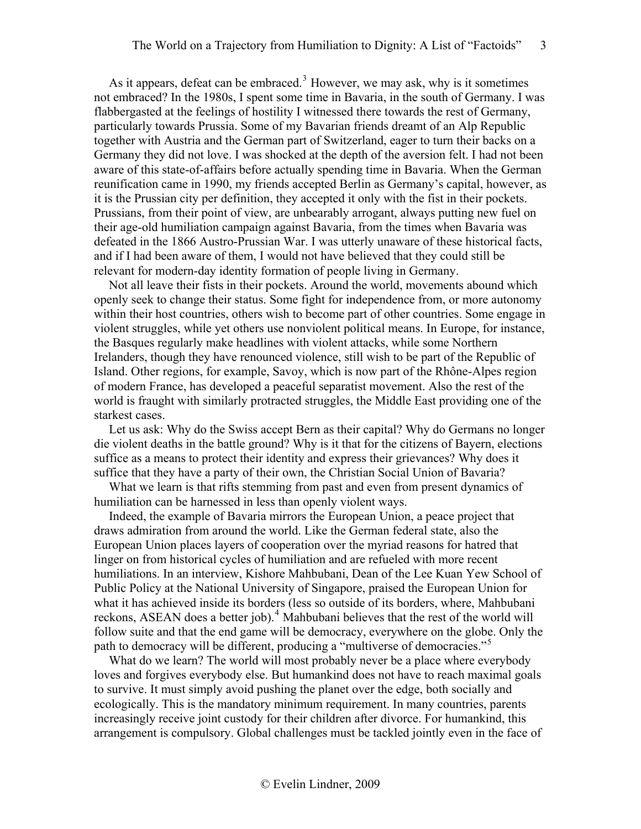As it appears, defeat can be embraced.<sup>[3](#page-70-1)</sup> However, we may ask, why is it sometimes not embraced? In the 1980s, I spent some time in Bavaria, in the south of Germany. I was flabbergasted at the feelings of hostility I witnessed there towards the rest of Germany, particularly towards Prussia. Some of my Bavarian friends dreamt of an Alp Republic together with Austria and the German part of Switzerland, eager to turn their backs on a Germany they did not love. I was shocked at the depth of the aversion felt. I had not been aware of this state-of-affairs before actually spending time in Bavaria. When the German reunification came in 1990, my friends accepted Berlin as Germany's capital, however, as it is the Prussian city per definition, they accepted it only with the fist in their pockets. Prussians, from their point of view, are unbearably arrogant, always putting new fuel on their age-old humiliation campaign against Bavaria, from the times when Bavaria was defeated in the 1866 Austro-Prussian War. I was utterly unaware of these historical facts, and if I had been aware of them, I would not have believed that they could still be relevant for modern-day identity formation of people living in Germany.

Not all leave their fists in their pockets. Around the world, movements abound which openly seek to change their status. Some fight for independence from, or more autonomy within their host countries, others wish to become part of other countries. Some engage in violent struggles, while yet others use nonviolent political means. In Europe, for instance, the Basques regularly make headlines with violent attacks, while some Northern Irelanders, though they have renounced violence, still wish to be part of the Republic of Island. Other regions, for example, Savoy, which is now part of the Rhône-Alpes region of modern France, has developed a peaceful separatist movement. Also the rest of the world is fraught with similarly protracted struggles, the Middle East providing one of the starkest cases.

Let us ask: Why do the Swiss accept Bern as their capital? Why do Germans no longer die violent deaths in the battle ground? Why is it that for the citizens of Bayern, elections suffice as a means to protect their identity and express their grievances? Why does it suffice that they have a party of their own, the Christian Social Union of Bavaria?

What we learn is that rifts stemming from past and even from present dynamics of humiliation can be harnessed in less than openly violent ways.

Indeed, the example of Bavaria mirrors the European Union, a peace project that draws admiration from around the world. Like the German federal state, also the European Union places layers of cooperation over the myriad reasons for hatred that linger on from historical cycles of humiliation and are refueled with more recent humiliations. In an interview, Kishore Mahbubani, Dean of the Lee Kuan Yew School of Public Policy at the National University of Singapore, praised the European Union for what it has achieved inside its borders (less so outside of its borders, where, Mahbubani reckons, ASEAN does a better job).<sup>[4](#page-70-1)</sup> Mahbubani believes that the rest of the world will follow suite and that the end game will be democracy, everywhere on the globe. Only the path to democracy will be different, producing a "multiverse of democracies."[5](#page-70-1)

What do we learn? The world will most probably never be a place where everybody loves and forgives everybody else. But humankind does not have to reach maximal goals to survive. It must simply avoid pushing the planet over the edge, both socially and ecologically. This is the mandatory minimum requirement. In many countries, parents increasingly receive joint custody for their children after divorce. For humankind, this arrangement is compulsory. Global challenges must be tackled jointly even in the face of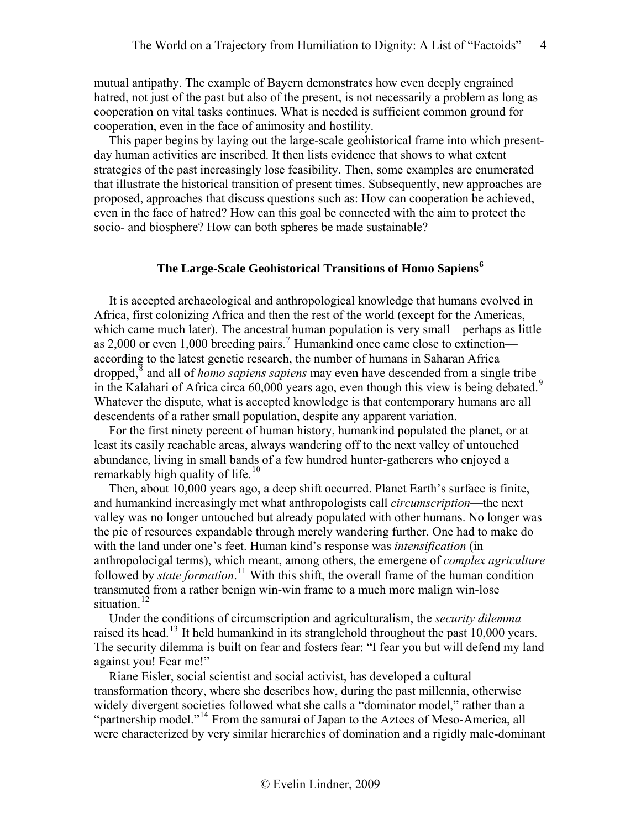<span id="page-3-0"></span>mutual antipathy. The example of Bayern demonstrates how even deeply engrained hatred, not just of the past but also of the present, is not necessarily a problem as long as cooperation on vital tasks continues. What is needed is sufficient common ground for cooperation, even in the face of animosity and hostility.

This paper begins by laying out the large-scale geohistorical frame into which presentday human activities are inscribed. It then lists evidence that shows to what extent strategies of the past increasingly lose feasibility. Then, some examples are enumerated that illustrate the historical transition of present times. Subsequently, new approaches are proposed, approaches that discuss questions such as: How can cooperation be achieved, even in the face of hatred? How can this goal be connected with the aim to protect the socio- and biosphere? How can both spheres be made sustainable?

## **The Large-Scale Geohistorical Transitions of Homo Sapiens[6](#page-70-1)**

It is accepted archaeological and anthropological knowledge that humans evolved in Africa, first colonizing Africa and then the rest of the world (except for the Americas, which came much later). The ancestral human population is very small—perhaps as little as 2,000 or even 1,000 breeding pairs.<sup>[7](#page-70-1)</sup> Humankind once came close to extinction according to the latest genetic research, the number of humans in Saharan Africa dropped,<sup>[8](#page-70-1)</sup> and all of *homo sapiens sapiens* may even have descended from a single tribe in the Kalahari of Africa circa 60,000 years ago, even though this view is being debated.<sup>[9](#page-70-1)</sup> Whatever the dispute, what is accepted knowledge is that contemporary humans are all descendents of a rather small population, despite any apparent variation.

For the first ninety percent of human history, humankind populated the planet, or at least its easily reachable areas, always wandering off to the next valley of untouched abundance, living in small bands of a few hundred hunter-gatherers who enjoyed a remarkably high quality of life.<sup>[10](#page-70-1)</sup>

Then, about 10,000 years ago, a deep shift occurred. Planet Earth's surface is finite, and humankind increasingly met what anthropologists call *circumscription*—the next valley was no longer untouched but already populated with other humans. No longer was the pie of resources expandable through merely wandering further. One had to make do with the land under one's feet. Human kind's response was *intensification* (in anthropolocigal terms), which meant, among others, the emergene of *complex agriculture* followed by *state formation*.<sup>[11](#page-71-0)</sup> With this shift, the overall frame of the human condition transmuted from a rather benign win-win frame to a much more malign win-lose situation.<sup>[12](#page-71-0)</sup>

Under the conditions of circumscription and agriculturalism, the *security dilemma* raised its head.<sup>[13](#page-71-0)</sup> It held humankind in its stranglehold throughout the past  $10,000$  years. The security dilemma is built on fear and fosters fear: "I fear you but will defend my land against you! Fear me!"

Riane Eisler, social scientist and social activist, has developed a cultural transformation theory, where she describes how, during the past millennia, otherwise widely divergent societies followed what she calls a "dominator model," rather than a "partnership model."<sup>[14](#page-71-0)</sup> From the samurai of Japan to the Aztecs of Meso-America, all were characterized by very similar hierarchies of domination and a rigidly male-dominant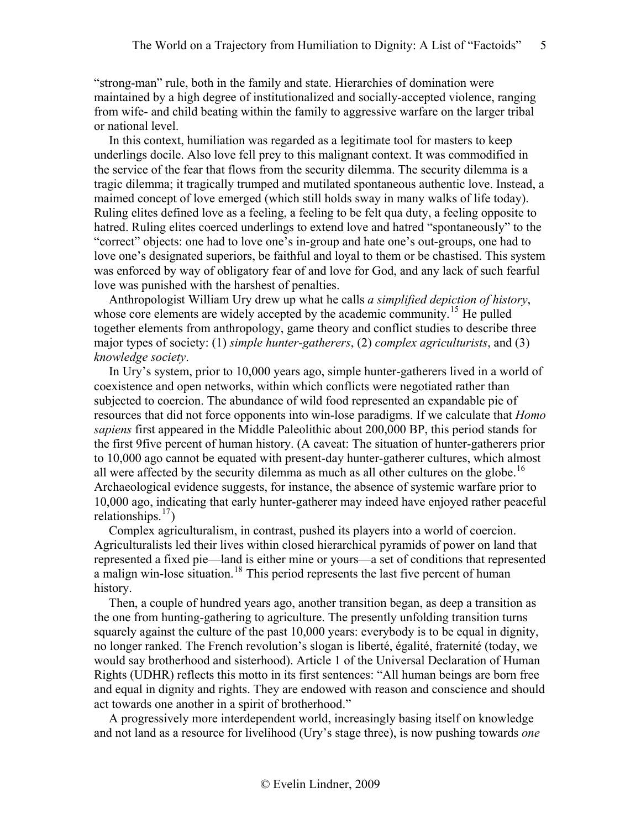"strong-man" rule, both in the family and state. Hierarchies of domination were maintained by a high degree of institutionalized and socially-accepted violence, ranging from wife- and child beating within the family to aggressive warfare on the larger tribal or national level.

In this context, humiliation was regarded as a legitimate tool for masters to keep underlings docile. Also love fell prey to this malignant context. It was commodified in the service of the fear that flows from the security dilemma. The security dilemma is a tragic dilemma; it tragically trumped and mutilated spontaneous authentic love. Instead, a maimed concept of love emerged (which still holds sway in many walks of life today). Ruling elites defined love as a feeling, a feeling to be felt qua duty, a feeling opposite to hatred. Ruling elites coerced underlings to extend love and hatred "spontaneously" to the "correct" objects: one had to love one's in-group and hate one's out-groups, one had to love one's designated superiors, be faithful and loyal to them or be chastised. This system was enforced by way of obligatory fear of and love for God, and any lack of such fearful love was punished with the harshest of penalties.

Anthropologist William Ury drew up what he calls *a simplified depiction of history*, whose core elements are widely accepted by the academic community.<sup>[15](#page-71-0)</sup> He pulled together elements from anthropology, game theory and conflict studies to describe three major types of society: (1) *simple hunter-gatherers*, (2) *complex agriculturists*, and (3) *knowledge society*.

In Ury's system, prior to 10,000 years ago, simple hunter-gatherers lived in a world of coexistence and open networks, within which conflicts were negotiated rather than subjected to coercion. The abundance of wild food represented an expandable pie of resources that did not force opponents into win-lose paradigms. If we calculate that *Homo sapiens* first appeared in the Middle Paleolithic about 200,000 BP, this period stands for the first 9five percent of human history. (A caveat: The situation of hunter-gatherers prior to 10,000 ago cannot be equated with present-day hunter-gatherer cultures, which almost all were affected by the security dilemma as much as all other cultures on the globe.<sup>[16](#page-71-0)</sup> Archaeological evidence suggests, for instance, the absence of systemic warfare prior to 10,000 ago, indicating that early hunter-gatherer may indeed have enjoyed rather peaceful relationships. $17$ )

Complex agriculturalism, in contrast, pushed its players into a world of coercion. Agriculturalists led their lives within closed hierarchical pyramids of power on land that represented a fixed pie—land is either mine or yours—a set of conditions that represented a malign win-lose situation.<sup>[18](#page-71-0)</sup> This period represents the last five percent of human history.

Then, a couple of hundred years ago, another transition began, as deep a transition as the one from hunting-gathering to agriculture. The presently unfolding transition turns squarely against the culture of the past 10,000 years: everybody is to be equal in dignity, no longer ranked. The French revolution's slogan is liberté, égalité, fraternité (today, we would say brotherhood and sisterhood). Article 1 of the Universal Declaration of Human Rights (UDHR) reflects this motto in its first sentences: "All human beings are born free and equal in dignity and rights. They are endowed with reason and conscience and should act towards one another in a spirit of brotherhood."

A progressively more interdependent world, increasingly basing itself on knowledge and not land as a resource for livelihood (Ury's stage three), is now pushing towards *one*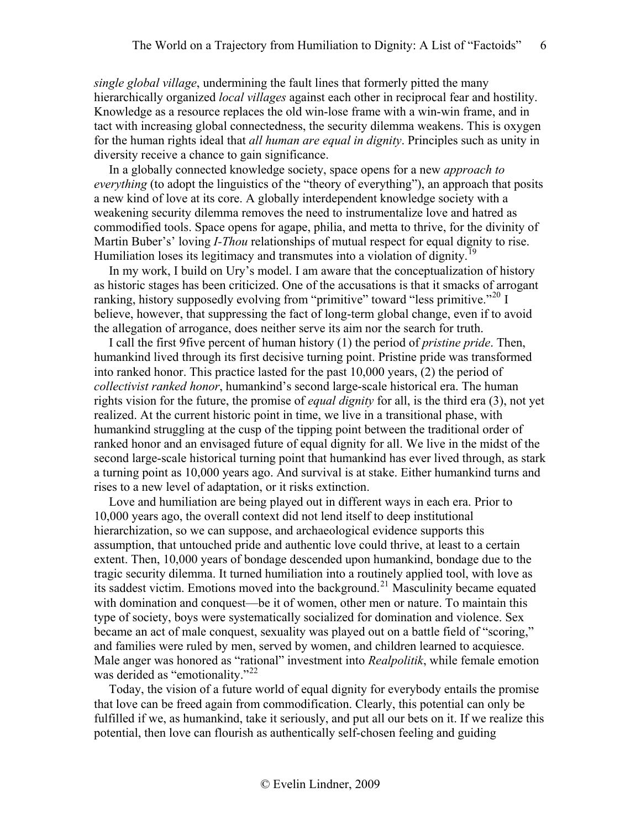*single global village*, undermining the fault lines that formerly pitted the many hierarchically organized *local villages* against each other in reciprocal fear and hostility. Knowledge as a resource replaces the old win-lose frame with a win-win frame, and in tact with increasing global connectedness, the security dilemma weakens. This is oxygen for the human rights ideal that *all human are equal in dignity*. Principles such as unity in diversity receive a chance to gain significance.

In a globally connected knowledge society, space opens for a new *approach to everything* (to adopt the linguistics of the "theory of everything"), an approach that posits a new kind of love at its core. A globally interdependent knowledge society with a weakening security dilemma removes the need to instrumentalize love and hatred as commodified tools. Space opens for agape, philia, and metta to thrive, for the divinity of Martin Buber's' loving *I-Thou* relationships of mutual respect for equal dignity to rise. Humiliation loses its legitimacy and transmutes into a violation of dignity.<sup>[19](#page-71-0)</sup>

In my work, I build on Ury's model. I am aware that the conceptualization of history as historic stages has been criticized. One of the accusations is that it smacks of arrogant ranking, history supposedly evolving from "primitive" toward "less primitive."<sup>[20](#page-72-0)</sup> I believe, however, that suppressing the fact of long-term global change, even if to avoid the allegation of arrogance, does neither serve its aim nor the search for truth.

I call the first 9five percent of human history (1) the period of *pristine pride*. Then, humankind lived through its first decisive turning point. Pristine pride was transformed into ranked honor. This practice lasted for the past 10,000 years, (2) the period of *collectivist ranked honor*, humankind's second large-scale historical era. The human rights vision for the future, the promise of *equal dignity* for all, is the third era (3), not yet realized. At the current historic point in time, we live in a transitional phase, with humankind struggling at the cusp of the tipping point between the traditional order of ranked honor and an envisaged future of equal dignity for all. We live in the midst of the second large-scale historical turning point that humankind has ever lived through, as stark a turning point as 10,000 years ago. And survival is at stake. Either humankind turns and rises to a new level of adaptation, or it risks extinction.

Love and humiliation are being played out in different ways in each era. Prior to 10,000 years ago, the overall context did not lend itself to deep institutional hierarchization, so we can suppose, and archaeological evidence supports this assumption, that untouched pride and authentic love could thrive, at least to a certain extent. Then, 10,000 years of bondage descended upon humankind, bondage due to the tragic security dilemma. It turned humiliation into a routinely applied tool, with love as its saddest victim. Emotions moved into the background.[21](#page-72-0) Masculinity became equated with domination and conquest—be it of women, other men or nature. To maintain this type of society, boys were systematically socialized for domination and violence. Sex became an act of male conquest, sexuality was played out on a battle field of "scoring," and families were ruled by men, served by women, and children learned to acquiesce. Male anger was honored as "rational" investment into *Realpolitik*, while female emotion was derided as "emotionality."<sup>[22](#page-72-0)</sup>

Today, the vision of a future world of equal dignity for everybody entails the promise that love can be freed again from commodification. Clearly, this potential can only be fulfilled if we, as humankind, take it seriously, and put all our bets on it. If we realize this potential, then love can flourish as authentically self-chosen feeling and guiding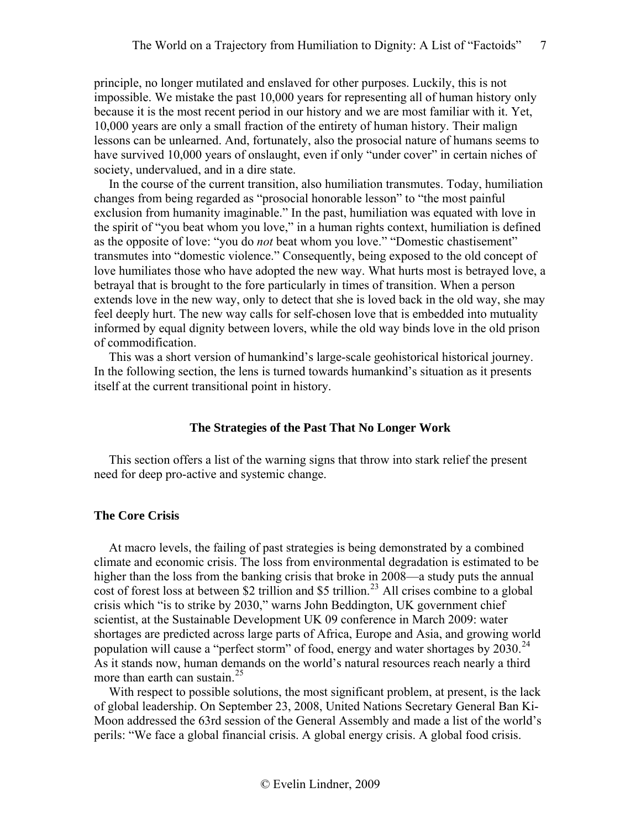<span id="page-6-0"></span>principle, no longer mutilated and enslaved for other purposes. Luckily, this is not impossible. We mistake the past 10,000 years for representing all of human history only because it is the most recent period in our history and we are most familiar with it. Yet, 10,000 years are only a small fraction of the entirety of human history. Their malign lessons can be unlearned. And, fortunately, also the prosocial nature of humans seems to have survived 10,000 years of onslaught, even if only "under cover" in certain niches of society, undervalued, and in a dire state.

In the course of the current transition, also humiliation transmutes. Today, humiliation changes from being regarded as "prosocial honorable lesson" to "the most painful exclusion from humanity imaginable." In the past, humiliation was equated with love in the spirit of "you beat whom you love," in a human rights context, humiliation is defined as the opposite of love: "you do *not* beat whom you love." "Domestic chastisement" transmutes into "domestic violence." Consequently, being exposed to the old concept of love humiliates those who have adopted the new way. What hurts most is betrayed love, a betrayal that is brought to the fore particularly in times of transition. When a person extends love in the new way, only to detect that she is loved back in the old way, she may feel deeply hurt. The new way calls for self-chosen love that is embedded into mutuality informed by equal dignity between lovers, while the old way binds love in the old prison of commodification.

This was a short version of humankind's large-scale geohistorical historical journey. In the following section, the lens is turned towards humankind's situation as it presents itself at the current transitional point in history.

### **The Strategies of the Past That No Longer Work**

This section offers a list of the warning signs that throw into stark relief the present need for deep pro-active and systemic change.

### **The Core Crisis**

At macro levels, the failing of past strategies is being demonstrated by a combined climate and economic crisis. The loss from environmental degradation is estimated to be higher than the loss from the banking crisis that broke in 2008—a study puts the annual cost of forest loss at between \$2 trillion and \$5 trillion.<sup>[23](#page-72-0)</sup> All crises combine to a global crisis which "is to strike by 2030," warns John Beddington, UK government chief scientist, at the Sustainable Development UK 09 conference in March 2009: water shortages are predicted across large parts of Africa, Europe and Asia, and growing world population will cause a "perfect storm" of food, energy and water shortages by  $2030$ .<sup>[24](#page-72-0)</sup> As it stands now, human demands on the world's natural resources reach nearly a third more than earth can sustain. $^{25}$  $^{25}$  $^{25}$ 

With respect to possible solutions, the most significant problem, at present, is the lack of global leadership. On September 23, 2008, United Nations Secretary General Ban Ki-Moon addressed the 63rd session of the General Assembly and made a list of the world's perils: "We face a global financial crisis. A global energy crisis. A global food crisis.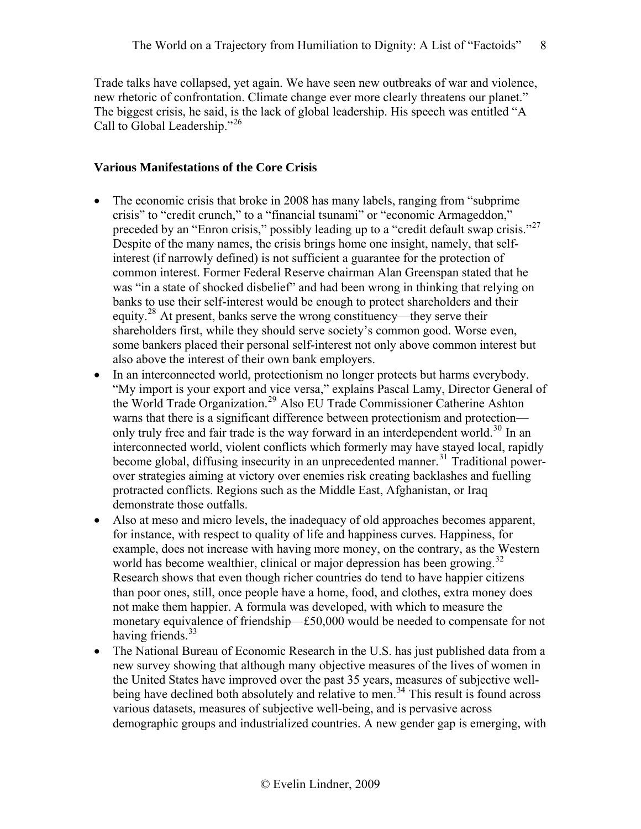<span id="page-7-0"></span>Trade talks have collapsed, yet again. We have seen new outbreaks of war and violence, new rhetoric of confrontation. Climate change ever more clearly threatens our planet." The biggest crisis, he said, is the lack of global leadership. His speech was entitled "A Call to Global Leadership."<sup>[26](#page-72-0)</sup>

## **Various Manifestations of the Core Crisis**

- The economic crisis that broke in 2008 has many labels, ranging from "subprime crisis" to "credit crunch," to a "financial tsunami" or "economic Armageddon," preceded by an "Enron crisis," possibly leading up to a "credit default swap crisis."<sup>[27](#page-72-0)</sup> Despite of the many names, the crisis brings home one insight, namely, that selfinterest (if narrowly defined) is not sufficient a guarantee for the protection of common interest. Former Federal Reserve chairman Alan Greenspan stated that he was "in a state of shocked disbelief" and had been wrong in thinking that relying on banks to use their self-interest would be enough to protect shareholders and their equity.[28](#page-72-0) At present, banks serve the wrong constituency—they serve their shareholders first, while they should serve society's common good. Worse even, some bankers placed their personal self-interest not only above common interest but also above the interest of their own bank employers.
- In an interconnected world, protectionism no longer protects but harms everybody. "My import is your export and vice versa," explains Pascal Lamy, Director General of the World Trade Organization.[29](#page-72-0) Also EU Trade Commissioner Catherine Ashton warns that there is a significant difference between protectionism and protection— only truly free and fair trade is the way forward in an interdependent world.<sup>[30](#page-72-0)</sup> In an interconnected world, violent conflicts which formerly may have stayed local, rapidly become global, diffusing insecurity in an unprecedented manner.<sup>[31](#page-72-0)</sup> Traditional powerover strategies aiming at victory over enemies risk creating backlashes and fuelling protracted conflicts. Regions such as the Middle East, Afghanistan, or Iraq demonstrate those outfalls.
- Also at meso and micro levels, the inadequacy of old approaches becomes apparent, for instance, with respect to quality of life and happiness curves. Happiness, for example, does not increase with having more money, on the contrary, as the Western world has become wealthier, clinical or major depression has been growing.<sup>[32](#page-72-0)</sup> Research shows that even though richer countries do tend to have happier citizens than poor ones, still, once people have a home, food, and clothes, extra money does not make them happier. A formula was developed, with which to measure the monetary equivalence of friendship—£50,000 would be needed to compensate for not having friends. $33$
- The National Bureau of Economic Research in the U.S. has just published data from a new survey showing that although many objective measures of the lives of women in the United States have improved over the past 35 years, measures of subjective well-being have declined both absolutely and relative to men.<sup>[34](#page-72-0)</sup> This result is found across various datasets, measures of subjective well-being, and is pervasive across demographic groups and industrialized countries. A new gender gap is emerging, with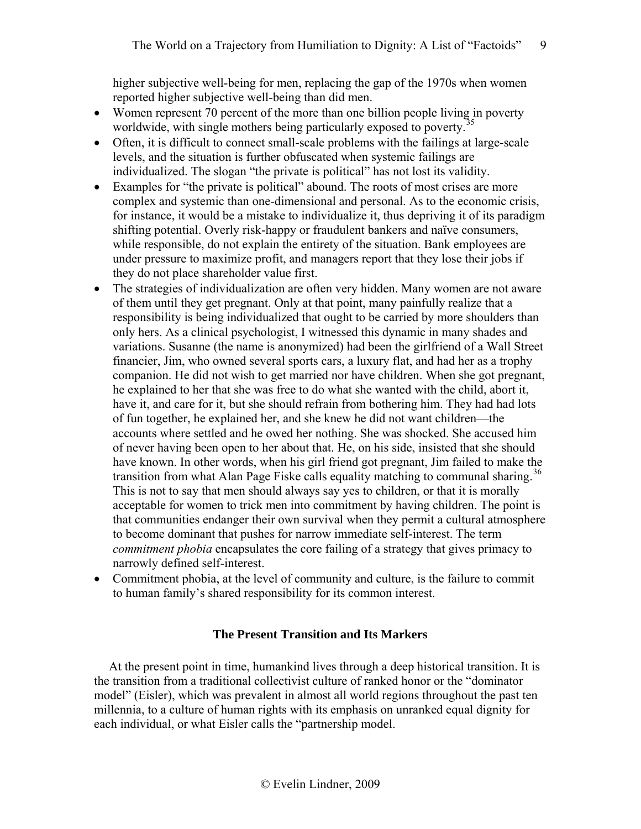<span id="page-8-0"></span>higher subjective well-being for men, replacing the gap of the 1970s when women reported higher subjective well-being than did men.

- Women represent 70 percent of the more than one billion people living in poverty worldwide, with single mothers being particularly exposed to poverty.<sup>[35](#page-72-0)</sup>
- Often, it is difficult to connect small-scale problems with the failings at large-scale levels, and the situation is further obfuscated when systemic failings are individualized. The slogan "the private is political" has not lost its validity.
- Examples for "the private is political" abound. The roots of most crises are more complex and systemic than one-dimensional and personal. As to the economic crisis, for instance, it would be a mistake to individualize it, thus depriving it of its paradigm shifting potential. Overly risk-happy or fraudulent bankers and naïve consumers, while responsible, do not explain the entirety of the situation. Bank employees are under pressure to maximize profit, and managers report that they lose their jobs if they do not place shareholder value first.
- The strategies of individualization are often very hidden. Many women are not aware of them until they get pregnant. Only at that point, many painfully realize that a responsibility is being individualized that ought to be carried by more shoulders than only hers. As a clinical psychologist, I witnessed this dynamic in many shades and variations. Susanne (the name is anonymized) had been the girlfriend of a Wall Street financier, Jim, who owned several sports cars, a luxury flat, and had her as a trophy companion. He did not wish to get married nor have children. When she got pregnant, he explained to her that she was free to do what she wanted with the child, abort it, have it, and care for it, but she should refrain from bothering him. They had had lots of fun together, he explained her, and she knew he did not want children—the accounts where settled and he owed her nothing. She was shocked. She accused him of never having been open to her about that. He, on his side, insisted that she should have known. In other words, when his girl friend got pregnant, Jim failed to make the transition from what Alan Page Fiske calls equality matching to communal sharing.<sup>[36](#page-72-0)</sup> This is not to say that men should always say yes to children, or that it is morally acceptable for women to trick men into commitment by having children. The point is that communities endanger their own survival when they permit a cultural atmosphere to become dominant that pushes for narrow immediate self-interest. The term *commitment phobia* encapsulates the core failing of a strategy that gives primacy to narrowly defined self-interest.
- Commitment phobia, at the level of community and culture, is the failure to commit to human family's shared responsibility for its common interest.

## **The Present Transition and Its Markers**

At the present point in time, humankind lives through a deep historical transition. It is the transition from a traditional collectivist culture of ranked honor or the "dominator model" (Eisler), which was prevalent in almost all world regions throughout the past ten millennia, to a culture of human rights with its emphasis on unranked equal dignity for each individual, or what Eisler calls the "partnership model.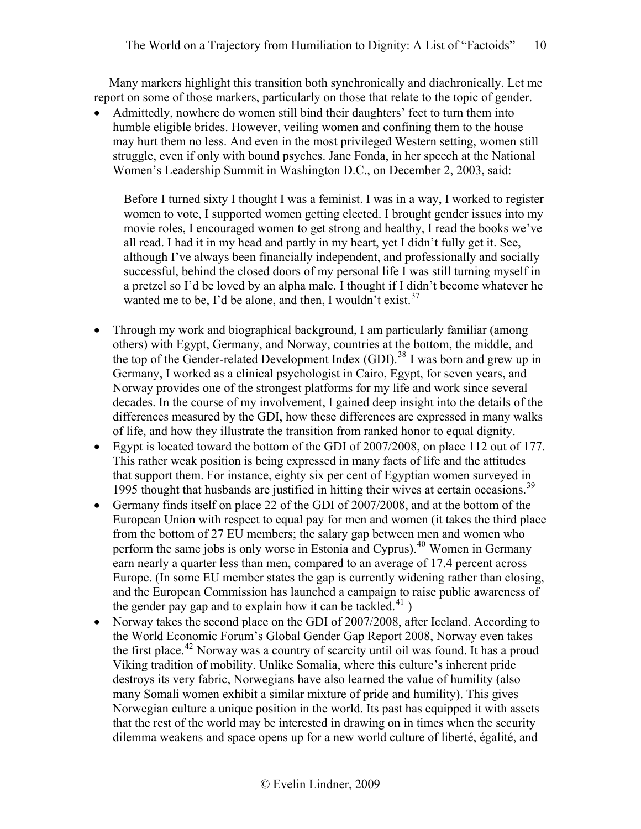Many markers highlight this transition both synchronically and diachronically. Let me report on some of those markers, particularly on those that relate to the topic of gender.

• Admittedly, nowhere do women still bind their daughters' feet to turn them into humble eligible brides. However, veiling women and confining them to the house may hurt them no less. And even in the most privileged Western setting, women still struggle, even if only with bound psyches. Jane Fonda, in her speech at the National Women's Leadership Summit in Washington D.C., on December 2, 2003, said:

Before I turned sixty I thought I was a feminist. I was in a way, I worked to register women to vote, I supported women getting elected. I brought gender issues into my movie roles, I encouraged women to get strong and healthy, I read the books we've all read. I had it in my head and partly in my heart, yet I didn't fully get it. See, although I've always been financially independent, and professionally and socially successful, behind the closed doors of my personal life I was still turning myself in a pretzel so I'd be loved by an alpha male. I thought if I didn't become whatever he wanted me to be, I'd be alone, and then, I wouldn't exist.  $37$ 

- Through my work and biographical background, I am particularly familiar (among others) with Egypt, Germany, and Norway, countries at the bottom, the middle, and the top of the Gender-related Development Index (GDI).<sup>[38](#page-72-0)</sup> I was born and grew up in Germany, I worked as a clinical psychologist in Cairo, Egypt, for seven years, and Norway provides one of the strongest platforms for my life and work since several decades. In the course of my involvement, I gained deep insight into the details of the differences measured by the GDI, how these differences are expressed in many walks of life, and how they illustrate the transition from ranked honor to equal dignity.
- Egypt is located toward the bottom of the GDI of 2007/2008, on place 112 out of 177. This rather weak position is being expressed in many facts of life and the attitudes that support them. For instance, eighty six per cent of Egyptian women surveyed in 1995 thought that husbands are justified in hitting their wives at certain occasions.<sup>[39](#page-72-0)</sup>
- Germany finds itself on place 22 of the GDI of 2007/2008, and at the bottom of the European Union with respect to equal pay for men and women (it takes the third place from the bottom of 27 EU members; the salary gap between men and women who perform the same jobs is only worse in Estonia and Cyprus).<sup>[40](#page-73-0)</sup> Women in Germany earn nearly a quarter less than men, compared to an average of 17.4 percent across Europe. (In some EU member states the gap is currently widening rather than closing, and the European Commission has launched a campaign to raise public awareness of the gender pay gap and to explain how it can be tackled.<sup>[41](#page-73-0)</sup>)
- Norway takes the second place on the GDI of 2007/2008, after Iceland. According to the World Economic Forum's Global Gender Gap Report 2008, Norway even takes the first place.<sup>[42](#page-73-0)</sup> Norway was a country of scarcity until oil was found. It has a proud Viking tradition of mobility. Unlike Somalia, where this culture's inherent pride destroys its very fabric, Norwegians have also learned the value of humility (also many Somali women exhibit a similar mixture of pride and humility). This gives Norwegian culture a unique position in the world. Its past has equipped it with assets that the rest of the world may be interested in drawing on in times when the security dilemma weakens and space opens up for a new world culture of liberté, égalité, and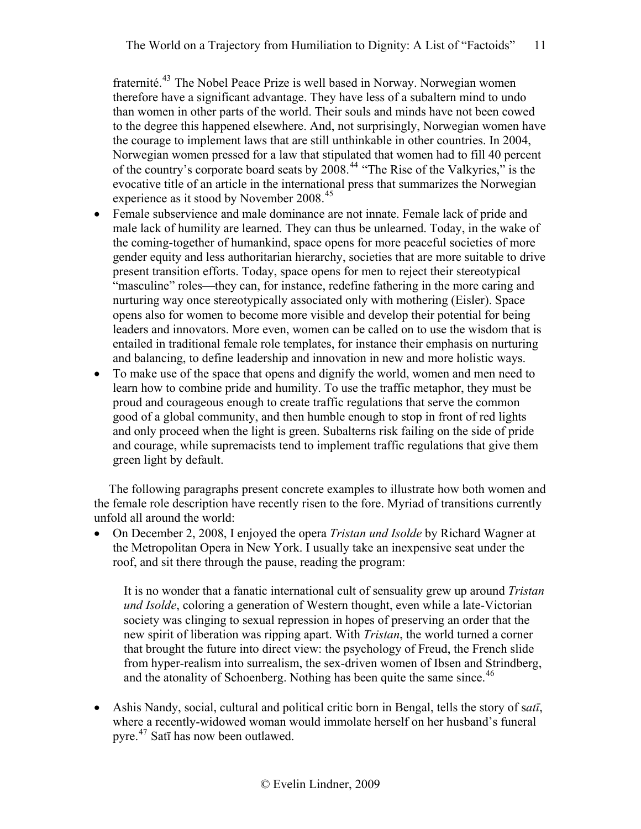fraternité.43 The Nobel Peace Prize is well based in Norway. Norwegian women therefore have a significant advantage. They have less of a subaltern mind to undo than women in other parts of the world. Their souls and minds have not been cowed to the degree this happened elsewhere. And, not surprisingly, Norwegian women have the courage to implement laws that are still unthinkable in other countries. In 2004, Norwegian women pressed for a law that stipulated that women had to fill 40 percent of the country's corporate board seats by 2008.<sup>44</sup> "The Rise of the Valkyries," is the evocative title of an article in the international press that summarizes the Norwegian experience as it stood by November 2008.<sup>45</sup>

- Female subservience and male dominance are not innate. Female lack of pride and male lack of humility are learned. They can thus be unlearned. Today, in the wake of the coming-together of humankind, space opens for more peaceful societies of more gender equity and less authoritarian hierarchy, societies that are more suitable to drive present transition efforts. Today, space opens for men to reject their stereotypical "masculine" roles—they can, for instance, redefine fathering in the more caring and nurturing way once stereotypically associated only with mothering (Eisler). Space opens also for women to become more visible and develop their potential for being leaders and innovators. More even, women can be called on to use the wisdom that is entailed in traditional female role templates, for instance their emphasis on nurturing and balancing, to define leadership and innovation in new and more holistic ways.
- To make use of the space that opens and dignify the world, women and men need to learn how to combine pride and humility. To use the traffic metaphor, they must be proud and courageous enough to create traffic regulations that serve the common good of a global community, and then humble enough to stop in front of red lights and only proceed when the light is green. Subalterns risk failing on the side of pride and courage, while supremacists tend to implement traffic regulations that give them green light by default.

The following paragraphs present concrete examples to illustrate how both women and the female role description have recently risen to the fore. Myriad of transitions currently unfold all around the world:

• On December 2, 2008, I enjoyed the opera *Tristan und Isolde* by Richard Wagner at the Metropolitan Opera in New York. I usually take an inexpensive seat under the roof, and sit there through the pause, reading the program:

It is no wonder that a fanatic international cult of sensuality grew up around *Tristan und Isolde*, coloring a generation of Western thought, even while a late-Victorian society was clinging to sexual repression in hopes of preserving an order that the new spirit of liberation was ripping apart. With *Tristan*, the world turned a corner that brought the future into direct view: the psychology of Freud, the French slide from hyper-realism into surrealism, the sex-driven women of Ibsen and Strindberg, and the atonality of Schoenberg. Nothing has been quite the same since.  $46$ 

• Ashis Nandy, social, cultural and political critic born in Bengal, tells the story of s*atī*, where a recently-widowed woman would immolate herself on her husband's funeral pyre.[47](#page-74-0) Satī has now been outlawed.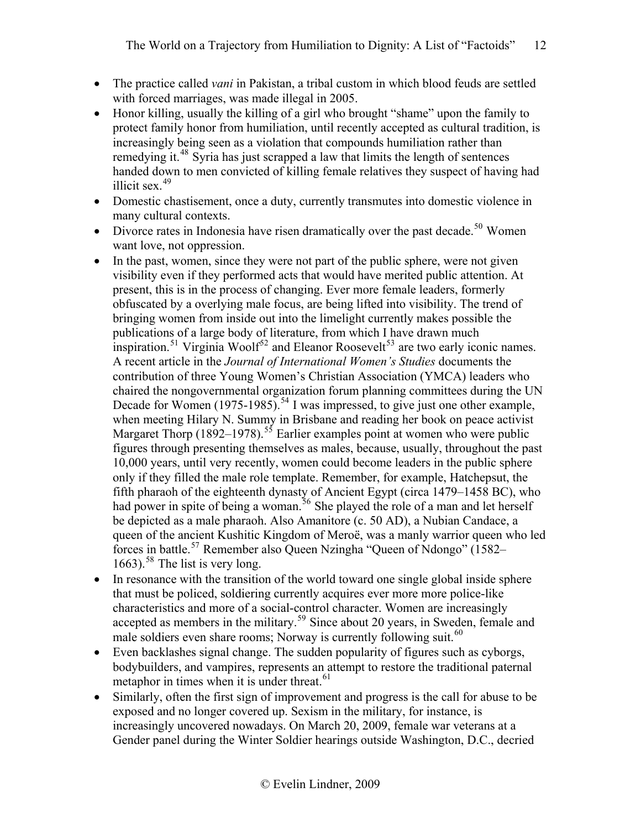- The practice called *vani* in Pakistan, a tribal custom in which blood feuds are settled with forced marriages, was made illegal in 2005.
- Honor killing, usually the killing of a girl who brought "shame" upon the family to protect family honor from humiliation, until recently accepted as cultural tradition, is increasingly being seen as a violation that compounds humiliation rather than remedying it. $48$  Syria has just scrapped a law that limits the length of sentences handed down to men convicted of killing female relatives they suspect of having had illicit sex.[49](#page-74-0)
- Domestic chastisement, once a duty, currently transmutes into domestic violence in many cultural contexts.
- Divorce rates in Indonesia have risen dramatically over the past decade.<sup>[50](#page-74-0)</sup> Women want love, not oppression.
- In the past, women, since they were not part of the public sphere, were not given visibility even if they performed acts that would have merited public attention. At present, this is in the process of changing. Ever more female leaders, formerly obfuscated by a overlying male focus, are being lifted into visibility. The trend of bringing women from inside out into the limelight currently makes possible the publications of a large body of literature, from which I have drawn much inspiration.<sup>[51](#page-75-0)</sup> Virginia Woolf<sup>[52](#page-75-0)</sup> and Eleanor Roosevelt<sup>[53](#page-75-0)</sup> are two early iconic names. A recent article in the *Journal of International Women's Studies* documents th e contribution of three Young Women's Christian Association (YMCA) leaders who chaired the nongovernmental organization forum planning committees during the UN Decade for Women (1975-1985).<sup>[54](#page-75-0)</sup> I was impressed, to give just one other example, 1663).<sup>[58](#page-75-0)</sup> The list is very long. when meeting Hilary N. Summy in Brisbane and reading her book on peace activist Margaret Thorp (1892–1978).<sup>[55](#page-75-0)</sup> Earlier examples point at women who were public figures through presenting themselves as males, because, usually, throughout the past 10,000 years, until very recently, women could become leaders in the public sphere only if they filled the male role template. Remember, for example, Hatchepsut, the fifth pharaoh of the eighteenth dynasty of Ancient Egypt (circa 1479–1458 BC), who had power in spite of being a woman.<sup>[56](#page-75-0)</sup> She played the role of a man and let herself be depicted as a male pharaoh. Also Amanitore (c. 50 AD), a Nubian Candace, a queen of the ancient Kushitic Kingdom of Meroë, was a manly warrior queen who led forces in battle.[57](#page-75-0) Remember also Queen Nzingha "Queen of Ndongo" (1582–
- In resonance with the transition of the world toward one single global inside sphere that must be policed, soldiering currently acquires ever more more police-like characteristics and more of a social-control character. Women are increasingly accepted as members in the military.<sup>[59](#page-75-0)</sup> Since about 20 years, in Sweden, female and male soldiers even share rooms; Norway is currently following suit.<sup>[60](#page-75-0)</sup>
- Even backlashes signal change. The sudden popularity of figures such as cyborgs, bodybuilders, and vampires, represents an attempt to restore the traditional paternal metaphor in times when it is under threat.<sup>[61](#page-75-0)</sup>
- Similarly, often the first sign of improvement and progress is the call for abuse to be exposed and no longer covered up. Sexism in the military, for instance, is increasingly uncovered nowadays. On March 20, 2009, female war veterans at a Gender panel during the Winter Soldier hearings outside Washington, D.C., decried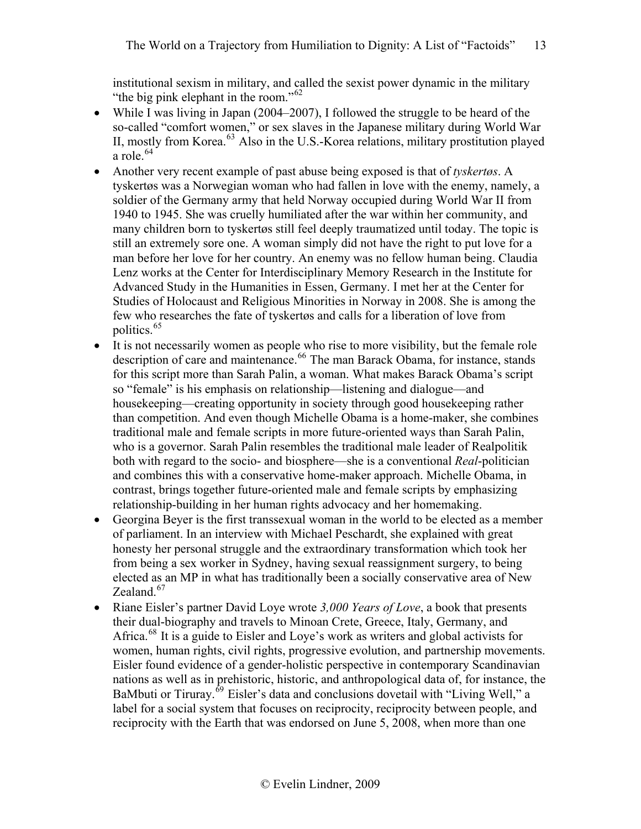institutional sexism in military, and called the sexist power dynamic in the military "the big pink elephant in the room."<sup>62</sup>

- While I was living in Japan (2004–2007), I followed the struggle to be heard of the so-called "comfort women," or sex slaves in the Japanese military during World War II, mostly from Korea.[63](#page-75-0) Also in the U.S.-Korea relations, military prostitution played a role.<sup>[64](#page-75-0)</sup>
- Another very recent example of past abuse being exposed is that of *tyskertøs*. A tyskertøs was a Norwegian woman who had fallen in love with the enemy, namely, a soldier of the Germany army that held Norway occupied during World War II from 1940 to 1945. She was cruelly humiliated after the war within her community, and many children born to tyskertøs still feel deeply traumatized until today. The topic is still an extremely sore one. A woman simply did not have the right to put love for a man before her love for her country. An enemy was no fellow human being. Claudia Lenz works at the Center for Interdisciplinary Memory Research in the Institute for Advanced Study in the Humanities in Essen, Germany. I met her at the Center for Studies of Holocaust and Religious Minorities in Norway in 2008. She is among the few who researches the fate of tyskertøs and calls for a liberation of love from politics.<sup>[65](#page-75-0)</sup>
- It is not necessarily women as people who rise to more visibility, but the female role description of care and maintenance.<sup>[66](#page-75-0)</sup> The man Barack Obama, for instance, stands for this script more than Sarah Palin, a woman. What makes Barack Obama's script so "female" is his emphasis on relationship—listening and dialogue—and housekeeping—creating opportunity in society through good housekeeping rather than competition. And even though Michelle Obama is a home-maker, she combines traditional male and female scripts in more future-oriented ways than Sarah Palin, who is a governor. Sarah Palin resembles the traditional male leader of Realpolitik both with regard to the socio- and biosphere—she is a conventional *Real*-politician and combines this with a conservative home-maker approach. Michelle Obama, in contrast, brings together future-oriented male and female scripts by emphasizing relationship-building in her human rights advocacy and her homemaking.
- Georgina Beyer is the first transsexual woman in the world to be elected as a member of parliament. In an interview with Michael Peschardt, she explained with great honesty her personal struggle and the extraordinary transformation which took her from being a sex worker in Sydney, having sexual reassignment surgery, to being elected as an MP in what has traditionally been a socially conservative area of New Zealand.<sup>[67](#page-75-0)</sup>
- Riane Eisler's partner David Loye wrote *3,000 Years of Love*, a book that presents their dual-biography and travels to Minoan Crete, Greece, Italy, Germany, and Africa.[68](#page-75-0) It is a guide to Eisler and Loye's work as writers and global activists for women, human rights, civil rights, progressive evolution, and partnership movements. Eisler found evidence of a gender-holistic perspective in contemporary Scandinavian nations as well as in prehistoric, historic, and anthropological data of, for instance, the BaMbuti or Tiruray.<sup>[69](#page-76-0)</sup> Eisler's data and conclusions dovetail with "Living Well," a label for a social system that focuses on reciprocity, reciprocity between people, and reciprocity with the Earth that was endorsed on June 5, 2008, when more than one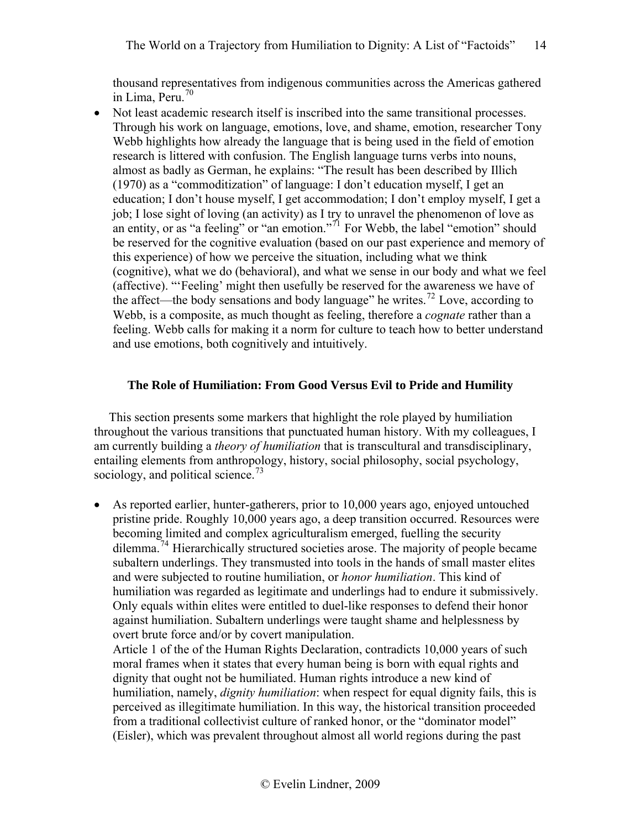<span id="page-13-0"></span>thousand representatives from indigenous communities across the Americas gathered in Lima, Peru.<sup>70</sup>

• Not least academic research itself is inscribed into the same transitional processes. Through his work on language, emotions, love, and shame, emotion, researcher Tony Webb highlights how already the language that is being used in the field of emotion research is littered with confusion. The English language turns verbs into nouns, almost as badly as German, he explains: "The result has been described by Illich (1970) as a "commoditization" of language: I don't education myself, I get an education; I don't house myself, I get accommodation; I don't employ myself, I get a job; I lose sight of loving (an activity) as I try to unravel the phenomenon of love as an entity, or as "a feeling" or "an emotion."<sup>[71](#page-76-0)</sup> For Webb, the label "emotion" should be reserved for the cognitive evaluation (based on our past experience and memory of this experience) of how we perceive the situation, including what we think (cognitive), what we do (behavioral), and what we sense in our body and what we feel (affective). "'Feeling' might then usefully be reserved for the awareness we have of the affect—the body sensations and body language" he writes.<sup>[72](#page-76-0)</sup> Love, according to Webb, is a composite, as much thought as feeling, therefore a *cognate* rather than a feeling. Webb calls for making it a norm for culture to teach how to better understand and use emotions, both cognitively and intuitively.

## **The Role of Humiliation: From Good Versus Evil to Pride and Humility**

This section presents some markers that highlight the role played by humiliation throughout the various transitions that punctuated human history. With my colleagues, I am currently building a *theory of humiliation* that is transcultural and transdisciplinary, entailing elements from anthropology, history, social philosophy, social psychology, sociology, and political science.<sup>[73](#page-76-0)</sup>

• As reported earlier, hunter-gatherers, prior to 10,000 years ago, enjoyed untouched pristine pride. Roughly 10,000 years ago, a deep transition occurred. Resources were becoming limited and complex agriculturalism emerged, fuelling the security dilemma.<sup>[74](#page-76-0)</sup> Hierarchically structured societies arose. The majority of people became subaltern underlings. They transmusted into tools in the hands of small master elites and were subjected to routine humiliation, or *honor humiliation*. This kind of humiliation was regarded as legitimate and underlings had to endure it submissively. Only equals within elites were entitled to duel-like responses to defend their honor against humiliation. Subaltern underlings were taught shame and helplessness by overt brute force and/or by covert manipulation.

Article 1 of the of the Human Rights Declaration, contradicts 10,000 years of such moral frames when it states that every human being is born with equal rights and dignity that ought not be humiliated. Human rights introduce a new kind of humiliation, namely, *dignity humiliation*: when respect for equal dignity fails, this is perceived as illegitimate humiliation. In this way, the historical transition proceeded from a traditional collectivist culture of ranked honor, or the "dominator model" (Eisler), which was prevalent throughout almost all world regions during the past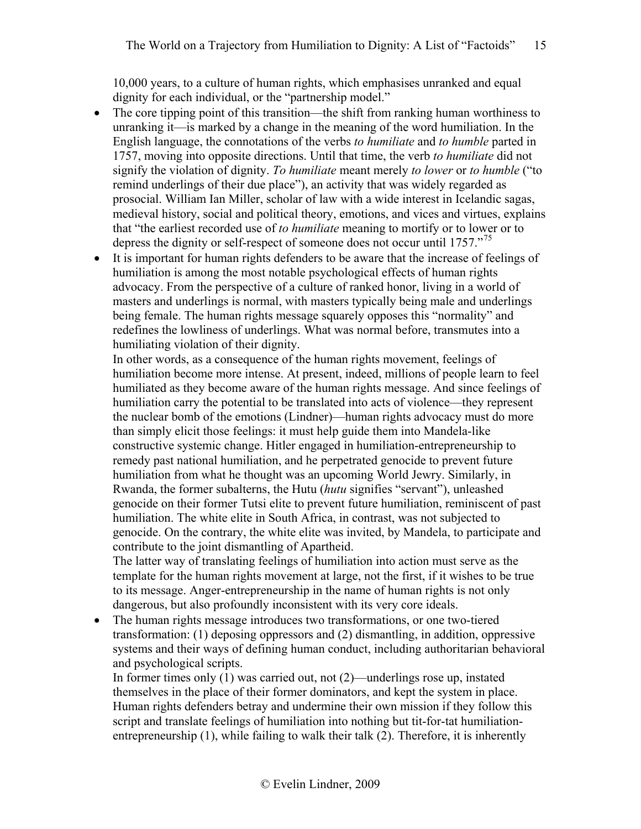10,000 years, to a culture of human rights, which emphasises unranked and equal dignity for each individual, or the "partnership model."

- The core tipping point of this transition—the shift from ranking human worthiness to unranking it—is marked by a change in the meaning of the word humiliation. In the English language, the connotations of the verbs *to humiliate* and *to humble* parted in 1757, moving into opposite directions. Until that time, the verb *to humiliate* did not signify the violation of dignity. *To humiliate* meant merely *to lower* or *to humble* ("to remind underlings of their due place"), an activity that was widely regarded as prosocial. William Ian Miller, scholar of law with a wide interest in Icelandic sagas, medieval history, social and political theory, emotions, and vices and virtues, explains that "the earliest recorded use of *to humiliate* meaning to mortify or to lower or to depress the dignity or self-respect of someone does not occur until 1[75](#page-76-0)7."<sup>75</sup>
- It is important for human rights defenders to be aware that the increase of feelings of humiliation is among the most notable psychological effects of human rights advocacy. From the perspective of a culture of ranked honor, living in a world of masters and underlings is normal, with masters typically being male and underlings being female. The human rights message squarely opposes this "normality" and redefines the lowliness of underlings. What was normal before, transmutes into a humiliating violation of their dignity.

In other words, as a consequence of the human rights movement, feelings of humiliation become more intense. At present, indeed, millions of people learn to feel humiliated as they become aware of the human rights message. And since feelings of humiliation carry the potential to be translated into acts of violence—they represent the nuclear bomb of the emotions (Lindner)—human rights advocacy must do more than simply elicit those feelings: it must help guide them into Mandela-like constructive systemic change. Hitler engaged in humiliation-entrepreneurship to remedy past national humiliation, and he perpetrated genocide to prevent future humiliation from what he thought was an upcoming World Jewry. Similarly, in Rwanda, the former subalterns, the Hutu (*hutu* signifies "servant"), unleashed genocide on their former Tutsi elite to prevent future humiliation, reminiscent of past humiliation. The white elite in South Africa, in contrast, was not subjected to genocide. On the contrary, the white elite was invited, by Mandela, to participate and contribute to the joint dismantling of Apartheid.

The latter way of translating feelings of humiliation into action must serve as the template for the human rights movement at large, not the first, if it wishes to be true to its message. Anger-entrepreneurship in the name of human rights is not only dangerous, but also profoundly inconsistent with its very core ideals.

• The human rights message introduces two transformations, or one two-tiered transformation: (1) deposing oppressors and (2) dismantling, in addition, oppressive systems and their ways of defining human conduct, including authoritarian behavioral and psychological scripts.

In former times only (1) was carried out, not (2)—underlings rose up, instated themselves in the place of their former dominators, and kept the system in place. Human rights defenders betray and undermine their own mission if they follow this script and translate feelings of humiliation into nothing but tit-for-tat humiliationentrepreneurship (1), while failing to walk their talk (2). Therefore, it is inherently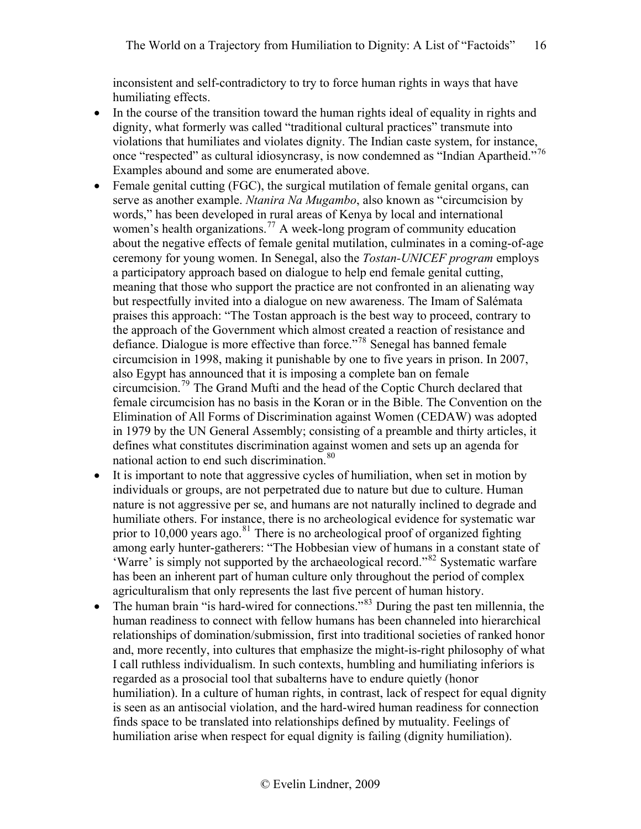inconsistent and self-contradictory to try to force human rights in ways that have humiliating effects.

- In the course of the transition toward the human rights ideal of equality in rights and dignity, what formerly was called "traditional cultural practices" transmute into violations that humiliates and violates dignity. The Indian caste system, for instance, once "respected" as cultural idiosyncrasy, is now condemned as "Indian Apartheid."<sup>[76](#page-76-0)</sup> Examples abound and some are enumerated above.
- Female genital cutting (FGC), the surgical mutilation of female genital organs, can serve as another example. *Ntanira Na Mugambo*, also known as "circumcision by words," has been developed in rural areas of Kenya by local and international women's health organizations.<sup>[77](#page-77-0)</sup> A week-long program of community education about the negative effects of female genital mutilation, culminates in a coming-of -age ceremony for young women. In Senegal, also the *Tostan-UNICEF program* employs a participatory approach based on dialogue to help end female genital cutting, meaning that those who support the practice are not confronted in an alienating way but respectfully invited into a dialogue on new awareness. The Imam of Salémata praises this approach: "The Tostan approach is the best way to proceed, contrary to the approach of the Government which almost created a reaction of resistance and defiance. Dialogue is more effective than force."<sup>[78](#page-77-0)</sup> Senegal has banned female circumcision in 1998, making it punishable by one to five years in prison. In 2007, also Egypt has announced that it is imposing a complete ban on female circumcision.[79](#page-77-0) The Grand Mufti and the head of the Coptic Church declared that female circumcision has no basis in the Koran or in the Bible. The Convention on the Elimination of All Forms of Discrimination against Women (CEDAW) was adopted in 1979 by the UN General Assembly; consisting of a preamble and thirty articles, it defines what constitutes discrimination against women and sets up an agenda for national action to end such discrimination.<sup>[80](#page-77-0)</sup>
- It is important to note that aggressive cycles of humiliation, when set in motion by individuals or groups, are not perpetrated due to nature but due to culture. Human nature is not aggressive per se, and humans are not naturally inclined to degrade and humiliate others. For instance, there is no archeological evidence for systematic war prior to 10,000 years ago.<sup>[81](#page-77-0)</sup> There is no archeological proof of organized fighting among early hunter-gatherers: "The Hobbesian view of humans in a constant state of 'Warre' is simply not supported by the archaeological record."<sup>[82](#page-77-0)</sup> Systematic warfare has been an inherent part of human culture only throughout the period of complex agriculturalism that only represents the last five percent of human history.
- The human brain "is hard-wired for connections." $83$  During the past ten millennia, the human readiness to connect with fellow humans has been channeled into hierarchical relationships of domination/submission, first into traditional societies of ranked honor and, more recently, into cultures that emphasize the might-is-right philosophy of what I call ruthless individualism. In such contexts, humbling and humiliating inferiors is regarded as a prosocial tool that subalterns have to endure quietly (honor humiliation). In a culture of human rights, in contrast, lack of respect for equal dignity is seen as an antisocial violation, and the hard-wired human readiness for connection finds space to be translated into relationships defined by mutuality. Feelings of humiliation arise when respect for equal dignity is failing (dignity humiliation).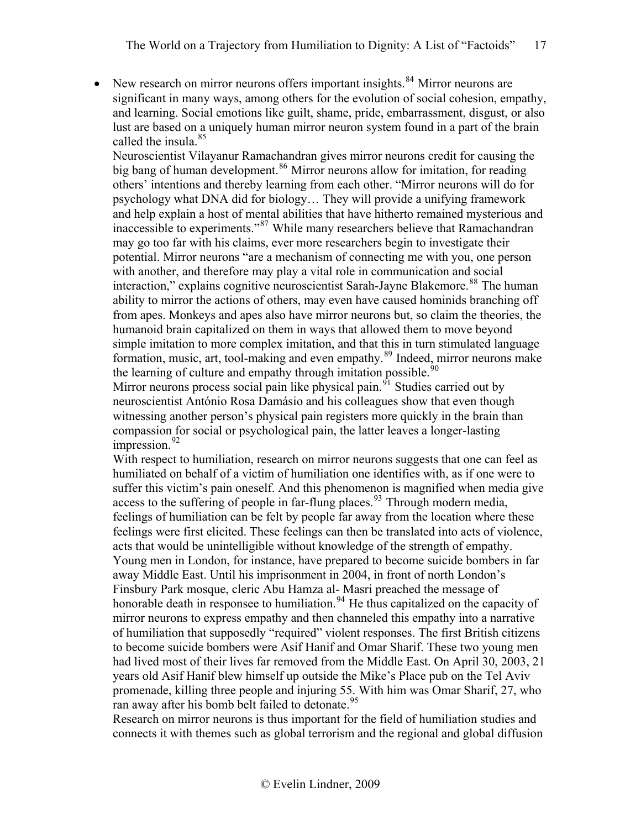New research on mirror neurons offers important insights.<sup>[84](#page-77-0)</sup> Mirror neurons are significant in many ways, among others for the evolution of social cohesion, empathy, and learning. Social emotions like guilt, shame, pride, embarrassment, disgust, or also lust are based on a uniquely human mirror neuron system found in a part of the brain called the insula.<sup>[85](#page-77-0)</sup>

Neuroscientist Vilayanur Ramachandran gives mirror neurons credit for causing the big bang of human development.<sup>[86](#page-77-0)</sup> Mirror neurons allow for imitation, for reading others' intentions and thereby learning from each other. "Mirror neurons will do for psychology what DNA did for biology… They will provide a unifying framework and help explain a host of mental abilities that have hitherto remained mysterious and inaccessible to experiments."[87](#page-77-0) While many researchers believe that Ramachandran may go too far with his claims, ever more researchers begin to investigate their potential. Mirror neurons "are a mechanism of connecting me with you, one person with another, and therefore may play a vital role in communication and social interaction," explains cognitive neuroscientist Sarah-Jayne Blakemore.<sup>[88](#page-77-0)</sup> The human ability to mirror the actions of others, may even have caused hominids branching off from apes. Monkeys and apes also have mirror neurons but, so claim the theories, the humanoid brain capitalized on them in ways that allowed them to move beyond simple imitation to more complex imitation, and that this in turn stimulated language formation, music, art, tool-making and even empathy.<sup>[89](#page-77-0)</sup> Indeed, mirror neurons make the learning of culture and empathy through imitation possible.<sup>[90](#page-77-0)</sup>

Mirror neurons process social pain like physical pain.<sup>[91](#page-78-0)</sup> Studies carried out by neuroscientist António Rosa Damásio and his colleagues show that even though witnessing another person's physical pain registers more quickly in the brain than compassion for social or psychological pain, the latter leaves a longer-lasting impression. $92$ 

With respect to humiliation, research on mirror neurons suggests that one can feel as humiliated on behalf of a victim of humiliation one identifies with, as if one were to suffer this victim's pain oneself. And this phenomenon is magnified when media give access to the suffering of people in far-flung places.<sup>[93](#page-78-0)</sup> Through modern media, feelings of humiliation can be felt by people far away from the location where these feelings were first elicited. These feelings can then be translated into acts of violence, acts that would be unintelligible without knowledge of the strength of empathy. Young men in London, for instance, have prepared to become suicide bombers in far away Middle East. Until his imprisonment in 2004, in front of north London's Finsbury Park mosque, cleric Abu Hamza al- Masri preached the message of honorable death in responsee to humiliation.<sup>[94](#page-78-0)</sup> He thus capitalized on the capacity of mirror neurons to express empathy and then channeled this empathy into a narrative of humiliation that supposedly "required" violent responses. The first British citizens to become suicide bombers were Asif Hanif and Omar Sharif. These two young men had lived most of their lives far removed from the Middle East. On April 30, 2003, 21 years old Asif Hanif blew himself up outside the Mike's Place pub on the Tel Aviv promenade, killing three people and injuring 55. With him was Omar Sharif, 27, who ran away after his bomb belt failed to detonate.<sup>[95](#page-78-0)</sup>

Research on mirror neurons is thus important for the field of humiliation studies and connects it with themes such as global terrorism and the regional and global diffusion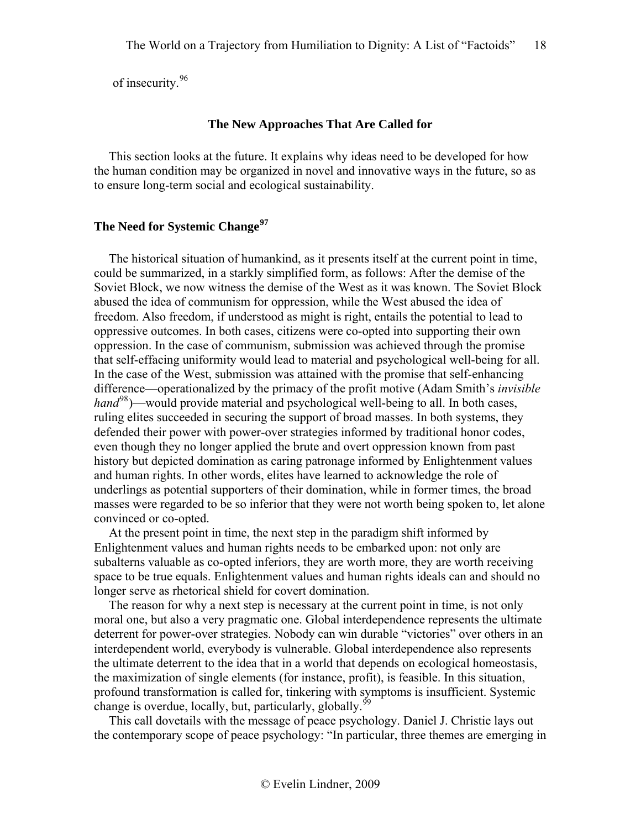<span id="page-17-0"></span>of insecurity.<sup>96</sup>

#### **The New Approaches That Are Called for**

This section looks at the future. It explains why ideas need to be developed for how the human condition may be organized in novel and innovative ways in the future, so as to ensure long-term social and ecological sustainability.

## **The Need for Systemic Change[97](#page-78-0)**

The historical situation of humankind, as it presents itself at the current point in time, could be summarized, in a starkly simplified form, as follows: After the demise of the Soviet Block, we now witness the demise of the West as it was known. The Soviet Block abused the idea of communism for oppression, while the West abused the idea of freedom. Also freedom, if understood as might is right, entails the potential to lead to oppressive outcomes. In both cases, citizens were co-opted into supporting their own oppression. In the case of communism, submission was achieved through the promise that self-effacing uniformity would lead to material and psychological well-being for all. In the case of the West, submission was attained with the promise that self-enhancing difference—operationalized by the primacy of the profit motive (Adam Smith's *invisible hand*[98](#page-78-0))—would provide material and psychological well-being to all. In both cases, ruling elites succeeded in securing the support of broad masses. In both systems, they defended their power with power-over strategies informed by traditional honor codes, even though they no longer applied the brute and overt oppression known from past history but depicted domination as caring patronage informed by Enlightenment values and human rights. In other words, elites have learned to acknowledge the role of underlings as potential supporters of their domination, while in former times, the broad masses were regarded to be so inferior that they were not worth being spoken to, let alone convinced or co-opted.

At the present point in time, the next step in the paradigm shift informed by Enlightenment values and human rights needs to be embarked upon: not only are subalterns valuable as co-opted inferiors, they are worth more, they are worth receiving space to be true equals. Enlightenment values and human rights ideals can and should no longer serve as rhetorical shield for covert domination.

The reason for why a next step is necessary at the current point in time, is not only moral one, but also a very pragmatic one. Global interdependence represents the ultimate deterrent for power-over strategies. Nobody can win durable "victories" over others in an interdependent world, everybody is vulnerable. Global interdependence also represents the ultimate deterrent to the idea that in a world that depends on ecological homeostasis, the maximization of single elements (for instance, profit), is feasible. In this situation, profound transformation is called for, tinkering with symptoms is insufficient. Systemic change is overdue, locally, but, particularly, globally.<sup>[99](#page-78-0)</sup>

This call dovetails with the message of peace psychology. Daniel J. Christie lays out the contemporary scope of peace psychology: "In particular, three themes are emerging in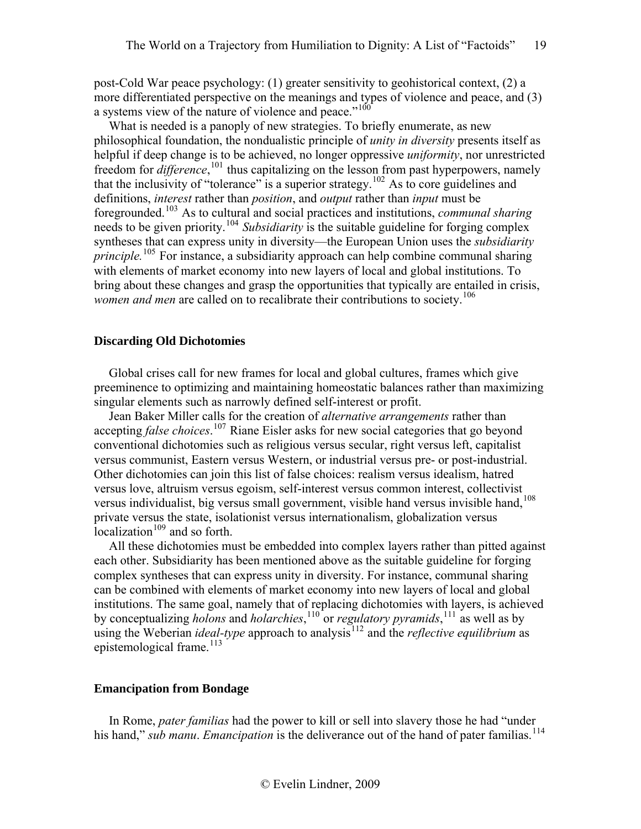<span id="page-18-0"></span>post-Cold War peace psychology: (1) greater sensitivity to geohistorical context, (2) a more differentiated perspective on the meanings and types of violence and peace, and (3) a systems view of the nature of violence and peace."<sup>[100](#page-78-0)</sup>

What is needed is a panoply of new strategies. To briefly enumerate, as new philosophical foundation, the nondualistic principle of *unity in diversity* presents itself as helpful if deep change is to be achieved, no longer oppressive *uniformity*, nor unrestricted freedom for *difference*,<sup>[101](#page-78-0)</sup> thus capitalizing on the lesson from past hyperpowers, namely that the inclusivity of "tolerance" is a superior strategy.<sup>[102](#page-79-0)</sup> As to core guidelines and definitions, *interest* rather than *position*, and *output* rather than *input* must be foregrounded.[103](#page-79-0) As to cultural and social practices and institutions, *communal sharing* needs to be given priority.[104](#page-79-0) *Subsidiarity* is the suitable guideline for forging complex syntheses that can express unity in diversity—the European Union uses the *subsidiarity principle.*<sup>[105](#page-80-0)</sup> For instance, a subsidiarity approach can help combine communal sharing with elements of market economy into new layers of local and global institutions. To bring about these changes and grasp the opportunities that typically are entailed in crisis, *women and men* are called on to recalibrate their contributions to society.<sup>[106](#page-80-0)</sup>

#### **Discarding Old Dichotomies**

Global crises call for new frames for local and global cultures, frames which give preeminence to optimizing and maintaining homeostatic balances rather than maximizing singular elements such as narrowly defined self-interest or profit.

Jean Baker Miller calls for the creation of *alternative arrangements* rather than accepting *false choices*. [107](#page-80-0) Riane Eisler asks for new social categories that go beyond conventional dichotomies such as religious versus secular, right versus left, capitalist versus communist, Eastern versus Western, or industrial versus pre- or post-industrial. Other dichotomies can join this list of false choices: realism versus idealism, hatred versus love, altruism versus egoism, self-interest versus common interest, collectivist versus individualist, big versus small government, visible hand versus invisible hand,<sup>[108](#page-80-0)</sup> private versus the state, isolationist versus internationalism, globalization versus  $localization<sup>109</sup>$  $localization<sup>109</sup>$  $localization<sup>109</sup>$  and so forth.

All these dichotomies must be embedded into complex layers rather than pitted against each other. Subsidiarity has been mentioned above as the suitable guideline for forging complex syntheses that can express unity in diversity. For instance, communal sharing can be combined with elements of market economy into new layers of local and global institutions. The same goal, namely that of replacing dichotomies with layers, is achieved by conceptualizing *holons* and *holarchies*, <sup>[110](#page-80-0)</sup> or *regulatory pyramids*, <sup>[111](#page-80-0)</sup> as well as by using the Weberian *ideal-type* approach to analysis<sup>[112](#page-80-0)</sup> and the *reflective equilibrium* as epistemological frame.<sup>[113](#page-80-0)</sup>

#### **Emancipation from Bondage**

In Rome, *pater familias* had the power to kill or sell into slavery those he had "under his hand," *sub manu. Emancipation* is the deliverance out of the hand of pater familias.<sup>[114](#page-80-0)</sup>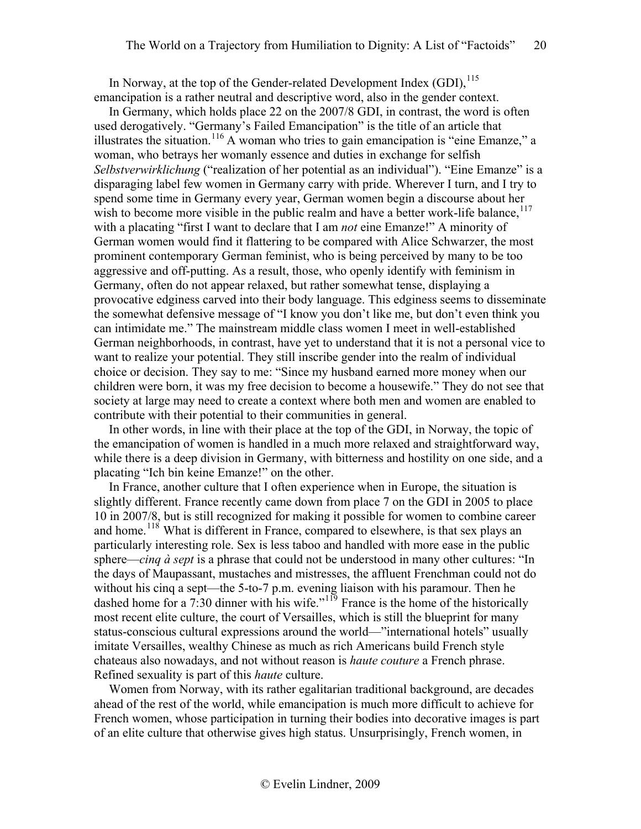In Norway, at the top of the Gender-related Development Index (GDI), [115](#page-80-0) emancipation is a rather neutral and descriptive word, also in the gender context.

In Germany, which holds place 22 on the 2007/8 GDI, in contrast, the word is often used derogatively. "Germany's Failed Emancipation" is the title of an article that illustrates the situation.<sup>[116](#page-80-0)</sup> A woman who tries to gain emancipation is "eine Emanze," a woman, who betrays her womanly essence and duties in exchange for selfish *Selbstverwirklichung* ("realization of her potential as an individual"). "Eine Emanze" is a disparaging label few women in Germany carry with pride. Wherever I turn, and I try to spend some time in Germany every year, German women begin a discourse about her wish to become more visible in the public realm and have a better work-life balance,  $117$ with a placating "first I want to declare that I am *not* eine Emanze!" A minority of German women would find it flattering to be compared with Alice Schwarzer, the most prominent contemporary German feminist, who is being perceived by many to be too aggressive and off-putting. As a result, those, who openly identify with feminism in Germany, often do not appear relaxed, but rather somewhat tense, displaying a provocative edginess carved into their body language. This edginess seems to disseminate the somewhat defensive message of "I know you don't like me, but don't even think you can intimidate me." The mainstream middle class women I meet in well-established German neighborhoods, in contrast, have yet to understand that it is not a personal vice to want to realize your potential. They still inscribe gender into the realm of individual choice or decision. They say to me: "Since my husband earned more money when our children were born, it was my free decision to become a housewife." They do not see that society at large may need to create a context where both men and women are enabled to contribute with their potential to their communities in general.

In other words, in line with their place at the top of the GDI, in Norway, the topic of the emancipation of women is handled in a much more relaxed and straightforward way, while there is a deep division in Germany, with bitterness and hostility on one side, and a placating "Ich bin keine Emanze!" on the other.

In France, another culture that I often experience when in Europe, the situation is slightly different. France recently came down from place 7 on the GDI in 2005 to place 10 in 2007/8, but is still recognized for making it possible for women to combine career and home.<sup>[118](#page-80-0)</sup> What is different in France, compared to elsewhere, is that sex plays an particularly interesting role. Sex is less taboo and handled with more ease in the public sphere—*cinq à sept* is a phrase that could not be understood in many other cultures: "In the days of Maupassant, mustaches and mistresses, the affluent Frenchman could not do without his cinq a sept—the 5-to-7 p.m. evening liaison with his paramour. Then he dashed home for a 7:30 dinner with his wife." $119$  France is the home of the historically most recent elite culture, the court of Versailles, which is still the blueprint for many status-conscious cultural expressions around the world—"international hotels" usually imitate Versailles, wealthy Chinese as much as rich Americans build French style chateaus also nowadays, and not without reason is *haute couture* a French phrase. Refined sexuality is part of this *haute* culture.

Women from Norway, with its rather egalitarian traditional background, are decades ahead of the rest of the world, while emancipation is much more difficult to achieve for French women, whose participation in turning their bodies into decorative images is part of an elite culture that otherwise gives high status. Unsurprisingly, French women, in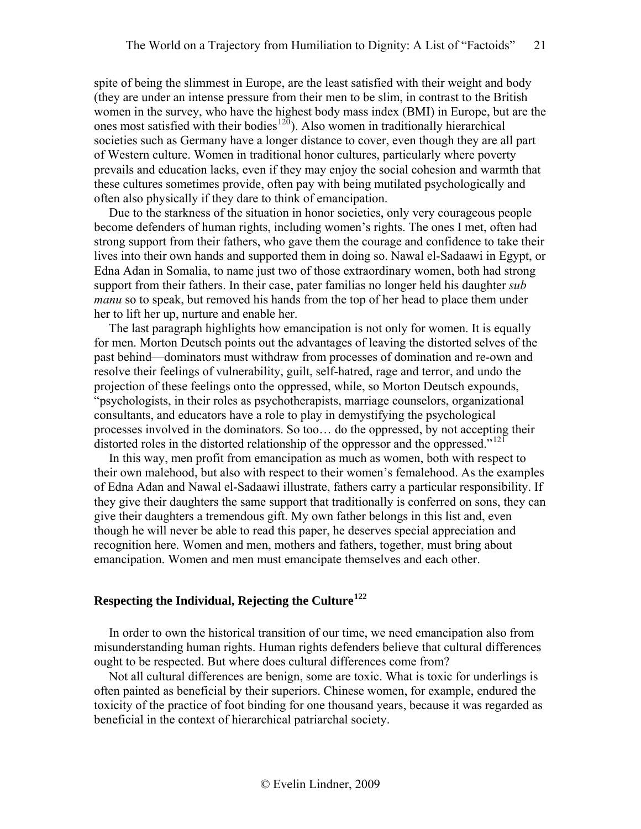<span id="page-20-0"></span>spite of being the slimmest in Europe, are the least satisfied with their weight and body (they are under an intense pressure from their men to be slim, in contrast to the British women in the survey, who have the highest body mass index (BMI) in Europe, but are the ones most satisfied with their bodies<sup>[120](#page-80-0)</sup>). Also women in traditionally hierarchical societies such as Germany have a longer distance to cover, even though they are all part of Western culture. Women in traditional honor cultures, particularly where poverty prevails and education lacks, even if they may enjoy the social cohesion and warmth that these cultures sometimes provide, often pay with being mutilated psychologically and often also physically if they dare to think of emancipation.

Due to the starkness of the situation in honor societies, only very courageous people become defenders of human rights, including women's rights. The ones I met, often had strong support from their fathers, who gave them the courage and confidence to take their lives into their own hands and supported them in doing so. Nawal el-Sadaawi in Egypt, or Edna Adan in Somalia, to name just two of those extraordinary women, both had strong support from their fathers. In their case, pater familias no longer held his daughter *sub manu* so to speak, but removed his hands from the top of her head to place them under her to lift her up, nurture and enable her.

The last paragraph highlights how emancipation is not only for women. It is equally for men. Morton Deutsch points out the advantages of leaving the distorted selves of the past behind—dominators must withdraw from processes of domination and re-own and resolve their feelings of vulnerability, guilt, self-hatred, rage and terror, and undo the projection of these feelings onto the oppressed, while, so Morton Deutsch expounds, "psychologists, in their roles as psychotherapists, marriage counselors, organizational consultants, and educators have a role to play in demystifying the psychological processes involved in the dominators. So too… do the oppressed, by not accepting their distorted roles in the distorted relationship of the oppressor and the oppressed."<sup>[121](#page-81-0)</sup>

In this way, men profit from emancipation as much as women, both with respect to their own malehood, but also with respect to their women's femalehood. As the examples of Edna Adan and Nawal el-Sadaawi illustrate, fathers carry a particular responsibility. If they give their daughters the same support that traditionally is conferred on sons, they can give their daughters a tremendous gift. My own father belongs in this list and, even though he will never be able to read this paper, he deserves special appreciation and recognition here. Women and men, mothers and fathers, together, must bring about emancipation. Women and men must emancipate themselves and each other.

## **Respecting the Individual, Rejecting the Culture[122](#page-81-0)**

In order to own the historical transition of our time, we need emancipation also from misunderstanding human rights. Human rights defenders believe that cultural differences ought to be respected. But where does cultural differences come from?

Not all cultural differences are benign, some are toxic. What is toxic for underlings is often painted as beneficial by their superiors. Chinese women, for example, endured the toxicity of the practice of foot binding for one thousand years, because it was regarded as beneficial in the context of hierarchical patriarchal society.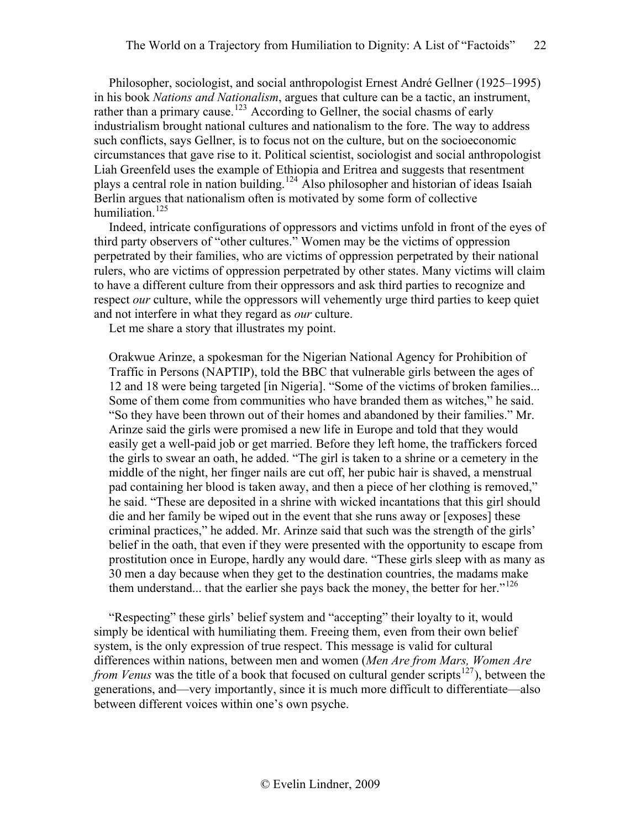Philosopher, sociologist, and social anthropologist Ernest André Gellner (1925–1995) in his book *Nations and Nationalism*, argues that culture can be a tactic, an instrument, rather than a primary cause.<sup>[123](#page-81-0)</sup> According to Gellner, the social chasms of early industrialism brought national cultures and nationalism to the fore. The way to address such conflicts, says Gellner, is to focus not on the culture, but on the socioeconomic circumstances that gave rise to it. Political scientist, sociologist and social anthropologist Liah Greenfeld uses the example of Ethiopia and Eritrea and suggests that resentment plays a central role in nation building.[124](#page-81-0) Also philosopher and historian of ideas Isaiah Berlin argues that nationalism often is motivated by some form of collective humiliation.<sup>[125](#page-81-0)</sup>

Indeed, intricate configurations of oppressors and victims unfold in front of the eyes of third party observers of "other cultures." Women may be the victims of oppression perpetrated by their families, who are victims of oppression perpetrated by their national rulers, who are victims of oppression perpetrated by other states. Many victims will claim to have a different culture from their oppressors and ask third parties to recognize and respect *our* culture, while the oppressors will vehemently urge third parties to keep quiet and not interfere in what they regard as *our* culture.

Let me share a story that illustrates my point.

Orakwue Arinze, a spokesman for the Nigerian National Agency for Prohibition of Traffic in Persons (NAPTIP), told the BBC that vulnerable girls between the ages of 12 and 18 were being targeted [in Nigeria]. "Some of the victims of broken families... Some of them come from communities who have branded them as witches," he said. "So they have been thrown out of their homes and abandoned by their families." Mr. Arinze said the girls were promised a new life in Europe and told that they would easily get a well-paid job or get married. Before they left home, the traffickers forced the girls to swear an oath, he added. "The girl is taken to a shrine or a cemetery in the middle of the night, her finger nails are cut off, her pubic hair is shaved, a menstrual pad containing her blood is taken away, and then a piece of her clothing is removed," he said. "These are deposited in a shrine with wicked incantations that this girl should die and her family be wiped out in the event that she runs away or [exposes] these criminal practices," he added. Mr. Arinze said that such was the strength of the girls' belief in the oath, that even if they were presented with the opportunity to escape from prostitution once in Europe, hardly any would dare. "These girls sleep with as many as 30 men a day because when they get to the destination countries, the madams make them understand... that the earlier she pays back the money, the better for her."<sup>[126](#page-81-0)</sup>

"Respecting" these girls' belief system and "accepting" their loyalty to it, would simply be identical with humiliating them. Freeing them, even from their own belief system, is the only expression of true respect. This message is valid for cultural differences within nations, between men and women (*Men Are from Mars, Women Are from Venus* was the title of a book that focused on cultural gender scripts<sup>[127](#page-81-0)</sup>), between the generations, and—very importantly, since it is much more difficult to differentiate—also between different voices within one's own psyche.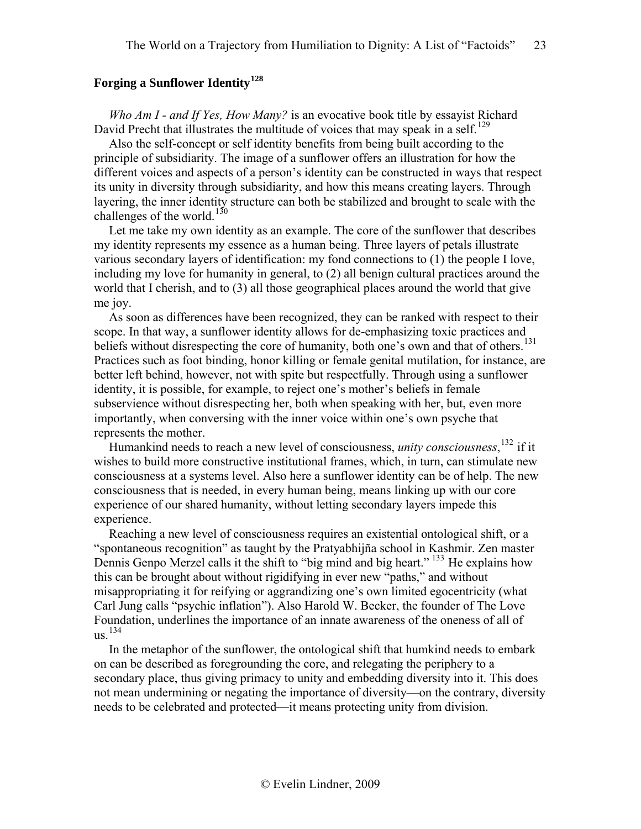## <span id="page-22-0"></span>**Forging a Sunflower Identity[128](#page-81-0)**

*Who Am I - and If Yes, How Many?* is an evocative book title by essayist Richard David Precht that illustrates the multitude of voices that may speak in a self.<sup>[129](#page-81-0)</sup>

Also the self-concept or self identity benefits from being built according to the principle of subsidiarity. The image of a sunflower offers an illustration for how the different voices and aspects of a person's identity can be constructed in ways that respect its unity in diversity through subsidiarity, and how this means creating layers. Through layering, the inner identity structure can both be stabilized and brought to scale with the challenges of the world.<sup>[130](#page-81-0)</sup>

Let me take my own identity as an example. The core of the sunflower that describes my identity represents my essence as a human being. Three layers of petals illustrate various secondary layers of identification: my fond connections to (1) the people I love, including my love for humanity in general, to (2) all benign cultural practices around the world that I cherish, and to (3) all those geographical places around the world that give me joy.

As soon as differences have been recognized, they can be ranked with respect to their scope. In that way, a sunflower identity allows for de-emphasizing toxic practices and beliefs without disrespecting the core of humanity, both one's own and that of others.<sup>[131](#page-81-0)</sup> Practices such as foot binding, honor killing or female genital mutilation, for instance, are better left behind, however, not with spite but respectfully. Through using a sunflower identity, it is possible, for example, to reject one's mother's beliefs in female subservience without disrespecting her, both when speaking with her, but, even more importantly, when conversing with the inner voice within one's own psyche that represents the mother.

Humankind needs to reach a new level of consciousness, *unity consciousness*, [132](#page-81-0) if it wishes to build more constructive institutional frames, which, in turn, can stimulate new consciousness at a systems level. Also here a sunflower identity can be of help. The new consciousness that is needed, in every human being, means linking up with our core experience of our shared humanity, without letting secondary layers impede this experience.

Reaching a new level of consciousness requires an existential ontological shift, or a "spontaneous recognition" as taught by the Pratyabhijña school in Kashmir. Zen master Dennis Genpo Merzel calls it the shift to "big mind and big heart." <sup>[133](#page-81-0)</sup> He explains how this can be brought about without rigidifying in ever new "paths," and without misappropriating it for reifying or aggrandizing one's own limited egocentricity (what Carl Jung calls "psychic inflation"). Also Harold W. Becker, the founder of The Love Foundation, underlines the importance of an innate awareness of the oneness of all of  $\overline{u}$   $\overline{u}$ <sup>[134](#page-81-0)</sup>

In the metaphor of the sunflower, the ontological shift that humkind needs to embark on can be described as foregrounding the core, and relegating the periphery to a secondary place, thus giving primacy to unity and embedding diversity into it. This does not mean undermining or negating the importance of diversity—on the contrary, diversity needs to be celebrated and protected—it means protecting unity from division.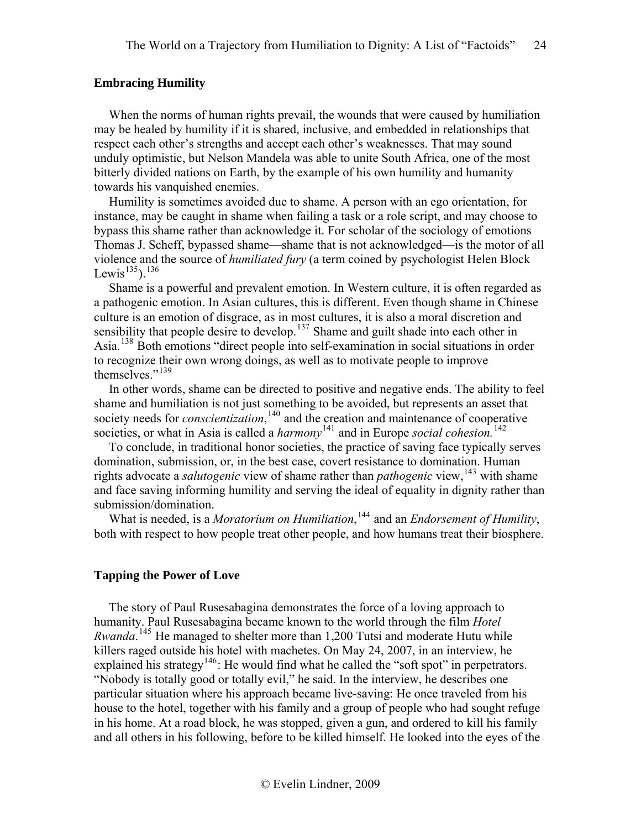## <span id="page-23-0"></span>**Embracing Humility**

When the norms of human rights prevail, the wounds that were caused by humiliation may be healed by humility if it is shared, inclusive, and embedded in relationships that respect each other's strengths and accept each other's weaknesses. That may sound unduly optimistic, but Nelson Mandela was able to unite South Africa, one of the most bitterly divided nations on Earth, by the example of his own humility and humanity towards his vanquished enemies.

Humility is sometimes avoided due to shame. A person with an ego orientation, for instance, may be caught in shame when failing a task or a role script, and may choose to bypass this shame rather than acknowledge it. For scholar of the sociology of emotions Thomas J. Scheff, bypassed shame—shame that is not acknowledged—is the motor of all violence and the source of *humiliated fury* (a term coined by psychologist Helen Block Lewis<sup>[135](#page-81-0)</sup>).<sup>[136](#page-81-0)</sup>

Shame is a powerful and prevalent emotion. In Western culture, it is often regarded as a pathogenic emotion. In Asian cultures, this is different. Even though shame in Chinese culture is an emotion of disgrace, as in most cultures, it is also a moral discretion and sensibility that people desire to develop.<sup>[137](#page-81-0)</sup> Shame and guilt shade into each other in Asia.[138](#page-81-0) Both emotions "direct people into self-examination in social situations in order to recognize their own wrong doings, as well as to motivate people to improv e themselves." [139](#page-81-0)

In other words, shame can be directed to positive and negative ends. The ability to feel shame and humiliation is not just something to be avoided, but represents an asset that society needs for *conscientization*,<sup>[140](#page-82-0)</sup> and the creation and maintenance of cooperative societies, or what in Asia is called a *harmony*<sup>[141](#page-82-0)</sup> and in Europe *social cohesion*.<sup>[142](#page-82-0)</sup>

To conclude, in traditional honor societies, the practice of saving face typically serves domination, submission, or, in the best case, covert resistance to domination. Human rights advocate a *salutogenic* view of shame rather than *pathogenic* view,<sup>[143](#page-82-0)</sup> with shame and face saving informing humility and serving the ideal of equality in dignity rather than submission/domination.

What is needed, is a *Moratorium on Humiliation*, [144](#page-82-0) and an *Endorsement of Humility*, both with respect to how people treat other people, and how humans treat their biosphere.

### **Tapping the Power of Love**

The story of Paul Rusesabagina demonstrates the force of a loving approach to humanity. Paul Rusesabagina became known to the world through the film *Hotel Rwanda*. [145](#page-82-0) He managed to shelter more than 1,200 Tutsi and moderate Hutu while killers raged outside his hotel with machetes. On May 24, 2007, in an interview, he explained his strategy<sup>[146](#page-82-0)</sup>: He would find what he called the "soft spot" in perpetrators. "Nobody is totally good or totally evil," he said. In the interview, he describes one particular situation where his approach became live-saving: He once traveled from his house to the hotel, together with his family and a group of people who had sought refuge in his home. At a road block, he was stopped, given a gun, and ordered to kill his family and all others in his following, before to be killed himself. He looked into the eyes of the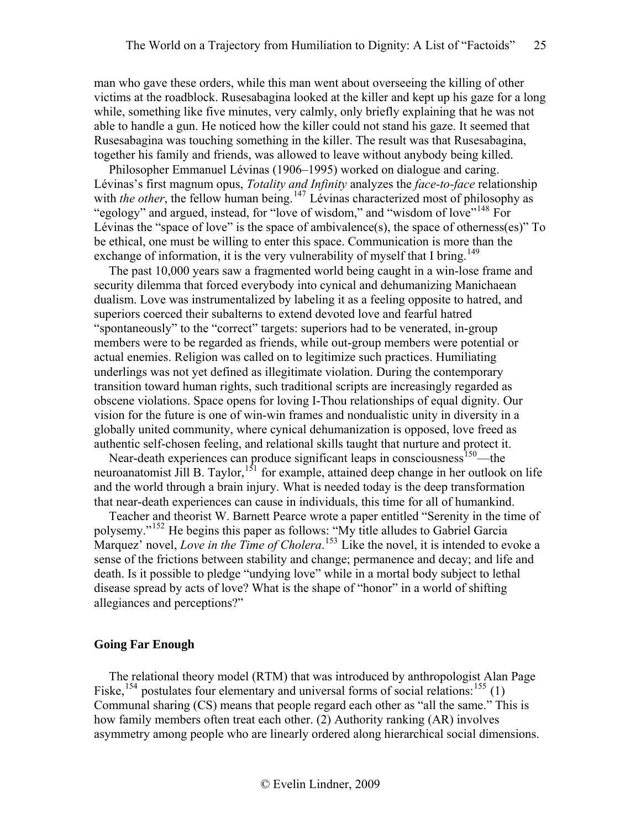<span id="page-24-0"></span>man who gave these orders, while this man went about overseeing the killing of other victims at the roadblock. Rusesabagina looked at the killer and kept up his gaze for a long while, something like five minutes, very calmly, only briefly explaining that he was not able to handle a gun. He noticed how the killer could not stand his gaze. It seemed that Rusesabagina was touching something in the killer. The result was that Rusesabagina, together his family and friends, was allowed to leave without anybody being killed.

Philosopher Emmanuel Lévinas (1906–1995) worked on dialogue and caring. Lévinas's first magnum opus, *Totality and Infinity* analyzes the *face-to-face* relationship with *the other*, the fellow human being.<sup>[147](#page-82-0)</sup> Lévinas characterized most of philosophy as "egology" and argued, instead, for "love of wisdom," and "wisdom of love"<sup>[148](#page-82-0)</sup> For Lévinas the "space of love" is the space of ambivalence(s), the space of otherness(es)" To be ethical, one must be willing to enter this space. Communication is more than the exchange of information, it is the very vulnerability of myself that I bring.<sup>[149](#page-82-0)</sup>

The past 10,000 years saw a fragmented world being caught in a win-lose frame and security dilemma that forced everybody into cynical and dehumanizing Manichaean dualism. Love was instrumentalized by labeling it as a feeling opposite to hatred, and superiors coerced their subalterns to extend devoted love and fearful hatred "spontaneously" to the "correct" targets: superiors had to be venerated, in-group members were to be regarded as friends, while out-group members were potential or actual enemies. Religion was called on to legitimize such practices. Humiliating underlings was not yet defined as illegitimate violation. During the contemporary transition toward human rights, such traditional scripts are increasingly regarded as obscene violations. Space opens for loving I-Thou relationships of equal dignity. Our vision for the future is one of win-win frames and nondualistic unity in diversity in a globally united community, where cynical dehumanization is opposed, love freed as authentic self-chosen feeling, and relational skills taught that nurture and protect it.

Near-death experiences can produce significant leaps in consciousness<sup>[150](#page-82-0)</sup>—the neuroanatomist Jill B. Taylor,  $151$  for example, attained deep change in her outlook on life and the world through a brain injury. What is needed today is the deep transformation that near-death experiences can cause in individuals, this time for all of humankind.

Teacher and theorist W. Barnett Pearce wrote a paper entitled "Serenity in the time of polysemy."[152](#page-82-0) He begins this paper as follows: "My title alludes to Gabriel Garcia Marquez' novel, *Love in the Time of Cholera*.<sup>[153](#page-82-0)</sup> Like the novel, it is intended to evoke a sense of the frictions between stability and change; permanence and decay; and life and death. Is it possible to pledge "undying love" while in a mortal body subject to lethal disease spread by acts of love? What is the shape of "honor" in a world of shifting allegiances and perceptions?"

## **Going Far Enough**

The relational theory model (RTM) that was introduced by anthropologist Alan Page Fiske,  $^{154}$  $^{154}$  $^{154}$  postulates four elementary and universal forms of social relations:  $^{155}$  $^{155}$  $^{155}$  (1) Communal sharing (CS) means that people regard each other as "all the same." This is how family members often treat each other. (2) Authority ranking (AR) involves asymmetry among people who are linearly ordered along hierarchical social dimensions.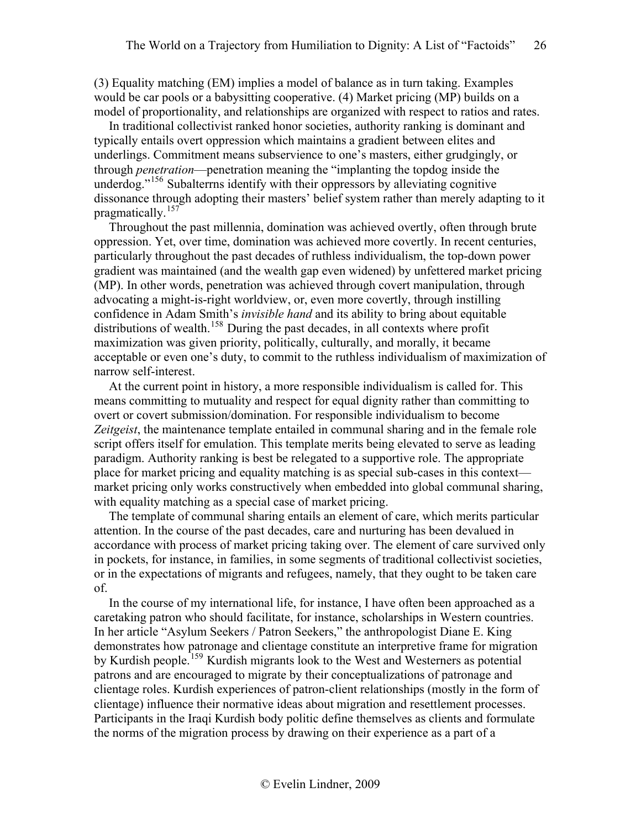(3) Equality matching (EM) implies a model of balance as in turn taking. Examples would be car pools or a babysitting cooperative. (4) Market pricing (MP) builds on a model of proportionality, and relationships are organized with respect to ratios and rates.

In traditional collectivist ranked honor societies, authority ranking is dominant and typically entails overt oppression which maintains a gradient between elites and underlings. Commitment means subservience to one's masters, either grudgingly, or through *penetration*—penetration meaning the "implanting the topdog inside the underdog."<sup>[156](#page-82-0)</sup> Subalterrns identify with their oppressors by alleviating cognitive dissonance through adopting their masters' belief system rather than merely adapting to it pragmatically.[157](#page-82-0)

Throughout the past millennia, domination was achieved overtly, often through brute oppression. Yet, over time, domination was achieved more covertly. In recent centuries, particularly throughout the past decades of ruthless individualism, the top-down power gradient was maintained (and the wealth gap even widened) by unfettered market pricing (MP). In other words, penetration was achieved through covert manipulation, through advocating a might-is-right worldview, or, even more covertly, through instilling confidence in Adam Smith's *invisible hand* and its ability to bring about equitable distributions of wealth.<sup>[158](#page-83-0)</sup> During the past decades, in all contexts where profit maximization was given priority, politically, culturally, and morally, it became acceptable or even one's duty, to commit to the ruthless individualism of maximization of narrow self-interest.

At the current point in history, a more responsible individualism is called for. This means committing to mutuality and respect for equal dignity rather than committing to overt or covert submission/domination. For responsible individualism to become *Zeitgeist*, the maintenance template entailed in communal sharing and in the female role script offers itself for emulation. This template merits being elevated to serve as leading paradigm. Authority ranking is best be relegated to a supportive role. The appropriate place for market pricing and equality matching is as special sub-cases in this context market pricing only works constructively when embedded into global communal sharing, with equality matching as a special case of market pricing.

The template of communal sharing entails an element of care, which merits particular attention. In the course of the past decades, care and nurturing has been devalued in accordance with process of market pricing taking over. The element of care survived only in pockets, for instance, in families, in some segments of traditional collectivist societies, or in the expectations of migrants and refugees, namely, that they ought to be taken care of.

In the course of my international life, for instance, I have often been approached as a caretaking patron who should facilitate, for instance, scholarships in Western countries. In her article "Asylum Seekers / Patron Seekers," the anthropologist Diane E. King demonstrates how patronage and clientage constitute an interpretive frame for migration by Kurdish people.<sup>[159](#page-83-0)</sup> Kurdish migrants look to the West and Westerners as potential patrons and are encouraged to migrate by their conceptualizations of patronage and clientage roles. Kurdish experiences of patron-client relationships (mostly in the form of clientage) influence their normative ideas about migration and resettlement processes. Participants in the Iraqi Kurdish body politic define themselves as clients and formulate the norms of the migration process by drawing on their experience as a part of a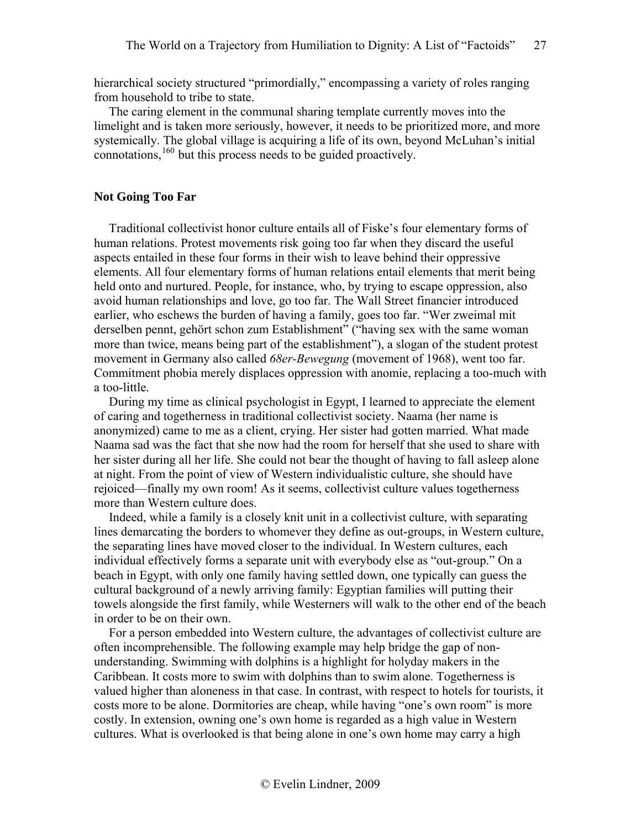<span id="page-26-0"></span>hierarchical society structured "primordially," encompassing a variety of roles ranging from household to tribe to state.

The caring element in the communal sharing template currently moves into the limelight and is taken more seriously, however, it needs to be prioritized more, and more systemically. The global village is acquiring a life of its own, beyond McLuhan's initial connotations,<sup>[160](#page-83-0)</sup> but this process needs to be guided proactively.

### **Not Going Too Far**

Traditional collectivist honor culture entails all of Fiske's four elementary forms of human relations. Protest movements risk going too far when they discard the useful aspects entailed in these four forms in their wish to leave behind their oppressive elements. All four elementary forms of human relations entail elements that merit being held onto and nurtured. People, for instance, who, by trying to escape oppression, also avoid human relationships and love, go too far. The Wall Street financier introduced earlier, who eschews the burden of having a family, goes too far. "Wer zweimal mit derselben pennt, gehört schon zum Establishment" ("having sex with the same woman more than twice, means being part of the establishment"), a slogan of the student protest movement in Germany also called *68er-Bewegung* (movement of 1968), went too far. Commitment phobia merely displaces oppression with anomie, replacing a too-much with a too-little.

During my time as clinical psychologist in Egypt, I learned to appreciate the element of caring and togetherness in traditional collectivist society. Naama (her name is anonymized) came to me as a client, crying. Her sister had gotten married. What made Naama sad was the fact that she now had the room for herself that she used to share with her sister during all her life. She could not bear the thought of having to fall asleep alone at night. From the point of view of Western individualistic culture, she should have rejoiced—finally my own room! As it seems, collectivist culture values togetherness more than Western culture does.

Indeed, while a family is a closely knit unit in a collectivist culture, with separating lines demarcating the borders to whomever they define as out-groups, in Western culture, the separating lines have moved closer to the individual. In Western cultures, each individual effectively forms a separate unit with everybody else as "out-group." On a beach in Egypt, with only one family having settled down, one typically can guess the cultural background of a newly arriving family: Egyptian families will putting their towels alongside the first family, while Westerners will walk to the other end of the beach in order to be on their own.

For a person embedded into Western culture, the advantages of collectivist culture are often incomprehensible. The following example may help bridge the gap of nonunderstanding. Swimming with dolphins is a highlight for holyday makers in the Caribbean. It costs more to swim with dolphins than to swim alone. Togetherness is valued higher than aloneness in that case. In contrast, with respect to hotels for tourists, it costs more to be alone. Dormitories are cheap, while having "one's own room" is more costly. In extension, owning one's own home is regarded as a high value in Western cultures. What is overlooked is that being alone in one's own home may carry a high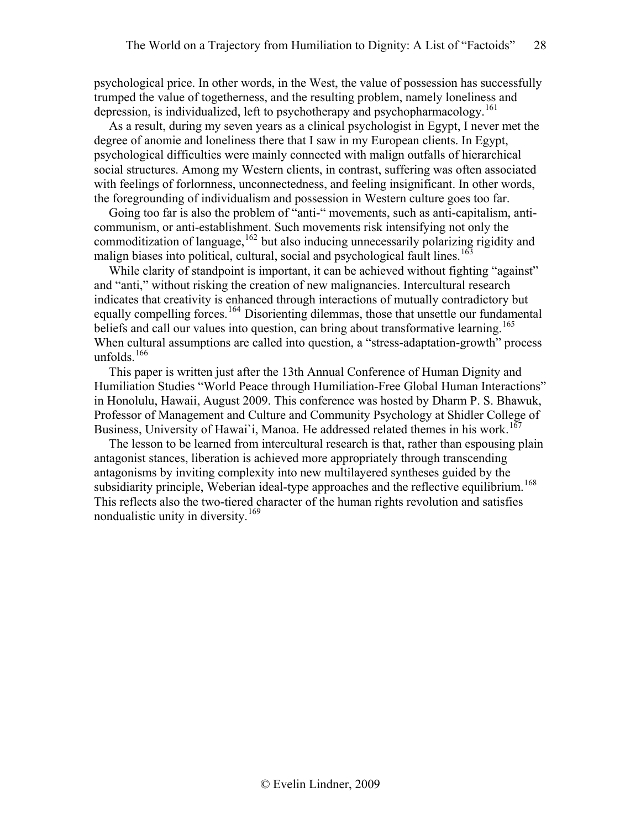psychological price. In other words, in the West, the value of possession has successfully trumped the value of togetherness, and the resulting problem, namely loneliness and depression, is individualized, left to psychotherapy and psychopharmacology.<sup>[161](#page-83-0)</sup>

As a result, during my seven years as a clinical psychologist in Egypt, I never met the degree of anomie and loneliness there that I saw in my European clients. In Egypt, psychological difficulties were mainly connected with malign outfalls of hierarchical social structures. Among my Western clients, in contrast, suffering was often associated with feelings of forlornness, unconnectedness, and feeling insignificant. In other words, the foregrounding of individualism and possession in Western culture goes too far.

Going too far is also the problem of "anti-" movements, such as anti-capitalism, anticommunism, or anti-establishment. Such movements risk intensifying not only the commoditization of language,  $162$  but also inducing unnecessarily polarizing rigidity and malign biases into political, cultural, social and psychological fault lines.<sup>[163](#page-83-0)</sup>

While clarity of standpoint is important, it can be achieved without fighting "against" and "anti," without risking the creation of new malignancies. Intercultural research indicates that creativity is enhanced through interactions of mutually contradictory but equally compelling forces.<sup>[164](#page-83-0)</sup> Disorienting dilemmas, those that unsettle our fundamental beliefs and call our values into question, can bring about transformative learning.<sup>[165](#page-83-0)</sup> When cultural assumptions are called into question, a "stress-adaptation-growth" process unfolds.<sup>[166](#page-83-0)</sup>

This paper is written just after the 13th Annual Conference of Human Dignity and Humiliation Studies "World Peace through Humiliation-Free Global Human Interactions" in Honolulu, Hawaii, August 2009. This conference was hosted by Dharm P. S. Bhawuk, Professor of Management and Culture and Community Psychology at Shidler College of Business, University of Hawai`i, Manoa. He addressed related themes in his work.<sup>[167](#page-83-0)</sup>

The lesson to be learned from intercultural research is that, rather than espousing plain antagonist stances, liberation is achieved more appropriately through transcending antagonisms by inviting complexity into new multilayered syntheses guided by the subsidiarity principle, Weberian ideal-type approaches and the reflective equilibrium.<sup>[168](#page-83-0)</sup> This reflects also the two-tiered character of the human rights revolution and satisfies nondualistic unity in diversity.<sup>[169](#page-83-0)</sup>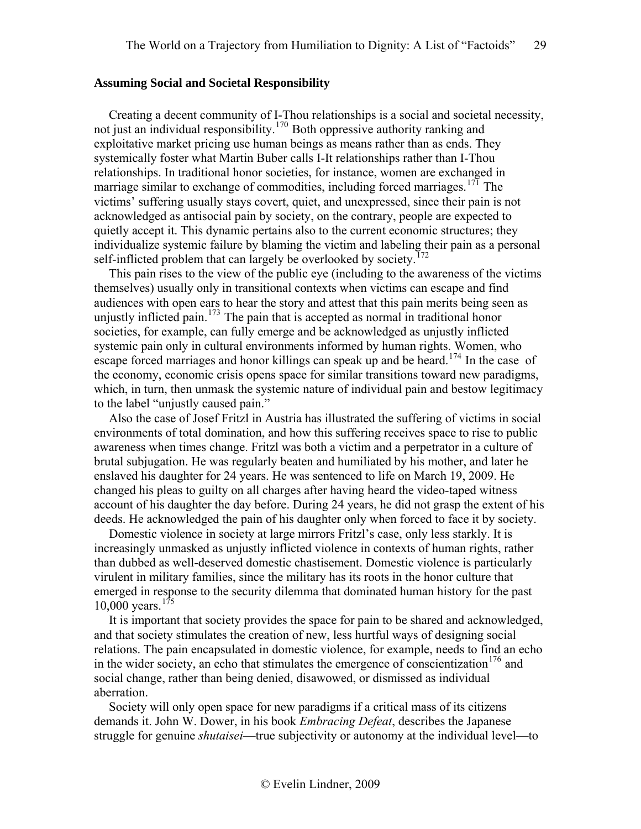### <span id="page-28-0"></span>**Assuming Social and Societal Responsibility**

Creating a decent community of I-Thou relationships is a social and societal necessity, not just an individual responsibility.[170](#page-83-0) Both oppressive authority ranking and exploitative market pricing use human beings as means rather than as ends. They systemically foster what Martin Buber calls I-It relationships rather than I-Thou relationships. In traditional honor societies, for instance, women are exchanged in marriage similar to exchange of commodities, including forced marriages.<sup>[171](#page-83-0)</sup> The victims' suffering usually stays covert, quiet, and unexpressed, since their pain is not acknowledged as antisocial pain by society, on the contrary, people are expected to quietly accept it. This dynamic pertains also to the current economic structures; they individualize systemic failure by blaming the victim and labeling their pain as a personal self-inflicted problem that can largely be overlooked by society.<sup>172</sup>

This pain rises to the view of the public eye (including to the awareness of the victims themselves) usually only in transitional contexts when victims can escape and find audiences with open ears to hear the story and attest that this pain merits being seen as unjustly inflicted pain.<sup>[173](#page-83-0)</sup> The pain that is accepted as normal in traditional honor societies, for example, can fully emerge and be acknowledged as unjustly inflicted systemic pain only in cultural environments informed by human rights. Women, who escape forced marriages and honor killings can speak up and be heard.<sup>[174](#page-83-0)</sup> In the case of the economy, economic crisis opens space for similar transitions toward new paradigms, which, in turn, then unmask the systemic nature of individual pain and bestow legitimacy to the label "unjustly caused pain."

Also the case of Josef Fritzl in Austria has illustrated the suffering of victims in social environments of total domination, and how this suffering receives space to rise to public awareness when times change. Fritzl was both a victim and a perpetrator in a culture of brutal subjugation. He was regularly beaten and humiliated by his mother, and later he enslaved his daughter for 24 years. He was sentenced to life on March 19, 2009. He changed his pleas to guilty on all charges after having heard the video-taped witness account of his daughter the day before. During 24 years, he did not grasp the extent of his deeds. He acknowledged the pain of his daughter only when forced to face it by society.

Domestic violence in society at large mirrors Fritzl's case, only less starkly. It is increasingly unmasked as unjustly inflicted violence in contexts of human rights, rather than dubbed as well-deserved domestic chastisement. Domestic violence is particularly virulent in military families, since the military has its roots in the honor culture that emerged in response to the security dilemma that dominated human history for the past 10,000 years.<sup>[175](#page-83-0)</sup>

It is important that society provides the space for pain to be shared and acknowledged, and that society stimulates the creation of new, less hurtful ways of designing social relations. The pain encapsulated in domestic violence, for example, needs to find an echo in the wider society, an echo that stimulates the emergence of conscientization<sup>[176](#page-83-0)</sup> and social change, rather than being denied, disawowed, or dismissed as individual aberration.

Society will only open space for new paradigms if a critical mass of its citizens demands it. John W. Dower, in his book *Embracing Defeat*, describes the Japanese struggle for genuine *shutaisei*—true subjectivity or autonomy at the individual level—to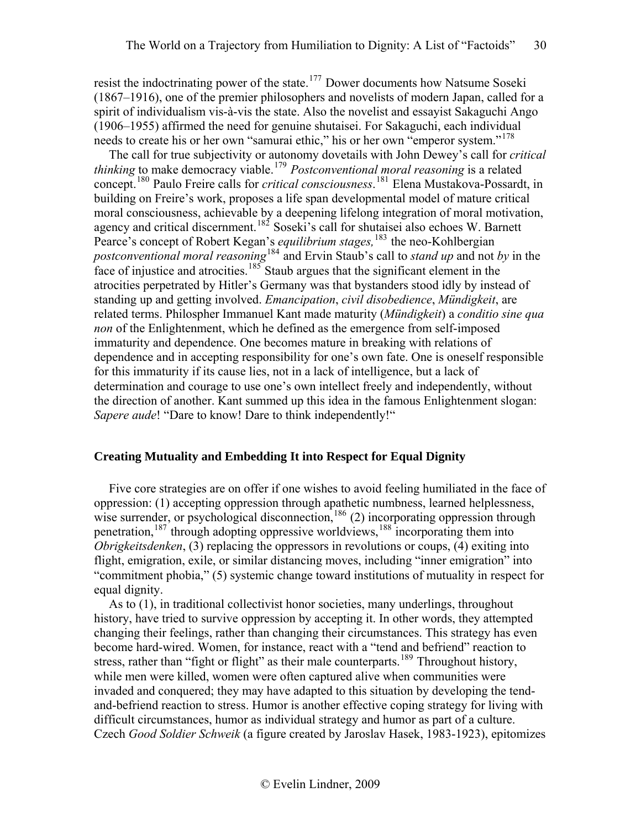<span id="page-29-0"></span>resist the indoctrinating power of the state.<sup>[177](#page-83-0)</sup> Dower documents how Natsume Soseki (1867–1916), one of the premier philosophers and novelists of modern Japan, called for a spirit of individualism vis-à-vis the state. Also the novelist and essayist Sakaguchi Ango (1906–1955) affirmed the need for genuine shutaisei. For Sakaguchi, each individual needs to create his or her own "samurai ethic," his or her own "emperor system."<sup>[178](#page-83-0)</sup>

The call for true subjectivity or autonomy dovetails with John Dewey's call for *critical thinking* to make democracy viable.<sup>[179](#page-83-0)</sup> *Postconventional moral reasoning* is a related concept.[180](#page-84-0) Paulo Freire calls for *critical consciousness*. [181](#page-84-0) Elena Mustakova-Possardt, in building on Freire's work, proposes a life span developmental model of mature critical moral consciousness, achievable by a deepening lifelong integration of moral motivation, agency and critical discernment.<sup>[182](#page-84-0)</sup> Soseki's call for shutaisei also echoes W. Barnett Pearce's concept of Robert Kegan's *equilibrium stages,*[183](#page-84-0) the neo-Kohlbergian *postconventional moral reasoning*[184](#page-84-0) and Ervin Staub's call to *stand up* and not *by* in the face of injustice and atrocities.<sup>[185](#page-84-0)</sup> Staub argues that the significant element in the atrocities perpetrated by Hitler's Germany was that bystanders stood idly by instead of standing up and getting involved. *Emancipation*, *civil disobedience*, *Mündigkeit*, are related terms. Philospher Immanuel Kant made maturity (*Mündigkeit*) a *conditio sine qua non* of the Enlightenment, which he defined as the emergence from self-imposed immaturity and dependence. One becomes mature in breaking with relations of dependence and in accepting responsibility for one's own fate. One is oneself responsible for this immaturity if its cause lies, not in a lack of intelligence, but a lack of determination and courage to use one's own intellect freely and independently, without the direction of another. Kant summed up this idea in the famous Enlightenment slogan: *Sapere aude!* "Dare to know! Dare to think independently!"

## **Creating Mutuality and Embedding It into Respect for Equal Dignity**

Five core strategies are on offer if one wishes to avoid feeling humiliated in the face of oppression: (1) accepting oppression through apathetic numbness, learned helplessness, wise surrender, or psychological disconnection,<sup>[186](#page-84-0)</sup> (2) incorporating oppression through penetration,  $187$  through adopting oppressive worldviews,  $188$  incorporating them into *Obrigkeitsdenken*, (3) replacing the oppressors in revolutions or coups, (4) exiting into flight, emigration, exile, or similar distancing moves, including "inner emigration" into "commitment phobia," (5) systemic change toward institutions of mutuality in respect for equal dignity.

As to (1), in traditional collectivist honor societies, many underlings, throughout history, have tried to survive oppression by accepting it. In other words, they attempted changing their feelings, rather than changing their circumstances. This strategy has even become hard-wired. Women, for instance, react with a "tend and befriend" reaction to stress, rather than "fight or flight" as their male counterparts.<sup>[189](#page-84-0)</sup> Throughout history, while men were killed, women were often captured alive when communities were invaded and conquered; they may have adapted to this situation by developing the tendand-befriend reaction to stress. Humor is another effective coping strategy for living with difficult circumstances, humor as individual strategy and humor as part of a culture. Czech *Good Soldier Schweik* (a figure created by Jaroslav Hasek, 1983-1923), epitomizes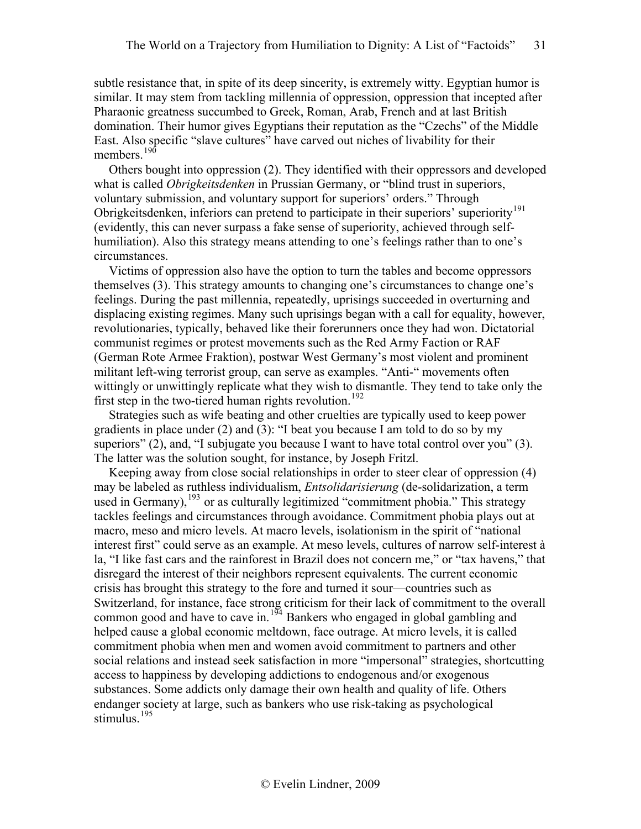subtle resistance that, in spite of its deep sincerity, is extremely witty. Egyptian humor is similar. It may stem from tackling millennia of oppression, oppression that incepted after Pharaonic greatness succumbed to Greek, Roman, Arab, French and at last British domination. Their humor gives Egyptians their reputation as the "Czechs" of the Middle East. Also specific "slave cultures" have carved out niches of livability for their members.<sup>[190](#page-84-0)</sup>

Others bought into oppression (2). They identified with their oppressors and developed what is called *Obrigkeitsdenken* in Prussian Germany, or "blind trust in superiors, voluntary submission, and voluntary support for superiors' orders." Through Obrigkeitsdenken, inferiors can pretend to participate in their superiors' superiority<sup>[191](#page-84-0)</sup> (evidently, this can never surpass a fake sense of superiority, achieved through selfhumiliation). Also this strategy means attending to one's feelings rather than to one's circumstances.

Victims of oppression also have the option to turn the tables and become oppressors themselves (3). This strategy amounts to changing one's circumstances to change one's feelings. During the past millennia, repeatedly, uprisings succeeded in overturning and displacing existing regimes. Many such uprisings began with a call for equality, however, revolutionaries, typically, behaved like their forerunners once they had won. Dictatorial communist regimes or protest movements such as the Red Army Faction or RAF (German Rote Armee Fraktion), postwar West Germany's most violent and prominent militant left-wing terrorist group, can serve as examples. "Anti-" movements often wittingly or unwittingly replicate what they wish to dismantle. They tend to take only the first step in the two-tiered human rights revolution.<sup>[192](#page-84-0)</sup>

Strategies such as wife beating and other cruelties are typically used to keep power gradients in place under (2) and (3): "I beat you because I am told to do so by my superiors" (2), and, "I subjugate you because I want to have total control over you" (3). The latter was the solution sought, for instance, by Joseph Fritzl.

Keeping away from close social relationships in order to steer clear of oppression (4) may be labeled as ruthless individualism, *Entsolidarisierung* (de-solidarization, a term used in Germany),  $193$  or as culturally legitimized "commitment phobia." This strategy tackles feelings and circumstances through avoidance. Commitment phobia plays out at macro, meso and micro levels. At macro levels, isolationism in the spirit of "national interest first" could serve as an example. At meso levels, cultures of narrow self-interest à la, "I like fast cars and the rainforest in Brazil does not concern me," or "tax havens," that disregard the interest of their neighbors represent equivalents. The current economic crisis has brought this strategy to the fore and turned it sour—countries such as Switzerland, for instance, face strong criticism for their lack of commitment to the overall common good and have to cave in.<sup>[194](#page-84-0)</sup> Bankers who engaged in global gambling and helped cause a global economic meltdown, face outrage. At micro levels, it is called commitment phobia when men and women avoid commitment to partners and other social relations and instead seek satisfaction in more "impersonal" strategies, shortcutting access to happiness by developing addictions to endogenous and/or exogenous substances. Some addicts only damage their own health and quality of life. Others endanger society at large, such as bankers who use risk-taking as psychological stimulus. $195$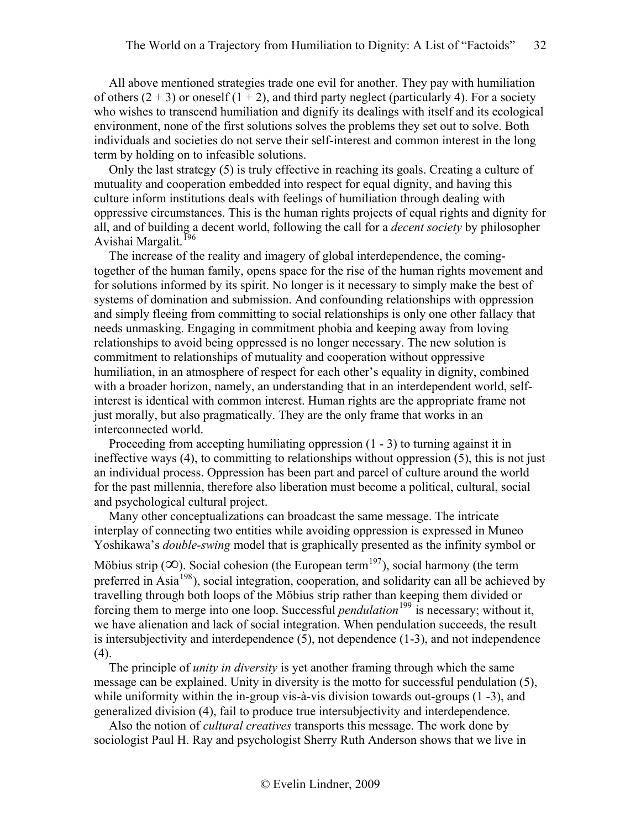All above mentioned strategies trade one evil for another. They pay with humiliation of others  $(2 + 3)$  or oneself  $(1 + 2)$ , and third party neglect (particularly 4). For a society who wishes to transcend humiliation and dignify its dealings with itself and its ecological environment, none of the first solutions solves the problems they set out to solve. Both individuals and societies do not serve their self-interest and common interest in the long term by holding on to infeasible solutions.

Only the last strategy (5) is truly effective in reaching its goals. Creating a culture of mutuality and cooperation embedded into respect for equal dignity, and having this culture inform institutions deals with feelings of humiliation through dealing with oppressive circumstances. This is the human rights projects of equal rights and dignity for all, and of building a decent world, following the call for a *decent society* by philosopher Avishai Margalit.<sup>[196](#page-84-0)</sup>

The increase of the reality and imagery of global interdependence, the comingtogether of the human family, opens space for the rise of the human rights movement and for solutions informed by its spirit. No longer is it necessary to simply make the best of systems of domination and submission. And confounding relationships with oppression and simply fleeing from committing to social relationships is only one other fallacy that needs unmasking. Engaging in commitment phobia and keeping away from loving relationships to avoid being oppressed is no longer necessary. The new solution is commitment to relationships of mutuality and cooperation without oppressive humiliation, in an atmosphere of respect for each other's equality in dignity, combined with a broader horizon, namely, an understanding that in an interdependent world, selfinterest is identical with common interest. Human rights are the appropriate frame not just morally, but also pragmatically. They are the only frame that works in an interconnected world.

Proceeding from accepting humiliating oppression  $(1 - 3)$  to turning against it in ineffective ways (4), to committing to relationships without oppression (5), this is not just an individual process. Oppression has been part and parcel of culture around the world for the past millennia, therefore also liberation must become a political, cultural, social and psychological cultural project.

Many other conceptualizations can broadcast the same message. The intricate interplay of connecting two entities while avoiding oppression is expressed in Muneo Yoshikawa's *double-swing* model that is graphically presented as the infinity symbol or

Möbius strip (∞). Social cohesion (the European term<sup>[197](#page-85-0)</sup>), social harmony (the term preferred in Asia<sup>[198](#page-85-0)</sup>), social integration, cooperation, and solidarity can all be achieved by travelling through both loops of the Möbius strip rather than keeping them divided or forcing them to merge into one loop. Successful *pendulation*<sup>[199](#page-85-0)</sup> is necessary; without it, we have alienation and lack of social integration. When pendulation succeeds, the result is intersubjectivity and interdependence (5), not dependence (1-3), and not independence  $(4)$ .

The principle of *unity in diversity* is yet another framing through which the same message can be explained. Unity in diversity is the motto for successful pendulation (5), while uniformity within the in-group vis-à-vis division towards out-groups (1 -3), and generalized division (4), fail to produce true intersubjectivity and interdependence.

Also the notion of *cultural creatives* transports this message. The work done by sociologist Paul H. Ray and psychologist Sherry Ruth Anderson shows that we live in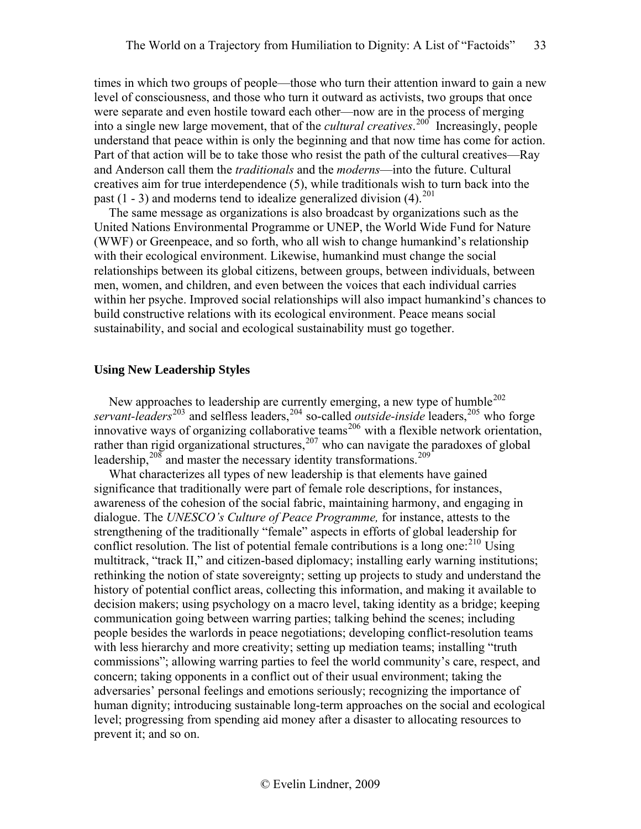<span id="page-32-0"></span>times in which two groups of people—those who turn their attention inward to gain a new level of consciousness, and those who turn it outward as activists, two groups that once were separate and even hostile toward each other—now are in the process of merging into a single new large movement, that of the *cultural creatives*. [200](#page-85-0) Increasingly, people understand that peace within is only the beginning and that now time has come for action. Part of that action will be to take those who resist the path of the cultural creatives—Ray and Anderson call them the *traditionals* and the *moderns*—into the future. Cultural creatives aim for true interdependence (5), while traditionals wish to turn back into the past (1 - 3) and moderns tend to idealize generalized division  $(4)$ <sup>[201](#page-85-0)</sup>

The same message as organizations is also broadcast by organizations such as the United Nations Environmental Programme or UNEP, the World Wide Fund for Nature (WWF) or Greenpeace, and so forth, who all wish to change humankind's relationship with their ecological environment. Likewise, humankind must change the social relationships between its global citizens, between groups, between individuals, between men, women, and children, and even between the voices that each individual carries within her psyche. Improved social relationships will also impact humankind's chances to build constructive relations with its ecological environment. Peace means social sustainability, and social and ecological sustainability must go together.

## **Using New Leadership Styles**

New approaches to leadership are currently emerging, a new type of humble<sup>[202](#page-85-0)</sup> servant-leaders<sup>[203](#page-85-0)</sup> and selfless leaders,<sup>[204](#page-85-0)</sup> so-called *outside-inside* leaders,<sup>[205](#page-85-0)</sup> who forge innovative ways of organizing collaborative teams<sup>[206](#page-85-0)</sup> with a flexible network orientation, rather than rigid organizational structures,  $207$  who can navigate the paradoxes of global leadership,<sup>[208](#page-85-0)</sup> and master the necessary identity transformations.<sup>[209](#page-85-0)</sup>

What characterizes all types of new leadership is that elements have gained significance that traditionally were part of female role descriptions, for instances, awareness of the cohesion of the social fabric, maintaining harmony, and engaging in dialogue. The *UNESCO's Culture of Peace Programme,* for instance, attests to the strengthening of the traditionally "female" aspects in efforts of global leadership for conflict resolution. The list of potential female contributions is a long one:  $210$  Using multitrack, "track II," and citizen-based diplomacy; installing early warning institutions; rethinking the notion of state sovereignty; setting up projects to study and understand the history of potential conflict areas, collecting this information, and making it available to decision makers; using psychology on a macro level, taking identity as a bridge; keeping communication going between warring parties; talking behind the scenes; including people besides the warlords in peace negotiations; developing conflict-resolution teams with less hierarchy and more creativity; setting up mediation teams; installing "truth" commissions"; allowing warring parties to feel the world community's care, respect, and concern; taking opponents in a conflict out of their usual environment; taking the adversaries' personal feelings and emotions seriously; recognizing the importance of human dignity; introducing sustainable long-term approaches on the social and ecological level; progressing from spending aid money after a disaster to allocating resources to prevent it; and so on.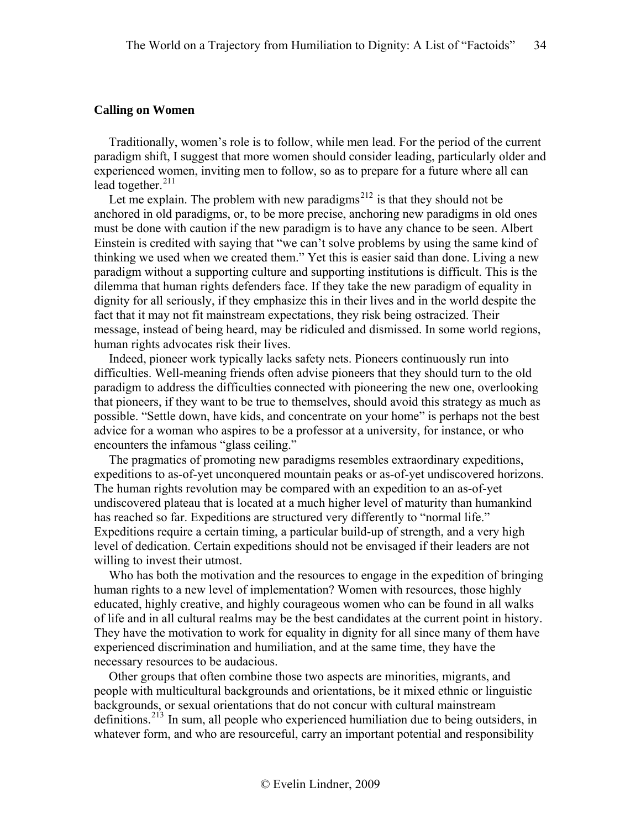### <span id="page-33-0"></span>**Calling on Women**

Traditionally, women's role is to follow, while men lead. For the period of the current paradigm shift, I suggest that more women should consider leading, particularly older and experienced women, inviting men to follow, so as to prepare for a future where all can lead together. $^{211}$  $^{211}$  $^{211}$ 

Let me explain. The problem with new paradigms<sup>[212](#page-85-0)</sup> is that they should not be anchored in old paradigms, or, to be more precise, anchoring new paradigms in old ones must be done with caution if the new paradigm is to have any chance to be seen. Albert Einstein is credited with saying that "we can't solve problems by using the same kind of thinking we used when we created them." Yet this is easier said than done. Living a new paradigm without a supporting culture and supporting institutions is difficult. This is the dilemma that human rights defenders face. If they take the new paradigm of equality in dignity for all seriously, if they emphasize this in their lives and in the world despite the fact that it may not fit mainstream expectations, they risk being ostracized. Their message, instead of being heard, may be ridiculed and dismissed. In some world regions, human rights advocates risk their lives.

Indeed, pioneer work typically lacks safety nets. Pioneers continuously run into difficulties. Well-meaning friends often advise pioneers that they should turn to the old paradigm to address the difficulties connected with pioneering the new one, overlooking that pioneers, if they want to be true to themselves, should avoid this strategy as much as possible. "Settle down, have kids, and concentrate on your home" is perhaps not the best advice for a woman who aspires to be a professor at a university, for instance, or who encounters the infamous "glass ceiling."

The pragmatics of promoting new paradigms resembles extraordinary expeditions, expeditions to as-of-yet unconquered mountain peaks or as-of-yet undiscovered horizons. The human rights revolution may be compared with an expedition to an as-of-yet undiscovered plateau that is located at a much higher level of maturity than humankind has reached so far. Expeditions are structured very differently to "normal life." Expeditions require a certain timing, a particular build-up of strength, and a very high level of dedication. Certain expeditions should not be envisaged if their leaders are not willing to invest their utmost.

Who has both the motivation and the resources to engage in the expedition of bringing human rights to a new level of implementation? Women with resources, those highly educated, highly creative, and highly courageous women who can be found in all walks of life and in all cultural realms may be the best candidates at the current point in history. They have the motivation to work for equality in dignity for all since many of them have experienced discrimination and humiliation, and at the same time, they have the necessary resources to be audacious.

Other groups that often combine those two aspects are minorities, migrants, and people with multicultural backgrounds and orientations, be it mixed ethnic or linguistic backgrounds, or sexual orientations that do not concur with cultural mainstream definitions.<sup>[213](#page-85-0)</sup> In sum, all people who experienced humiliation due to being outsiders, in whatever form, and who are resourceful, carry an important potential and responsibility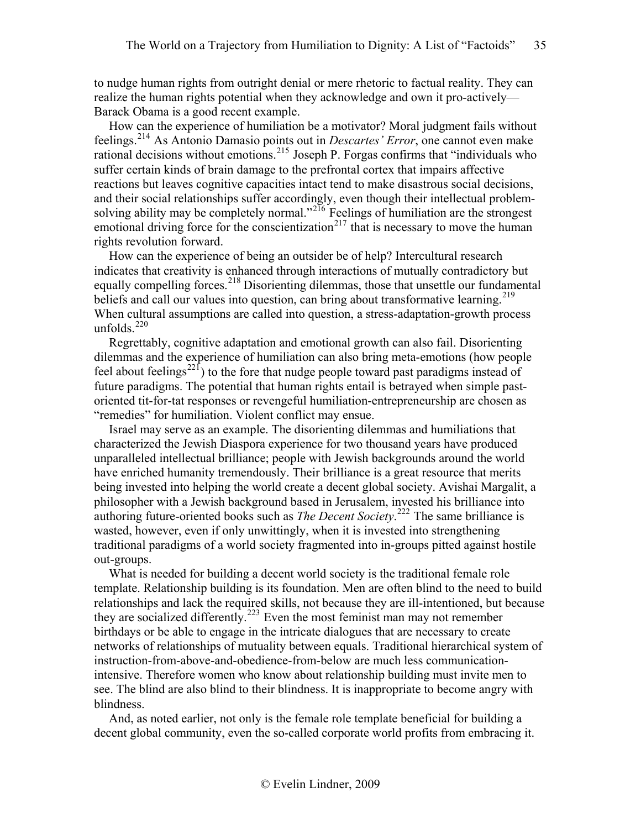to nudge human rights from outright denial or mere rhetoric to factual reality. They can realize the human rights potential when they acknowledge and own it pro-actively— Barack Obama is a good recent example.

How can the experience of humiliation be a motivator? Moral judgment fails without feelings.[214](#page-85-0) As Antonio Damasio points out in *Descartes' Error*, one cannot even make rational decisions without emotions.<sup>[215](#page-85-0)</sup> Joseph P. Forgas confirms that "individuals who suffer certain kinds of brain damage to the prefrontal cortex that impairs affective reactions but leaves cognitive capacities intact tend to make disastrous social decisions, and their social relationships suffer accordingly, even though their intellectual problem-solving ability may be completely normal."<sup>[216](#page-86-0)</sup> Feelings of humiliation are the strongest emotional driving force for the conscientization<sup>[217](#page-86-0)</sup> that is necessary to move the human rights revolution forward.

How can the experience of being an outsider be of help? Intercultural research indicates that creativity is enhanced through interactions of mutually contradictory but equally compelling forces.<sup>[218](#page-86-0)</sup> Disorienting dilemmas, those that unsettle our fundamental beliefs and call our values into question, can bring about transformative learning.<sup>[219](#page-86-0)</sup> When cultural assumptions are called into question, a stress-adaptation-growth process unfolds. $^{220}$  $^{220}$  $^{220}$ 

Regrettably, cognitive adaptation and emotional growth can also fail. Disorienting dilemmas and the experience of humiliation can also bring meta-emotions (how people  $f$  feel about feelings<sup>[221](#page-86-0)</sup>) to the fore that nudge people toward past paradigms instead of future paradigms. The potential that human rights entail is betrayed when simple pastoriented tit-for-tat responses or revengeful humiliation-entrepreneurship are chosen as "remedies" for humiliation. Violent conflict may ensue.

Israel may serve as an example. The disorienting dilemmas and humiliations that characterized the Jewish Diaspora experience for two thousand years have produced unparalleled intellectual brilliance; people with Jewish backgrounds around the world have enriched humanity tremendously. Their brilliance is a great resource that merits being invested into helping the world create a decent global society. Avishai Margalit, a philosopher with a Jewish background based in Jerusalem, invested his brilliance into authoring future-oriented books such as *The Decent Society*. [222](#page-86-0) The same brilliance is wasted, however, even if only unwittingly, when it is invested into strengthening traditional paradigms of a world society fragmented into in-groups pitted against hostile out-groups.

What is needed for building a decent world society is the traditional female role template. Relationship building is its foundation. Men are often blind to the need to build relationships and lack the required skills, not because they are ill-intentioned, but because they are socialized differently.<sup>[223](#page-86-0)</sup> Even the most feminist man may not remember birthdays or be able to engage in the intricate dialogues that are necessary to create networks of relationships of mutuality between equals. Traditional hierarchical system of instruction-from-above-and-obedience-from-below are much less communicationintensive. Therefore women who know about relationship building must invite men to see. The blind are also blind to their blindness. It is inappropriate to become angry with blindness.

And, as noted earlier, not only is the female role template beneficial for building a decent global community, even the so-called corporate world profits from embracing it.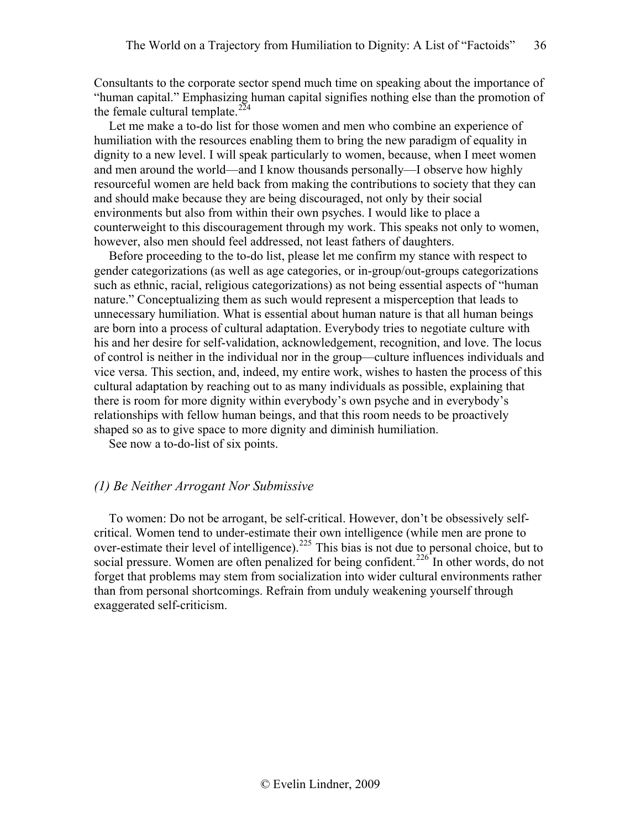Consultants to the corporate sector spend much time on speaking about the importance of "human capital." Emphasizing human capital signifies nothing else than the promotion of the female cultural template. $2^{24}$ 

Let me make a to-do list for those women and men who combine an experience of humiliation with the resources enabling them to bring the new paradigm of equality in dignity to a new level. I will speak particularly to women, because, when I meet women and men around the world—and I know thousands personally—I observe how highly resourceful women are held back from making the contributions to society that they can and should make because they are being discouraged, not only by their social environments but also from within their own psyches. I would like to place a counterweight to this discouragement through my work. This speaks not only to women, however, also men should feel addressed, not least fathers of daughters.

Before proceeding to the to-do list, please let me confirm my stance with respect to gender categorizations (as well as age categories, or in-group/out-groups categorizations such as ethnic, racial, religious categorizations) as not being essential aspects of "human nature." Conceptualizing them as such would represent a misperception that leads to unnecessary humiliation. What is essential about human nature is that all human beings are born into a process of cultural adaptation. Everybody tries to negotiate culture with his and her desire for self-validation, acknowledgement, recognition, and love. The locus of control is neither in the individual nor in the group—culture influences individuals and vice versa. This section, and, indeed, my entire work, wishes to hasten the process of this cultural adaptation by reaching out to as many individuals as possible, explaining that there is room for more dignity within everybody's own psyche and in everybody's relationships with fellow human beings, and that this room needs to be proactively shaped so as to give space to more dignity and diminish humiliation.

See now a to-do-list of six points.

## *(1) Be Neither Arrogant Nor Submissive*

To women: Do not be arrogant, be self-critical. However, don't be obsessively selfcritical. Women tend to under-estimate their own intelligence (while men are prone to over-estimate their level of intelligence).<sup>[225](#page-86-0)</sup> This bias is not due to personal choice, but to social pressure. Women are often penalized for being confident.<sup>[226](#page-86-0)</sup> In other words, do not forget that problems may stem from socialization into wider cultural environments rather than from personal shortcomings. Refrain from unduly weakening yourself through exaggerated self-criticism.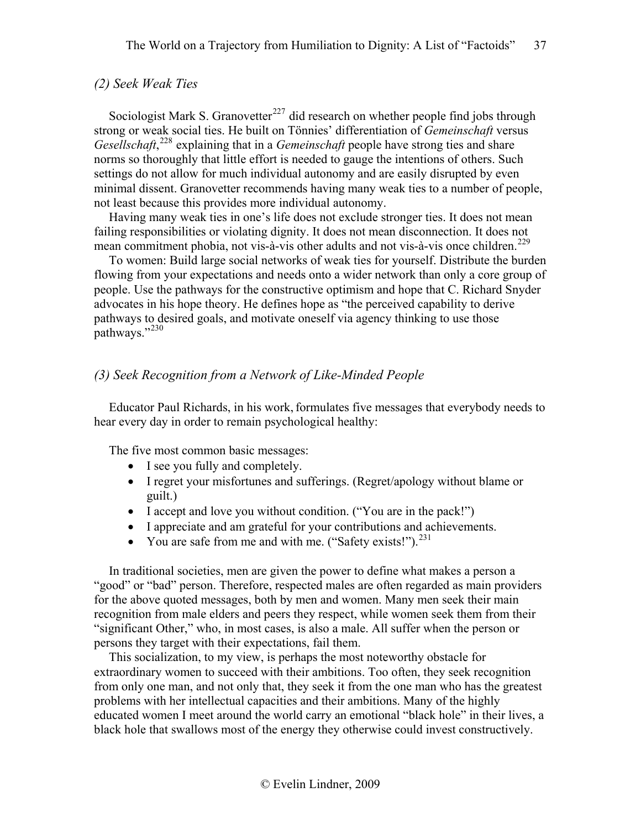#### *(2) Seek Weak Ties*

Sociologist Mark S. Granovetter<sup>[227](#page-86-0)</sup> did research on whether people find jobs through strong or weak social ties. He built on Tönnies' differentiation of *Gemeinschaft* versus Gesellschaft,<sup>[228](#page-86-0)</sup> explaining that in a *Gemeinschaft* people have strong ties and share norms so thoroughly that little effort is needed to gauge the intentions of others. Such settings do not allow for much individual autonomy and are easily disrupted by even minimal dissent. Granovetter recommends having many weak ties to a number of people, not least because this provides more individual autonomy.

Having many weak ties in one's life does not exclude stronger ties. It does not mean failing responsibilities or violating dignity. It does not mean disconnection. It does not mean commitment phobia, not vis-à-vis other adults and not vis-à-vis once children.<sup>[229](#page-86-0)</sup>

To women: Build large social networks of weak ties for yourself. Distribute the burden flowing from your expectations and needs onto a wider network than only a core group of people. Use the pathways for the constructive optimism and hope that C. Richard Snyder advocates in his hope theory. He defines hope as "the perceived capability to derive pathways to desired goals, and motivate oneself via agency thinking to use those pathways."[230](#page-86-0)

## *(3) Seek Recognition from a Network of Like-Minded People*

Educator Paul Richards, in his work, formulates five messages that everybody needs to hear every day in order to remain psychological healthy:

The five most common basic messages:

- I see you fully and completely.
- I regret your misfortunes and sufferings. (Regret/apology without blame or guilt.)
- I accept and love you without condition. ("You are in the pack!")
- I appreciate and am grateful for your contributions and achievements.
- You are safe from me and with me. ("Safety exists!"). $^{231}$  $^{231}$  $^{231}$

In traditional societies, men are given the power to define what makes a person a "good" or "bad" person. Therefore, respected males are often regarded as main providers for the above quoted messages, both by men and women. Many men seek their main recognition from male elders and peers they respect, while women seek them from their "significant Other," who, in most cases, is also a male. All suffer when the person or persons they target with their expectations, fail them.

This socialization, to my view, is perhaps the most noteworthy obstacle for extraordinary women to succeed with their ambitions. Too often, they seek recognition from only one man, and not only that, they seek it from the one man who has the greatest problems with her intellectual capacities and their ambitions. Many of the highly educated women I meet around the world carry an emotional "black hole" in their lives, a black hole that swallows most of the energy they otherwise could invest constructively.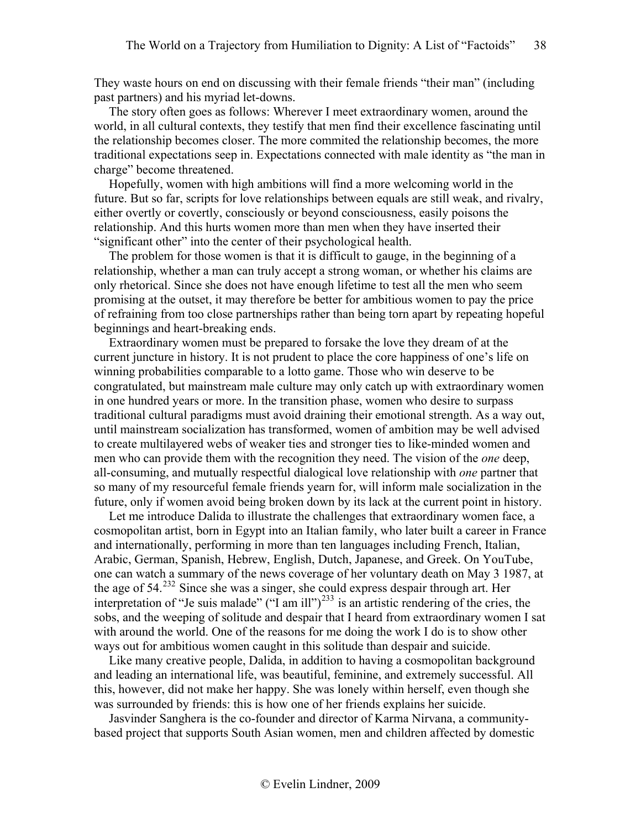They waste hours on end on discussing with their female friends "their man" (including past partners) and his myriad let-downs.

The story often goes as follows: Wherever I meet extraordinary women, around the world, in all cultural contexts, they testify that men find their excellence fascinating until the relationship becomes closer. The more commited the relationship becomes, the more traditional expectations seep in. Expectations connected with male identity as "the man in charge" become threatened.

Hopefully, women with high ambitions will find a more welcoming world in the future. But so far, scripts for love relationships between equals are still weak, and rivalry, either overtly or covertly, consciously or beyond consciousness, easily poisons the relationship. And this hurts women more than men when they have inserted their "significant other" into the center of their psychological health.

The problem for those women is that it is difficult to gauge, in the beginning of a relationship, whether a man can truly accept a strong woman, or whether his claims are only rhetorical. Since she does not have enough lifetime to test all the men who seem promising at the outset, it may therefore be better for ambitious women to pay the price of refraining from too close partnerships rather than being torn apart by repeating hopeful beginnings and heart-breaking ends.

Extraordinary women must be prepared to forsake the love they dream of at the current juncture in history. It is not prudent to place the core happiness of one's life on winning probabilities comparable to a lotto game. Those who win deserve to be congratulated, but mainstream male culture may only catch up with extraordinary women in one hundred years or more. In the transition phase, women who desire to surpass traditional cultural paradigms must avoid draining their emotional strength. As a way out, until mainstream socialization has transformed, women of ambition may be well advised to create multilayered webs of weaker ties and stronger ties to like-minded women and men who can provide them with the recognition they need. The vision of the *one* deep, all-consuming, and mutually respectful dialogical love relationship with *one* partner that so many of my resourceful female friends yearn for, will inform male socialization in the future, only if women avoid being broken down by its lack at the current point in history.

Let me introduce Dalida to illustrate the challenges that extraordinary women face, a cosmopolitan artist, born in Egypt into an Italian family, who later built a career in France and internationally, performing in more than ten languages including French, Italian, Arabic, German, Spanish, Hebrew, English, Dutch, Japanese, and Greek. On YouTube, one can watch a summary of the news coverage of her voluntary death on May 3 1987, at the age of 54.[232](#page-86-0) Since she was a singer, she could express despair through art. Her interpretation of "Je suis malade" ("I am ill")<sup>[233](#page-86-0)</sup> is an artistic rendering of the cries, the sobs, and the weeping of solitude and despair that I heard from extraordinary women I sat with around the world. One of the reasons for me doing the work I do is to show other ways out for ambitious women caught in this solitude than despair and suicide.

Like many creative people, Dalida, in addition to having a cosmopolitan background and leading an international life, was beautiful, feminine, and extremely successful. All this, however, did not make her happy. She was lonely within herself, even though she was surrounded by friends: this is how one of her friends explains her suicide.

Jasvinder Sanghera is the co-founder and director of Karma Nirvana, a communitybased project that supports South Asian women, men and children affected by domestic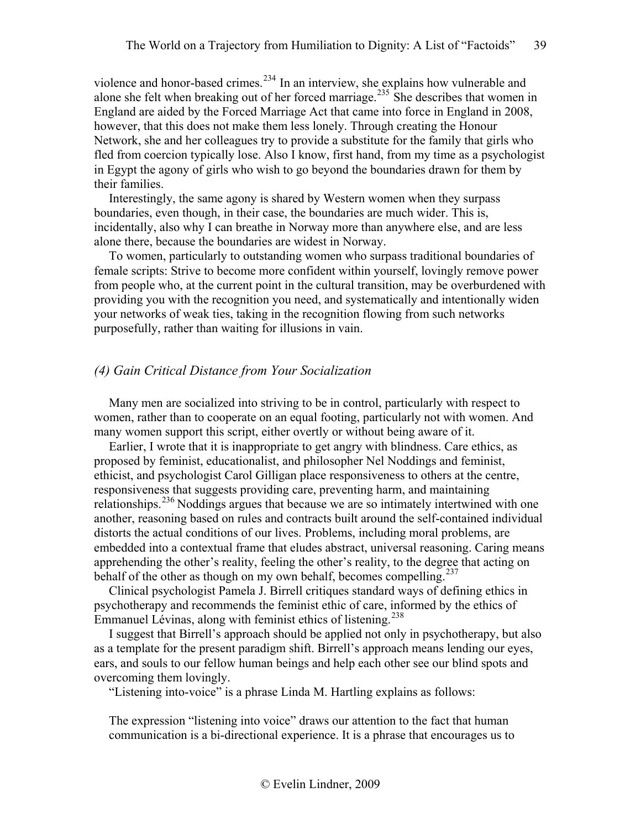violence and honor-based crimes.<sup>[234](#page-86-0)</sup> In an interview, she explains how vulnerable and alone she felt when breaking out of her forced marriage.<sup>[235](#page-86-0)</sup> She describes that women in England are aided by the Forced Marriage Act that came into force in England in 2008, however, that this does not make them less lonely. Through creating the Honour Network, she and her colleagues try to provide a substitute for the family that girls who fled from coercion typically lose. Also I know, first hand, from my time as a psychologist in Egypt the agony of girls who wish to go beyond the boundaries drawn for them by their families.

Interestingly, the same agony is shared by Western women when they surpass boundaries, even though, in their case, the boundaries are much wider. This is, incidentally, also why I can breathe in Norway more than anywhere else, and are less alone there, because the boundaries are widest in Norway.

To women, particularly to outstanding women who surpass traditional boundaries of female scripts: Strive to become more confident within yourself, lovingly remove power from people who, at the current point in the cultural transition, may be overburdened with providing you with the recognition you need, and systematically and intentionally widen your networks of weak ties, taking in the recognition flowing from such networks purposefully, rather than waiting for illusions in vain.

### *(4) Gain Critical Distance from Your Socialization*

Many men are socialized into striving to be in control, particularly with respect to women, rather than to cooperate on an equal footing, particularly not with women. And many women support this script, either overtly or without being aware of it.

Earlier, I wrote that it is inappropriate to get angry with blindness. Care ethics, as proposed by feminist, educationalist, and philosopher Nel Noddings and feminist, ethicist, and psychologist Carol Gilligan place responsiveness to others at the centre, responsiveness that suggests providing care, preventing harm, and maintaining relationships.<sup>[236](#page-86-0)</sup> Noddings argues that because we are so intimately intertwined with one another, reasoning based on rules and contracts built around the self-contained individual distorts the actual conditions of our lives. Problems, including moral problems, are embedded into a contextual frame that eludes abstract, universal reasoning. Caring means apprehending the other's reality, feeling the other's reality, to the degree that acting on behalf of the other as though on my own behalf, becomes compelling.<sup>[237](#page-86-0)</sup>

Clinical psychologist Pamela J. Birrell critiques standard ways of defining ethics in psychotherapy and recommends the feminist ethic of care, informed by the ethics of Emmanuel Lévinas, along with feminist ethics of listening.<sup>[238](#page-87-0)</sup>

I suggest that Birrell's approach should be applied not only in psychotherapy, but also as a template for the present paradigm shift. Birrell's approach means lending our eyes, ears, and souls to our fellow human beings and help each other see our blind spots and overcoming them lovingly.

"Listening into-voice" is a phrase Linda M. Hartling explains as follows:

The expression "listening into voice" draws our attention to the fact that human communication is a bi-directional experience. It is a phrase that encourages us to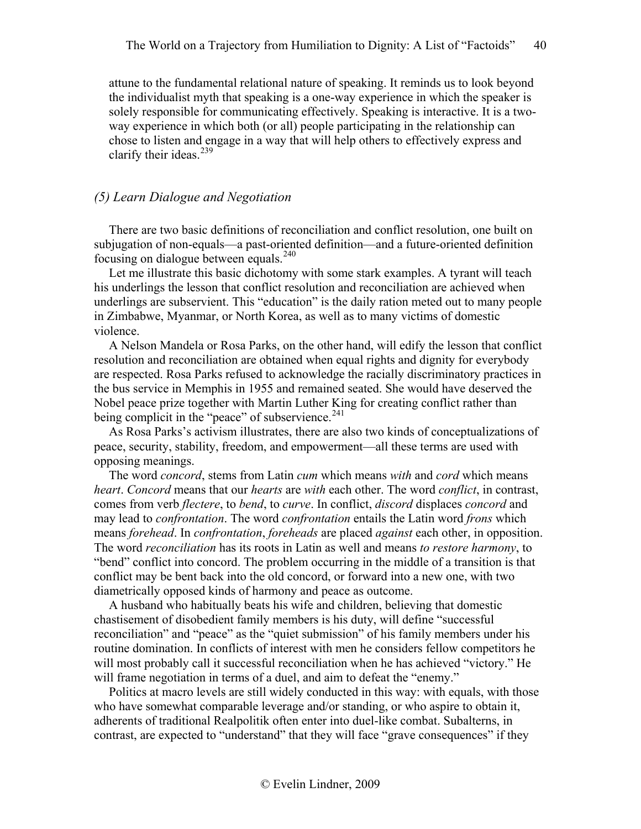attune to the fundamental relational nature of speaking. It reminds us to look beyond the individualist myth that speaking is a one-way experience in which the speaker is solely responsible for communicating effectively. Speaking is interactive. It is a twoway experience in which both (or all) people participating in the relationship can chose to listen and engage in a way that will help others to effectively express and clarify their ideas.<sup>[239](#page-87-0)</sup>

## *(5) Learn Dialogue and Negotiation*

There are two basic definitions of reconciliation and conflict resolution, one built on subjugation of non-equals—a past-oriented definition—and a future-oriented definition focusing on dialogue between equals. $240$ 

Let me illustrate this basic dichotomy with some stark examples. A tyrant will teach his underlings the lesson that conflict resolution and reconciliation are achieved when underlings are subservient. This "education" is the daily ration meted out to many people in Zimbabwe, Myanmar, or North Korea, as well as to many victims of domestic violence.

A Nelson Mandela or Rosa Parks, on the other hand, will edify the lesson that conflict resolution and reconciliation are obtained when equal rights and dignity for everybody are respected. Rosa Parks refused to acknowledge the racially discriminatory practices in the bus service in Memphis in 1955 and remained seated. She would have deserved the Nobel peace prize together with Martin Luther King for creating conflict rather than being complicit in the "peace" of subservience.<sup>[241](#page-87-0)</sup>

As Rosa Parks's activism illustrates, there are also two kinds of conceptualizations of peace, security, stability, freedom, and empowerment—all these terms are used with opposing meanings.

The word *concord*, stems from Latin *cum* which means *with* and *cord* which means *heart*. *Concord* means that our *hearts* are *with* each other. The word *conflict*, in contrast, comes from verb *flectere*, to *bend*, to *curve*. In conflict, *discord* displaces *concord* and may lead to *confrontation*. The word *confrontation* entails the Latin word *frons* which means *forehead*. In *confrontation*, *foreheads* are placed *against* each other, in opposition. The word *reconciliation* has its roots in Latin as well and means *to restore harmony*, to "bend" conflict into concord. The problem occurring in the middle of a transition is that conflict may be bent back into the old concord, or forward into a new one, with two diametrically opposed kinds of harmony and peace as outcome.

A husband who habitually beats his wife and children, believing that domestic chastisement of disobedient family members is his duty, will define "successful reconciliation" and "peace" as the "quiet submission" of his family members under his routine domination. In conflicts of interest with men he considers fellow competitors he will most probably call it successful reconciliation when he has achieved "victory." He will frame negotiation in terms of a duel, and aim to defeat the "enemy."

Politics at macro levels are still widely conducted in this way: with equals, with those who have somewhat comparable leverage and/or standing, or who aspire to obtain it, adherents of traditional Realpolitik often enter into duel-like combat. Subalterns, in contrast, are expected to "understand" that they will face "grave consequences" if they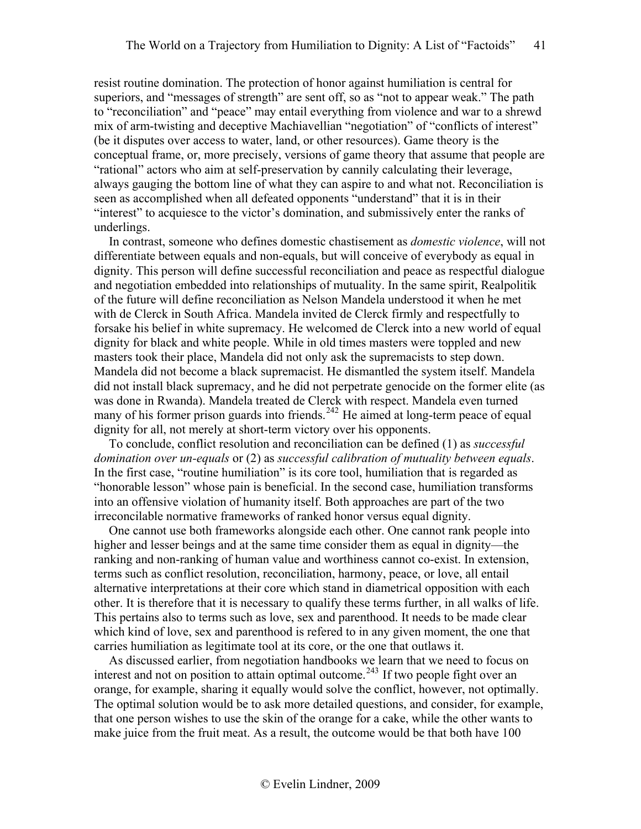resist routine domination. The protection of honor against humiliation is central for superiors, and "messages of strength" are sent off, so as "not to appear weak." The path to "reconciliation" and "peace" may entail everything from violence and war to a shrewd mix of arm-twisting and deceptive Machiavellian "negotiation" of "conflicts of interest" (be it disputes over access to water, land, or other resources). Game theory is the conceptual frame, or, more precisely, versions of game theory that assume that people are "rational" actors who aim at self-preservation by cannily calculating their leverage, always gauging the bottom line of what they can aspire to and what not. Reconciliation is seen as accomplished when all defeated opponents "understand" that it is in their "interest" to acquiesce to the victor's domination, and submissively enter the ranks of underlings.

In contrast, someone who defines domestic chastisement as *domestic violence*, will not differentiate between equals and non-equals, but will conceive of everybody as equal in dignity. This person will define successful reconciliation and peace as respectful dialogue and negotiation embedded into relationships of mutuality. In the same spirit, Realpolitik of the future will define reconciliation as Nelson Mandela understood it when he met with de Clerck in South Africa. Mandela invited de Clerck firmly and respectfully to forsake his belief in white supremacy. He welcomed de Clerck into a new world of equal dignity for black and white people. While in old times masters were toppled and new masters took their place, Mandela did not only ask the supremacists to step down. Mandela did not become a black supremacist. He dismantled the system itself. Mandela did not install black supremacy, and he did not perpetrate genocide on the former elite (as was done in Rwanda). Mandela treated de Clerck with respect. Mandela even turned many of his former prison guards into friends.<sup>[242](#page-87-0)</sup> He aimed at long-term peace of equal dignity for all, not merely at short-term victory over his opponents.

To conclude, conflict resolution and reconciliation can be defined (1) as *successful domination over un-equals* or (2) as *successful calibration of mutuality between equals*. In the first case, "routine humiliation" is its core tool, humiliation that is regarded as "honorable lesson" whose pain is beneficial. In the second case, humiliation transforms into an offensive violation of humanity itself. Both approaches are part of the two irreconcilable normative frameworks of ranked honor versus equal dignity.

One cannot use both frameworks alongside each other. One cannot rank people into higher and lesser beings and at the same time consider them as equal in dignity—the ranking and non-ranking of human value and worthiness cannot co-exist. In extension, terms such as conflict resolution, reconciliation, harmony, peace, or love, all entail alternative interpretations at their core which stand in diametrical opposition with each other. It is therefore that it is necessary to qualify these terms further, in all walks of life. This pertains also to terms such as love, sex and parenthood. It needs to be made clear which kind of love, sex and parenthood is refered to in any given moment, the one that carries humiliation as legitimate tool at its core, or the one that outlaws it.

As discussed earlier, from negotiation handbooks we learn that we need to focus on interest and not on position to attain optimal outcome.<sup>[243](#page-87-0)</sup> If two people fight over an orange, for example, sharing it equally would solve the conflict, however, not optimally. The optimal solution would be to ask more detailed questions, and consider, for example, that one person wishes to use the skin of the orange for a cake, while the other wants to make juice from the fruit meat. As a result, the outcome would be that both have 100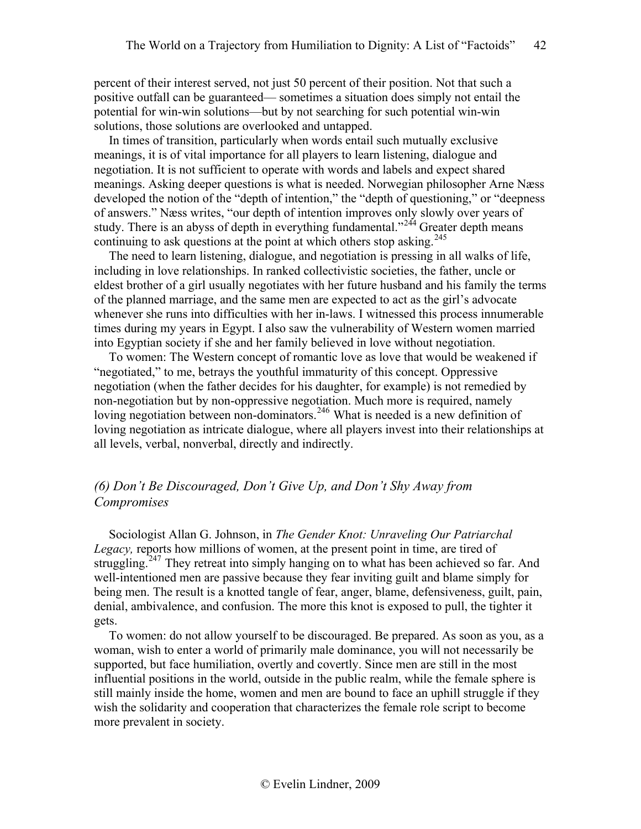percent of their interest served, not just 50 percent of their position. Not that such a positive outfall can be guaranteed— sometimes a situation does simply not entail the potential for win-win solutions—but by not searching for such potential win-win solutions, those solutions are overlooked and untapped.

In times of transition, particularly when words entail such mutually exclusive meanings, it is of vital importance for all players to learn listening, dialogue and negotiation. It is not sufficient to operate with words and labels and expect shared meanings. Asking deeper questions is what is needed. Norwegian philosopher Arne Næss developed the notion of the "depth of intention," the "depth of questioning," or "deepness of answers." Næss writes, "our depth of intention improves only slowly over years of study. There is an abyss of depth in everything fundamental."<sup>[244](#page-87-0)</sup> Greater depth means continuing to ask questions at the point at which others stop asking.<sup>[245](#page-87-0)</sup>

The need to learn listening, dialogue, and negotiation is pressing in all walks of life, including in love relationships. In ranked collectivistic societies, the father, uncle or eldest brother of a girl usually negotiates with her future husband and his family the terms of the planned marriage, and the same men are expected to act as the girl's advocate whenever she runs into difficulties with her in-laws. I witnessed this process innumerable times during my years in Egypt. I also saw the vulnerability of Western women married into Egyptian society if she and her family believed in love without negotiation.

To women: The Western concept of romantic love as love that would be weakened if "negotiated," to me, betrays the youthful immaturity of this concept. Oppressive negotiation (when the father decides for his daughter, for example) is not remedied by non-negotiation but by non-oppressive negotiation. Much more is required, namely loving negotiation between non-dominators.<sup>[246](#page-87-0)</sup> What is needed is a new definition of loving negotiation as intricate dialogue, where all players invest into their relationships at all levels, verbal, nonverbal, directly and indirectly.

# *(6) Don't Be Discouraged, Don't Give Up, and Don't Shy Away from Compromises*

Sociologist Allan G. Johnson, in *The Gender Knot: Unraveling Our Patriarchal Legacy,* reports how millions of women, at the present point in time, are tired of struggling.<sup>[247](#page-87-0)</sup> They retreat into simply hanging on to what has been achieved so far. And well-intentioned men are passive because they fear inviting guilt and blame simply for being men. The result is a knotted tangle of fear, anger, blame, defensiveness, guilt, pain, denial, ambivalence, and confusion. The more this knot is exposed to pull, the tighter it gets.

To women: do not allow yourself to be discouraged. Be prepared. As soon as you, as a woman, wish to enter a world of primarily male dominance, you will not necessarily be supported, but face humiliation, overtly and covertly. Since men are still in the most influential positions in the world, outside in the public realm, while the female sphere is still mainly inside the home, women and men are bound to face an uphill struggle if they wish the solidarity and cooperation that characterizes the female role script to become more prevalent in society.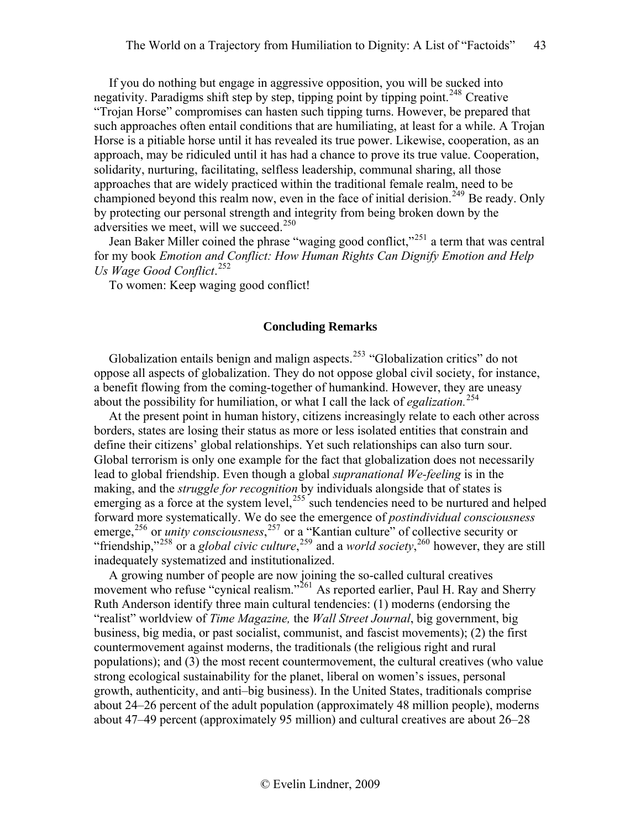If you do nothing but engage in aggressive opposition, you will be sucked into negativity. Paradigms shift step by step, tipping point by tipping point.<sup>[248](#page-87-0)</sup> Creative "Trojan Horse" compromises can hasten such tipping turns. However, be prepared that such approaches often entail conditions that are humiliating, at least for a while. A Trojan Horse is a pitiable horse until it has revealed its true power. Likewise, cooperation, as an approach, may be ridiculed until it has had a chance to prove its true value. Cooperation, solidarity, nurturing, facilitating, selfless leadership, communal sharing, all those approaches that are widely practiced within the traditional female realm, need to be championed beyond this realm now, even in the face of initial derision.<sup>[249](#page-87-0)</sup> Be ready. Only by protecting our personal strength and integrity from being broken down by the adversities we meet, will we succeed.<sup>[250](#page-87-0)</sup>

Jean Baker Miller coined the phrase "waging good conflict,"<sup>[251](#page-88-0)</sup> a term that was central for my book *Emotion and Conflict: How Human Rights Can Dignify Emotion and Help Us Wage Good Conflict*. [252](#page-88-0)

To women: Keep waging good conflict!

#### **Concluding Remarks**

Globalization entails benign and malign aspects.<sup>[253](#page-88-0)</sup> "Globalization critics" do not oppose all aspects of globalization. They do not oppose global civil society, for instance, a benefit flowing from the coming-together of humankind. However, they are uneasy about the possibility for humiliation, or what I call the lack of *egalization.*[254](#page-88-0)

At the present point in human history, citizens increasingly relate to each other across borders, states are losing their status as more or less isolated entities that constrain and define their citizens' global relationships. Yet such relationships can also turn sour. Global terrorism is only one example for the fact that globalization does not necessarily lead to global friendship. Even though a global *supranational We-feeling* is in the making, and the *struggle for recognition* by individuals alongside that of states is emerging as a force at the system level,  $^{255}$  $^{255}$  $^{255}$  such tendencies need to be nurtured and helped forward more systematically. We do see the emergence of *postindividual consciousness* emerge,<sup>[256](#page-88-0)</sup> or *unity consciousness*,<sup>[257](#page-88-0)</sup> or a "Kantian culture" of collective security or "friendship,"<sup>[258](#page-88-0)</sup> or a *global civic culture*,<sup>[259](#page-88-0)</sup> and a *world society*,<sup>[260](#page-88-0)</sup> however, they are still inadequately systematized and institutionalized.

A growing number of people are now joining the so-called cultural creatives movement who refuse "cynical realism."<sup>[261](#page-88-0)</sup> As reported earlier, Paul H. Ray and Sherry Ruth Anderson identify three main cultural tendencies: (1) moderns (endorsing the "realist" worldview of *Time Magazine,* the *Wall Street Journal*, big government, big business, big media, or past socialist, communist, and fascist movements); (2) the first countermovement against moderns, the traditionals (the religious right and rural populations); and (3) the most recent countermovement, the cultural creatives (who value strong ecological sustainability for the planet, liberal on women's issues, personal growth, authenticity, and anti–big business). In the United States, traditionals comprise about 24–26 percent of the adult population (approximately 48 million people), moderns about 47–49 percent (approximately 95 million) and cultural creatives are about 26–28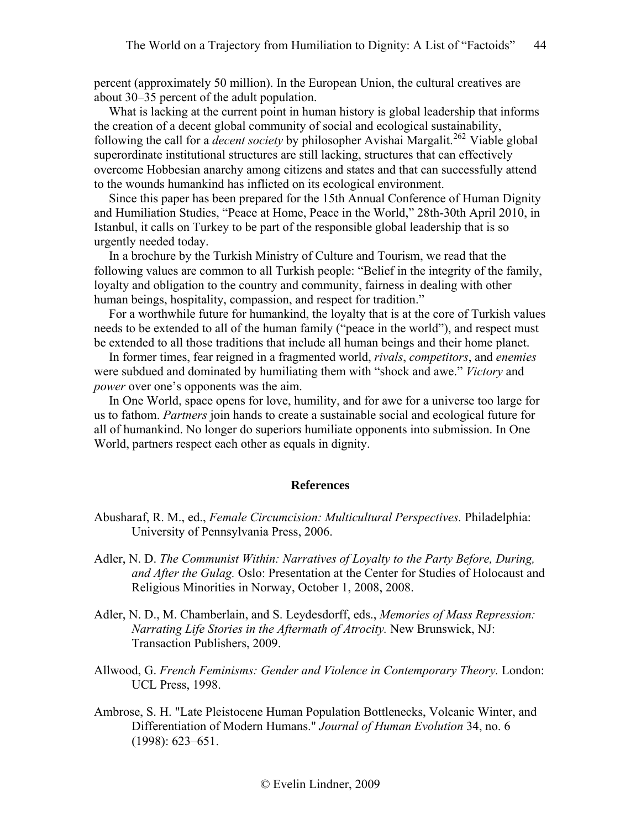percent (approximately 50 million). In the European Union, the cultural creatives are about 30–35 percent of the adult population.

What is lacking at the current point in human history is global leadership that informs the creation of a decent global community of social and ecological sustainability, following the call for a *decent society* by philosopher Avishai Margalit.<sup>[262](#page-88-0)</sup> Viable global superordinate institutional structures are still lacking, structures that can effectively overcome Hobbesian anarchy among citizens and states and that can successfully attend to the wounds humankind has inflicted on its ecological environment.

Since this paper has been prepared for the 15th Annual Conference of Human Dignity and Humiliation Studies, "Peace at Home, Peace in the World," 28th-30th April 2010, in Istanbul, it calls on Turkey to be part of the responsible global leadership that is so urgently needed today.

In a brochure by the Turkish Ministry of Culture and Tourism, we read that the following values are common to all Turkish people: "Belief in the integrity of the family, loyalty and obligation to the country and community, fairness in dealing with other human beings, hospitality, compassion, and respect for tradition."

For a worthwhile future for humankind, the loyalty that is at the core of Turkish values needs to be extended to all of the human family ("peace in the world"), and respect must be extended to all those traditions that include all human beings and their home planet.

In former times, fear reigned in a fragmented world, *rivals*, *competitors*, and *enemies*  were subdued and dominated by humiliating them with "shock and awe." *Victory* and *power* over one's opponents was the aim.

In One World, space opens for love, humility, and for awe for a universe too large for us to fathom. *Partners* join hands to create a sustainable social and ecological future for all of humankind. No longer do superiors humiliate opponents into submission. In One World, partners respect each other as equals in dignity.

#### **References**

- Abusharaf, R. M., ed., *Female Circumcision: Multicultural Perspectives.* Philadelphia: University of Pennsylvania Press, 2006.
- Adler, N. D. *The Communist Within: Narratives of Loyalty to the Party Before, During, and After the Gulag.* Oslo: Presentation at the Center for Studies of Holocaust and Religious Minorities in Norway, October 1, 2008, 2008.
- Adler, N. D., M. Chamberlain, and S. Leydesdorff, eds., *Memories of Mass Repression: Narrating Life Stories in the Aftermath of Atrocity.* New Brunswick, NJ: Transaction Publishers, 2009.
- Allwood, G. *French Feminisms: Gender and Violence in Contemporary Theory.* London: UCL Press, 1998.
- Ambrose, S. H. "Late Pleistocene Human Population Bottlenecks, Volcanic Winter, and Differentiation of Modern Humans." *Journal of Human Evolution* 34, no. 6 (1998): 623–651.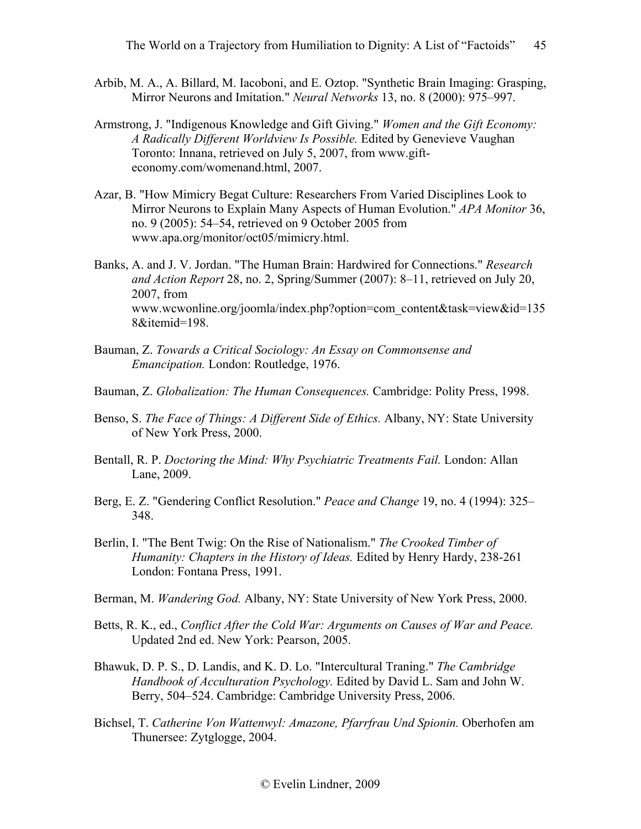- Arbib, M. A., A. Billard, M. Iacoboni, and E. Oztop. "Synthetic Brain Imaging: Grasping, Mirror Neurons and Imitation." *Neural Networks* 13, no. 8 (2000): 975–997.
- Armstrong, J. "Indigenous Knowledge and Gift Giving." *Women and the Gift Economy: A Radically Different Worldview Is Possible.* Edited by Genevieve Vaughan Toronto: Innana, retrieved on July 5, 2007, from [www.gift](http://www.gift-economy.com/womenand.html)[economy.com/womenand.html,](http://www.gift-economy.com/womenand.html) 2007.
- Azar, B. "How Mimicry Begat Culture: Researchers From Varied Disciplines Look to Mirror Neurons to Explain Many Aspects of Human Evolution." *APA Monitor* 36, no. 9 (2005): 54–54, retrieved on 9 October 2005 from [www.apa.org/monitor/oct05/mimicry.html.](http://www.apa.org/monitor/oct05/mimicry.html)
- Banks, A. and J. V. Jordan. "The Human Brain: Hardwired for Connections." *Research and Action Report* 28, no. 2, Spring/Summer (2007): 8–11, retrieved on July 20, 2007, from [www.wcwonline.org/joomla/index.php?option=com\\_content&task=view&id=135](http://www.wcwonline.org/joomla/index.php?option=com_content&task=view&id=1358&itemid=198) [8&itemid=198.](http://www.wcwonline.org/joomla/index.php?option=com_content&task=view&id=1358&itemid=198)
- Bauman, Z. *Towards a Critical Sociology: An Essay on Commonsense and Emancipation.* London: Routledge, 1976.
- Bauman, Z. *Globalization: The Human Consequences.* Cambridge: Polity Press, 1998.
- Benso, S. *The Face of Things: A Different Side of Ethics.* Albany, NY: State University of New York Press, 2000.
- Bentall, R. P. *Doctoring the Mind: Why Psychiatric Treatments Fail.* London: Allan Lane, 2009.
- Berg, E. Z. "Gendering Conflict Resolution." *Peace and Change* 19, no. 4 (1994): 325– 348.
- Berlin, I. "The Bent Twig: On the Rise of Nationalism." *The Crooked Timber of Humanity: Chapters in the History of Ideas.* Edited by Henry Hardy, 238-261 London: Fontana Press, 1991.
- Berman, M. *Wandering God.* Albany, NY: State University of New York Press, 2000.
- Betts, R. K., ed., *Conflict After the Cold War: Arguments on Causes of War and Peace.*  Updated 2nd ed. New York: Pearson, 2005.
- Bhawuk, D. P. S., D. Landis, and K. D. Lo. "Intercultural Traning." *The Cambridge Handbook of Acculturation Psychology.* Edited by David L. Sam and John W. Berry, 504–524. Cambridge: Cambridge University Press, 2006.
- Bichsel, T. *Catherine Von Wattenwyl: Amazone, Pfarrfrau Und Spionin.* Oberhofen am Thunersee: Zytglogge, 2004.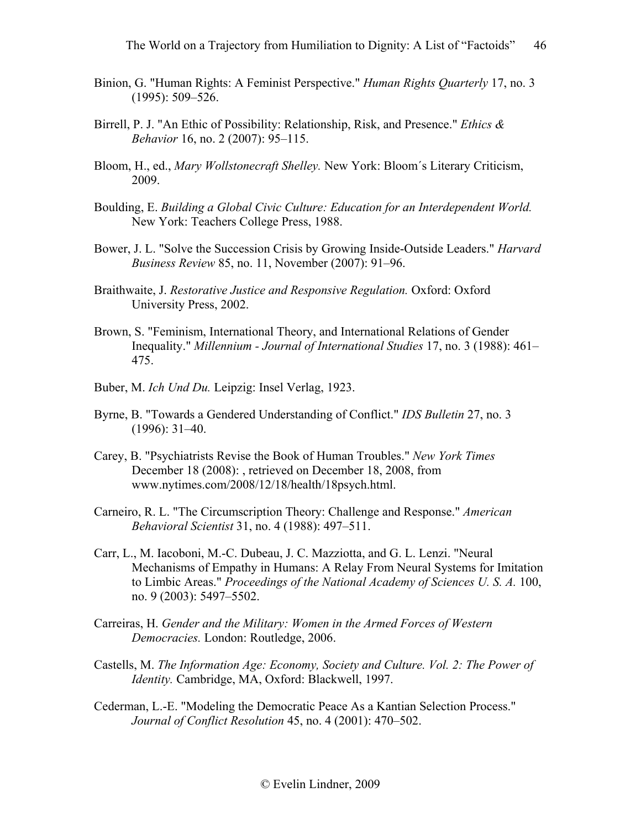- Binion, G. "Human Rights: A Feminist Perspective." *Human Rights Quarterly* 17, no. 3 (1995): 509–526.
- Birrell, P. J. "An Ethic of Possibility: Relationship, Risk, and Presence." *Ethics & Behavior* 16, no. 2 (2007): 95–115.
- Bloom, H., ed., *Mary Wollstonecraft Shelley.* New York: Bloom´s Literary Criticism, 2009.
- Boulding, E. *Building a Global Civic Culture: Education for an Interdependent World.*  New York: Teachers College Press, 1988.
- Bower, J. L. "Solve the Succession Crisis by Growing Inside-Outside Leaders." *Harvard Business Review* 85, no. 11, November (2007): 91–96.
- Braithwaite, J. *Restorative Justice and Responsive Regulation.* Oxford: Oxford University Press, 2002.
- Brown, S. "Feminism, International Theory, and International Relations of Gender Inequality." *Millennium - Journal of International Studies* 17, no. 3 (1988): 461– 475.
- Buber, M. *Ich Und Du.* Leipzig: Insel Verlag, 1923.
- Byrne, B. "Towards a Gendered Understanding of Conflict." *IDS Bulletin* 27, no. 3 (1996): 31–40.
- Carey, B. "Psychiatrists Revise the Book of Human Troubles." *New York Times*  December 18 (2008): , retrieved on December 18, 2008, from [www.nytimes.com/2008/12/18/health/18psych.html](http://www.nytimes.com/2008/12/18/health/18psych.html).
- Carneiro, R. L. "The Circumscription Theory: Challenge and Response." *American Behavioral Scientist* 31, no. 4 (1988): 497–511.
- Carr, L., M. Iacoboni, M.-C. Dubeau, J. C. Mazziotta, and G. L. Lenzi. "Neural Mechanisms of Empathy in Humans: A Relay From Neural Systems for Imitation to Limbic Areas." *Proceedings of the National Academy of Sciences U. S. A.* 100, no. 9 (2003): 5497–5502.
- Carreiras, H. *Gender and the Military: Women in the Armed Forces of Western Democracies.* London: Routledge, 2006.
- Castells, M. *The Information Age: Economy, Society and Culture. Vol. 2: The Power of Identity.* Cambridge, MA, Oxford: Blackwell, 1997.
- Cederman, L.-E. "Modeling the Democratic Peace As a Kantian Selection Process." *Journal of Conflict Resolution* 45, no. 4 (2001): 470–502.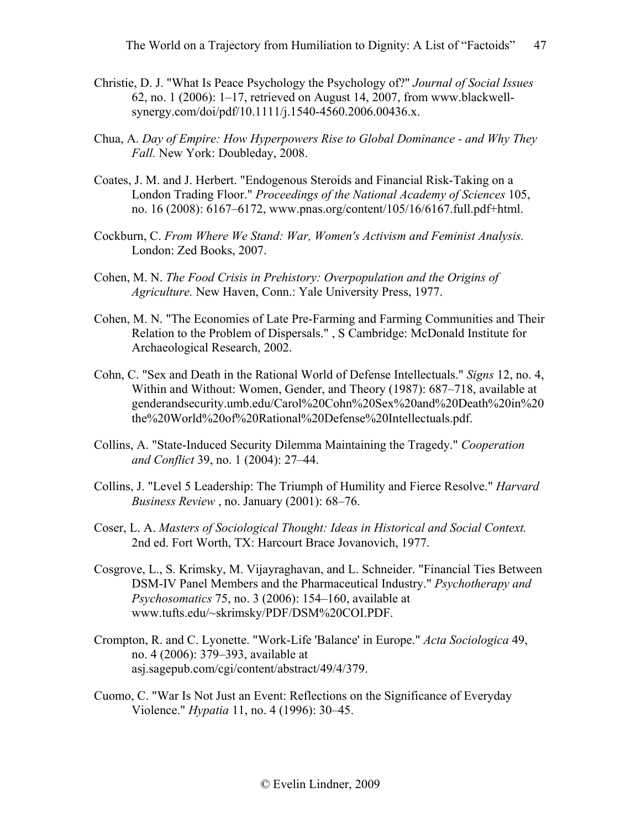- Christie, D. J. "What Is Peace Psychology the Psychology of?" *Journal of Social Issues*  62, no. 1 (2006): 1–17, retrieved on August 14, 2007, from [www.blackwell](http://www.blackwell-synergy.com/doi/pdf/10.1111/j.1540-4560.2006.00436.x)[synergy.com/doi/pdf/10.1111/j.1540-4560.2006.00436.x](http://www.blackwell-synergy.com/doi/pdf/10.1111/j.1540-4560.2006.00436.x).
- Chua, A. *Day of Empire: How Hyperpowers Rise to Global Dominance and Why They Fall.* New York: Doubleday, 2008.
- Coates, J. M. and J. Herbert. "Endogenous Steroids and Financial Risk-Taking on a London Trading Floor." *Proceedings of the National Academy of Sciences* 105, no. 16 (2008): 6167–6172, [www.pnas.org/content/105/16/6167.full.pdf+html](http://www.pnas.org/content/105/16/6167.full.pdf+html).
- Cockburn, C. *From Where We Stand: War, Women's Activism and Feminist Analysis.*  London: Zed Books, 2007.
- Cohen, M. N. *The Food Crisis in Prehistory: Overpopulation and the Origins of Agriculture.* New Haven, Conn.: Yale University Press, 1977.
- Cohen, M. N. "The Economies of Late Pre-Farming and Farming Communities and Their Relation to the Problem of Dispersals." , S Cambridge: McDonald Institute for Archaeological Research, 2002.
- Cohn, C. "Sex and Death in the Rational World of Defense Intellectuals." *Signs* 12, no. 4, Within and Without: Women, Gender, and Theory (1987): 687–718, available at genderandsecurity.umb.edu/Carol%20Cohn%20Sex%20and%20Death%20in%20 the%20World%20of%20Rational%20Defense%20Intellectuals.pdf.
- Collins, A. "State-Induced Security Dilemma Maintaining the Tragedy." *Cooperation and Conflict* 39, no. 1 (2004): 27–44.
- Collins, J. "Level 5 Leadership: The Triumph of Humility and Fierce Resolve." *Harvard Business Review* , no. January (2001): 68–76.
- Coser, L. A. *Masters of Sociological Thought: Ideas in Historical and Social Context.*  2nd ed. Fort Worth, TX: Harcourt Brace Jovanovich, 1977.
- Cosgrove, L., S. Krimsky, M. Vijayraghavan, and L. Schneider. "Financial Ties Between DSM-IV Panel Members and the Pharmaceutical Industry." *Psychotherapy and Psychosomatics* 75, no. 3 (2006): 154–160, available at [www.tufts.edu/~skrimsky/PDF/DSM%20COI.PDF.](http://www.tufts.edu/%7Eskrimsky/PDF/DSM%20COI.PDF)
- Crompton, R. and C. Lyonette. "Work-Life 'Balance' in Europe." *Acta Sociologica* 49, no. 4 (2006): 379–393, available at asj.sagepub.com/cgi/content/abstract/49/4/379.
- Cuomo, C. "War Is Not Just an Event: Reflections on the Significance of Everyday Violence." *Hypatia* 11, no. 4 (1996): 30–45.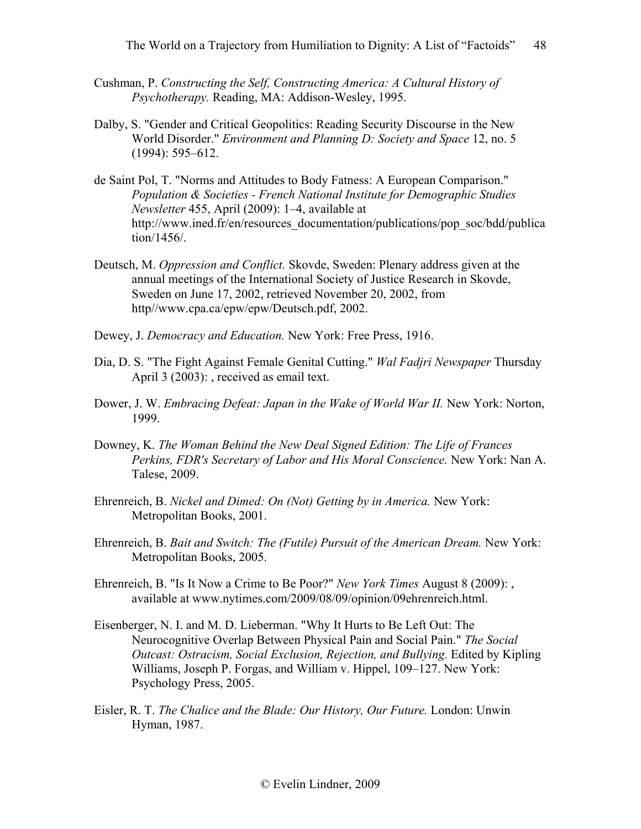- Cushman, P. *Constructing the Self, Constructing America: A Cultural History of Psychotherapy.* Reading, MA: Addison-Wesley, 1995.
- Dalby, S. "Gender and Critical Geopolitics: Reading Security Discourse in the New World Disorder." *Environment and Planning D: Society and Space* 12, no. 5 (1994): 595–612.
- de Saint Pol, T. "Norms and Attitudes to Body Fatness: A European Comparison." *Population & Societies - French National Institute for Demographic Studies Newsletter* 455, April (2009): 1–4, available at [http://www.ined.fr/en/resources\\_documentation/publications/pop\\_soc/bdd/publica](http://www.ined.fr/en/resources_documentation/publications/pop_soc/bdd/publication/1456/) [tion/1456/](http://www.ined.fr/en/resources_documentation/publications/pop_soc/bdd/publication/1456/).
- Deutsch, M. *Oppression and Conflict.* Skovde, Sweden: Plenary address given at the annual meetings of the International Society of Justice Research in Skovde, Sweden on June 17, 2002, retrieved November 20, 2002, from http/[/www.cpa.ca/epw/epw/Deutsch.pdf,](http://www.cpa.ca/epw/epw/Deutsch.pdf) 2002.
- Dewey, J. *Democracy and Education.* New York: Free Press, 1916.
- Dia, D. S. "The Fight Against Female Genital Cutting." *Wal Fadjri Newspaper* Thursday April 3 (2003): , received as email text.
- Dower, J. W. *Embracing Defeat: Japan in the Wake of World War II*. New York: Norton, 1999.
- Downey, K. *The Woman Behind the New Deal Signed Edition: The Life of Frances Perkins, FDR's Secretary of Labor and His Moral Conscience.* New York: Nan A. Talese, 2009.
- Ehrenreich, B. *Nickel and Dimed: On (Not) Getting by in America.* New York: Metropolitan Books, 2001.
- Ehrenreich, B. *Bait and Switch: The (Futile) Pursuit of the American Dream.* New York: Metropolitan Books, 2005.
- Ehrenreich, B. "Is It Now a Crime to Be Poor?" *New York Times* August 8 (2009): , available at [www.nytimes.com/2009/08/09/opinion/09ehrenreich.html](http://www.nytimes.com/2009/08/09/opinion/09ehrenreich.html).
- Eisenberger, N. I. and M. D. Lieberman. "Why It Hurts to Be Left Out: The Neurocognitive Overlap Between Physical Pain and Social Pain." *The Social Outcast: Ostracism, Social Exclusion, Rejection, and Bullying.* Edited by Kipling Williams, Joseph P. Forgas, and William v. Hippel, 109–127. New York: Psychology Press, 2005.
- Eisler, R. T. *The Chalice and the Blade: Our History, Our Future.* London: Unwin Hyman, 1987.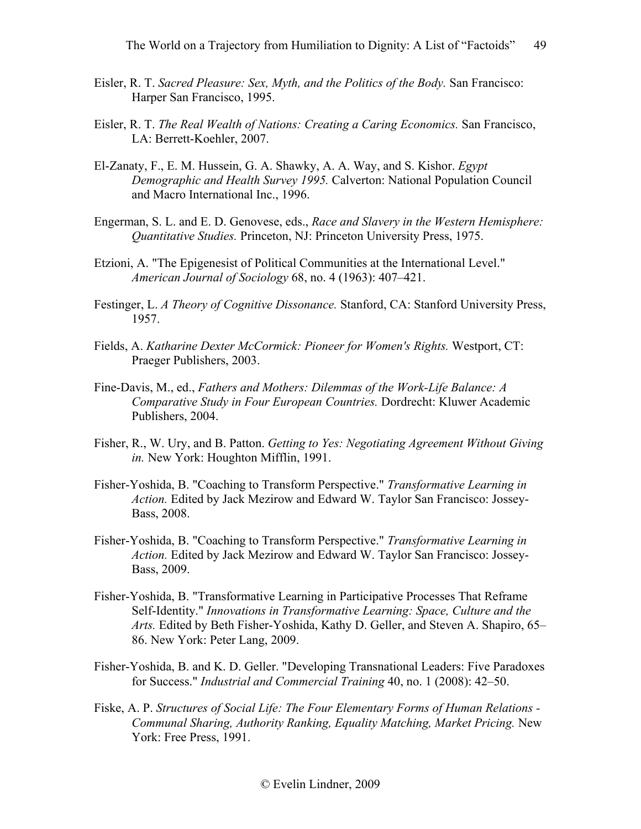- Eisler, R. T. *Sacred Pleasure: Sex, Myth, and the Politics of the Body.* San Francisco: Harper San Francisco, 1995.
- Eisler, R. T. *The Real Wealth of Nations: Creating a Caring Economics.* San Francisco, LA: Berrett-Koehler, 2007.
- El-Zanaty, F., E. M. Hussein, G. A. Shawky, A. A. Way, and S. Kishor. *Egypt Demographic and Health Survey 1995.* Calverton: National Population Council and Macro International Inc., 1996.
- Engerman, S. L. and E. D. Genovese, eds., *Race and Slavery in the Western Hemisphere: Quantitative Studies.* Princeton, NJ: Princeton University Press, 1975.
- Etzioni, A. "The Epigenesist of Political Communities at the International Level." *American Journal of Sociology* 68, no. 4 (1963): 407–421.
- Festinger, L. *A Theory of Cognitive Dissonance.* Stanford, CA: Stanford University Press, 1957.
- Fields, A. *Katharine Dexter McCormick: Pioneer for Women's Rights.* Westport, CT: Praeger Publishers, 2003.
- Fine-Davis, M., ed., *Fathers and Mothers: Dilemmas of the Work-Life Balance: A Comparative Study in Four European Countries.* Dordrecht: Kluwer Academic Publishers, 2004.
- Fisher, R., W. Ury, and B. Patton. *Getting to Yes: Negotiating Agreement Without Giving in.* New York: Houghton Mifflin, 1991.
- Fisher-Yoshida, B. "Coaching to Transform Perspective." *Transformative Learning in Action.* Edited by Jack Mezirow and Edward W. Taylor San Francisco: Jossey-Bass, 2008.
- Fisher-Yoshida, B. "Coaching to Transform Perspective." *Transformative Learning in Action.* Edited by Jack Mezirow and Edward W. Taylor San Francisco: Jossey-Bass, 2009.
- Fisher-Yoshida, B. "Transformative Learning in Participative Processes That Reframe Self-Identity." *Innovations in Transformative Learning: Space, Culture and the Arts.* Edited by Beth Fisher-Yoshida, Kathy D. Geller, and Steven A. Shapiro, 65– 86. New York: Peter Lang, 2009.
- Fisher-Yoshida, B. and K. D. Geller. "Developing Transnational Leaders: Five Paradoxes for Success." *Industrial and Commercial Training* 40, no. 1 (2008): 42–50.
- Fiske, A. P. *Structures of Social Life: The Four Elementary Forms of Human Relations Communal Sharing, Authority Ranking, Equality Matching, Market Pricing.* New York: Free Press, 1991.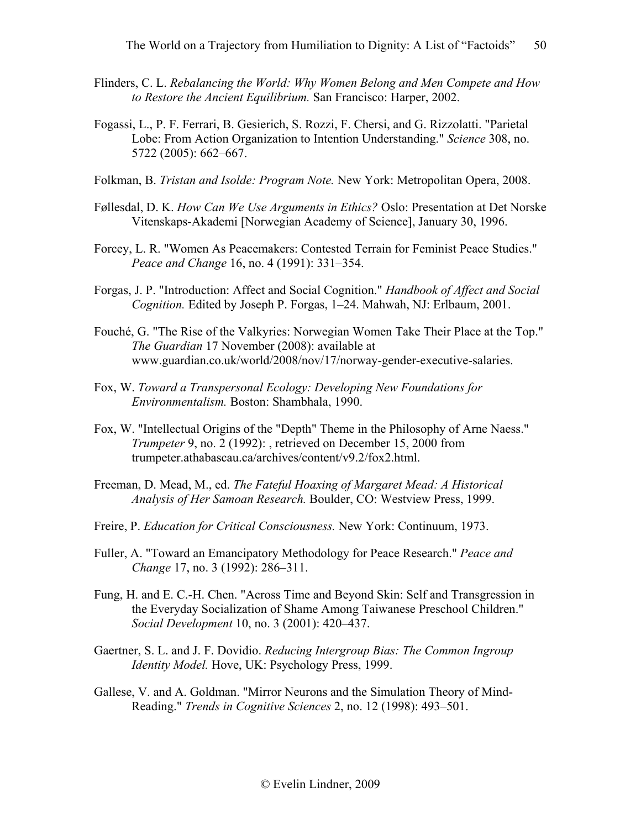- Flinders, C. L. *Rebalancing the World: Why Women Belong and Men Compete and How to Restore the Ancient Equilibrium.* San Francisco: Harper, 2002.
- Fogassi, L., P. F. Ferrari, B. Gesierich, S. Rozzi, F. Chersi, and G. Rizzolatti. "Parietal Lobe: From Action Organization to Intention Understanding." *Science* 308, no. 5722 (2005): 662–667.
- Folkman, B. *Tristan and Isolde: Program Note.* New York: Metropolitan Opera, 2008.
- Føllesdal, D. K. *How Can We Use Arguments in Ethics?* Oslo: Presentation at Det Norske Vitenskaps-Akademi [Norwegian Academy of Science], January 30, 1996.
- Forcey, L. R. "Women As Peacemakers: Contested Terrain for Feminist Peace Studies." *Peace and Change* 16, no. 4 (1991): 331–354.
- Forgas, J. P. "Introduction: Affect and Social Cognition." *Handbook of Affect and Social Cognition.* Edited by Joseph P. Forgas, 1–24. Mahwah, NJ: Erlbaum, 2001.
- Fouché, G. "The Rise of the Valkyries: Norwegian Women Take Their Place at the Top." *The Guardian* 17 November (2008): available at [www.guardian.co.uk/world/2008/nov/17/norway-gender-executive-salaries](http://www.guardian.co.uk/world/2008/nov/17/norway-gender-executive-salaries).
- Fox, W. *Toward a Transpersonal Ecology: Developing New Foundations for Environmentalism.* Boston: Shambhala, 1990.
- Fox, W. "Intellectual Origins of the "Depth" Theme in the Philosophy of Arne Naess." *Trumpeter* 9, no. 2 (1992): , retrieved on December 15, 2000 from trumpeter.athabascau.ca/archives/content/v9.2/fox2.html.
- Freeman, D. Mead, M., ed. *The Fateful Hoaxing of Margaret Mead: A Historical Analysis of Her Samoan Research.* Boulder, CO: Westview Press, 1999.
- Freire, P. *Education for Critical Consciousness.* New York: Continuum, 1973.
- Fuller, A. "Toward an Emancipatory Methodology for Peace Research." *Peace and Change* 17, no. 3 (1992): 286–311.
- Fung, H. and E. C.-H. Chen. "Across Time and Beyond Skin: Self and Transgression in the Everyday Socialization of Shame Among Taiwanese Preschool Children." *Social Development* 10, no. 3 (2001): 420–437.
- Gaertner, S. L. and J. F. Dovidio. *Reducing Intergroup Bias: The Common Ingroup Identity Model.* Hove, UK: Psychology Press, 1999.
- Gallese, V. and A. Goldman. "Mirror Neurons and the Simulation Theory of Mind-Reading." *Trends in Cognitive Sciences* 2, no. 12 (1998): 493–501.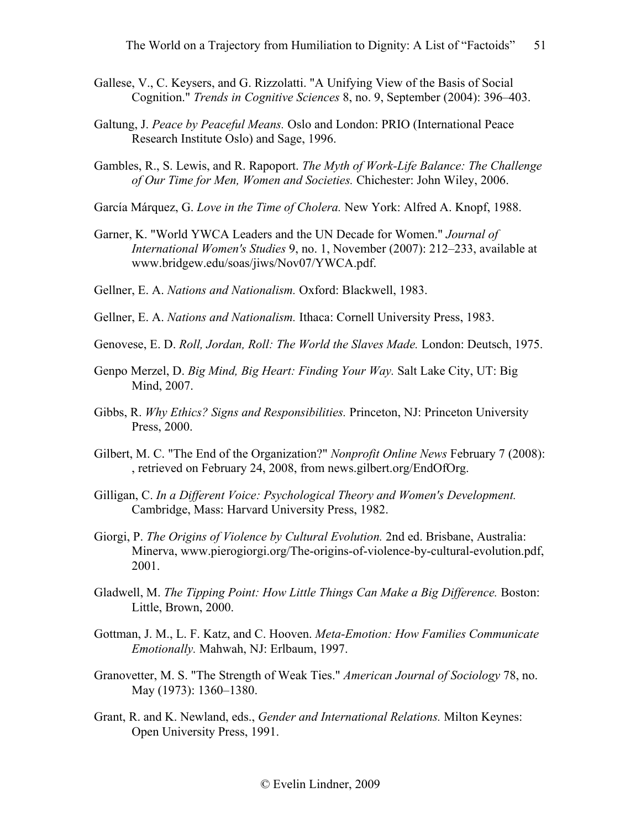- Gallese, V., C. Keysers, and G. Rizzolatti. "A Unifying View of the Basis of Social Cognition." *Trends in Cognitive Sciences* 8, no. 9, September (2004): 396–403.
- Galtung, J. *Peace by Peaceful Means.* Oslo and London: PRIO (International Peace Research Institute Oslo) and Sage, 1996.
- Gambles, R., S. Lewis, and R. Rapoport. *The Myth of Work-Life Balance: The Challenge of Our Time for Men, Women and Societies.* Chichester: John Wiley, 2006.
- García Márquez, G. *Love in the Time of Cholera.* New York: Alfred A. Knopf, 1988.
- Garner, K. "World YWCA Leaders and the UN Decade for Women." *Journal of International Women's Studies* 9, no. 1, November (2007): 212–233, available at [www.bridgew.edu/soas/jiws/Nov07/YWCA.pdf.](http://www.bridgew.edu/soas/jiws/Nov07/YWCA.pdf)
- Gellner, E. A. *Nations and Nationalism.* Oxford: Blackwell, 1983.
- Gellner, E. A. *Nations and Nationalism.* Ithaca: Cornell University Press, 1983.
- Genovese, E. D. *Roll, Jordan, Roll: The World the Slaves Made.* London: Deutsch, 1975.
- Genpo Merzel, D. *Big Mind, Big Heart: Finding Your Way.* Salt Lake City, UT: Big Mind, 2007.
- Gibbs, R. *Why Ethics? Signs and Responsibilities.* Princeton, NJ: Princeton University Press, 2000.
- Gilbert, M. C. "The End of the Organization?" *Nonprofit Online News* February 7 (2008): , retrieved on February 24, 2008, from news.gilbert.org/EndOfOrg.
- Gilligan, C. *In a Different Voice: Psychological Theory and Women's Development.*  Cambridge, Mass: Harvard University Press, 1982.
- Giorgi, P. *The Origins of Violence by Cultural Evolution.* 2nd ed. Brisbane, Australia: Minerva, [www.pierogiorgi.org/The-origins-of-violence-by-cultural-evolution.pdf,](http://www.pierogiorgi.org/The-origins-of-violence-by-cultural-evolution.pdf) 2001.
- Gladwell, M. *The Tipping Point: How Little Things Can Make a Big Difference*. Boston: Little, Brown, 2000.
- Gottman, J. M., L. F. Katz, and C. Hooven. *Meta-Emotion: How Families Communicate Emotionally.* Mahwah, NJ: Erlbaum, 1997.
- Granovetter, M. S. "The Strength of Weak Ties." *American Journal of Sociology* 78, no. May (1973): 1360–1380.
- Grant, R. and K. Newland, eds., *Gender and International Relations.* Milton Keynes: Open University Press, 1991.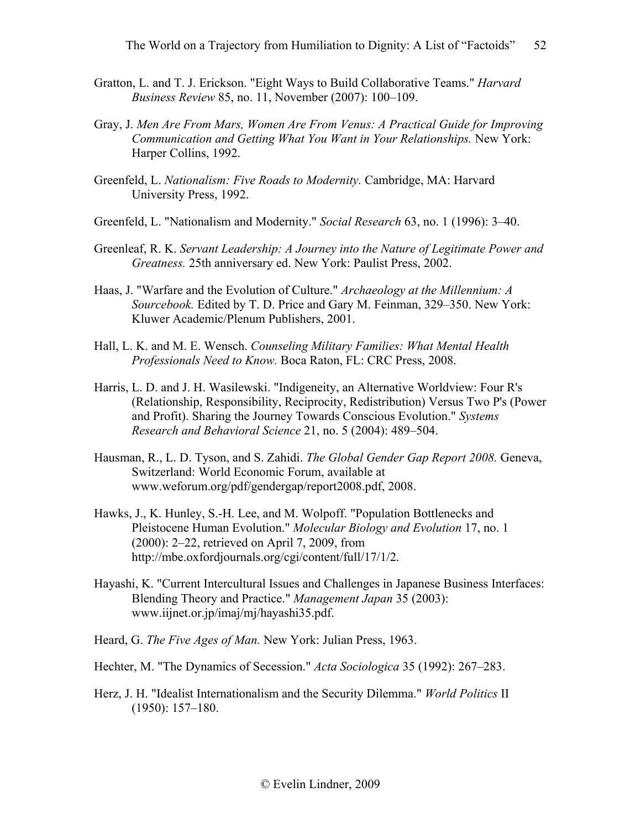- Gratton, L. and T. J. Erickson. "Eight Ways to Build Collaborative Teams." *Harvard Business Review* 85, no. 11, November (2007): 100–109.
- Gray, J. *Men Are From Mars, Women Are From Venus: A Practical Guide for Improving Communication and Getting What You Want in Your Relationships.* New York: Harper Collins, 1992.
- Greenfeld, L. *Nationalism: Five Roads to Modernity.* Cambridge, MA: Harvard University Press, 1992.
- Greenfeld, L. "Nationalism and Modernity." *Social Research* 63, no. 1 (1996): 3–40.
- Greenleaf, R. K. *Servant Leadership: A Journey into the Nature of Legitimate Power and Greatness.* 25th anniversary ed. New York: Paulist Press, 2002.
- Haas, J. "Warfare and the Evolution of Culture." *Archaeology at the Millennium: A Sourcebook.* Edited by T. D. Price and Gary M. Feinman, 329–350. New York: Kluwer Academic/Plenum Publishers, 2001.
- Hall, L. K. and M. E. Wensch. *Counseling Military Families: What Mental Health Professionals Need to Know.* Boca Raton, FL: CRC Press, 2008.
- Harris, L. D. and J. H. Wasilewski. "Indigeneity, an Alternative Worldview: Four R's (Relationship, Responsibility, Reciprocity, Redistribution) Versus Two P's (Power and Profit). Sharing the Journey Towards Conscious Evolution." *Systems Research and Behavioral Science* 21, no. 5 (2004): 489–504.
- Hausman, R., L. D. Tyson, and S. Zahidi. *The Global Gender Gap Report 2008.* Geneva, Switzerland: World Economic Forum, available at [www.weforum.org/pdf/gendergap/report2008.pdf,](http://www.weforum.org/pdf/gendergap/report2008.pdf) 2008.
- Hawks, J., K. Hunley, S.-H. Lee, and M. Wolpoff. "Population Bottlenecks and Pleistocene Human Evolution." *Molecular Biology and Evolution* 17, no. 1 (2000): 2–22, retrieved on April 7, 2009, from [http://mbe.oxfordjournals.org/cgi/content/full/17/1/2.](http://mbe.oxfordjournals.org/cgi/content/full/17/1/2)
- Hayashi, K. "Current Intercultural Issues and Challenges in Japanese Business Interfaces: Blending Theory and Practice." *Management Japan* 35 (2003): [www.iijnet.or.jp/imaj/mj/hayashi35.pdf.](http://www.iijnet.or.jp/imaj/mj/hayashi35.pdf)
- Heard, G. *The Five Ages of Man.* New York: Julian Press, 1963.
- Hechter, M. "The Dynamics of Secession." *Acta Sociologica* 35 (1992): 267–283.
- Herz, J. H. "Idealist Internationalism and the Security Dilemma." *World Politics* II (1950): 157–180.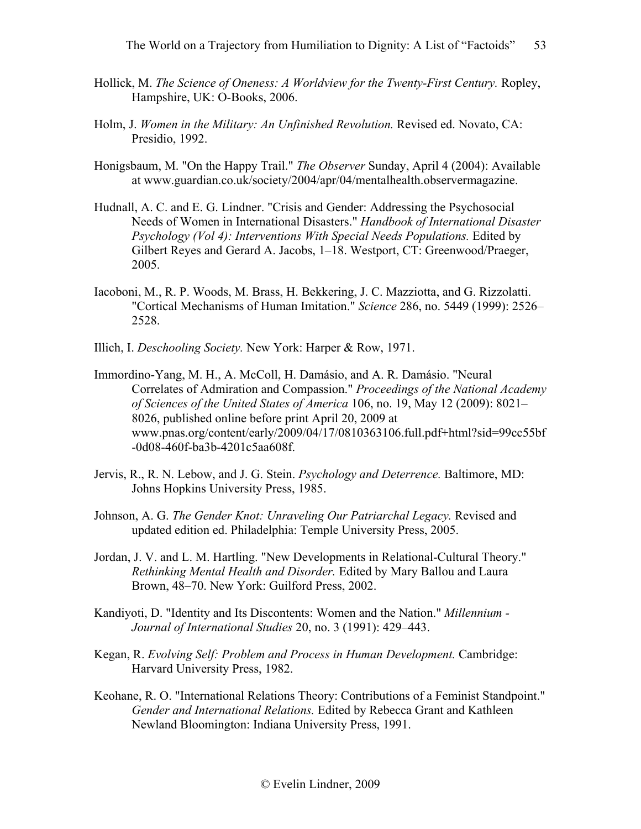- Hollick, M. *The Science of Oneness: A Worldview for the Twenty-First Century.* Ropley, Hampshire, UK: O-Books, 2006.
- Holm, J. *Women in the Military: An Unfinished Revolution.* Revised ed. Novato, CA: Presidio, 1992.
- Honigsbaum, M. "On the Happy Trail." *The Observer* Sunday, April 4 (2004): Available at [www.guardian.co.uk/society/2004/apr/04/mentalhealth.observermagazine](http://www.guardian.co.uk/society/2004/apr/04/mentalhealth.observermagazine).
- Hudnall, A. C. and E. G. Lindner. "Crisis and Gender: Addressing the Psychosocial Needs of Women in International Disasters." *Handbook of International Disaster Psychology (Vol 4): Interventions With Special Needs Populations.* Edited by Gilbert Reyes and Gerard A. Jacobs, 1–18. Westport, CT: Greenwood/Praeger, 2005.
- Iacoboni, M., R. P. Woods, M. Brass, H. Bekkering, J. C. Mazziotta, and G. Rizzolatti. "Cortical Mechanisms of Human Imitation." *Science* 286, no. 5449 (1999): 2526– 2528.
- Illich, I. *Deschooling Society.* New York: Harper & Row, 1971.
- Immordino-Yang, M. H., A. McColl, H. Damásio, and A. R. Damásio. "Neural Correlates of Admiration and Compassion." *Proceedings of the National Academy of Sciences of the United States of America* 106, no. 19, May 12 (2009): 8021– 8026, published online before print April 20, 2009 at [www.pnas.org/content/early/2009/04/17/0810363106.full.pdf+html?sid=99cc55bf](http://www.pnas.org/content/early/2009/04/17/0810363106.full.pdf+html?sid=99cc55bf-0d08-460f-ba3b-4201c5aa608f) [-0d08-460f-ba3b-4201c5aa608f](http://www.pnas.org/content/early/2009/04/17/0810363106.full.pdf+html?sid=99cc55bf-0d08-460f-ba3b-4201c5aa608f).
- Jervis, R., R. N. Lebow, and J. G. Stein. *Psychology and Deterrence.* Baltimore, MD: Johns Hopkins University Press, 1985.
- Johnson, A. G. *The Gender Knot: Unraveling Our Patriarchal Legacy.* Revised and updated edition ed. Philadelphia: Temple University Press, 2005.
- Jordan, J. V. and L. M. Hartling. "New Developments in Relational-Cultural Theory." *Rethinking Mental Health and Disorder.* Edited by Mary Ballou and Laura Brown, 48–70. New York: Guilford Press, 2002.
- Kandiyoti, D. "Identity and Its Discontents: Women and the Nation." *Millennium Journal of International Studies* 20, no. 3 (1991): 429–443.
- Kegan, R. *Evolving Self: Problem and Process in Human Development.* Cambridge: Harvard University Press, 1982.
- Keohane, R. O. "International Relations Theory: Contributions of a Feminist Standpoint." *Gender and International Relations.* Edited by Rebecca Grant and Kathleen Newland Bloomington: Indiana University Press, 1991.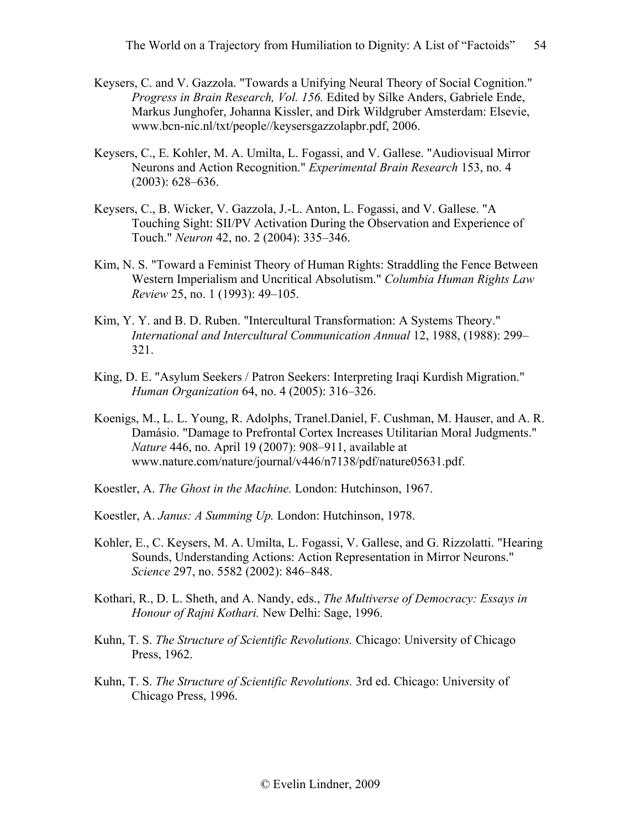- Keysers, C. and V. Gazzola. "Towards a Unifying Neural Theory of Social Cognition." *Progress in Brain Research, Vol. 156.* Edited by Silke Anders, Gabriele Ende, Markus Junghofer, Johanna Kissler, and Dirk Wildgruber Amsterdam: Elsevie, [www.bcn-nic.nl/txt/people//keysersgazzolapbr.pdf,](http://www.bcn-nic.nl/txt/people//keysersgazzolapbr.pdf) 2006.
- Keysers, C., E. Kohler, M. A. Umilta, L. Fogassi, and V. Gallese. "Audiovisual Mirror Neurons and Action Recognition." *Experimental Brain Research* 153, no. 4 (2003): 628–636.
- Keysers, C., B. Wicker, V. Gazzola, J.-L. Anton, L. Fogassi, and V. Gallese. "A Touching Sight: SII/PV Activation During the Observation and Experience of Touch." *Neuron* 42, no. 2 (2004): 335–346.
- Kim, N. S. "Toward a Feminist Theory of Human Rights: Straddling the Fence Between Western Imperialism and Uncritical Absolutism." *Columbia Human Rights Law Review* 25, no. 1 (1993): 49–105.
- Kim, Y. Y. and B. D. Ruben. "Intercultural Transformation: A Systems Theory." *International and Intercultural Communication Annual* 12, 1988, (1988): 299– 321.
- King, D. E. "Asylum Seekers / Patron Seekers: Interpreting Iraqi Kurdish Migration." *Human Organization* 64, no. 4 (2005): 316–326.
- Koenigs, M., L. L. Young, R. Adolphs, Tranel.Daniel, F. Cushman, M. Hauser, and A. R. Damásio. "Damage to Prefrontal Cortex Increases Utilitarian Moral Judgments." *Nature* 446, no. April 19 (2007): 908–911, available at [www.nature.com/nature/journal/v446/n7138/pdf/nature05631.pdf](http://www.nature.com/nature/journal/v446/n7138/pdf/nature05631.pdf).
- Koestler, A. *The Ghost in the Machine.* London: Hutchinson, 1967.
- Koestler, A. *Janus: A Summing Up.* London: Hutchinson, 1978.
- Kohler, E., C. Keysers, M. A. Umilta, L. Fogassi, V. Gallese, and G. Rizzolatti. "Hearing Sounds, Understanding Actions: Action Representation in Mirror Neurons." *Science* 297, no. 5582 (2002): 846–848.
- Kothari, R., D. L. Sheth, and A. Nandy, eds., *The Multiverse of Democracy: Essays in Honour of Rajni Kothari.* New Delhi: Sage, 1996.
- Kuhn, T. S. *The Structure of Scientific Revolutions.* Chicago: University of Chicago Press, 1962.
- Kuhn, T. S. *The Structure of Scientific Revolutions.* 3rd ed. Chicago: University of Chicago Press, 1996.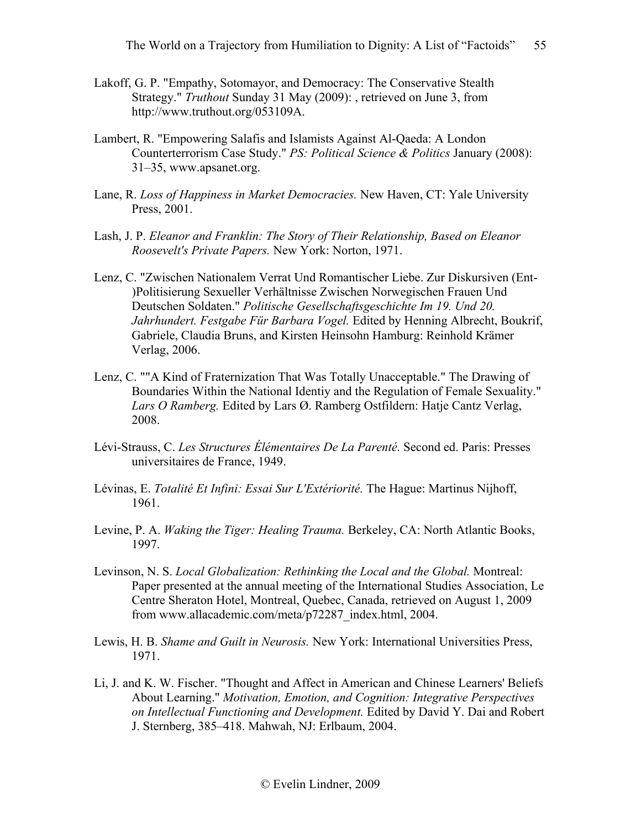- Lakoff, G. P. "Empathy, Sotomayor, and Democracy: The Conservative Stealth Strategy." *Truthout* Sunday 31 May (2009): , retrieved on June 3, from [http://www.truthout.org/053109A.](http://www.truthout.org/053109A)
- Lambert, R. "Empowering Salafis and Islamists Against Al-Qaeda: A London Counterterrorism Case Study." *PS: Political Science & Politics* January (2008): 31–35, [www.apsanet.org.](http://www.apsanet.org/)
- Lane, R. *Loss of Happiness in Market Democracies.* New Haven, CT: Yale University Press, 2001.
- Lash, J. P. *Eleanor and Franklin: The Story of Their Relationship, Based on Eleanor Roosevelt's Private Papers.* New York: Norton, 1971.
- Lenz, C. "Zwischen Nationalem Verrat Und Romantischer Liebe. Zur Diskursiven (Ent- )Politisierung Sexueller Verhältnisse Zwischen Norwegischen Frauen Und Deutschen Soldaten." *Politische Gesellschaftsgeschichte Im 19. Und 20. Jahrhundert. Festgabe Für Barbara Vogel.* Edited by Henning Albrecht, Boukrif, Gabriele, Claudia Bruns, and Kirsten Heinsohn Hamburg: Reinhold Krämer Verlag, 2006.
- Lenz, C. ""A Kind of Fraternization That Was Totally Unacceptable." The Drawing of Boundaries Within the National Identiy and the Regulation of Female Sexuality." *Lars O Ramberg.* Edited by Lars Ø. Ramberg Ostfildern: Hatje Cantz Verlag, 2008.
- Lévi-Strauss, C. *Les Structures Élémentaires De La Parenté.* Second ed. Paris: Presses universitaires de France, 1949.
- Lévinas, E. *Totalité Et Infini: Essai Sur L'Extériorité.* The Hague: Martinus Nijhoff, 1961.
- Levine, P. A. *Waking the Tiger: Healing Trauma.* Berkeley, CA: North Atlantic Books, 1997.
- Levinson, N. S. *Local Globalization: Rethinking the Local and the Global.* Montreal: Paper presented at the annual meeting of the International Studies Association, Le Centre Sheraton Hotel, Montreal, Quebec, Canada, retrieved on August 1, 2009 from [www.allacademic.com/meta/p72287\\_index.html,](http://www.allacademic.com/meta/p72287_index.html) 2004.
- Lewis, H. B. *Shame and Guilt in Neurosis.* New York: International Universities Press, 1971.
- Li, J. and K. W. Fischer. "Thought and Affect in American and Chinese Learners' Beliefs About Learning." *Motivation, Emotion, and Cognition: Integrative Perspectives on Intellectual Functioning and Development.* Edited by David Y. Dai and Robert J. Sternberg, 385–418. Mahwah, NJ: Erlbaum, 2004.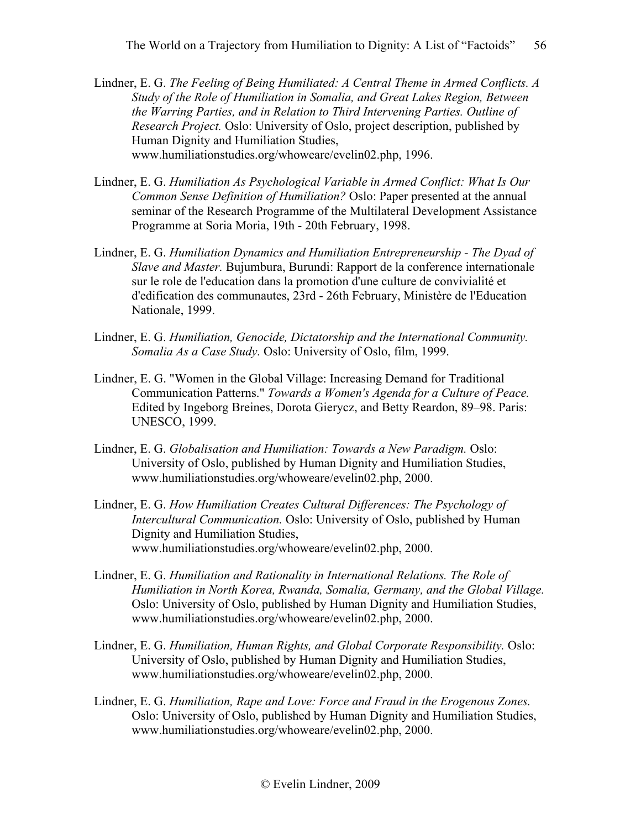- Lindner, E. G. *The Feeling of Being Humiliated: A Central Theme in Armed Conflicts. A Study of the Role of Humiliation in Somalia, and Great Lakes Region, Between the Warring Parties, and in Relation to Third Intervening Parties. Outline of Research Project.* Oslo: University of Oslo, project description, published by Human Dignity and Humiliation Studies, [www.humiliationstudies.org/whoweare/evelin02.php,](http://www.humiliationstudies.org/whoweare/evelin02.php) 1996.
- Lindner, E. G. *Humiliation As Psychological Variable in Armed Conflict: What Is Our Common Sense Definition of Humiliation?* Oslo: Paper presented at the annual seminar of the Research Programme of the Multilateral Development Assistance Programme at Soria Moria, 19th - 20th February, 1998.
- Lindner, E. G. *Humiliation Dynamics and Humiliation Entrepreneurship The Dyad of Slave and Master.* Bujumbura, Burundi: Rapport de la conference internationale sur le role de l'education dans la promotion d'une culture de convivialité et d'edification des communautes, 23rd - 26th February, Ministère de l'Education Nationale, 1999.
- Lindner, E. G. *Humiliation, Genocide, Dictatorship and the International Community. Somalia As a Case Study.* Oslo: University of Oslo, film, 1999.
- Lindner, E. G. "Women in the Global Village: Increasing Demand for Traditional Communication Patterns." *Towards a Women's Agenda for a Culture of Peace.* Edited by Ingeborg Breines, Dorota Gierycz, and Betty Reardon, 89–98. Paris: UNESCO, 1999.
- Lindner, E. G. *Globalisation and Humiliation: Towards a New Paradigm.* Oslo: University of Oslo, published by Human Dignity and Humiliation Studies, [www.humiliationstudies.org/whoweare/evelin02.php,](http://www.humiliationstudies.org/whoweare/evelin02.php) 2000.
- Lindner, E. G. *How Humiliation Creates Cultural Differences: The Psychology of Intercultural Communication.* Oslo: University of Oslo, published by Human Dignity and Humiliation Studies, [www.humiliationstudies.org/whoweare/evelin02.php,](http://www.humiliationstudies.org/whoweare/evelin02.php) 2000.
- Lindner, E. G. *Humiliation and Rationality in International Relations. The Role of Humiliation in North Korea, Rwanda, Somalia, Germany, and the Global Village.*  Oslo: University of Oslo, published by Human Dignity and Humiliation Studies, [www.humiliationstudies.org/whoweare/evelin02.php,](http://www.humiliationstudies.org/whoweare/evelin02.php) 2000.
- Lindner, E. G. *Humiliation, Human Rights, and Global Corporate Responsibility.* Oslo: University of Oslo, published by Human Dignity and Humiliation Studies, [www.humiliationstudies.org/whoweare/evelin02.php,](http://www.humiliationstudies.org/whoweare/evelin02.php) 2000.
- Lindner, E. G. *Humiliation, Rape and Love: Force and Fraud in the Erogenous Zones.*  Oslo: University of Oslo, published by Human Dignity and Humiliation Studies, [www.humiliationstudies.org/whoweare/evelin02.php,](http://www.humiliationstudies.org/whoweare/evelin02.php) 2000.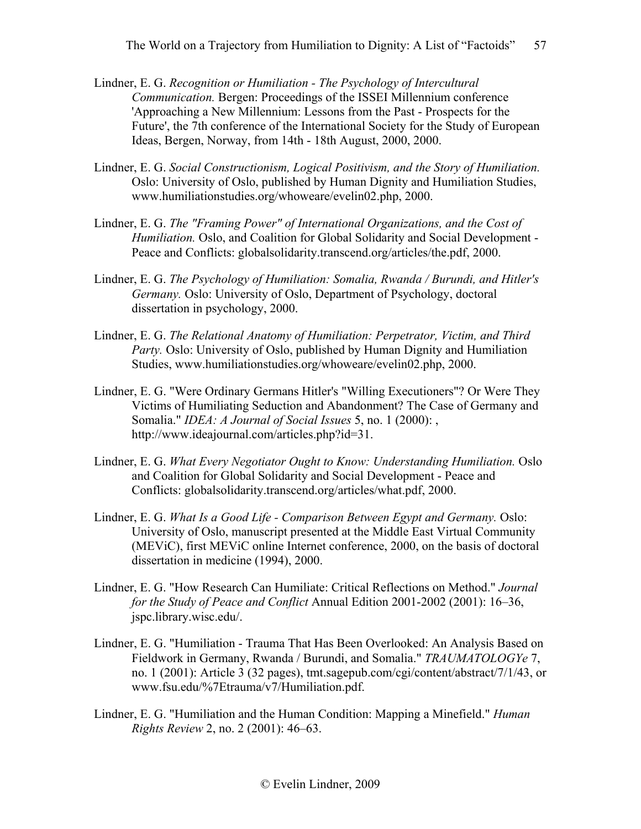- Lindner, E. G. *Recognition or Humiliation The Psychology of Intercultural Communication.* Bergen: Proceedings of the ISSEI Millennium conference 'Approaching a New Millennium: Lessons from the Past - Prospects for the Future', the 7th conference of the International Society for the Study of European Ideas, Bergen, Norway, from 14th - 18th August, 2000, 2000.
- Lindner, E. G. *Social Constructionism, Logical Positivism, and the Story of Humiliation.*  Oslo: University of Oslo, published by Human Dignity and Humiliation Studies, [www.humiliationstudies.org/whoweare/evelin02.php,](http://www.humiliationstudies.org/whoweare/evelin02.php) 2000.
- Lindner, E. G. *The "Framing Power" of International Organizations, and the Cost of Humiliation.* Oslo, and Coalition for Global Solidarity and Social Development - Peace and Conflicts: globalsolidarity.transcend.org/articles/the.pdf, 2000.
- Lindner, E. G. *The Psychology of Humiliation: Somalia, Rwanda / Burundi, and Hitler's Germany.* Oslo: University of Oslo, Department of Psychology, doctoral dissertation in psychology, 2000.
- Lindner, E. G. *The Relational Anatomy of Humiliation: Perpetrator, Victim, and Third Party.* Oslo: University of Oslo, published by Human Dignity and Humiliation Studies, [www.humiliationstudies.org/whoweare/evelin02.php](http://www.humiliationstudies.org/whoweare/evelin02.php), 2000.
- Lindner, E. G. "Were Ordinary Germans Hitler's "Willing Executioners"? Or Were They Victims of Humiliating Seduction and Abandonment? The Case of Germany and Somalia." *IDEA: A Journal of Social Issues* 5, no. 1 (2000): , [http://www.ideajournal.com/articles.php?id=31.](http://www.ideajournal.com/articles.php?id=31)
- Lindner, E. G. *What Every Negotiator Ought to Know: Understanding Humiliation.* Oslo and Coalition for Global Solidarity and Social Development - Peace and Conflicts: globalsolidarity.transcend.org/articles/what.pdf, 2000.
- Lindner, E. G. *What Is a Good Life Comparison Between Egypt and Germany.* Oslo: University of Oslo, manuscript presented at the Middle East Virtual Community (MEViC), first MEViC online Internet conference, 2000, on the basis of doctoral dissertation in medicine (1994), 2000.
- Lindner, E. G. "How Research Can Humiliate: Critical Reflections on Method." *Journal for the Study of Peace and Conflict* Annual Edition 2001-2002 (2001): 16–36, jspc.library.wisc.edu/.
- Lindner, E. G. "Humiliation Trauma That Has Been Overlooked: An Analysis Based on Fieldwork in Germany, Rwanda / Burundi, and Somalia." *TRAUMATOLOGYe* 7, no. 1 (2001): Article 3 (32 pages), tmt.sagepub.com/cgi/content/abstract/7/1/43, or [www.fsu.edu/%7Etrauma/v7/Humiliation.pdf.](http://www.fsu.edu/%7Etrauma/v7/Humiliation.pdf)
- Lindner, E. G. "Humiliation and the Human Condition: Mapping a Minefield." *Human Rights Review* 2, no. 2 (2001): 46–63.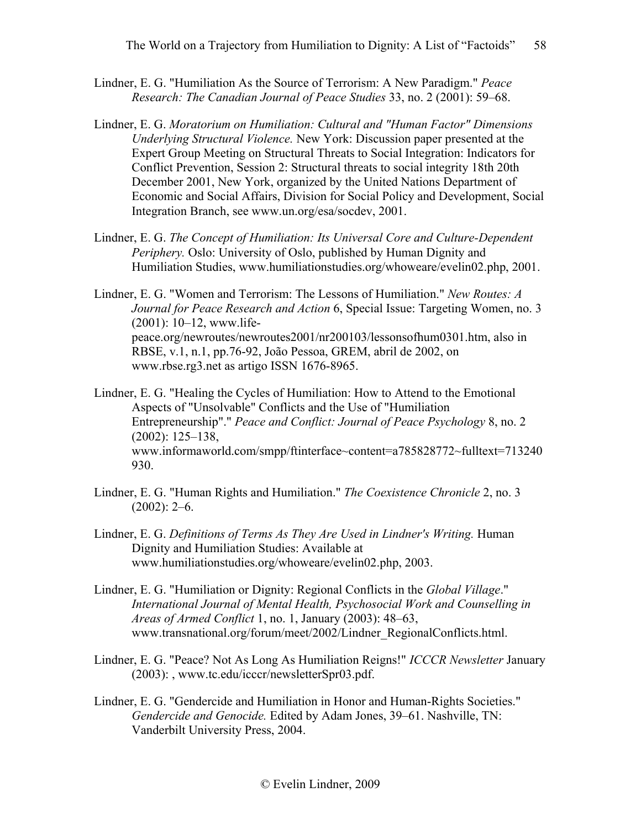- Lindner, E. G. "Humiliation As the Source of Terrorism: A New Paradigm." *Peace Research: The Canadian Journal of Peace Studies* 33, no. 2 (2001): 59–68.
- Lindner, E. G. *Moratorium on Humiliation: Cultural and "Human Factor" Dimensions Underlying Structural Violence.* New York: Discussion paper presented at the Expert Group Meeting on Structural Threats to Social Integration: Indicators for Conflict Prevention, Session 2: Structural threats to social integrity 18th 20th December 2001, New York, organized by the United Nations Department of Economic and Social Affairs, Division for Social Policy and Development, Social Integration Branch, see [www.un.org/esa/socdev,](http://www.un.org/esa/socdev) 2001.
- Lindner, E. G. *The Concept of Humiliation: Its Universal Core and Culture-Dependent Periphery.* Oslo: University of Oslo, published by Human Dignity and Humiliation Studies, [www.humiliationstudies.org/whoweare/evelin02.php](http://www.humiliationstudies.org/whoweare/evelin02.php), 2001.
- Lindner, E. G. "Women and Terrorism: The Lessons of Humiliation." *New Routes: A Journal for Peace Research and Action* 6, Special Issue: Targeting Women, no. 3 (2001): 10–12, [www.life](http://www.life-peace.org/newroutes/newroutes2001/nr200103/lessonsofhum0301.htm)[peace.org/newroutes/newroutes2001/nr200103/lessonsofhum0301.htm,](http://www.life-peace.org/newroutes/newroutes2001/nr200103/lessonsofhum0301.htm) also in RBSE, v.1, n.1, pp.76-92, João Pessoa, GREM, abril de 2002, on [www.rbse.rg3.net](http://www.rbse.rg3.net/) as artigo ISSN 1676-8965.
- Lindner, E. G. "Healing the Cycles of Humiliation: How to Attend to the Emotional Aspects of "Unsolvable" Conflicts and the Use of "Humiliation Entrepreneurship"." *Peace and Conflict: Journal of Peace Psychology* 8, no. 2 (2002): 125–138, [www.informaworld.com/smpp/ftinterface~content=a785828772~fulltext=713240](http://www.informaworld.com/smpp/ftinterface%7Econtent=a785828772%7Efulltext=713240930) [930.](http://www.informaworld.com/smpp/ftinterface%7Econtent=a785828772%7Efulltext=713240930)
- Lindner, E. G. "Human Rights and Humiliation." *The Coexistence Chronicle* 2, no. 3  $(2002): 2-6.$
- Lindner, E. G. *Definitions of Terms As They Are Used in Lindner's Writing.* Human Dignity and Humiliation Studies: Available at [www.humiliationstudies.org/whoweare/evelin02.php,](http://www.humiliationstudies.org/whoweare/evelin02.php) 2003.
- Lindner, E. G. "Humiliation or Dignity: Regional Conflicts in the *Global Village*." *International Journal of Mental Health, Psychosocial Work and Counselling in Areas of Armed Conflict* 1, no. 1, January (2003): 48–63, [www.transnational.org/forum/meet/2002/Lindner\\_RegionalConflicts.html](http://www.transnational.org/forum/meet/2002/Lindner_RegionalConflicts.html).
- Lindner, E. G. "Peace? Not As Long As Humiliation Reigns!" *ICCCR Newsletter* January (2003): , [www.tc.edu/icccr/newsletterSpr03.pdf](http://www.tc.edu/icccr/newsletterSpr03.pdf).
- Lindner, E. G. "Gendercide and Humiliation in Honor and Human-Rights Societies." *Gendercide and Genocide.* Edited by Adam Jones, 39–61. Nashville, TN: Vanderbilt University Press, 2004.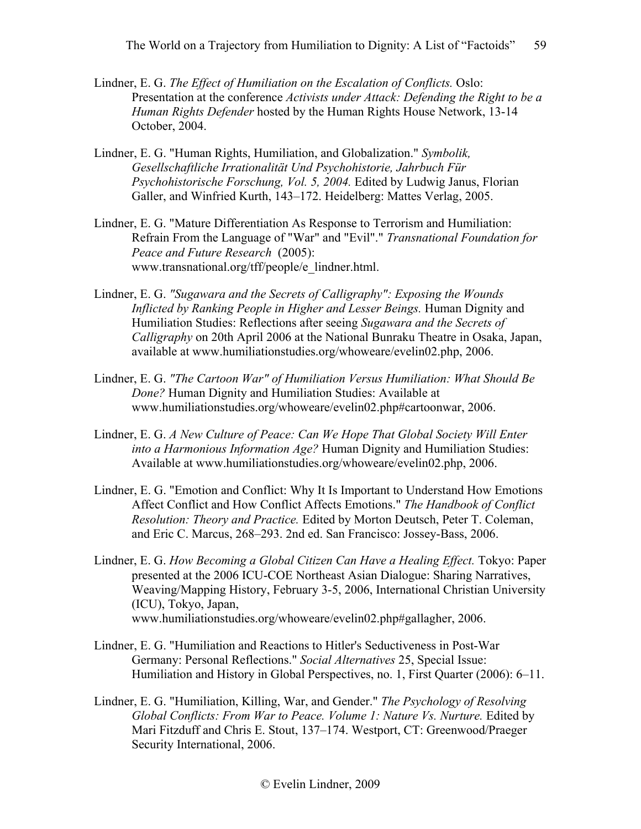- Lindner, E. G. *The Effect of Humiliation on the Escalation of Conflicts.* Oslo: Presentation at the conference *Activists under Attack: Defending the Right to be a Human Rights Defender* hosted by the Human Rights House Network, 13-14 October, 2004.
- Lindner, E. G. "Human Rights, Humiliation, and Globalization." *Symbolik, Gesellschaftliche Irrationalität Und Psychohistorie, Jahrbuch Für Psychohistorische Forschung, Vol. 5, 2004.* Edited by Ludwig Janus, Florian Galler, and Winfried Kurth, 143–172. Heidelberg: Mattes Verlag, 2005.
- Lindner, E. G. "Mature Differentiation As Response to Terrorism and Humiliation: Refrain From the Language of "War" and "Evil"." *Transnational Foundation for Peace and Future Research* (2005): [www.transnational.org/tff/people/e\\_lindner.html](http://www.transnational.org/tff/people/e_lindner.html).
- Lindner, E. G. *"Sugawara and the Secrets of Calligraphy": Exposing the Wounds Inflicted by Ranking People in Higher and Lesser Beings.* Human Dignity and Humiliation Studies: Reflections after seeing *Sugawara and the Secrets of Calligraphy* on 20th April 2006 at the National Bunraku Theatre in Osaka, Japan, available at [www.humiliationstudies.org/whoweare/evelin02.php,](http://www.humiliationstudies.org/whoweare/evelin02.php) 2006.
- Lindner, E. G. *"The Cartoon War" of Humiliation Versus Humiliation: What Should Be Done?* Human Dignity and Humiliation Studies: Available at [www.humiliationstudies.org/whoweare/evelin02.php#cartoonwar,](http://www.humiliationstudies.org/whoweare/evelin02.php#cartoonwar) 2006.
- Lindner, E. G. *A New Culture of Peace: Can We Hope That Global Society Will Enter into a Harmonious Information Age?* Human Dignity and Humiliation Studies: Available at [www.humiliationstudies.org/whoweare/evelin02.php](http://www.humiliationstudies.org/whoweare/evelin02.php), 2006.
- Lindner, E. G. "Emotion and Conflict: Why It Is Important to Understand How Emotions Affect Conflict and How Conflict Affects Emotions." *The Handbook of Conflict Resolution: Theory and Practice.* Edited by Morton Deutsch, Peter T. Coleman, and Eric C. Marcus, 268–293. 2nd ed. San Francisco: Jossey-Bass, 2006.
- Lindner, E. G. *How Becoming a Global Citizen Can Have a Healing Effect.* Tokyo: Paper presented at the 2006 ICU-COE Northeast Asian Dialogue: Sharing Narratives, Weaving/Mapping History, February 3-5, 2006, International Christian University (ICU), Tokyo, Japan, [www.humiliationstudies.org/whoweare/evelin02.php#gallagher,](http://www.humiliationstudies.org/whoweare/evelin02.php#gallagher) 2006.
- Lindner, E. G. "Humiliation and Reactions to Hitler's Seductiveness in Post-War Germany: Personal Reflections." *Social Alternatives* 25, Special Issue: Humiliation and History in Global Perspectives, no. 1, First Quarter (2006): 6–11.
- Lindner, E. G. "Humiliation, Killing, War, and Gender." *The Psychology of Resolving Global Conflicts: From War to Peace. Volume 1: Nature Vs. Nurture.* Edited by Mari Fitzduff and Chris E. Stout, 137–174. Westport, CT: Greenwood/Praeger Security International, 2006.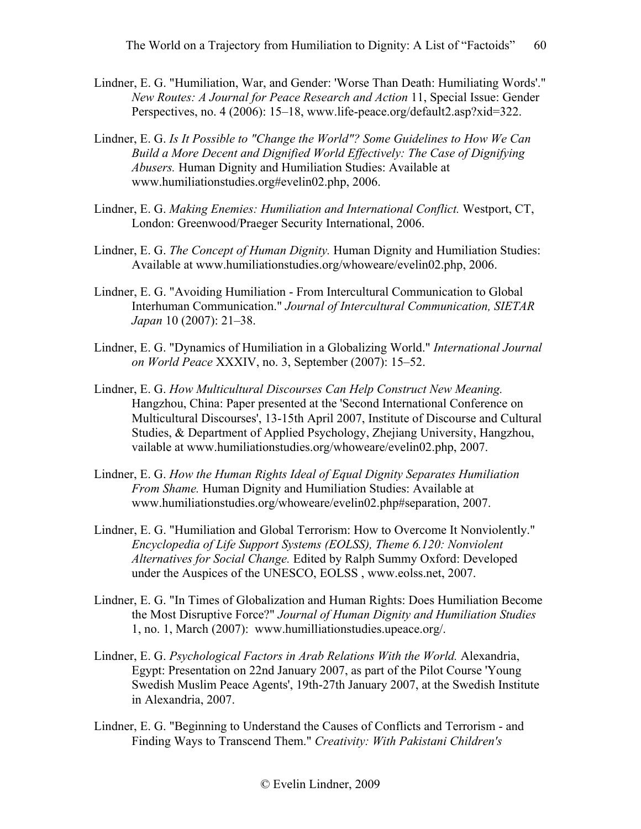- Lindner, E. G. "Humiliation, War, and Gender: 'Worse Than Death: Humiliating Words'." *New Routes: A Journal for Peace Research and Action* 11, Special Issue: Gender Perspectives, no. 4 (2006): 15–18, [www.life-peace.org/default2.asp?xid=322.](http://www.life-peace.org/default2.asp?xid=322)
- Lindner, E. G. *Is It Possible to "Change the World"? Some Guidelines to How We Can Build a More Decent and Dignified World Effectively: The Case of Dignifying Abusers.* Human Dignity and Humiliation Studies: Available at [www.humiliationstudies.org#evelin02.php,](http://www.humiliationstudies.org/#evelin02.php) 2006.
- Lindner, E. G. *Making Enemies: Humiliation and International Conflict.* Westport, CT, London: Greenwood/Praeger Security International, 2006.
- Lindner, E. G. *The Concept of Human Dignity.* Human Dignity and Humiliation Studies: Available at [www.humiliationstudies.org/whoweare/evelin02.php](http://www.humiliationstudies.org/whoweare/evelin02.php), 2006.
- Lindner, E. G. "Avoiding Humiliation From Intercultural Communication to Global Interhuman Communication." *Journal of Intercultural Communication, SIETAR Japan* 10 (2007): 21–38.
- Lindner, E. G. "Dynamics of Humiliation in a Globalizing World." *International Journal on World Peace* XXXIV, no. 3, September (2007): 15–52.
- Lindner, E. G. *How Multicultural Discourses Can Help Construct New Meaning.*  Hangzhou, China: Paper presented at the 'Second International Conference on Multicultural Discourses', 13-15th April 2007, Institute of Discourse and Cultural Studies, & Department of Applied Psychology, Zhejiang University, Hangzhou, vailable at [www.humiliationstudies.org/whoweare/evelin02.php](http://www.humiliationstudies.org/whoweare/evelin02.php), 2007.
- Lindner, E. G. *How the Human Rights Ideal of Equal Dignity Separates Humiliation From Shame.* Human Dignity and Humiliation Studies: Available at [www.humiliationstudies.org/whoweare/evelin02.php#separation](http://www.humiliationstudies.org/whoweare/evelin02.php#separation), 2007.
- Lindner, E. G. "Humiliation and Global Terrorism: How to Overcome It Nonviolently." *Encyclopedia of Life Support Systems (EOLSS), Theme 6.120: Nonviolent Alternatives for Social Change.* Edited by Ralph Summy Oxford: Developed under the Auspices of the UNESCO, EOLSS , [www.eolss.net,](http://www.eolss.net/) 2007.
- Lindner, E. G. "In Times of Globalization and Human Rights: Does Humiliation Become the Most Disruptive Force?" *Journal of Human Dignity and Humiliation Studies*  1, no. 1, March (2007): [www.humilliationstudies.upeace.org/](http://www.humilliationstudies.upeace.org/).
- Lindner, E. G. *Psychological Factors in Arab Relations With the World.* Alexandria, Egypt: Presentation on 22nd January 2007, as part of the Pilot Course 'Young Swedish Muslim Peace Agents', 19th-27th January 2007, at the Swedish Institute in Alexandria, 2007.
- Lindner, E. G. "Beginning to Understand the Causes of Conflicts and Terrorism and Finding Ways to Transcend Them." *Creativity: With Pakistani Children's*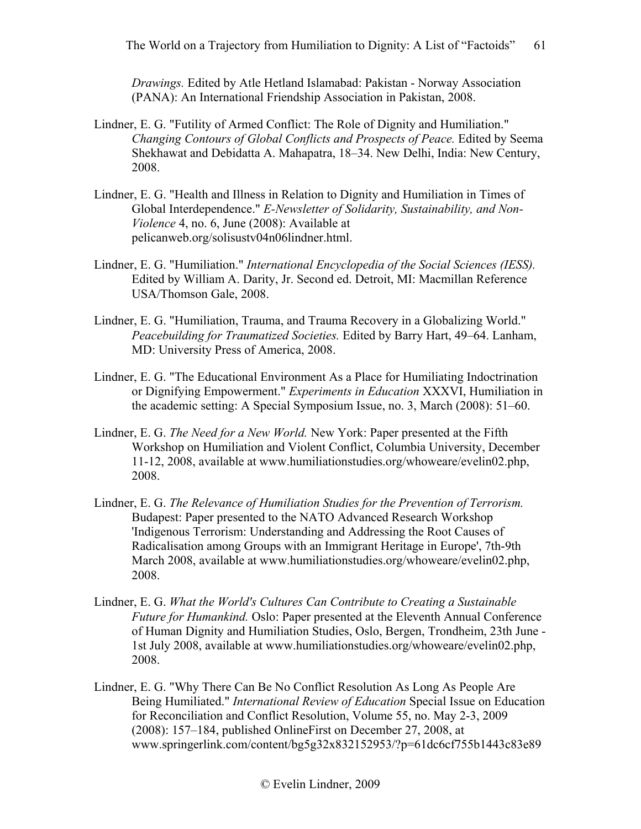*Drawings.* Edited by Atle Hetland Islamabad: Pakistan - Norway Association (PANA): An International Friendship Association in Pakistan, 2008.

- Lindner, E. G. "Futility of Armed Conflict: The Role of Dignity and Humiliation." *Changing Contours of Global Conflicts and Prospects of Peace.* Edited by Seema Shekhawat and Debidatta A. Mahapatra, 18–34. New Delhi, India: New Century, 2008.
- Lindner, E. G. "Health and Illness in Relation to Dignity and Humiliation in Times of Global Interdependence." *E-Newsletter of Solidarity, Sustainability, and Non-Violence* 4, no. 6, June (2008): Available at pelicanweb.org/solisustv04n06lindner.html.
- Lindner, E. G. "Humiliation." *International Encyclopedia of the Social Sciences (IESS).* Edited by William A. Darity, Jr. Second ed. Detroit, MI: Macmillan Reference USA/Thomson Gale, 2008.
- Lindner, E. G. "Humiliation, Trauma, and Trauma Recovery in a Globalizing World." *Peacebuilding for Traumatized Societies.* Edited by Barry Hart, 49–64. Lanham, MD: University Press of America, 2008.
- Lindner, E. G. "The Educational Environment As a Place for Humiliating Indoctrination or Dignifying Empowerment." *Experiments in Education* XXXVI, Humiliation in the academic setting: A Special Symposium Issue, no. 3, March (2008): 51–60.
- Lindner, E. G. *The Need for a New World.* New York: Paper presented at the Fifth Workshop on Humiliation and Violent Conflict, Columbia University, December 11-12, 2008, available at [www.humiliationstudies.org/whoweare/evelin02.php,](http://www.humiliationstudies.org/whoweare/evelin02.php) 2008.
- Lindner, E. G. *The Relevance of Humiliation Studies for the Prevention of Terrorism.*  Budapest: Paper presented to the NATO Advanced Research Workshop 'Indigenous Terrorism: Understanding and Addressing the Root Causes of Radicalisation among Groups with an Immigrant Heritage in Europe', 7th-9th March 2008, available at [www.humiliationstudies.org/whoweare/evelin02.php](http://www.humiliationstudies.org/whoweare/evelin02.php), 2008.
- Lindner, E. G. *What the World's Cultures Can Contribute to Creating a Sustainable Future for Humankind.* Oslo: Paper presented at the Eleventh Annual Conference of Human Dignity and Humiliation Studies, Oslo, Bergen, Trondheim, 23th June - 1st July 2008, available at [www.humiliationstudies.org/whoweare/evelin02.php,](http://www.humiliationstudies.org/whoweare/evelin02.php) 2008.
- Lindner, E. G. "Why There Can Be No Conflict Resolution As Long As People Are Being Humiliated." *International Review of Education* Special Issue on Education for Reconciliation and Conflict Resolution, Volume 55, no. May 2-3, 2009 (2008): 157–184, published OnlineFirst on December 27, 2008, at [www.springerlink.com/content/bg5g32x832152953/?p=61dc6cf755b1443c83e89](http://www.springerlink.com/content/bg5g32x832152953/?p=61dc6cf755b1443c83e89d49221b3e7a&pi=1)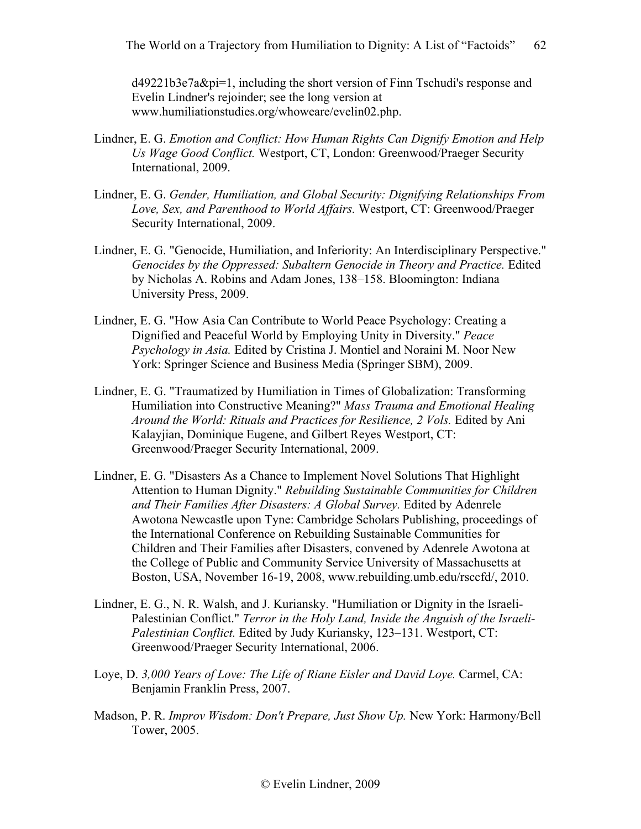[d49221b3e7a&pi=1](http://www.springerlink.com/content/bg5g32x832152953/?p=61dc6cf755b1443c83e89d49221b3e7a&pi=1), including the short version of Finn Tschudi's response and Evelin Lindner's rejoinder; see the long version at [www.humiliationstudies.org/whoweare/evelin02.php.](http://www.humiliationstudies.org/whoweare/evelin02.php)

- Lindner, E. G. *Emotion and Conflict: How Human Rights Can Dignify Emotion and Help Us Wage Good Conflict.* Westport, CT, London: Greenwood/Praeger Security International, 2009.
- Lindner, E. G. *Gender, Humiliation, and Global Security: Dignifying Relationships From Love, Sex, and Parenthood to World Affairs.* Westport, CT: Greenwood/Praeger Security International, 2009.
- Lindner, E. G. "Genocide, Humiliation, and Inferiority: An Interdisciplinary Perspective." *Genocides by the Oppressed: Subaltern Genocide in Theory and Practice.* Edited by Nicholas A. Robins and Adam Jones, 138–158. Bloomington: Indiana University Press, 2009.
- Lindner, E. G. "How Asia Can Contribute to World Peace Psychology: Creating a Dignified and Peaceful World by Employing Unity in Diversity." *Peace Psychology in Asia.* Edited by Cristina J. Montiel and Noraini M. Noor New York: Springer Science and Business Media (Springer SBM), 2009.
- Lindner, E. G. "Traumatized by Humiliation in Times of Globalization: Transforming Humiliation into Constructive Meaning?" *Mass Trauma and Emotional Healing Around the World: Rituals and Practices for Resilience, 2 Vols.* Edited by Ani Kalayjian, Dominique Eugene, and Gilbert Reyes Westport, CT: Greenwood/Praeger Security International, 2009.
- Lindner, E. G. "Disasters As a Chance to Implement Novel Solutions That Highlight Attention to Human Dignity." *Rebuilding Sustainable Communities for Children and Their Families After Disasters: A Global Survey.* Edited by Adenrele Awotona Newcastle upon Tyne: Cambridge Scholars Publishing, proceedings of the International Conference on Rebuilding Sustainable Communities for Children and Their Families after Disasters, convened by Adenrele Awotona at the College of Public and Community Service University of Massachusetts at Boston, USA, November 16-19, 2008, [www.rebuilding.umb.edu/rsccfd/](http://www.rebuilding.umb.edu/rsccfd/), 2010.
- Lindner, E. G., N. R. Walsh, and J. Kuriansky. "Humiliation or Dignity in the Israeli-Palestinian Conflict." *Terror in the Holy Land, Inside the Anguish of the Israeli-Palestinian Conflict.* Edited by Judy Kuriansky, 123–131. Westport, CT: Greenwood/Praeger Security International, 2006.
- Loye, D. 3,000 Years of Love: The Life of Riane Eisler and David Loye. Carmel, CA: Benjamin Franklin Press, 2007.
- Madson, P. R. *Improv Wisdom: Don't Prepare, Just Show Up.* New York: Harmony/Bell Tower, 2005.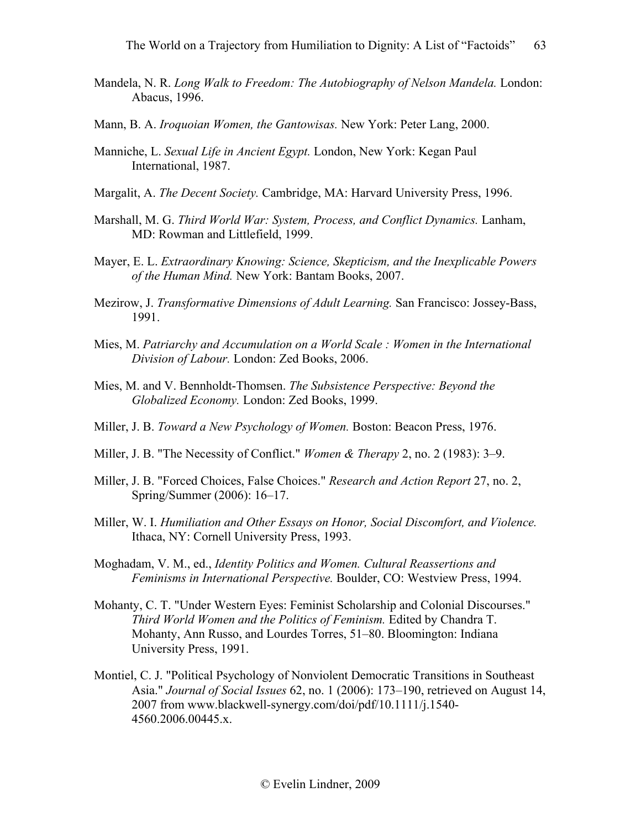- Mandela, N. R. *Long Walk to Freedom: The Autobiography of Nelson Mandela.* London: Abacus, 1996.
- Mann, B. A. *Iroquoian Women, the Gantowisas.* New York: Peter Lang, 2000.
- Manniche, L. *Sexual Life in Ancient Egypt.* London, New York: Kegan Paul International, 1987.
- Margalit, A. *The Decent Society.* Cambridge, MA: Harvard University Press, 1996.
- Marshall, M. G. *Third World War: System, Process, and Conflict Dynamics.* Lanham, MD: Rowman and Littlefield, 1999.
- Mayer, E. L. *Extraordinary Knowing: Science, Skepticism, and the Inexplicable Powers of the Human Mind.* New York: Bantam Books, 2007.
- Mezirow, J. *Transformative Dimensions of Adult Learning.* San Francisco: Jossey-Bass, 1991.
- Mies, M. *Patriarchy and Accumulation on a World Scale : Women in the International Division of Labour.* London: Zed Books, 2006.
- Mies, M. and V. Bennholdt-Thomsen. *The Subsistence Perspective: Beyond the Globalized Economy.* London: Zed Books, 1999.
- Miller, J. B. *Toward a New Psychology of Women.* Boston: Beacon Press, 1976.
- Miller, J. B. "The Necessity of Conflict." *Women & Therapy* 2, no. 2 (1983): 3–9.
- Miller, J. B. "Forced Choices, False Choices." *Research and Action Report* 27, no. 2, Spring/Summer (2006): 16–17.
- Miller, W. I. *Humiliation and Other Essays on Honor, Social Discomfort, and Violence.*  Ithaca, NY: Cornell University Press, 1993.
- Moghadam, V. M., ed., *Identity Politics and Women. Cultural Reassertions and Feminisms in International Perspective.* Boulder, CO: Westview Press, 1994.
- Mohanty, C. T. "Under Western Eyes: Feminist Scholarship and Colonial Discourses." *Third World Women and the Politics of Feminism.* Edited by Chandra T. Mohanty, Ann Russo, and Lourdes Torres, 51–80. Bloomington: Indiana University Press, 1991.
- Montiel, C. J. "Political Psychology of Nonviolent Democratic Transitions in Southeast Asia." *Journal of Social Issues* 62, no. 1 (2006): 173–190, retrieved on August 14, 2007 from [www.blackwell-synergy.com/doi/pdf/10.1111/j.1540-](http://www.blackwell-synergy.com/doi/pdf/10.1111/j.1540-4560.2006.00445.x) [4560.2006.00445.x.](http://www.blackwell-synergy.com/doi/pdf/10.1111/j.1540-4560.2006.00445.x)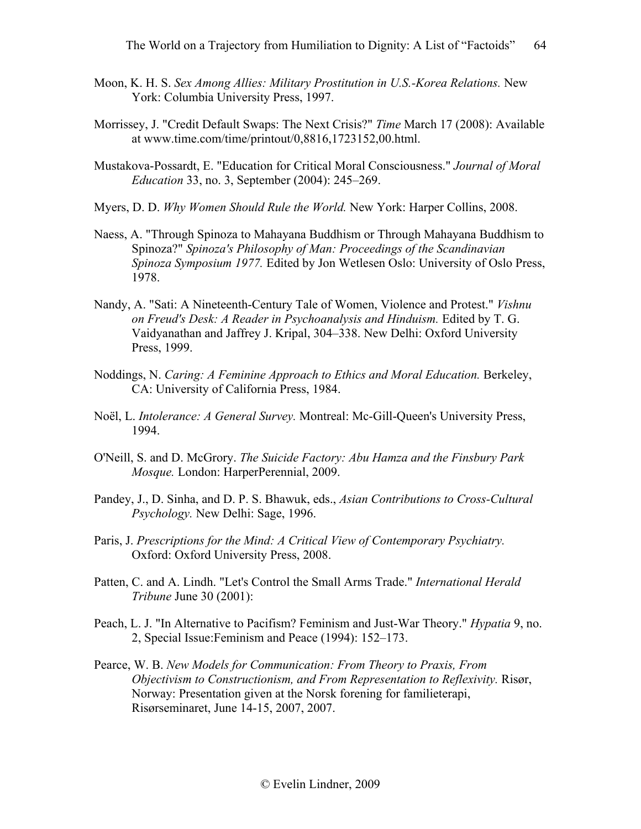- Moon, K. H. S. *Sex Among Allies: Military Prostitution in U.S.-Korea Relations.* New York: Columbia University Press, 1997.
- Morrissey, J. "Credit Default Swaps: The Next Crisis?" *Time* March 17 (2008): Available at [www.time.com/time/printout/0,8816,1723152,00.html.](http://www.time.com/time/printout/0,8816,1723152,00.html)
- Mustakova-Possardt, E. "Education for Critical Moral Consciousness." *Journal of Moral Education* 33, no. 3, September (2004): 245–269.
- Myers, D. D. *Why Women Should Rule the World.* New York: Harper Collins, 2008.
- Naess, A. "Through Spinoza to Mahayana Buddhism or Through Mahayana Buddhism to Spinoza?" *Spinoza's Philosophy of Man: Proceedings of the Scandinavian Spinoza Symposium 1977.* Edited by Jon Wetlesen Oslo: University of Oslo Press, 1978.
- Nandy, A. "Sati: A Nineteenth-Century Tale of Women, Violence and Protest." *Vishnu on Freud's Desk: A Reader in Psychoanalysis and Hinduism.* Edited by T. G. Vaidyanathan and Jaffrey J. Kripal, 304–338. New Delhi: Oxford University Press, 1999.
- Noddings, N. *Caring: A Feminine Approach to Ethics and Moral Education.* Berkeley, CA: University of California Press, 1984.
- Noël, L. *Intolerance: A General Survey.* Montreal: Mc-Gill-Queen's University Press, 1994.
- O'Neill, S. and D. McGrory. *The Suicide Factory: Abu Hamza and the Finsbury Park Mosque.* London: HarperPerennial, 2009.
- Pandey, J., D. Sinha, and D. P. S. Bhawuk, eds., *Asian Contributions to Cross-Cultural Psychology.* New Delhi: Sage, 1996.
- Paris, J. *Prescriptions for the Mind: A Critical View of Contemporary Psychiatry.*  Oxford: Oxford University Press, 2008.
- Patten, C. and A. Lindh. "Let's Control the Small Arms Trade." *International Herald Tribune* June 30 (2001):
- Peach, L. J. "In Alternative to Pacifism? Feminism and Just-War Theory." *Hypatia* 9, no. 2, Special Issue:Feminism and Peace (1994): 152–173.
- Pearce, W. B. *New Models for Communication: From Theory to Praxis, From Objectivism to Constructionism, and From Representation to Reflexivity.* Risør, Norway: Presentation given at the Norsk forening for familieterapi, Risørseminaret, June 14-15, 2007, 2007.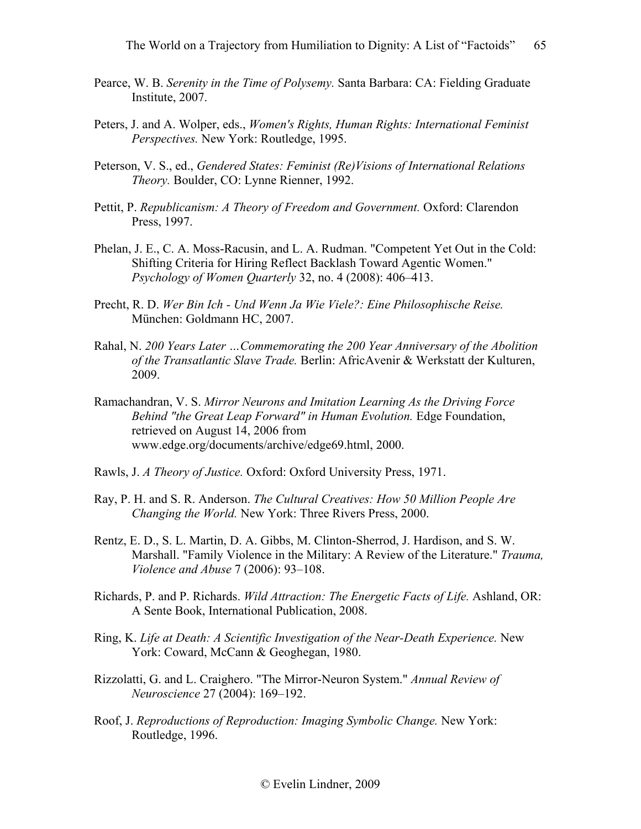- Pearce, W. B. *Serenity in the Time of Polysemy.* Santa Barbara: CA: Fielding Graduate Institute, 2007.
- Peters, J. and A. Wolper, eds., *Women's Rights, Human Rights: International Feminist Perspectives.* New York: Routledge, 1995.
- Peterson, V. S., ed., *Gendered States: Feminist (Re)Visions of International Relations Theory.* Boulder, CO: Lynne Rienner, 1992.
- Pettit, P. *Republicanism: A Theory of Freedom and Government*. Oxford: Clarendon Press, 1997.
- Phelan, J. E., C. A. Moss-Racusin, and L. A. Rudman. "Competent Yet Out in the Cold: Shifting Criteria for Hiring Reflect Backlash Toward Agentic Women." *Psychology of Women Quarterly* 32, no. 4 (2008): 406–413.
- Precht, R. D. *Wer Bin Ich Und Wenn Ja Wie Viele?: Eine Philosophische Reise.*  München: Goldmann HC, 2007.
- Rahal, N. *200 Years Later …Commemorating the 200 Year Anniversary of the Abolition of the Transatlantic Slave Trade.* Berlin: AfricAvenir & Werkstatt der Kulturen, 2009.
- Ramachandran, V. S. *Mirror Neurons and Imitation Learning As the Driving Force Behind "the Great Leap Forward" in Human Evolution.* Edge Foundation, retrieved on August 14, 2006 from [www.edge.org/documents/archive/edge69.html](http://www.edge.org/documents/archive/edge69.html), 2000.
- Rawls, J. *A Theory of Justice.* Oxford: Oxford University Press, 1971.
- Ray, P. H. and S. R. Anderson. *The Cultural Creatives: How 50 Million People Are Changing the World.* New York: Three Rivers Press, 2000.
- Rentz, E. D., S. L. Martin, D. A. Gibbs, M. Clinton-Sherrod, J. Hardison, and S. W. Marshall. "Family Violence in the Military: A Review of the Literature." *Trauma, Violence and Abuse* 7 (2006): 93–108.
- Richards, P. and P. Richards. *Wild Attraction: The Energetic Facts of Life.* Ashland, OR: A Sente Book, International Publication, 2008.
- Ring, K. *Life at Death: A Scientific Investigation of the Near-Death Experience.* New York: Coward, McCann & Geoghegan, 1980.
- Rizzolatti, G. and L. Craighero. "The Mirror-Neuron System." *Annual Review of Neuroscience* 27 (2004): 169–192.
- Roof, J. *Reproductions of Reproduction: Imaging Symbolic Change.* New York: Routledge, 1996.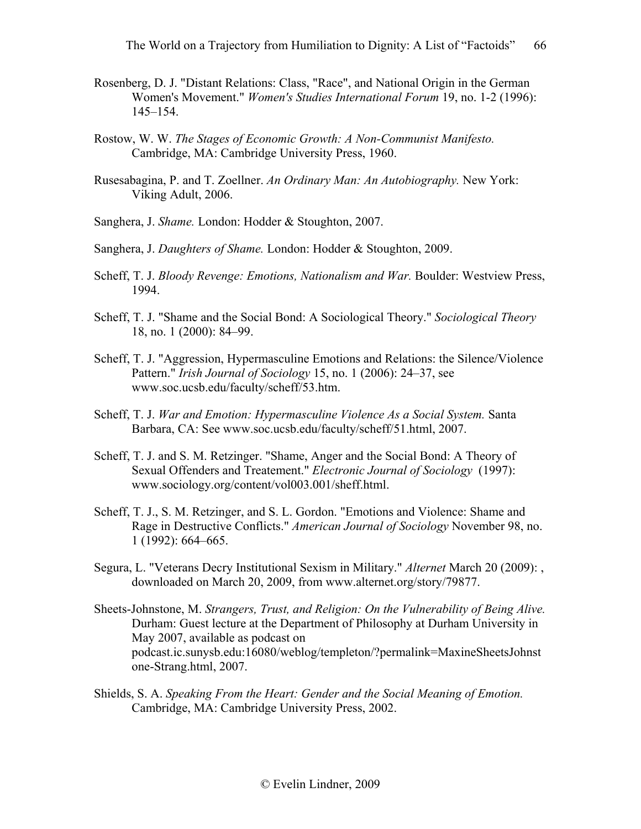- Rosenberg, D. J. "Distant Relations: Class, "Race", and National Origin in the German Women's Movement." *Women's Studies International Forum* 19, no. 1-2 (1996): 145–154.
- Rostow, W. W. *The Stages of Economic Growth: A Non-Communist Manifesto.*  Cambridge, MA: Cambridge University Press, 1960.
- Rusesabagina, P. and T. Zoellner. *An Ordinary Man: An Autobiography.* New York: Viking Adult, 2006.
- Sanghera, J. *Shame.* London: Hodder & Stoughton, 2007.
- Sanghera, J. *Daughters of Shame.* London: Hodder & Stoughton, 2009.
- Scheff, T. J. *Bloody Revenge: Emotions, Nationalism and War.* Boulder: Westview Press, 1994.
- Scheff, T. J. "Shame and the Social Bond: A Sociological Theory." *Sociological Theory*  18, no. 1 (2000): 84–99.
- Scheff, T. J. "Aggression, Hypermasculine Emotions and Relations: the Silence/Violence Pattern." *Irish Journal of Sociology* 15, no. 1 (2006): 24–37, see [www.soc.ucsb.edu/faculty/scheff/53.htm.](http://www.soc.ucsb.edu/faculty/scheff/53.htm)
- Scheff, T. J. *War and Emotion: Hypermasculine Violence As a Social System. Santa* Barbara, CA: See [www.soc.ucsb.edu/faculty/scheff/51.html](http://www.soc.ucsb.edu/faculty/scheff/51.html), 2007.
- Scheff, T. J. and S. M. Retzinger. "Shame, Anger and the Social Bond: A Theory of Sexual Offenders and Treatement." *Electronic Journal of Sociology* (1997): [www.sociology.org/content/vol003.001/sheff.html](http://www.sociology.org/content/vol003.001/sheff.html).
- Scheff, T. J., S. M. Retzinger, and S. L. Gordon. "Emotions and Violence: Shame and Rage in Destructive Conflicts." *American Journal of Sociology* November 98, no. 1 (1992): 664–665.
- Segura, L. "Veterans Decry Institutional Sexism in Military." *Alternet* March 20 (2009): , downloaded on March 20, 2009, from [www.alternet.org/story/79877.](http://www.alternet.org/story/79877)
- Sheets-Johnstone, M. *Strangers, Trust, and Religion: On the Vulnerability of Being Alive.*  Durham: Guest lecture at the Department of Philosophy at Durham University in May 2007, available as podcast on podcast.ic.sunysb.edu:16080/weblog/templeton/?permalink=MaxineSheetsJohnst one-Strang.html, 2007.
- Shields, S. A. *Speaking From the Heart: Gender and the Social Meaning of Emotion.*  Cambridge, MA: Cambridge University Press, 2002.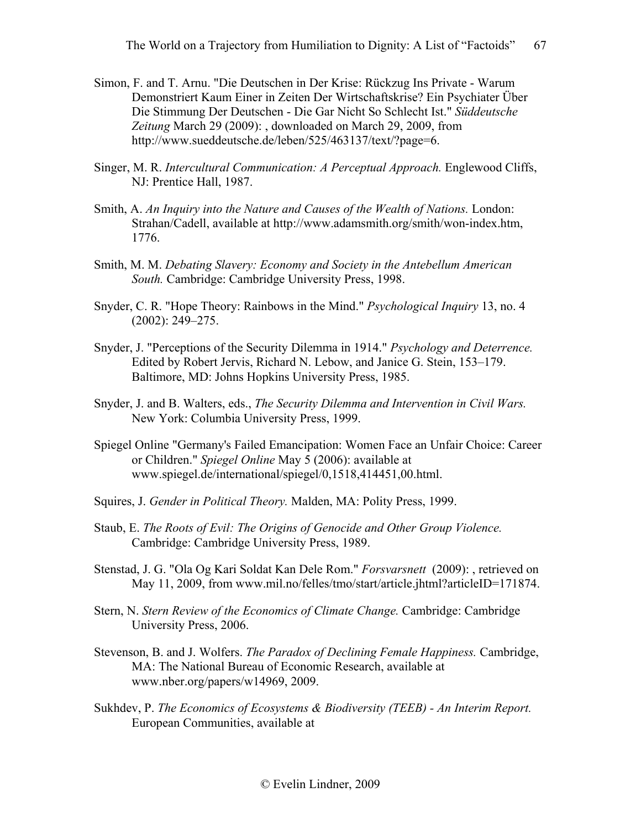- Simon, F. and T. Arnu. "Die Deutschen in Der Krise: Rückzug Ins Private Warum Demonstriert Kaum Einer in Zeiten Der Wirtschaftskrise? Ein Psychiater Über Die Stimmung Der Deutschen - Die Gar Nicht So Schlecht Ist." *Süddeutsche Zeitung* March 29 (2009): , downloaded on March 29, 2009, from <http://www.sueddeutsche.de/leben/525/463137/text/?page=6>.
- Singer, M. R. *Intercultural Communication: A Perceptual Approach.* Englewood Cliffs, NJ: Prentice Hall, 1987.
- Smith, A. An Inquiry into the Nature and Causes of the Wealth of Nations. London: Strahan/Cadell, available at [http://www.adamsmith.org/smith/won-index.htm,](http://www.adamsmith.org/smith/won-index.htm) 1776.
- Smith, M. M. *Debating Slavery: Economy and Society in the Antebellum American South.* Cambridge: Cambridge University Press, 1998.
- Snyder, C. R. "Hope Theory: Rainbows in the Mind." *Psychological Inquiry* 13, no. 4 (2002): 249–275.
- Snyder, J. "Perceptions of the Security Dilemma in 1914." *Psychology and Deterrence.* Edited by Robert Jervis, Richard N. Lebow, and Janice G. Stein, 153–179. Baltimore, MD: Johns Hopkins University Press, 1985.
- Snyder, J. and B. Walters, eds., *The Security Dilemma and Intervention in Civil Wars.*  New York: Columbia University Press, 1999.
- Spiegel Online "Germany's Failed Emancipation: Women Face an Unfair Choice: Career or Children." *Spiegel Online* May 5 (2006): available at [www.spiegel.de/international/spiegel/0,1518,414451,00.html.](http://www.spiegel.de/international/spiegel/0,1518,414451,00.html)
- Squires, J. *Gender in Political Theory.* Malden, MA: Polity Press, 1999.
- Staub, E. *The Roots of Evil: The Origins of Genocide and Other Group Violence.*  Cambridge: Cambridge University Press, 1989.
- Stenstad, J. G. "Ola Og Kari Soldat Kan Dele Rom." *Forsvarsnett* (2009): , retrieved on May 11, 2009, from [www.mil.no/felles/tmo/start/article.jhtml?articleID=171874](http://www.mil.no/felles/tmo/start/article.jhtml?articleID=171874).
- Stern, N. *Stern Review of the Economics of Climate Change.* Cambridge: Cambridge University Press, 2006.
- Stevenson, B. and J. Wolfers. *The Paradox of Declining Female Happiness.* Cambridge, MA: The National Bureau of Economic Research, available at [www.nber.org/papers/w14969,](http://www.nber.org/papers/w14969) 2009.
- Sukhdev, P. *The Economics of Ecosystems & Biodiversity (TEEB) An Interim Report.*  European Communities, available at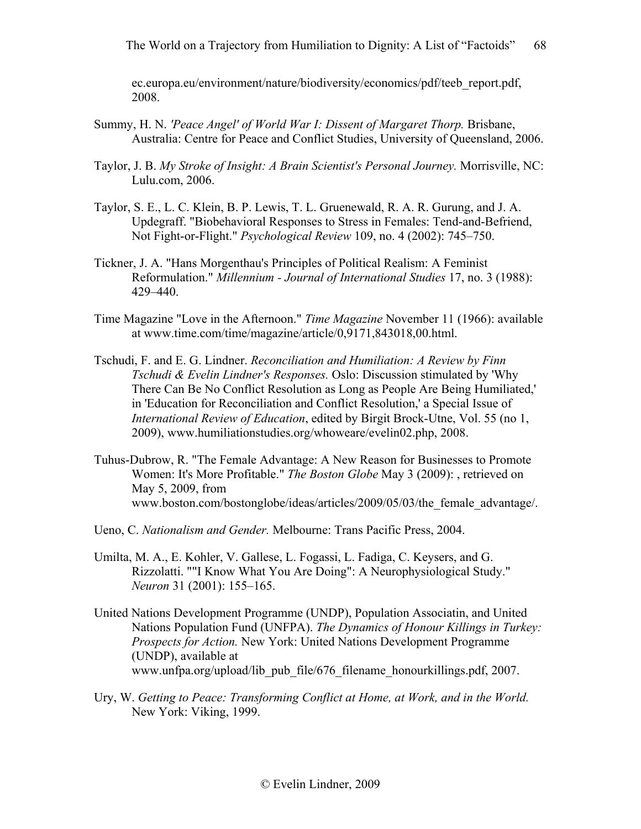ec.europa.eu/environment/nature/biodiversity/economics/pdf/teeb\_report.pdf, 2008.

- Summy, H. N. *'Peace Angel' of World War I: Dissent of Margaret Thorp.* Brisbane, Australia: Centre for Peace and Conflict Studies, University of Queensland, 2006.
- Taylor, J. B. *My Stroke of Insight: A Brain Scientist's Personal Journey.* Morrisville, NC: Lulu.com, 2006.
- Taylor, S. E., L. C. Klein, B. P. Lewis, T. L. Gruenewald, R. A. R. Gurung, and J. A. Updegraff. "Biobehavioral Responses to Stress in Females: Tend-and-Befriend, Not Fight-or-Flight." *Psychological Review* 109, no. 4 (2002): 745–750.
- Tickner, J. A. "Hans Morgenthau's Principles of Political Realism: A Feminist Reformulation." *Millennium - Journal of International Studies* 17, no. 3 (1988): 429–440.
- Time Magazine "Love in the Afternoon." *Time Magazine* November 11 (1966): available at [www.time.com/time/magazine/article/0,9171,843018,00.html](http://www.time.com/time/magazine/article/0,9171,843018,00.html).
- Tschudi, F. and E. G. Lindner. *Reconciliation and Humiliation: A Review by Finn Tschudi & Evelin Lindner's Responses.* Oslo: Discussion stimulated by 'Why There Can Be No Conflict Resolution as Long as People Are Being Humiliated,' in 'Education for Reconciliation and Conflict Resolution,' a Special Issue of *International Review of Education*, edited by Birgit Brock-Utne, Vol. 55 (no 1, 2009), [www.humiliationstudies.org/whoweare/evelin02.php,](http://www.humiliationstudies.org/whoweare/evelin02.php) 2008.
- Tuhus-Dubrow, R. "The Female Advantage: A New Reason for Businesses to Promote Women: It's More Profitable." *The Boston Globe* May 3 (2009): , retrieved on May 5, 2009, from [www.boston.com/bostonglobe/ideas/articles/2009/05/03/the\\_female\\_advantage/](http://www.boston.com/bostonglobe/ideas/articles/2009/05/03/the_female_advantage/).
- Ueno, C. *Nationalism and Gender.* Melbourne: Trans Pacific Press, 2004.
- Umilta, M. A., E. Kohler, V. Gallese, L. Fogassi, L. Fadiga, C. Keysers, and G. Rizzolatti. ""I Know What You Are Doing": A Neurophysiological Study." *Neuron* 31 (2001): 155–165.
- United Nations Development Programme (UNDP), Population Associatin, and United Nations Population Fund (UNFPA). *The Dynamics of Honour Killings in Turkey: Prospects for Action.* New York: United Nations Development Programme (UNDP), available at [www.unfpa.org/upload/lib\\_pub\\_file/676\\_filename\\_honourkillings.pdf,](http://www.unfpa.org/upload/lib_pub_file/676_filename_honourkillings.pdf) 2007.
- Ury, W. *Getting to Peace: Transforming Conflict at Home, at Work, and in the World.*  New York: Viking, 1999.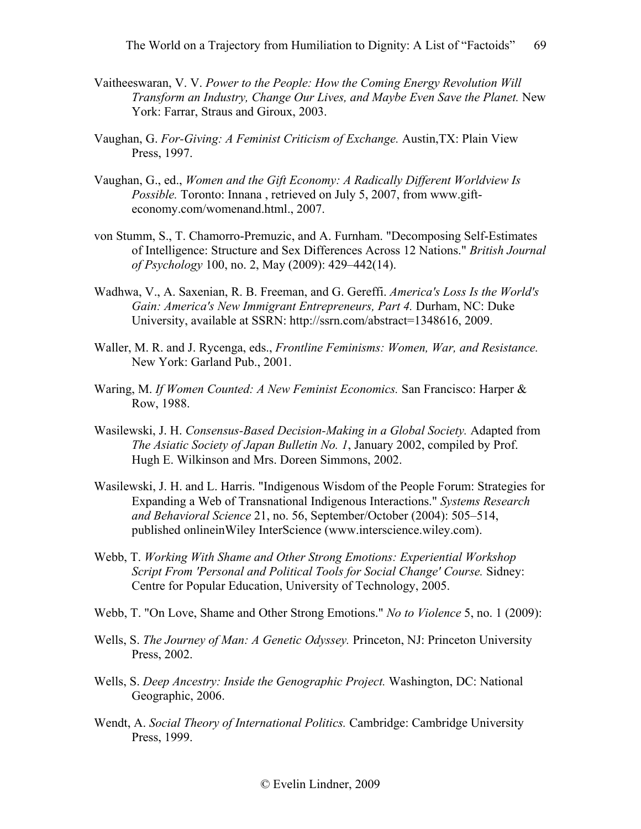- Vaitheeswaran, V. V. *Power to the People: How the Coming Energy Revolution Will Transform an Industry, Change Our Lives, and Maybe Even Save the Planet.* New York: Farrar, Straus and Giroux, 2003.
- Vaughan, G. *For-Giving: A Feminist Criticism of Exchange.* Austin,TX: Plain View Press, 1997.
- Vaughan, G., ed., *Women and the Gift Economy: A Radically Different Worldview Is Possible.* Toronto: Innana, retrieved on July 5, 2007, from [www.gift](http://www.gift-economy.com/womenand.html.)[economy.com/womenand.html.,](http://www.gift-economy.com/womenand.html.) 2007.
- von Stumm, S., T. Chamorro-Premuzic, and A. Furnham. "Decomposing Self-Estimates of Intelligence: Structure and Sex Differences Across 12 Nations." *British Journal of Psychology* 100, no. 2, May (2009): 429–442(14).
- Wadhwa, V., A. Saxenian, R. B. Freeman, and G. Gereffi. *America's Loss Is the World's Gain: America's New Immigrant Entrepreneurs, Part 4.* Durham, NC: Duke University, available at SSRN: [http://ssrn.com/abstract=1348616,](http://ssrn.com/abstract=1348616) 2009.
- Waller, M. R. and J. Rycenga, eds., *Frontline Feminisms: Women, War, and Resistance.*  New York: Garland Pub., 2001.
- Waring, M. *If Women Counted: A New Feminist Economics.* San Francisco: Harper & Row, 1988.
- Wasilewski, J. H. *Consensus-Based Decision-Making in a Global Society.* Adapted from *The Asiatic Society of Japan Bulletin No. 1*, January 2002, compiled by Prof. Hugh E. Wilkinson and Mrs. Doreen Simmons, 2002.
- Wasilewski, J. H. and L. Harris. "Indigenous Wisdom of the People Forum: Strategies for Expanding a Web of Transnational Indigenous Interactions." *Systems Research and Behavioral Science* 21, no. 56, September/October (2004): 505–514, published onlineinWiley InterScience [\(www.interscience.wiley.com\).](http://www.interscience.wiley.com)/)
- Webb, T. *Working With Shame and Other Strong Emotions: Experiential Workshop Script From 'Personal and Political Tools for Social Change' Course.* Sidney: Centre for Popular Education, University of Technology, 2005.
- Webb, T. "On Love, Shame and Other Strong Emotions." *No to Violence* 5, no. 1 (2009):
- Wells, S. *The Journey of Man: A Genetic Odyssey.* Princeton, NJ: Princeton University Press, 2002.
- Wells, S. *Deep Ancestry: Inside the Genographic Project.* Washington, DC: National Geographic, 2006.
- Wendt, A. *Social Theory of International Politics.* Cambridge: Cambridge University Press, 1999.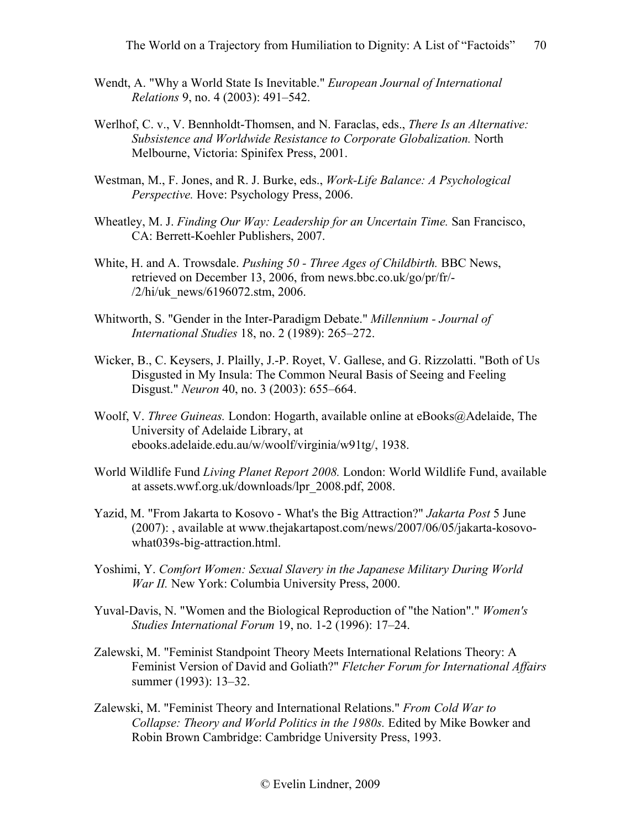- Wendt, A. "Why a World State Is Inevitable." *European Journal of International Relations* 9, no. 4 (2003): 491–542.
- Werlhof, C. v., V. Bennholdt-Thomsen, and N. Faraclas, eds., *There Is an Alternative: Subsistence and Worldwide Resistance to Corporate Globalization.* North Melbourne, Victoria: Spinifex Press, 2001.
- Westman, M., F. Jones, and R. J. Burke, eds., *Work-Life Balance: A Psychological Perspective.* Hove: Psychology Press, 2006.
- Wheatley, M. J. *Finding Our Way: Leadership for an Uncertain Time.* San Francisco, CA: Berrett-Koehler Publishers, 2007.
- White, H. and A. Trowsdale. *Pushing 50 Three Ages of Childbirth.* BBC News, retrieved on December 13, 2006, from news.bbc.co.uk/go/pr/fr/- /2/hi/uk\_news/6196072.stm, 2006.
- Whitworth, S. "Gender in the Inter-Paradigm Debate." *Millennium Journal of International Studies* 18, no. 2 (1989): 265–272.
- Wicker, B., C. Keysers, J. Plailly, J.-P. Royet, V. Gallese, and G. Rizzolatti. "Both of Us Disgusted in My Insula: The Common Neural Basis of Seeing and Feeling Disgust." *Neuron* 40, no. 3 (2003): 655–664.
- Woolf, V. *Three Guineas.* London: Hogarth, available online at eBooks@Adelaide, The University of Adelaide Library, at ebooks.adelaide.edu.au/w/woolf/virginia/w91tg/, 1938.
- World Wildlife Fund *Living Planet Report 2008.* London: World Wildlife Fund, available at assets.wwf.org.uk/downloads/lpr\_2008.pdf, 2008.
- Yazid, M. "From Jakarta to Kosovo What's the Big Attraction?" *Jakarta Post* 5 June (2007): , available at [www.thejakartapost.com/news/2007/06/05/jakarta-kosovo](http://www.thejakartapost.com/news/2007/06/05/jakarta-kosovo-what039s-big-attraction.html)[what039s-big-attraction.html.](http://www.thejakartapost.com/news/2007/06/05/jakarta-kosovo-what039s-big-attraction.html)
- Yoshimi, Y. *Comfort Women: Sexual Slavery in the Japanese Military During World War II.* New York: Columbia University Press, 2000.
- Yuval-Davis, N. "Women and the Biological Reproduction of "the Nation"." *Women's Studies International Forum* 19, no. 1-2 (1996): 17–24.
- Zalewski, M. "Feminist Standpoint Theory Meets International Relations Theory: A Feminist Version of David and Goliath?" *Fletcher Forum for International Affairs*  summer (1993): 13–32.
- Zalewski, M. "Feminist Theory and International Relations." *From Cold War to Collapse: Theory and World Politics in the 1980s.* Edited by Mike Bowker and Robin Brown Cambridge: Cambridge University Press, 1993.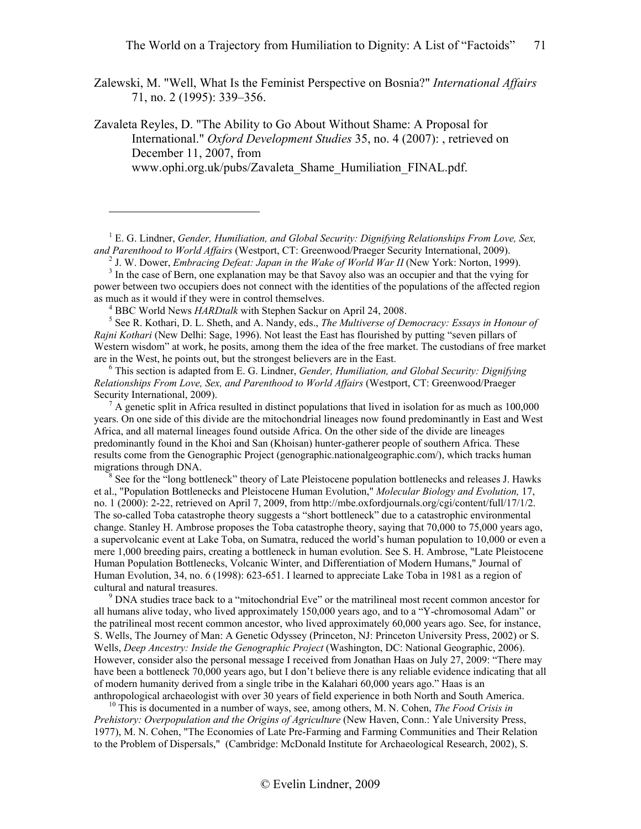Zalewski, M. "Well, What Is the Feminist Perspective on Bosnia?" *International Affairs*  71, no. 2 (1995): 339–356.

Zavaleta Reyles, D. "The Ability to Go About Without Shame: A Proposal for International." *Oxford Development Studies* 35, no. 4 (2007): , retrieved on December 11, 2007, from [www.ophi.org.uk/pubs/Zavaleta\\_Shame\\_Humiliation\\_FINAL.pdf.](http://www.ophi.org.uk/pubs/Zavaleta_Shame_Humiliation_FINAL.pdf)

<sup>1</sup> E. G. Lindner, *Gender, Humiliation, and Global Security: Dignifying Relationships From Love, Sex, and Parenthood to World Affairs* (Westport, CT: Greenwood/Praeger Security International, 2009). 2

<sup>2</sup> J. W. Dower, *Embracing Defeat: Japan in the Wake of World War II* (New York: Norton, 1999).

<sup>3</sup> In the case of Bern, one explanation may be that Savoy also was an occupier and that the vying for power between two occupiers does not connect with the identities of the populations of the affected region as much as it would if they were in control themselves. 4

<sup>4</sup> BBC World News *HARDtalk* with Stephen Sackur on April 24, 2008.

 $\overline{a}$ 

<sup>5</sup> See R. Kothari, D. L. Sheth, and A. Nandy, eds., *The Multiverse of Democracy: Essays in Honour of Rajni Kothari* (New Delhi: Sage, 1996). Not least the East has flourished by putting "seven pillars of Western wisdom" at work, he posits, among them the idea of the free market. The custodians of free market are in the West, he points out, but the strongest believers are in the East. 6

 This section is adapted from E. G. Lindner, *Gender, Humiliation, and Global Security: Dignifying Relationships From Love, Sex, and Parenthood to World Affairs* (Westport, CT: Greenwood/Praeger Security International, 2009).

 $A$  genetic split in Africa resulted in distinct populations that lived in isolation for as much as 100,000 years. On one side of this divide are the mitochondrial lineages now found predominantly in East and West Africa, and all maternal lineages found outside Africa. On the other side of the divide are lineages predominantly found in the Khoi and San (Khoisan) hunter-gatherer people of southern Africa. These results come from the Genographic Project (genographic.nationalgeographic.com/), which tracks human migrations through DNA. 8

See for the "long bottleneck" theory of Late Pleistocene population bottlenecks and releases J. Hawks et al., "Population Bottlenecks and Pleistocene Human Evolution," *Molecular Biology and Evolution,* 17, no. 1 (2000): 2-22, retrieved on April 7, 2009, from http://mbe.oxfordjournals.org/cgi/content/full/17/1/2. The so-called Toba catastrophe theory suggests a "short bottleneck" due to a catastrophic environmental change. Stanley H. Ambrose proposes the Toba catastrophe theory, saying that 70,000 to 75,000 years ago, a supervolcanic event at Lake Toba, on Sumatra, reduced the world's human population to 10,000 or even a mere 1,000 breeding pairs, creating a bottleneck in human evolution. See S. H. Ambrose, "Late Pleistocene Human Population Bottlenecks, Volcanic Winter, and Differentiation of Modern Humans," Journal of Human Evolution, 34, no. 6 (1998): 623-651. I learned to appreciate Lake Toba in 1981 as a region of cultural and natural treasures.

 $9$  DNA studies trace back to a "mitochondrial Eve" or the matrilineal most recent common ancestor for all humans alive today, who lived approximately 150,000 years ago, and to a "Y-chromosomal Adam" or the patrilineal most recent common ancestor, who lived approximately 60,000 years ago. See, for instance, S. Wells, The Journey of Man: A Genetic Odyssey (Princeton, NJ: Princeton University Press, 2002) or S. Wells, *Deep Ancestry: Inside the Genographic Project* (Washington, DC: National Geographic, 2006). However, consider also the personal message I received from Jonathan Haas on July 27, 2009: "There may have been a bottleneck 70,000 years ago, but I don't believe there is any reliable evidence indicating that all of modern humanity derived from a single tribe in the Kalahari 60,000 years ago." Haas is an

anthropological archaeologist with over 30 years of field experience in both North and South America. 10 This is documented in a number of ways, see, among others, M. N. Cohen, *The Food Crisis in Prehistory: Overpopulation and the Origins of Agriculture* (New Haven, Conn.: Yale University Press, 1977), M. N. Cohen, "The Economies of Late Pre-Farming and Farming Communities and Their Relation to the Problem of Dispersals," (Cambridge: McDonald Institute for Archaeological Research, 2002), S.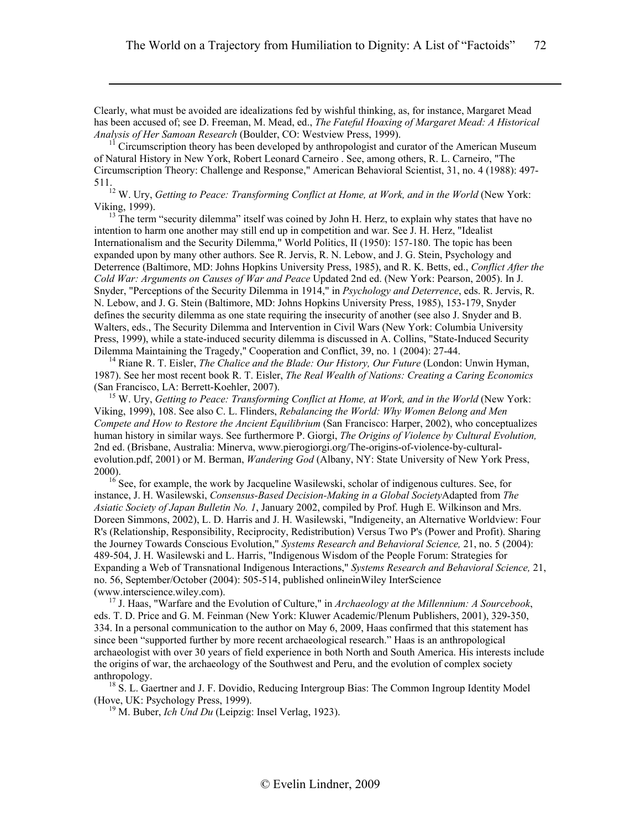Clearly, what must be avoided are idealizations fed by wishful thinking, as, for instance, Margaret Mead has been accused of; see D. Freeman, M. Mead, ed., *The Fateful Hoaxing of Margaret Mead: A Historical* 

 $\overline{a}$ 

<sup>11</sup> Circumscription theory has been developed by anthropologist and curator of the American Museum of Natural History in New York, Robert Leonard Carneiro . See, among others, R. L. Carneiro, "The Circumscription Theory: Challenge and Response," American Behavioral Scientist, 31, no. 4 (1988): 497-

511.<br><sup>12</sup> W. Ury, *Getting to Peace: Transforming Conflict at Home, at Work, and in the World* (New York:<br>Viking, 1999).

 $^{13}$  The term "security dilemma" itself was coined by John H. Herz, to explain why states that have no intention to harm one another may still end up in competition and war. See J. H. Herz, "Idealist Internationalism and the Security Dilemma," World Politics, II (1950): 157-180. The topic has been expanded upon by many other authors. See R. Jervis, R. N. Lebow, and J. G. Stein, Psychology and Deterrence (Baltimore, MD: Johns Hopkins University Press, 1985), and R. K. Betts, ed., *Conflict After the Cold War: Arguments on Causes of War and Peace* Updated 2nd ed. (New York: Pearson, 2005). In J. Snyder, "Perceptions of the Security Dilemma in 1914," in *Psychology and Deterrence*, eds. R. Jervis, R. N. Lebow, and J. G. Stein (Baltimore, MD: Johns Hopkins University Press, 1985), 153-179, Snyder defines the security dilemma as one state requiring the insecurity of another (see also J. Snyder and B. Walters, eds., The Security Dilemma and Intervention in Civil Wars (New York: Columbia University Press, 1999), while a state-induced security dilemma is discussed in A. Collins, "State-Induced Security Dilemma Maintaining the Tragedy," Cooperation and Conflict, 39, no. 1 (2004): 27-44.<br><sup>14</sup> Riane R. T. Eisler, *The Chalice and the Blade: Our History, Our Future* (London: Unwin Hyman,

1987). See her most recent book R. T. Eisler, *The Real Wealth of Nations: Creating a Caring Economics*  (San Francisco, LA: Berrett-Koehler, 2007).<br><sup>15</sup> W. Ury, *Getting to Peace: Transforming Conflict at Home, at Work, and in the World* (New York:

Viking, 1999), 108. See also C. L. Flinders, *Rebalancing the World: Why Women Belong and Men Compete and How to Restore the Ancient Equilibrium* (San Francisco: Harper, 2002), who conceptualizes human history in similar ways. See furthermore P. Giorgi, *The Origins of Violence by Cultural Evolution,*  2nd ed. (Brisbane, Australia: Minerva, www.pierogiorgi.org/The-origins-of-violence-by-culturalevolution.pdf, 2001) or M. Berman, *Wandering God* (Albany, NY: State University of New York Press, 2000). 16 See, for example, the work by Jacqueline Wasilewski, scholar of indigenous cultures. See, for

instance, J. H. Wasilewski, *Consensus-Based Decision-Making in a Global Society*Adapted from *The Asiatic Society of Japan Bulletin No. 1*, January 2002, compiled by Prof. Hugh E. Wilkinson and Mrs. Doreen Simmons, 2002), L. D. Harris and J. H. Wasilewski, "Indigeneity, an Alternative Worldview: Four R's (Relationship, Responsibility, Reciprocity, Redistribution) Versus Two P's (Power and Profit). Sharing the Journey Towards Conscious Evolution," *Systems Research and Behavioral Science,* 21, no. 5 (2004): 489-504, J. H. Wasilewski and L. Harris, "Indigenous Wisdom of the People Forum: Strategies for Expanding a Web of Transnational Indigenous Interactions," *Systems Research and Behavioral Science,* 21, no. 56, September/October (2004): 505-514, published onlineinWiley InterScience

(www.interscience.wiley.com). 17 J. Haas, "Warfare and the Evolution of Culture," in *Archaeology at the Millennium: A Sourcebook*, eds. T. D. Price and G. M. Feinman (New York: Kluwer Academic/Plenum Publishers, 2001), 329-350, 334. In a personal communication to the author on May 6, 2009, Haas confirmed that this statement has since been "supported further by more recent archaeological research." Haas is an anthropological archaeologist with over 30 years of field experience in both North and South America. His interests include the origins of war, the archaeology of the Southwest and Peru, and the evolution of complex society anthropology. 18 S. L. Gaertner and J. F. Dovidio, Reducing Intergroup Bias: The Common Ingroup Identity Model

(Hove, UK: Psychology Press, 1999).<br><sup>19</sup> M. Buber, *Ich Und Du* (Leipzig: Insel Verlag, 1923).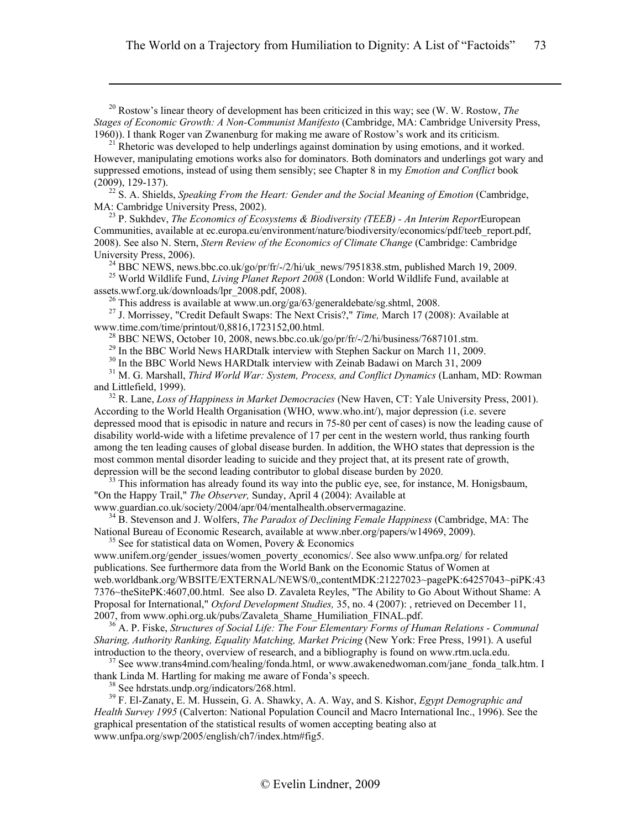20 Rostow's linear theory of development has been criticized in this way; see (W. W. Rostow, *The Stages of Economic Growth: A Non-Communist Manifesto* (Cambridge, MA: Cambridge University Press, 1960)). I thank Roger van Zwanenburg for making me aware of Rostow's work and its criticism.

<sup>21</sup> Rhetoric was developed to help underlings against domination by using emotions, and it worked. However, manipulating emotions works also for dominators. Both dominators and underlings got wary and suppressed emotions, instead of using them sensibly; see Chapter 8 in my *Emotion and Conflict* book

(2009), 129-137).<br><sup>22</sup> S. A. Shields, *Speaking From the Heart: Gender and the Social Meaning of Emotion* (Cambridge, MA: Cambridge University Press, 2002).

<sup>23</sup> P. Sukhdev, *The Economics of Ecosystems & Biodiversity (TEEB) - An Interim ReportEuropean* Communities, available at ec.europa.eu/environment/nature/biodiversity/economics/pdf/teeb\_report.pdf, 2008). See also N. Stern, *Stern Review of the Economics of Climate Change* (Cambridge: Cambridge University Press, 2006).<br><sup>24</sup> BBC NEWS, news.bbc.co.uk/go/pr/fr/-/2/hi/uk\_news/7951838.stm, published March 19, 2009.

25 World Wildlife Fund, *Living Planet Report 2008* (London: World Wildlife Fund, available at

 $\overline{a}$ 

assets.wwf.org.uk/downloads/lpr\_2008.pdf, 2008).<br><sup>26</sup> This address is available at www.un.org/ga/63/generaldebate/sg.shtml, 2008.<br><sup>27</sup> J. Morrissey, "Credit Default Swaps: The Next Crisis?," *Time*, March 17 (2008): Avail

<sup>28</sup> BBC NEWS, October 10, 2008, news.bbc.co.uk/go/pr/fr/-/2/hi/business/7687101.stm. <sup>29</sup> In the BBC World News HARDtalk interview with Stephen Sackur on March 11, 2009.

<sup>30</sup> In the BBC World News HARDtalk interview with Zeinab Badawi on March 31, 2009

<sup>31</sup> M. G. Marshall, *Third World War: System, Process, and Conflict Dynamics* (Lanham, MD: Rowman and Littlefield, 1999). 32 R. Lane, *Loss of Happiness in Market Democracies* (New Haven, CT: Yale University Press, 2001).

According to the World Health Organisation (WHO, www.who.int/), major depression (i.e. severe depressed mood that is episodic in nature and recurs in 75-80 per cent of cases) is now the leading cause of disability world-wide with a lifetime prevalence of 17 per cent in the western world, thus ranking fourth among the ten leading causes of global disease burden. In addition, the WHO states that depression is the most common mental disorder leading to suicide and they project that, at its present rate of growth, depression will be the second leading contributor to global disease burden by 2020.<br><sup>33</sup> This information has already found its way into the public eye, see, for instance, M. Honigsbaum,

"On the Happy Trail," *The Observer,* Sunday, April 4 (2004): Available at

<sup>34</sup> B. Stevenson and J. Wolfers, *The Paradox of Declining Female Happiness (Cambridge, MA: The* National Bureau of Economic Research, available at www.nber.org/papers/w14969, 2009). <sup>35</sup> See for statistical data on Women, Povery & Economics

www.unifem.org/gender\_issues/women\_poverty\_economics/. See also www.unfpa.org/ for related publications. See furthermore data from the World Bank on the Economic Status of Women at web.worldbank.org/WBSITE/EXTERNAL/NEWS/0,,contentMDK:21227023~pagePK:64257043~piPK:43 7376~theSitePK:4607,00.html. See also D. Zavaleta Reyles, "The Ability to Go About Without Shame: A Proposal for International," *Oxford Development Studies*, 35, no. 4 (2007): , retrieved on December 11, 2007, from www.ophi.org.uk/pubs/Zavaleta Shame Humiliation FINAL.pdf.

<sup>36</sup> A. P. Fiske, *Structures of Social Life: The Four Elementary Forms of Human Relations - Communal Sharing, Authority Ranking, Equality Matching, Market Pricing (New York: Free Press, 1991). A useful introduction to the theory, overview of research, and a bibliography is found on www.rtm.ucla.edu.* 

 $37$  See www.trans4mind.com/healing/fonda.html, or www.awakenedwoman.com/jane\_fonda\_talk.htm. I thank Linda M. Hartling for making me aware of Fonda's speech.<br><sup>38</sup> See hdrstats.undp.org/indicators/268.html.

39 F. El-Zanaty, E. M. Hussein, G. A. Shawky, A. A. Way, and S. Kishor, *Egypt Demographic and Health Survey 1995* (Calverton: National Population Council and Macro International Inc., 1996). See the graphical presentation of the statistical results of women accepting beating also at www.unfpa.org/swp/2005/english/ch7/index.htm#fig5.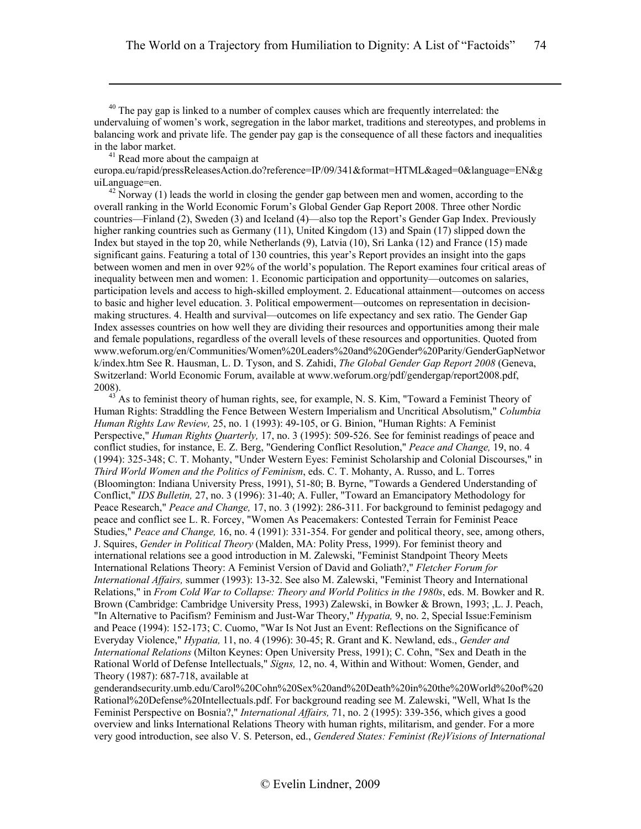$40$  The pay gap is linked to a number of complex causes which are frequently interrelated: the undervaluing of women's work, segregation in the labor market, traditions and stereotypes, and problems in balancing work and private life. The gender pay gap is the consequence of all these factors and inequalities in the labor market.<br> $41$  Read more about the campaign at

 $\overline{a}$ 

europa.eu/rapid/pressReleasesAction.do?reference=IP/09/341&format=HTML&aged=0&language=EN&g uiLanguage=en. 42 Norway (1) leads the world in closing the gender gap between men and women, according to the

overall ranking in the World Economic Forum's Global Gender Gap Report 2008. Three other Nordic countries—Finland (2), Sweden (3) and Iceland (4)—also top the Report's Gender Gap Index. Previously higher ranking countries such as Germany (11), United Kingdom (13) and Spain (17) slipped down the Index but stayed in the top 20, while Netherlands (9), Latvia (10), Sri Lanka (12) and France (15) made significant gains. Featuring a total of 130 countries, this year's Report provides an insight into the gaps between women and men in over 92% of the world's population. The Report examines four critical areas of inequality between men and women: 1. Economic participation and opportunity—outcomes on salaries, participation levels and access to high-skilled employment. 2. Educational attainment—outcomes on access to basic and higher level education. 3. Political empowerment—outcomes on representation in decisionmaking structures. 4. Health and survival—outcomes on life expectancy and sex ratio. The Gender Gap Index assesses countries on how well they are dividing their resources and opportunities among their male and female populations, regardless of the overall levels of these resources and opportunities. Quoted from www.weforum.org/en/Communities/Women%20Leaders%20and%20Gender%20Parity/GenderGapNetwor k/index.htm See R. Hausman, L. D. Tyson, and S. Zahidi, *The Global Gender Gap Report 2008* (Geneva, Switzerland: World Economic Forum, available at www.weforum.org/pdf/gendergap/report2008.pdf, 2008).<br><sup>43</sup> As to feminist theory of human rights, see, for example, N. S. Kim, "Toward a Feminist Theory of

Human Rights: Straddling the Fence Between Western Imperialism and Uncritical Absolutism," *Columbia Human Rights Law Review,* 25, no. 1 (1993): 49-105, or G. Binion, "Human Rights: A Feminist Perspective," *Human Rights Quarterly,* 17, no. 3 (1995): 509-526. See for feminist readings of peace and conflict studies, for instance, E. Z. Berg, "Gendering Conflict Resolution," *Peace and Change,* 19, no. 4 (1994): 325-348; C. T. Mohanty, "Under Western Eyes: Feminist Scholarship and Colonial Discourses," in *Third World Women and the Politics of Feminism*, eds. C. T. Mohanty, A. Russo, and L. Torres (Bloomington: Indiana University Press, 1991), 51-80; B. Byrne, "Towards a Gendered Understanding of Conflict," *IDS Bulletin,* 27, no. 3 (1996): 31-40; A. Fuller, "Toward an Emancipatory Methodology for Peace Research," *Peace and Change,* 17, no. 3 (1992): 286-311. For background to feminist pedagogy and peace and conflict see L. R. Forcey, "Women As Peacemakers: Contested Terrain for Feminist Peace Studies," *Peace and Change,* 16, no. 4 (1991): 331-354. For gender and political theory, see, among others, J. Squires, *Gender in Political Theory* (Malden, MA: Polity Press, 1999). For feminist theory and international relations see a good introduction in M. Zalewski, "Feminist Standpoint Theory Meets International Relations Theory: A Feminist Version of David and Goliath?," *Fletcher Forum for International Affairs,* summer (1993): 13-32. See also M. Zalewski, "Feminist Theory and International Relations," in *From Cold War to Collapse: Theory and World Politics in the 1980s*, eds. M. Bowker and R. Brown (Cambridge: Cambridge University Press, 1993) Zalewski, in Bowker & Brown, 1993; ,L. J. Peach, "In Alternative to Pacifism? Feminism and Just-War Theory," *Hypatia,* 9, no. 2, Special Issue:Feminism and Peace (1994): 152-173; C. Cuomo, "War Is Not Just an Event: Reflections on the Significance of Everyday Violence," *Hypatia,* 11, no. 4 (1996): 30-45; R. Grant and K. Newland, eds., *Gender and International Relations* (Milton Keynes: Open University Press, 1991); C. Cohn, "Sex and Death in the Rational World of Defense Intellectuals," *Signs,* 12, no. 4, Within and Without: Women, Gender, and Theory (1987): 687-718, available at

genderandsecurity.umb.edu/Carol%20Cohn%20Sex%20and%20Death%20in%20the%20World%20of%20 Rational%20Defense%20Intellectuals.pdf. For background reading see M. Zalewski, "Well, What Is the Feminist Perspective on Bosnia?," *International Affairs,* 71, no. 2 (1995): 339-356, which gives a good overview and links International Relations Theory with human rights, militarism, and gender. For a more very good introduction, see also V. S. Peterson, ed., *Gendered States: Feminist (Re)Visions of International*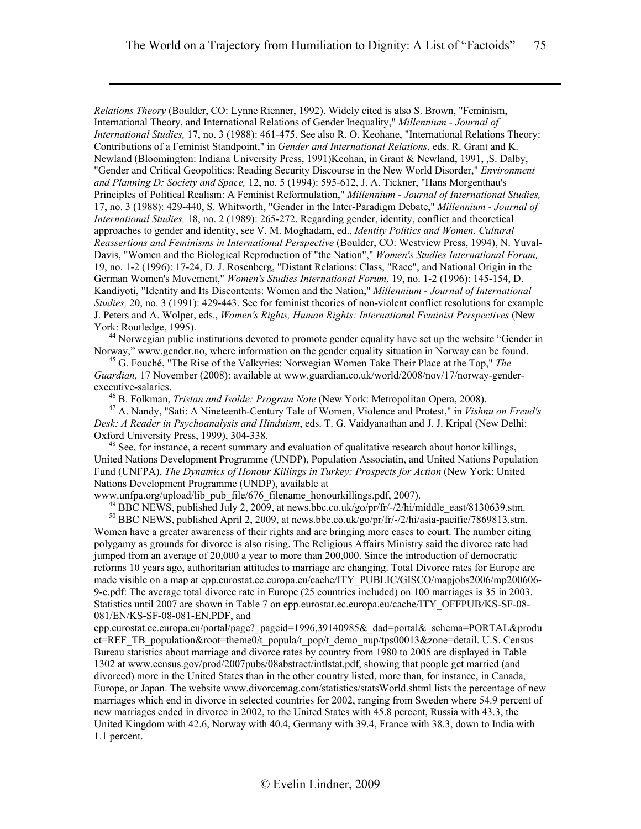$\overline{a}$ 

*Relations Theory* (Boulder, CO: Lynne Rienner, 1992). Widely cited is also S. Brown, "Feminism, International Theory, and International Relations of Gender Inequality," *Millennium - Journal of International Studies,* 17, no. 3 (1988): 461-475. See also R. O. Keohane, "International Relations Theory: Contributions of a Feminist Standpoint," in *Gender and International Relations*, eds. R. Grant and K. Newland (Bloomington: Indiana University Press, 1991)Keohan, in Grant & Newland, 1991, ,S. Dalby, "Gender and Critical Geopolitics: Reading Security Discourse in the New World Disorder," *Environment and Planning D: Society and Space,* 12, no. 5 (1994): 595-612, J. A. Tickner, "Hans Morgenthau's Principles of Political Realism: A Feminist Reformulation," *Millennium - Journal of International Studies,*  17, no. 3 (1988): 429-440, S. Whitworth, "Gender in the Inter-Paradigm Debate," *Millennium - Journal of International Studies,* 18, no. 2 (1989): 265-272. Regarding gender, identity, conflict and theoretical approaches to gender and identity, see V. M. Moghadam, ed., *Identity Politics and Women. Cultural Reassertions and Feminisms in International Perspective* (Boulder, CO: Westview Press, 1994), N. Yuval-Davis, "Women and the Biological Reproduction of "the Nation"," *Women's Studies International Forum,*  19, no. 1-2 (1996): 17-24, D. J. Rosenberg, "Distant Relations: Class, "Race", and National Origin in the German Women's Movement," *Women's Studies International Forum,* 19, no. 1-2 (1996): 145-154, D. Kandiyoti, "Identity and Its Discontents: Women and the Nation," *Millennium - Journal of International Studies,* 20, no. 3 (1991): 429-443. See for feminist theories of non-violent conflict resolutions for example J. Peters and A. Wolper, eds., *Women's Rights, Human Rights: International Feminist Perspectives* (New

York: Routledge, 1995).<br><sup>44</sup> Norwegian public institutions devoted to promote gender equality have set up the website "Gender in<br>Norway," www.gender.no, where information on the gender equality situation in Norway can be f

<sup>45</sup> G. Fouché, "The Rise of the Valkyries: Norwegian Women Take Their Place at the Top," The *Guardian,* 17 November (2008): available at www.guardian.co.uk/world/2008/nov/17/norway-gender-

executive-salaries. 46 B. Folkman, *Tristan and Isolde: Program Note* (New York: Metropolitan Opera, 2008). 47 A. Nandy, "Sati: A Nineteenth-Century Tale of Women, Violence and Protest," in *Vishnu on Freud's Desk: A Reader in Psychoanalysis and Hinduism*, eds. T. G. Vaidyanathan and J. J. Kripal (New Delhi: Oxford University Press, 1999), 304-338.<br><sup>48</sup> See, for instance, a recent summary and evaluation of qualitative research about honor killings,

United Nations Development Programme (UNDP), Population Associatin, and United Nations Population Fund (UNFPA), *The Dynamics of Honour Killings in Turkey: Prospects for Action* (New York: United Nations Development Programme (UNDP), available at

www.unfpa.org/upload/lib\_pub\_file/676\_filename\_honourkillings.pdf, 2007).<br><sup>49</sup> BBC NEWS, published July 2, 2009, at news.bbc.co.uk/go/pr/fr/-/2/hi/middle\_east/8130639.stm.

<sup>50</sup> BBC NEWS, published April 2, 2009, at news.bbc.co.uk/go/pr/fr/-/2/hi/asia-pacific/7869813.stm. Women have a greater awareness of their rights and are bringing more cases to court. The number citing polygamy as grounds for divorce is also rising. The Religious Affairs Ministry said the divorce rate had jumped from an average of 20,000 a year to more than 200,000. Since the introduction of democratic reforms 10 years ago, authoritarian attitudes to marriage are changing. Total Divorce rates for Europe are made visible on a map at epp.eurostat.ec.europa.eu/cache/ITY\_PUBLIC/GISCO/mapjobs2006/mp200606-9-e.pdf: The average total divorce rate in Europe (25 countries included) on 100 marriages is 35 in 2003. Statistics until 2007 are shown in Table 7 on epp.eurostat.ec.europa.eu/cache/ITY\_OFFPUB/KS-SF-08- 081/EN/KS-SF-08-081-EN.PDF, and

epp.eurostat.ec.europa.eu/portal/page?\_pageid=1996,39140985&\_dad=portal&\_schema=PORTAL&produ  $ct=REF$  TB population&root=theme0/t\_popula/t\_pop/t\_demo\_nup/tps00013&zone=detail. U.S. Census Bureau statistics about marriage and divorce rates by country from 1980 to 2005 are displayed in Table 1302 at www.census.gov/prod/2007pubs/08abstract/intlstat.pdf, showing that people get married (and divorced) more in the United States than in the other country listed, more than, for instance, in Canada, Europe, or Japan. The website www.divorcemag.com/statistics/statsWorld.shtml lists the percentage of new marriages which end in divorce in selected countries for 2002, ranging from Sweden where 54.9 percent of new marriages ended in divorce in 2002, to the United States with 45.8 percent, Russia with 43.3, the United Kingdom with 42.6, Norway with 40.4, Germany with 39.4, France with 38.3, down to India with 1.1 percent.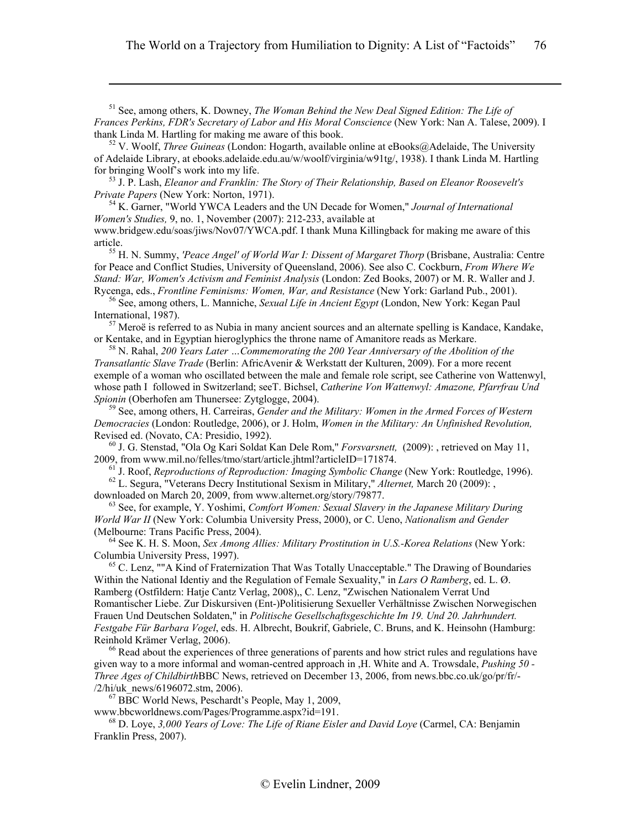51 See, among others, K. Downey, *The Woman Behind the New Deal Signed Edition: The Life of Frances Perkins, FDR's Secretary of Labor and His Moral Conscience* (New York: Nan A. Talese, 2009). I thank Linda M. Hartling for making me aware of this book.

 $\overline{a}$ 

<sup>52</sup> V. Woolf, *Three Guineas* (London: Hogarth, available online at eBooks@Adelaide. The University of Adelaide Library, at ebooks.adelaide.edu.au/w/woolf/virginia/w91tg/, 1938). I thank Linda M. Hartling

for bringing Woolf's work into my life.<br><sup>53</sup> J. P. Lash, *Eleanor and Franklin: The Story of Their Relationship, Based on Eleanor Roosevelt's Private Papers (New York: Norton, 1971).* 

<sup>54</sup> K. Garner, "World YWCA Leaders and the UN Decade for Women," *Journal of International Women's Studies,* 9, no. 1, November (2007): 212-233, available at www.bridgew.edu/soas/jiws/Nov07/YWCA.pdf. I thank Muna Killingback for making me aware of this

article.<br><sup>55</sup> H. N. Summy, *'Peace Angel' of World War I: Dissent of Margaret Thorp* (Brisbane, Australia: Centre

for Peace and Conflict Studies, University of Queensland, 2006). See also C. Cockburn, *From Where We Stand: War, Women's Activism and Feminist Analysis* (London: Zed Books, 2007) or M. R. Waller and J. Rycenga, eds., *Frontline Feminisms: Women, War, and Resistance* (New York: Garland Pub., 2001). 56 See, among others, L. Manniche, *Sexual Life in Ancient Egypt* (London, New York: Kegan Paul

International, 1987).<br><sup>57</sup> Meroë is referred to as Nubia in many ancient sources and an alternate spelling is Kandace, Kandake, or Kentake, and in Egyptian hieroglyphics the throne name of Amanitore reads as Merkare.

<sup>58</sup> N. Rahal, 200 Years Later …Commemorating the 200 Year Anniversary of the Abolition of the *Transatlantic Slave Trade* (Berlin: AfricAvenir & Werkstatt der Kulturen, 2009). For a more recent exemple of a woman who oscillated between the male and female role script, see Catherine von Wattenwyl, whose path I followed in Switzerland; seeT. Bichsel, *Catherine Von Wattenwyl: Amazone, Pfarrfrau Und Spionin* (Oberhofen am Thunersee: Zytglogge, 2004).<br><sup>59</sup> See, among others, H. Carreiras, *Gender and the Military: Women in the Armed Forces of Western* 

*Democracies* (London: Routledge, 2006), or J. Holm, *Women in the Military: An Unfinished Revolution,*  Revised ed. (Novato, CA: Presidio, 1992).<br><sup>60</sup> J. G. Stenstad, "Ola Og Kari Soldat Kan Dele Rom," *Forsvarsnett, (2009):* , retrieved on May 11,

2009, from www.mil.no/felles/tmo/start/article.jhtml?articleID=171874.<br><sup>61</sup> J. Roof, *Reproductions of Reproduction: Imaging Symbolic Change* (New York: Routledge, 1996).<br><sup>62</sup> L. Segura, "Veterans Decry Institutional Sexis

downloaded on March 20, 2009, from www.alternet.org/story/79877.<br><sup>63</sup> See, for example, Y. Yoshimi, *Comfort Women: Sexual Slavery in the Japanese Military During World War II* (New York: Columbia University Press, 2000), or C. Ueno, *Nationalism and Gender* 

(Melbourne: Trans Pacific Press, 2004).<br><sup>64</sup> See K. H. S. Moon, *Sex Among Allies: Military Prostitution in U.S.-Korea Relations* (New York: Columbia University Press, 1997).

 $<sup>65</sup>$  C. Lenz, ""A Kind of Fraternization That Was Totally Unacceptable." The Drawing of Boundaries</sup> Within the National Identiy and the Regulation of Female Sexuality," in *Lars O Ramberg*, ed. L. Ø. Ramberg (Ostfildern: Hatje Cantz Verlag, 2008),, C. Lenz, "Zwischen Nationalem Verrat Und Romantischer Liebe. Zur Diskursiven (Ent-)Politisierung Sexueller Verhältnisse Zwischen Norwegischen Frauen Und Deutschen Soldaten," in *Politische Gesellschaftsgeschichte Im 19. Und 20. Jahrhundert. Festgabe Für Barbara Vogel*, eds. H. Albrecht, Boukrif, Gabriele, C. Bruns, and K. Heinsohn (Hamburg: Reinhold Krämer Verlag, 2006).<br><sup>66</sup> Read about the experiences of three generations of parents and how strict rules and regulations have

given way to a more informal and woman-centred approach in ,H. White and A. Trowsdale, *Pushing 50 - Three Ages of Childbirth*BBC News, retrieved on December 13, 2006, from news.bbc.co.uk/go/pr/fr/-

 $^{67}$  BBC World News, Peschardt's People, May 1, 2009,

www.bbcworldnews.com/Pages/Programme.aspx?id=191. 68 D. Loye, *3,000 Years of Love: The Life of Riane Eisler and David Loye* (Carmel, CA: Benjamin Franklin Press, 2007).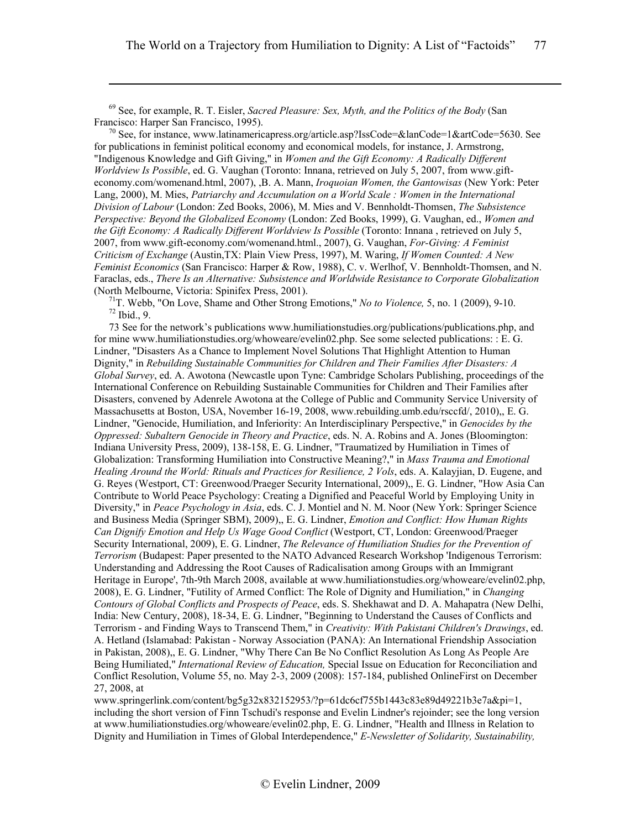69 See, for example, R. T. Eisler, *Sacred Pleasure: Sex, Myth, and the Politics of the Body* (San

 $\overline{a}$ 

<sup>70</sup> See, for instance, www.latinamericapress.org/article.asp?IssCode=&lanCode=1&artCode=5630. See for publications in feminist political economy and economical models, for instance, J. Armstrong, "Indigenous Knowledge and Gift Giving," in *Women and the Gift Economy: A Radically Different Worldview Is Possible*, ed. G. Vaughan (Toronto: Innana, retrieved on July 5, 2007, from www.gifteconomy.com/womenand.html, 2007), ,B. A. Mann, *Iroquoian Women, the Gantowisas* (New York: Peter Lang, 2000), M. Mies, *Patriarchy and Accumulation on a World Scale : Women in the International Division of Labour* (London: Zed Books, 2006), M. Mies and V. Bennholdt-Thomsen, *The Subsistence Perspective: Beyond the Globalized Economy* (London: Zed Books, 1999), G. Vaughan, ed., *Women and the Gift Economy: A Radically Different Worldview Is Possible* (Toronto: Innana , retrieved on July 5, 2007, from www.gift-economy.com/womenand.html., 2007), G. Vaughan, *For-Giving: A Feminist Criticism of Exchange* (Austin,TX: Plain View Press, 1997), M. Waring, *If Women Counted: A New Feminist Economics* (San Francisco: Harper & Row, 1988), C. v. Werlhof, V. Bennholdt-Thomsen, and N. Faraclas, eds., *There Is an Alternative: Subsistence and Worldwide Resistance to Corporate Globalization* 

(North Melbourne, Victoria: Spinifex Press, 2001).<br><sup>71</sup>T. Webb, "On Love, Shame and Other Strong Emotions," *No to Violence*, 5, no. 1 (2009), 9-10.<br><sup>72</sup> Ibid., 9.

73 See for the network's publications www.humiliationstudies.org/publications/publications.php, and for mine [www.humiliationstudies.org/whoweare/evelin02.php](http://www.humiliationstudies.org/whoweare/evelin02.php). See some selected publications: : E. G. Lindner, "Disasters As a Chance to Implement Novel Solutions That Highlight Attention to Human Dignity," in *Rebuilding Sustainable Communities for Children and Their Families After Disasters: A Global Survey*, ed. A. Awotona (Newcastle upon Tyne: Cambridge Scholars Publishing, proceedings of the International Conference on Rebuilding Sustainable Communities for Children and Their Families after Disasters, convened by Adenrele Awotona at the College of Public and Community Service University of Massachusetts at Boston, USA, November 16-19, 2008, www.rebuilding.umb.edu/rsccfd/, 2010),, E. G. Lindner, "Genocide, Humiliation, and Inferiority: An Interdisciplinary Perspective," in *Genocides by the Oppressed: Subaltern Genocide in Theory and Practice*, eds. N. A. Robins and A. Jones (Bloomington: Indiana University Press, 2009), 138-158, E. G. Lindner, "Traumatized by Humiliation in Times of Globalization: Transforming Humiliation into Constructive Meaning?," in *Mass Trauma and Emotional Healing Around the World: Rituals and Practices for Resilience, 2 Vols*, eds. A. Kalayjian, D. Eugene, and G. Reyes (Westport, CT: Greenwood/Praeger Security International, 2009),, E. G. Lindner, "How Asia Can Contribute to World Peace Psychology: Creating a Dignified and Peaceful World by Employing Unity in Diversity," in *Peace Psychology in Asia*, eds. C. J. Montiel and N. M. Noor (New York: Springer Science and Business Media (Springer SBM), 2009),, E. G. Lindner, *Emotion and Conflict: How Human Rights Can Dignify Emotion and Help Us Wage Good Conflict* (Westport, CT, London: Greenwood/Praeger Security International, 2009), E. G. Lindner, *The Relevance of Humiliation Studies for the Prevention of Terrorism* (Budapest: Paper presented to the NATO Advanced Research Workshop 'Indigenous Terrorism: Understanding and Addressing the Root Causes of Radicalisation among Groups with an Immigrant Heritage in Europe', 7th-9th March 2008, available at www.humiliationstudies.org/whoweare/evelin02.php, 2008), E. G. Lindner, "Futility of Armed Conflict: The Role of Dignity and Humiliation," in *Changing Contours of Global Conflicts and Prospects of Peace*, eds. S. Shekhawat and D. A. Mahapatra (New Delhi, India: New Century, 2008), 18-34, E. G. Lindner, "Beginning to Understand the Causes of Conflicts and Terrorism - and Finding Ways to Transcend Them," in *Creativity: With Pakistani Children's Drawings*, ed. A. Hetland (Islamabad: Pakistan - Norway Association (PANA): An International Friendship Association in Pakistan, 2008),, E. G. Lindner, "Why There Can Be No Conflict Resolution As Long As People Are Being Humiliated," *International Review of Education,* Special Issue on Education for Reconciliation and Conflict Resolution, Volume 55, no. May 2-3, 2009 (2008): 157-184, published OnlineFirst on December 27, 2008, at

www.springerlink.com/content/bg5g32x832152953/?p=61dc6cf755b1443c83e89d49221b3e7a&pi=1, including the short version of Finn Tschudi's response and Evelin Lindner's rejoinder; see the long version at www.humiliationstudies.org/whoweare/evelin02.php, E. G. Lindner, "Health and Illness in Relation to Dignity and Humiliation in Times of Global Interdependence," *E-Newsletter of Solidarity, Sustainability,*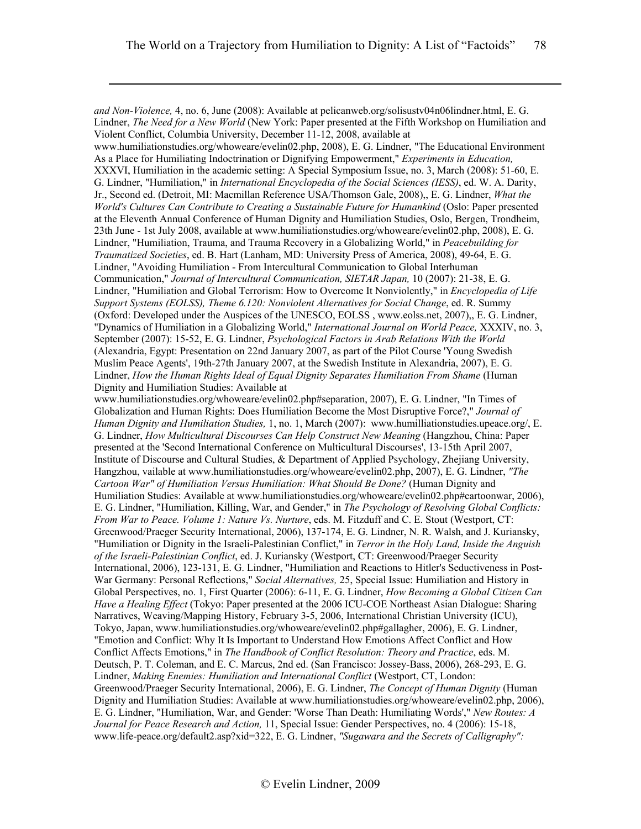$\overline{a}$ 

*and Non-Violence,* 4, no. 6, June (2008): Available at pelicanweb.org/solisustv04n06lindner.html, E. G. Lindner, *The Need for a New World* (New York: Paper presented at the Fifth Workshop on Humiliation and Violent Conflict, Columbia University, December 11-12, 2008, available at www.humiliationstudies.org/whoweare/evelin02.php, 2008), E. G. Lindner, "The Educational Environment As a Place for Humiliating Indoctrination or Dignifying Empowerment," *Experiments in Education,*  XXXVI, Humiliation in the academic setting: A Special Symposium Issue, no. 3, March (2008): 51-60, E. G. Lindner, "Humiliation," in *International Encyclopedia of the Social Sciences (IESS)*, ed. W. A. Darity, Jr., Second ed. (Detroit, MI: Macmillan Reference USA/Thomson Gale, 2008),, E. G. Lindner, *What the World's Cultures Can Contribute to Creating a Sustainable Future for Humankind* (Oslo: Paper presented at the Eleventh Annual Conference of Human Dignity and Humiliation Studies, Oslo, Bergen, Trondheim, 23th June - 1st July 2008, available at www.humiliationstudies.org/whoweare/evelin02.php, 2008), E. G. Lindner, "Humiliation, Trauma, and Trauma Recovery in a Globalizing World," in *Peacebuilding for Traumatized Societies*, ed. B. Hart (Lanham, MD: University Press of America, 2008), 49-64, E. G. Lindner, "Avoiding Humiliation - From Intercultural Communication to Global Interhuman Communication," *Journal of Intercultural Communication, SIETAR Japan,* 10 (2007): 21-38, E. G. Lindner, "Humiliation and Global Terrorism: How to Overcome It Nonviolently," in *Encyclopedia of Life Support Systems (EOLSS), Theme 6.120: Nonviolent Alternatives for Social Change*, ed. R. Summy (Oxford: Developed under the Auspices of the UNESCO, EOLSS , www.eolss.net, 2007),, E. G. Lindner, "Dynamics of Humiliation in a Globalizing World," *International Journal on World Peace,* XXXIV, no. 3, September (2007): 15-52, E. G. Lindner, *Psychological Factors in Arab Relations With the World* (Alexandria, Egypt: Presentation on 22nd January 2007, as part of the Pilot Course 'Young Swedish Muslim Peace Agents', 19th-27th January 2007, at the Swedish Institute in Alexandria, 2007), E. G. Lindner, *How the Human Rights Ideal of Equal Dignity Separates Humiliation From Shame* (Human Dignity and Humiliation Studies: Available at www.humiliationstudies.org/whoweare/evelin02.php#separation, 2007), E. G. Lindner, "In Times of Globalization and Human Rights: Does Humiliation Become the Most Disruptive Force?," *Journal of Human Dignity and Humiliation Studies,* 1, no. 1, March (2007): www.humilliationstudies.upeace.org/, E. G. Lindner, *How Multicultural Discourses Can Help Construct New Meaning* (Hangzhou, China: Paper presented at the 'Second International Conference on Multicultural Discourses', 13-15th April 2007, Institute of Discourse and Cultural Studies, & Department of Applied Psychology, Zhejiang University, Hangzhou, vailable at www.humiliationstudies.org/whoweare/evelin02.php, 2007), E. G. Lindner, *"The Cartoon War" of Humiliation Versus Humiliation: What Should Be Done?* (Human Dignity and Humiliation Studies: Available at www.humiliationstudies.org/whoweare/evelin02.php#cartoonwar, 2006), E. G. Lindner, "Humiliation, Killing, War, and Gender," in *The Psychology of Resolving Global Conflicts: From War to Peace. Volume 1: Nature Vs. Nurture*, eds. M. Fitzduff and C. E. Stout (Westport, CT: Greenwood/Praeger Security International, 2006), 137-174, E. G. Lindner, N. R. Walsh, and J. Kuriansky, "Humiliation or Dignity in the Israeli-Palestinian Conflict," in *Terror in the Holy Land, Inside the Anguish of the Israeli-Palestinian Conflict*, ed. J. Kuriansky (Westport, CT: Greenwood/Praeger Security International, 2006), 123-131, E. G. Lindner, "Humiliation and Reactions to Hitler's Seductiveness in Post-War Germany: Personal Reflections," *Social Alternatives,* 25, Special Issue: Humiliation and History in Global Perspectives, no. 1, First Quarter (2006): 6-11, E. G. Lindner, *How Becoming a Global Citizen Can Have a Healing Effect* (Tokyo: Paper presented at the 2006 ICU-COE Northeast Asian Dialogue: Sharing Narratives, Weaving/Mapping History, February 3-5, 2006, International Christian University (ICU), Tokyo, Japan, www.humiliationstudies.org/whoweare/evelin02.php#gallagher, 2006), E. G. Lindner, "Emotion and Conflict: Why It Is Important to Understand How Emotions Affect Conflict and How Conflict Affects Emotions," in *The Handbook of Conflict Resolution: Theory and Practice*, eds. M. Deutsch, P. T. Coleman, and E. C. Marcus, 2nd ed. (San Francisco: Jossey-Bass, 2006), 268-293, E. G. Lindner, *Making Enemies: Humiliation and International Conflict* (Westport, CT, London: Greenwood/Praeger Security International, 2006), E. G. Lindner, *The Concept of Human Dignity* (Human Dignity and Humiliation Studies: Available at www.humiliationstudies.org/whoweare/evelin02.php, 2006), E. G. Lindner, "Humiliation, War, and Gender: 'Worse Than Death: Humiliating Words'," *New Routes: A Journal for Peace Research and Action,* 11, Special Issue: Gender Perspectives, no. 4 (2006): 15-18, www.life-peace.org/default2.asp?xid=322, E. G. Lindner, *"Sugawara and the Secrets of Calligraphy":*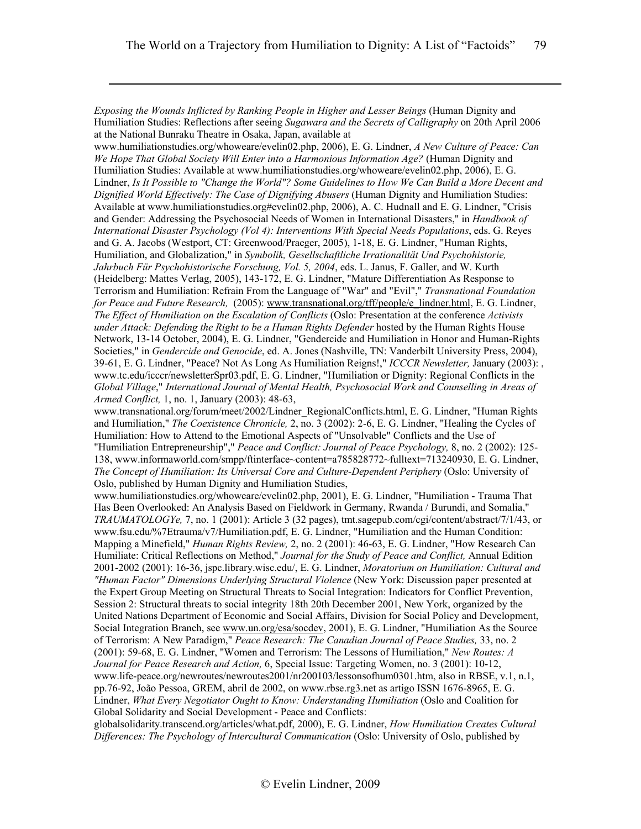*Exposing the Wounds Inflicted by Ranking People in Higher and Lesser Beings* (Human Dignity and Humiliation Studies: Reflections after seeing *Sugawara and the Secrets of Calligraphy* on 20th April 2006 at the National Bunraku Theatre in Osaka, Japan, available at

 $\overline{a}$ 

www.humiliationstudies.org/whoweare/evelin02.php, 2006), E. G. Lindner, *A New Culture of Peace: Can We Hope That Global Society Will Enter into a Harmonious Information Age?* (Human Dignity and Humiliation Studies: Available at www.humiliationstudies.org/whoweare/evelin02.php, 2006), E. G. Lindner, *Is It Possible to "Change the World"? Some Guidelines to How We Can Build a More Decent and Dignified World Effectively: The Case of Dignifying Abusers* (Human Dignity and Humiliation Studies: Available at www.humiliationstudies.org#evelin02.php, 2006), A. C. Hudnall and E. G. Lindner, "Crisis and Gender: Addressing the Psychosocial Needs of Women in International Disasters," in *Handbook of International Disaster Psychology (Vol 4): Interventions With Special Needs Populations*, eds. G. Reyes and G. A. Jacobs (Westport, CT: Greenwood/Praeger, 2005), 1-18, E. G. Lindner, "Human Rights, Humiliation, and Globalization," in *Symbolik, Gesellschaftliche Irrationalität Und Psychohistorie, Jahrbuch Für Psychohistorische Forschung, Vol. 5, 2004*, eds. L. Janus, F. Galler, and W. Kurth (Heidelberg: Mattes Verlag, 2005), 143-172, E. G. Lindner, "Mature Differentiation As Response to Terrorism and Humiliation: Refrain From the Language of "War" and "Evil"," *Transnational Foundation for Peace and Future Research, (2005): www.transnational.org/tff/people/e\_lindner.html, E. G. Lindner, The Effect of Humiliation on the Escalation of Conflicts* (Oslo: Presentation at the conference *Activists under Attack: Defending the Right to be a Human Rights Defender* hosted by the Human Rights House Network, 13-14 October, 2004), E. G. Lindner, "Gendercide and Humiliation in Honor and Human-Rights Societies," in *Gendercide and Genocide*, ed. A. Jones (Nashville, TN: Vanderbilt University Press, 2004), 39-61, E. G. Lindner, "Peace? Not As Long As Humiliation Reigns!," *ICCCR Newsletter,* January (2003): , www.tc.edu/icccr/newsletterSpr03.pdf, E. G. Lindner, "Humiliation or Dignity: Regional Conflicts in the *Global Village*," *International Journal of Mental Health, Psychosocial Work and Counselling in Areas of Armed Conflict,* 1, no. 1, January (2003): 48-63,

www.transnational.org/forum/meet/2002/Lindner\_RegionalConflicts.html, E. G. Lindner, "Human Rights and Humiliation," *The Coexistence Chronicle,* 2, no. 3 (2002): 2-6, E. G. Lindner, "Healing the Cycles of Humiliation: How to Attend to the Emotional Aspects of "Unsolvable" Conflicts and the Use of "Humiliation Entrepreneurship"," *Peace and Conflict: Journal of Peace Psychology,* 8, no. 2 (2002): 125- 138, www.informaworld.com/smpp/ftinterface~content=a785828772~fulltext=713240930, E. G. Lindner, *The Concept of Humiliation: Its Universal Core and Culture-Dependent Periphery* (Oslo: University of Oslo, published by Human Dignity and Humiliation Studies,

www.humiliationstudies.org/whoweare/evelin02.php, 2001), E. G. Lindner, "Humiliation - Trauma That Has Been Overlooked: An Analysis Based on Fieldwork in Germany, Rwanda / Burundi, and Somalia," *TRAUMATOLOGYe,* 7, no. 1 (2001): Article 3 (32 pages), tmt.sagepub.com/cgi/content/abstract/7/1/43, or www.fsu.edu/%7Etrauma/v7/Humiliation.pdf, E. G. Lindner, "Humiliation and the Human Condition: Mapping a Minefield," *Human Rights Review,* 2, no. 2 (2001): 46-63, E. G. Lindner, "How Research Can Humiliate: Critical Reflections on Method," *Journal for the Study of Peace and Conflict,* Annual Edition 2001-2002 (2001): 16-36, jspc.library.wisc.edu/, E. G. Lindner, *Moratorium on Humiliation: Cultural and "Human Factor" Dimensions Underlying Structural Violence* (New York: Discussion paper presented at the Expert Group Meeting on Structural Threats to Social Integration: Indicators for Conflict Prevention, Session 2: Structural threats to social integrity 18th 20th December 2001, New York, organized by the United Nations Department of Economic and Social Affairs, Division for Social Policy and Development, Social Integration Branch, see www.un.org/esa/socdev, 2001), E. G. Lindner, "Humiliation As the Source of Terrorism: A New Paradigm," *Peace Research: The Canadian Journal of Peace Studies,* 33, no. 2 (2001): 59-68, E. G. Lindner, "Women and Terrorism: The Lessons of Humiliation," *New Routes: A Journal for Peace Research and Action,* 6, Special Issue: Targeting Women, no. 3 (2001): 10-12, www.life-peace.org/newroutes/newroutes2001/nr200103/lessonsofhum0301.htm, also in RBSE, v.1, n.1, pp.76-92, João Pessoa, GREM, abril de 2002, on www.rbse.rg3.net as artigo ISSN 1676-8965, E. G. Lindner, *What Every Negotiator Ought to Know: Understanding Humiliation* (Oslo and Coalition for Global Solidarity and Social Development - Peace and Conflicts:

globalsolidarity.transcend.org/articles/what.pdf, 2000), E. G. Lindner, *How Humiliation Creates Cultural Differences: The Psychology of Intercultural Communication* (Oslo: University of Oslo, published by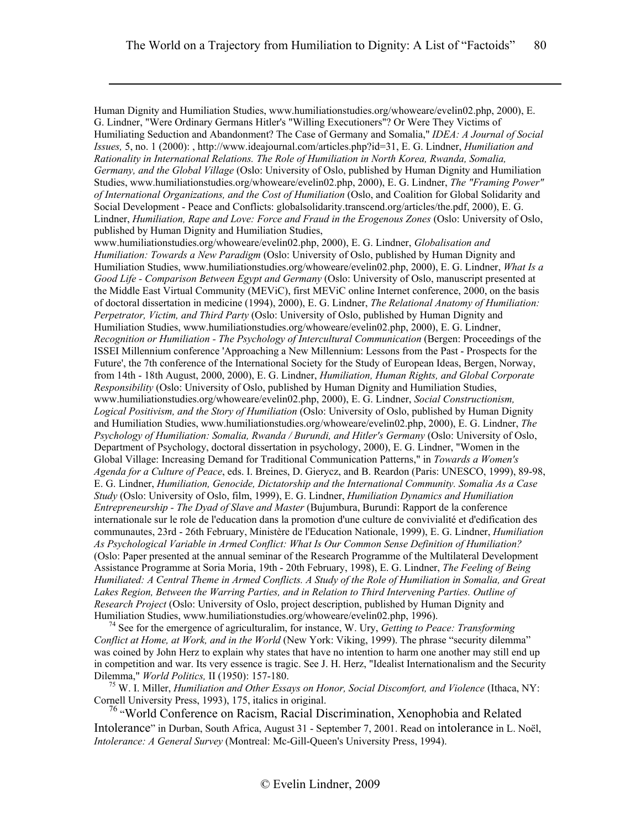Human Dignity and Humiliation Studies, www.humiliationstudies.org/whoweare/evelin02.php, 2000), E. G. Lindner, "Were Ordinary Germans Hitler's "Willing Executioners"? Or Were They Victims of Humiliating Seduction and Abandonment? The Case of Germany and Somalia," *IDEA: A Journal of Social Issues,* 5, no. 1 (2000): , http://www.ideajournal.com/articles.php?id=31, E. G. Lindner, *Humiliation and Rationality in International Relations. The Role of Humiliation in North Korea, Rwanda, Somalia, Germany, and the Global Village* (Oslo: University of Oslo, published by Human Dignity and Humiliation Studies, www.humiliationstudies.org/whoweare/evelin02.php, 2000), E. G. Lindner, *The "Framing Power" of International Organizations, and the Cost of Humiliation* (Oslo, and Coalition for Global Solidarity and Social Development - Peace and Conflicts: globalsolidarity.transcend.org/articles/the.pdf, 2000), E. G. Lindner, *Humiliation, Rape and Love: Force and Fraud in the Erogenous Zones* (Oslo: University of Oslo, published by Human Dignity and Humiliation Studies,

 $\overline{a}$ 

www.humiliationstudies.org/whoweare/evelin02.php, 2000), E. G. Lindner, *Globalisation and Humiliation: Towards a New Paradigm* (Oslo: University of Oslo, published by Human Dignity and Humiliation Studies, www.humiliationstudies.org/whoweare/evelin02.php, 2000), E. G. Lindner, *What Is a Good Life - Comparison Between Egypt and Germany* (Oslo: University of Oslo, manuscript presented at the Middle East Virtual Community (MEViC), first MEViC online Internet conference, 2000, on the basis of doctoral dissertation in medicine (1994), 2000), E. G. Lindner, *The Relational Anatomy of Humiliation: Perpetrator, Victim, and Third Party* (Oslo: University of Oslo, published by Human Dignity and Humiliation Studies, www.humiliationstudies.org/whoweare/evelin02.php, 2000), E. G. Lindner, *Recognition or Humiliation - The Psychology of Intercultural Communication* (Bergen: Proceedings of the ISSEI Millennium conference 'Approaching a New Millennium: Lessons from the Past - Prospects for the Future', the 7th conference of the International Society for the Study of European Ideas, Bergen, Norway, from 14th - 18th August, 2000, 2000), E. G. Lindner, *Humiliation, Human Rights, and Global Corporate Responsibility* (Oslo: University of Oslo, published by Human Dignity and Humiliation Studies, www.humiliationstudies.org/whoweare/evelin02.php, 2000), E. G. Lindner, *Social Constructionism, Logical Positivism, and the Story of Humiliation* (Oslo: University of Oslo, published by Human Dignity and Humiliation Studies, www.humiliationstudies.org/whoweare/evelin02.php, 2000), E. G. Lindner, *The Psychology of Humiliation: Somalia, Rwanda / Burundi, and Hitler's Germany* (Oslo: University of Oslo, Department of Psychology, doctoral dissertation in psychology, 2000), E. G. Lindner, "Women in the Global Village: Increasing Demand for Traditional Communication Patterns," in *Towards a Women's Agenda for a Culture of Peace*, eds. I. Breines, D. Gierycz, and B. Reardon (Paris: UNESCO, 1999), 89-98, E. G. Lindner, *Humiliation, Genocide, Dictatorship and the International Community. Somalia As a Case Study* (Oslo: University of Oslo, film, 1999), E. G. Lindner, *Humiliation Dynamics and Humiliation Entrepreneurship - The Dyad of Slave and Master* (Bujumbura, Burundi: Rapport de la conference internationale sur le role de l'education dans la promotion d'une culture de convivialité et d'edification des communautes, 23rd - 26th February, Ministère de l'Education Nationale, 1999), E. G. Lindner, *Humiliation As Psychological Variable in Armed Conflict: What Is Our Common Sense Definition of Humiliation?* (Oslo: Paper presented at the annual seminar of the Research Programme of the Multilateral Development Assistance Programme at Soria Moria, 19th - 20th February, 1998), E. G. Lindner, *The Feeling of Being Humiliated: A Central Theme in Armed Conflicts. A Study of the Role of Humiliation in Somalia, and Great*  Lakes Region, Between the Warring Parties, and in Relation to Third Intervening Parties. Outline of *Research Project* (Oslo: University of Oslo, project description, published by Human Dignity and Humiliation Studies, www.humiliationstudies.org/whoweare/evelin02.php, 1996).

<sup>74</sup> See for the emergence of agriculturalim, for instance, W. Ury, *Getting to Peace: Transforming Conflict at Home, at Work, and in the World* (New York: Viking, 1999). The phrase "security dilemma" was coined by John Herz to explain why states that have no intention to harm one another may still end up in competition and war. Its very essence is tragic. See J. H. Herz, "Idealist Internationalism and the Security Dilemma," *World Politics,* II (1950): 157-180. 75 W. I. Miller, *Humiliation and Other Essays on Honor, Social Discomfort, and Violence* (Ithaca, NY:

Cornell University Press, 1993), 175, italics in original.

76 "World Conference on Racism, Racial Discrimination, Xenophobia and Related Intolerance" in Durban, South Africa, August 31 - September 7, 2001. Read on intolerance in L. Noël, *Intolerance: A General Survey* (Montreal: Mc-Gill-Queen's University Press, 1994).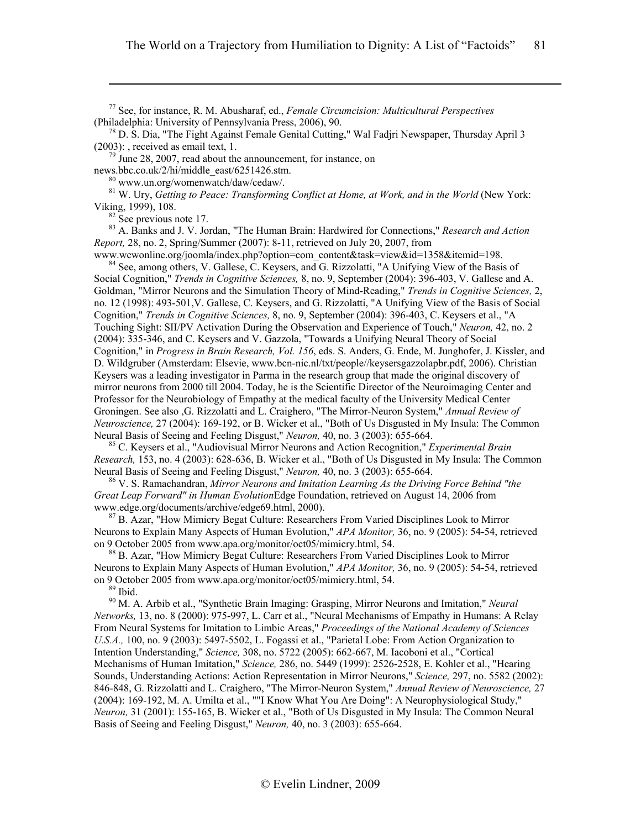77 See, for instance, R. M. Abusharaf, ed., *Female Circumcision: Multicultural Perspectives* 

<sup>78</sup> D. S. Dia, "The Fight Against Female Genital Cutting," Wal Fadjri Newspaper, Thursday April 3 (2003): , received as email text, 1.

 $^{79}$  June 28, 2007, read about the announcement, for instance, on

news.bbc.co.uk/2/hi/middle\_east/6251426.stm.<br><sup>80</sup> www.un.org/womenwatch/daw/cedaw/.

<sup>81</sup> W. Ury, *Getting to Peace: Transforming Conflict at Home, at Work, and in the World* (New York: Viking, 1999), 108.

 $82$  See previous note 17.

 $\overline{a}$ 

83 A. Banks and J. V. Jordan, "The Human Brain: Hardwired for Connections," *Research and Action Report,* 28, no. 2, Spring/Summer (2007): 8-11, retrieved on July 20, 2007, from<br>www.wcwonline.org/joomla/index.php?option=com\_content&task=view&id=1358&itemid=198.

 $^{84}$  See, among others, V. Gallese, C. Keysers, and G. Rizzolatti, "A Unifying View of the Basis of Social Cognition," *Trends in Cognitive Sciences,* 8, no. 9, September (2004): 396-403, V. Gallese and A. Goldman, "Mirror Neurons and the Simulation Theory of Mind-Reading," *Trends in Cognitive Sciences,* 2, no. 12 (1998): 493-501,V. Gallese, C. Keysers, and G. Rizzolatti, "A Unifying View of the Basis of Social Cognition," *Trends in Cognitive Sciences,* 8, no. 9, September (2004): 396-403, C. Keysers et al., "A Touching Sight: SII/PV Activation During the Observation and Experience of Touch," *Neuron,* 42, no. 2 (2004): 335-346, and C. Keysers and V. Gazzola, "Towards a Unifying Neural Theory of Social Cognition," in *Progress in Brain Research, Vol. 156*, eds. S. Anders, G. Ende, M. Junghofer, J. Kissler, and D. Wildgruber (Amsterdam: Elsevie, www.bcn-nic.nl/txt/people//keysersgazzolapbr.pdf, 2006). Christian Keysers was a leading investigator in Parma in the research group that made the original discovery of mirror neurons from 2000 till 2004. Today, he is the Scientific Director of the Neuroimaging Center and Professor for the Neurobiology of Empathy at the medical faculty of the University Medical Center Groningen. See also ,G. Rizzolatti and L. Craighero, "The Mirror-Neuron System," *Annual Review of Neuroscience,* 27 (2004): 169-192, or B. Wicker et al., "Both of Us Disgusted in My Insula: The Common Neural Basis of Seeing and Feeling Disgust," *Neuron*, 40, no. 3 (2003): 655-664.

<sup>85</sup> C. Keysers et al., "Audiovisual Mirror Neurons and Action Recognition," *Experimental Brain Research,* 153, no. 4 (2003): 628-636, B. Wicker et al., "Both of Us Disgusted in My Insula: The Common Neural Basis of Seeing and Feeling Disgust," *Neuron,* 40, no. 3 (2003): 655-664.<br><sup>86</sup> V. S. Ramachandran, *Mirror Neurons and Imitation Learning As the Driving Force Behind "the* 

*Great Leap Forward" in Human Evolution*Edge Foundation, retrieved on August 14, 2006 from

<sup>87</sup> B. Azar, "How Mimicry Begat Culture: Researchers From Varied Disciplines Look to Mirror Neurons to Explain Many Aspects of Human Evolution," *APA Monitor*, 36, no. 9 (2005): 54-54, retrieved<br>on 9 October 2005 from www.apa.org/monitor/oct05/mimicry.html, 54.

 $88$  B. Azar, "How Mimicry Begat Culture: Researchers From Varied Disciplines Look to Mirror Neurons to Explain Many Aspects of Human Evolution," *APA Monitor,* 36, no. 9 (2005): 54-54, retrieved on 9 October 2005 from www.apa.org/monitor/oct05/mimicry.html, 54. 89 Ibid

90 M. A. Arbib et al., "Synthetic Brain Imaging: Grasping, Mirror Neurons and Imitation," *Neural Networks,* 13, no. 8 (2000): 975-997, L. Carr et al., "Neural Mechanisms of Empathy in Humans: A Relay From Neural Systems for Imitation to Limbic Areas," *Proceedings of the National Academy of Sciences U.S.A.,* 100, no. 9 (2003): 5497-5502, L. Fogassi et al., "Parietal Lobe: From Action Organization to Intention Understanding," *Science,* 308, no. 5722 (2005): 662-667, M. Iacoboni et al., "Cortical Mechanisms of Human Imitation," *Science,* 286, no. 5449 (1999): 2526-2528, E. Kohler et al., "Hearing Sounds, Understanding Actions: Action Representation in Mirror Neurons," *Science,* 297, no. 5582 (2002): 846-848, G. Rizzolatti and L. Craighero, "The Mirror-Neuron System," *Annual Review of Neuroscience,* 27 (2004): 169-192, M. A. Umilta et al., ""I Know What You Are Doing": A Neurophysiological Study," *Neuron,* 31 (2001): 155-165, B. Wicker et al., "Both of Us Disgusted in My Insula: The Common Neural Basis of Seeing and Feeling Disgust," *Neuron,* 40, no. 3 (2003): 655-664.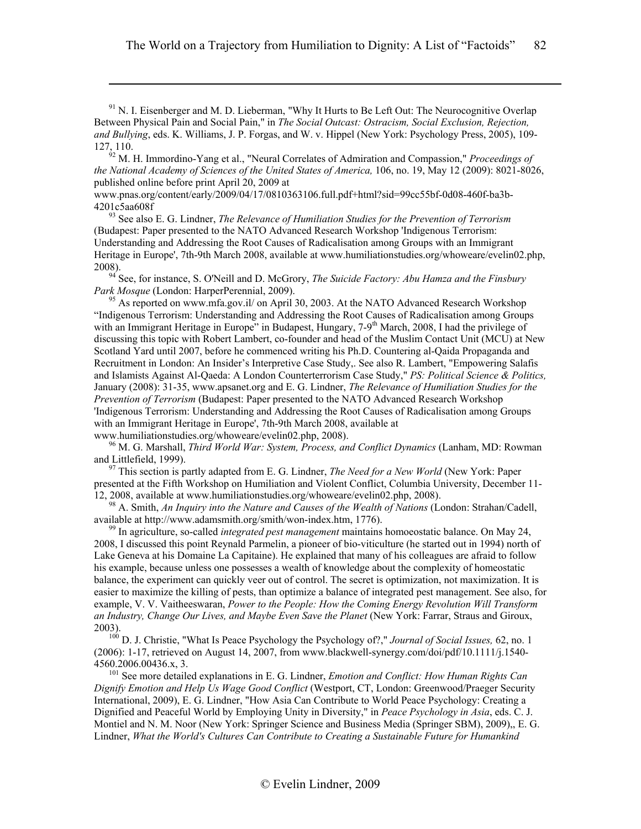$91$  N. I. Eisenberger and M. D. Lieberman, "Why It Hurts to Be Left Out: The Neurocognitive Overlap Between Physical Pain and Social Pain," in *The Social Outcast: Ostracism, Social Exclusion, Rejection, and Bullying*, eds. K. Williams, J. P. Forgas, and W. v. Hippel (New York: Psychology Press, 2005), 109-

 $\overline{a}$ 

127, 110. 92 M. H. Immordino-Yang et al., "Neural Correlates of Admiration and Compassion," *Proceedings of the National Academy of Sciences of the United States of America,* 106, no. 19, May 12 (2009): 8021-8026, published online before print April 20, 2009 at

www.pnas.org/content/early/2009/04/17/0810363106.full.pdf+html?sid=99cc55bf-0d08-460f-ba3b-

<sup>93</sup> See also E. G. Lindner, *The Relevance of Humiliation Studies for the Prevention of Terrorism* (Budapest: Paper presented to the NATO Advanced Research Workshop 'Indigenous Terrorism: Understanding and Addressing the Root Causes of Radicalisation among Groups with an Immigrant Heritage in Europe', 7th-9th March 2008, available at www.humiliationstudies.org/whoweare/evelin02.php,

2008).<br><sup>94</sup> See, for instance, S. O'Neill and D. McGrory, *The Suicide Factory: Abu Hamza and the Finsbury Park Mosque* (London: HarperPerennial, 2009).

<sup>95</sup> As reported on www.mfa.gov.il/ on April 30, 2003. At the NATO Advanced Research Workshop "Indigenous Terrorism: Understanding and Addressing the Root Causes of Radicalisation among Groups with an Immigrant Heritage in Europe" in Budapest, Hungary, 7-9<sup>th</sup> March, 2008, I had the privilege of discussing this topic with Robert Lambert, co-founder and head of the Muslim Contact Unit (MCU) at New Scotland Yard until 2007, before he commenced writing his Ph.D. Countering al-Qaida Propaganda and Recruitment in London: An Insider's Interpretive Case Study,. See also R. Lambert, "Empowering Salafis and Islamists Against Al-Qaeda: A London Counterterrorism Case Study," *PS: Political Science & Politics,*  January (2008): 31-35, www.apsanet.org and E. G. Lindner, *The Relevance of Humiliation Studies for the Prevention of Terrorism* (Budapest: Paper presented to the NATO Advanced Research Workshop 'Indigenous Terrorism: Understanding and Addressing the Root Causes of Radicalisation among Groups with an Immigrant Heritage in Europe', 7th-9th March 2008, available at

www.humiliationstudies.org/whoweare/evelin02.php, 2008).<br><sup>96</sup> M. G. Marshall, *Third World War: System, Process, and Conflict Dynamics* (Lanham, MD: Rowman and Littlefield, 1999).

 $97$  This section is partly adapted from E. G. Lindner, *The Need for a New World* (New York: Paper presented at the Fifth Workshop on Humiliation and Violent Conflict, Columbia University, December 11-

12, 2008, available at www.humiliationstudies.org/whoweare/evelin02.php, 2008).<br><sup>98</sup> A. Smith, *An Inquiry into the Nature and Causes of the Wealth of Nations* (London: Strahan/Cadell, available at http://www.adamsmith.org

<sup>99</sup> In agriculture, so-called *integrated pest management* maintains homoeostatic balance. On May 24, 2008, I discussed this point Reynald Parmelin, a pioneer of bio-viticulture (he started out in 1994) north of Lake Geneva at his Domaine La Capitaine). He explained that many of his colleagues are afraid to follow his example, because unless one possesses a wealth of knowledge about the complexity of homeostatic balance, the experiment can quickly veer out of control. The secret is optimization, not maximization. It is easier to maximize the killing of pests, than optimize a balance of integrated pest management. See also, for example, V. V. Vaitheeswaran, *Power to the People: How the Coming Energy Revolution Will Transform an Industry, Change Our Lives, and Maybe Even Save the Planet* (New York: Farrar, Straus and Giroux,

2003). 100 D. J. Christie, "What Is Peace Psychology the Psychology of?," *Journal of Social Issues,* 62, no. 1  $(2006)$ : 1-17, retrieved on August 14, 2007, from www.blackwell-synergy.com/doi/pdf/10.1111/j.1540-4560.2006.00436.x, 3. 101 See more detailed explanations in E. G. Lindner, *Emotion and Conflict: How Human Rights Can* 

*Dignify Emotion and Help Us Wage Good Conflict* (Westport, CT, London: Greenwood/Praeger Security International, 2009), E. G. Lindner, "How Asia Can Contribute to World Peace Psychology: Creating a Dignified and Peaceful World by Employing Unity in Diversity," in *Peace Psychology in Asia*, eds. C. J. Montiel and N. M. Noor (New York: Springer Science and Business Media (Springer SBM), 2009),, E. G. Lindner, *What the World's Cultures Can Contribute to Creating a Sustainable Future for Humankind*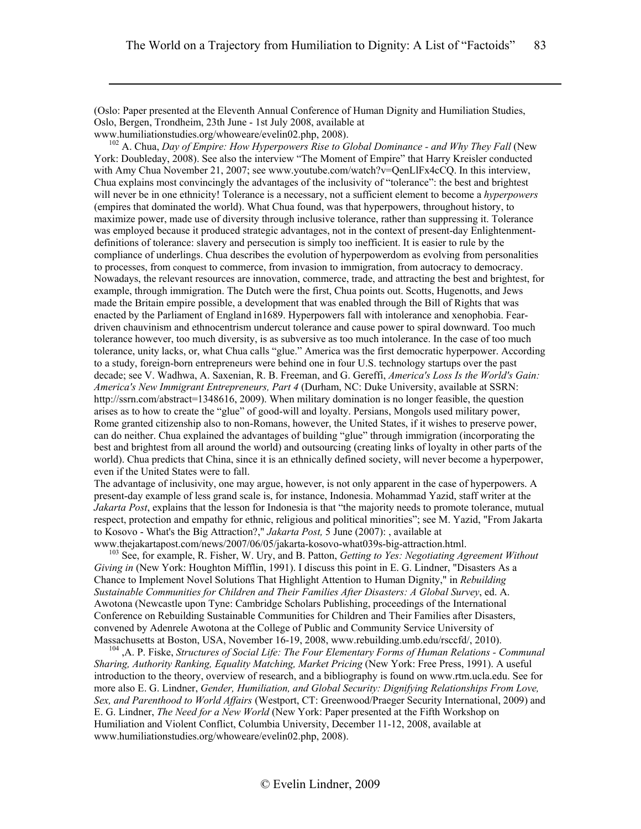(Oslo: Paper presented at the Eleventh Annual Conference of Human Dignity and Humiliation Studies, Oslo, Bergen, Trondheim, 23th June - 1st July 2008, available at

 $\overline{a}$ 

<sup>102</sup> A. Chua, *Day of Empire: How Hyperpowers Rise to Global Dominance - and Why They Fall* (New York: Doubleday, 2008). See also the interview "The Moment of Empire" that Harry Kreisler conducted with Amy Chua November 21, 2007; see www.youtube.com/watch?v=QenLlFx4cCQ. In this interview, Chua explains most convincingly the advantages of the inclusivity of "tolerance": the best and brightest will never be in one ethnicity! Tolerance is a necessary, not a sufficient element to become a *hyperpowers* (empires that dominated the world). What Chua found, was that hyperpowers, throughout history, to maximize power, made use of diversity through inclusive tolerance, rather than suppressing it. Tolerance was employed because it produced strategic advantages, not in the context of present-day Enlightenmentdefinitions of tolerance: slavery and persecution is simply too inefficient. It is easier to rule by the compliance of underlings. Chua describes the evolution of hyperpowerdom as evolving from personalities to processes, from conquest to commerce, from invasion to immigration, from autocracy to democracy. Nowadays, the relevant resources are innovation, commerce, trade, and attracting the best and brightest, for example, through immigration. The Dutch were the first, Chua points out. Scotts, Hugenotts, and Jews made the Britain empire possible, a development that was enabled through the Bill of Rights that was enacted by the Parliament of England in1689. Hyperpowers fall with intolerance and xenophobia. Feardriven chauvinism and ethnocentrism undercut tolerance and cause power to spiral downward. Too much tolerance however, too much diversity, is as subversive as too much intolerance. In the case of too much tolerance, unity lacks, or, what Chua calls "glue." America was the first democratic hyperpower. According to a study, foreign-born entrepreneurs were behind one in four U.S. technology startups over the past decade; see V. Wadhwa, A. Saxenian, R. B. Freeman, and G. Gereffi, *America's Loss Is the World's Gain: America's New Immigrant Entrepreneurs, Part 4* (Durham, NC: Duke University, available at SSRN: http://ssrn.com/abstract=1348616, 2009). When military domination is no longer feasible, the question arises as to how to create the "glue" of good-will and loyalty. Persians, Mongols used military power, Rome granted citizenship also to non-Romans, however, the United States, if it wishes to preserve power, can do neither. Chua explained the advantages of building "glue" through immigration (incorporating the best and brightest from all around the world) and outsourcing (creating links of loyalty in other parts of the world). Chua predicts that China, since it is an ethnically defined society, will never become a hyperpower, even if the United States were to fall.

The advantage of inclusivity, one may argue, however, is not only apparent in the case of hyperpowers. A present-day example of less grand scale is, for instance, Indonesia. Mohammad Yazid, staff writer at the *Jakarta Post*, explains that the lesson for Indonesia is that "the majority needs to promote tolerance, mutual respect, protection and empathy for ethnic, religious and political minorities"; see M. Yazid, "From Jakarta to Kosovo - What's the Big Attraction?," *Jakarta Post,* 5 June (2007): , available at

www.thejakartapost.com/news/2007/06/05/jakarta-kosovo-what039s-big-attraction.html. 103 See, for example, R. Fisher, W. Ury, and B. Patton, *Getting to Yes: Negotiating Agreement Without Giving in* (New York: Houghton Mifflin, 1991). I discuss this point in E. G. Lindner, "Disasters As a Chance to Implement Novel Solutions That Highlight Attention to Human Dignity," in *Rebuilding Sustainable Communities for Children and Their Families After Disasters: A Global Survey*, ed. A. Awotona (Newcastle upon Tyne: Cambridge Scholars Publishing, proceedings of the International Conference on Rebuilding Sustainable Communities for Children and Their Families after Disasters, convened by Adenrele Awotona at the College of Public and Community Service University of Massachusetts at Boston, USA, November 16-19, 2008, www.rebuilding.umb.edu/rsccfd/, 2010).<br><sup>104</sup>, A. P. Fiske, *Structures of Social Life: The Four Elementary Forms of Human Relations - Communal* 

*Sharing, Authority Ranking, Equality Matching, Market Pricing* (New York: Free Press, 1991). A useful introduction to the theory, overview of research, and a bibliography is found on [www.rtm.ucla.edu.](http://www.rtm.ucla.edu/) See for more also E. G. Lindner, *Gender, Humiliation, and Global Security: Dignifying Relationships From Love, Sex, and Parenthood to World Affairs* (Westport, CT: Greenwood/Praeger Security International, 2009) and E. G. Lindner, *The Need for a New World* (New York: Paper presented at the Fifth Workshop on Humiliation and Violent Conflict, Columbia University, December 11-12, 2008, available at www.humiliationstudies.org/whoweare/evelin02.php, 2008).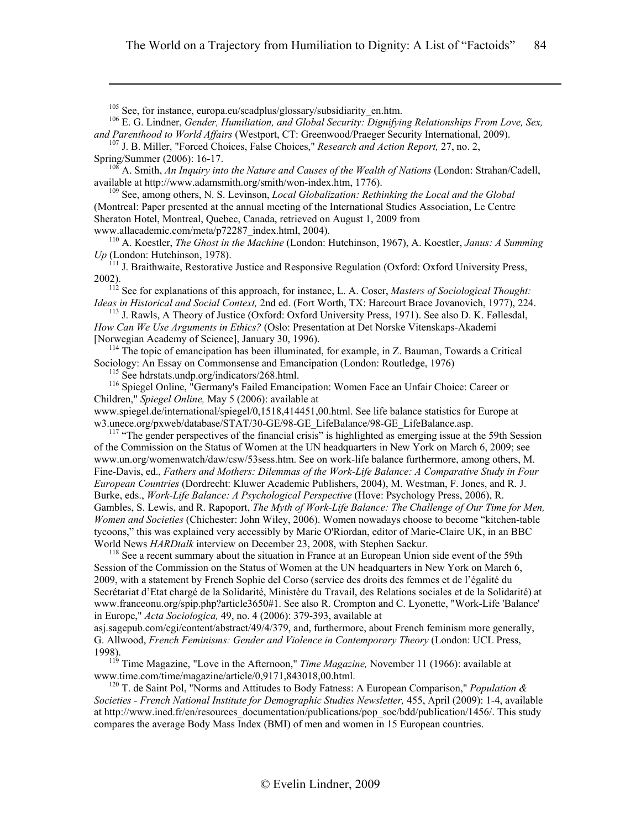$\overline{a}$ 

<sup>105</sup> See, for instance, europa.eu/scadplus/glossary/subsidiarity\_en.htm.<br><sup>106</sup> E. G. Lindner, *Gender, Humiliation, and Global Security: Dignifying Relationships From Love, Sex,* and Parenthood to World Affairs (Westport,

<sup>107</sup> J. B. Miller, "Forced Choices, False Choices," *Research and Action Report,* 27, no. 2, Spring/Summer (2006): 16-17.

 $^{108}$  A. Smith, *An Inquiry into the Nature and Causes of the Wealth of Nations (London: Strahan/Cadell,* available at http://www.adamsmith.org/smith/won-index.htm, 1776).<br><sup>109</sup> See, among others, N. S. Levinson, *Local Globalization: Rethinking the Local and the Global* 

(Montreal: Paper presented at the annual meeting of the International Studies Association, Le Centre Sheraton Hotel, Montreal, Quebec, Canada, retrieved on August 1, 2009 from www.allacademic.com/meta/p72287\_index.html, 2004). 110 A. Koestler, *The Ghost in the Machine* (London: Hutchinson, 1967), A. Koestler, *Janus: A Summing* 

*Up* (London: Hutchinson, 1978).

 $111$  J. Braithwaite, Restorative Justice and Responsive Regulation (Oxford: Oxford University Press,

2002).<br><sup>112</sup> See for explanations of this approach, for instance, L. A. Coser, *Masters of Sociological Thought:*<br>*Ideas in Historical and Social Context*, 2nd ed. (Fort Worth, TX: Harcourt Brace Jovanovich, 1977), 224.

<sup>113</sup> J. Rawls, A Theory of Justice (Oxford: Oxford University Press, 1971). See also D. K. Føllesdal, *How Can We Use Arguments in Ethics?* (Oslo: Presentation at Det Norske Vitenskaps-Akademi

[Norwegian Academy of Science], January 30, 1996).<br><sup>114</sup> The topic of emancipation has been illuminated, for example, in Z. Bauman, Towards a Critical<br>Sociology: An Essay on Commonsense and Emancipation (London: Routledge,

<sup>115</sup> See hdrstats.undp.org/indicators/268.html.<br><sup>116</sup> Spiegel Online, "Germany's Failed Emancipation: Women Face an Unfair Choice: Career or Children," *Spiegel Online,* May 5 (2006): available at

www.spiegel.de/international/spiegel/0,1518,414451,00.html. See life balance statistics for Europe at w3.unece.org/pxweb/database/STAT/30-GE/98-GE\_LifeBalance/98-GE\_LifeBalance.asp.<br><sup>117</sup> "The gender perspectives of the financial crisis" is highlighted as emerging issue at the 59th Session

of the Commission on the Status of Women at the UN headquarters in New York on March 6, 2009; see www.un.org/womenwatch/daw/csw/53sess.htm. See on work-life balance furthermore, among others, M. Fine-Davis, ed., *Fathers and Mothers: Dilemmas of the Work-Life Balance: A Comparative Study in Four European Countries* (Dordrecht: Kluwer Academic Publishers, 2004), M. Westman, F. Jones, and R. J. Burke, eds., *Work-Life Balance: A Psychological Perspective* (Hove: Psychology Press, 2006), R. Gambles, S. Lewis, and R. Rapoport, *The Myth of Work-Life Balance: The Challenge of Our Time for Men, Women and Societies* (Chichester: John Wiley, 2006). Women nowadays choose to become "kitchen-table tycoons," this was explained very accessibly by Marie O'Riordan, editor of Marie-Claire UK, in an BBC<br>World News HARDtalk interview on December 23, 2008, with Stephen Sackur.

<sup>118</sup> See a recent summary about the situation in France at an European Union side event of the 59th Session of the Commission on the Status of Women at the UN headquarters in New York on March 6, 2009, with a statement by French Sophie del Corso (service des droits des femmes et de l'égalité du Secrétariat d'Etat chargé de la Solidarité, Ministère du Travail, des Relations sociales et de la Solidarité) at www.franceonu.org/spip.php?article3650#1. See also R. Crompton and C. Lyonette, "Work-Life 'Balance' in Europe," *Acta Sociologica,* 49, no. 4 (2006): 379-393, available at

asj.sagepub.com/cgi/content/abstract/49/4/379, and, furthermore, about French feminism more generally, G. Allwood, *French Feminisms: Gender and Violence in Contemporary Theory* (London: UCL Press, 1998). 119 Time Magazine, "Love in the Afternoon," *Time Magazine,* November 11 (1966): available at

www.time.com/time/magazine/article/0,9171,843018,00.html.<br><sup>120</sup> T. de Saint Pol. "Norms and Attitudes to Body Fatness: A European Comparison." *Population &* 

*Societies - French National Institute for Demographic Studies Newsletter,* 455, April (2009): 1-4, available at http://www.ined.fr/en/resources\_documentation/publications/pop\_soc/bdd/publication/1456/. This study compares the average Body Mass Index (BMI) of men and women in 15 European countries.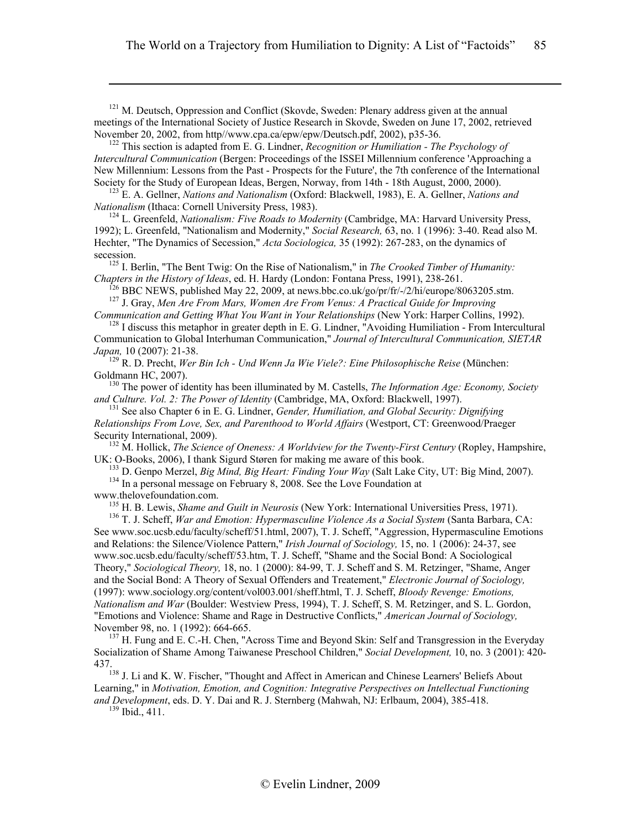<sup>121</sup> M. Deutsch, Oppression and Conflict (Skovde, Sweden: Plenary address given at the annual meetings of the International Society of Justice Research in Skovde, Sweden on June 17, 2002, retrieved November 20, 2002, from http//www.cpa.ca/epw/epw/Deutsch.pdf, 2002), p35-36.

<sup>122</sup> This section is adapted from E. G. Lindner, *Recognition or Humiliation - The Psychology of Intercultural Communication* (Bergen: Proceedings of the ISSEI Millennium conference 'Approaching a New Millennium: Lessons from the Past - Prospects for the Future', the 7th conference of the International

Society for the Study of European Ideas, Bergen, Norway, from 14th - 18th August, 2000, 2000).<br><sup>123</sup> E. A. Gellner, *Nations and Nationalism* (Oxford: Blackwell, 1983), E. A. Gellner, *Nations and*<br>*Nationalism* (Ithaca: C

<sup>124</sup> L. Greenfeld, *Nationalism: Five Roads to Modernity* (Cambridge, MA: Harvard University Press, 1992); L. Greenfeld, "Nationalism and Modernity," *Social Research,* 63, no. 1 (1996): 3-40. Read also M. Hechter, "The Dynamics of Secession," *Acta Sociologica,* 35 (1992): 267-283, on the dynamics of

secession.<br><sup>125</sup> I. Berlin, "The Bent Twig: On the Rise of Nationalism," in *The Crooked Timber of Humanity:*<br>*Chapters in the History of Ideas*, ed. H. Hardy (London: Fontana Press, 1991), 238-261.

<sup>126</sup> BBC NEWS, published May 22, 2009, at news.bbc.co.uk/go/pr/fr/-/2/hi/europe/8063205.stm.<br><sup>127</sup> J. Gray, *Men Are From Mars, Women Are From Venus: A Practical Guide for Improving* 

*Communication and Getting What You Want in Your Relationships* (New York: Harper Collins, 1992).<br><sup>128</sup> I discuss this metaphor in greater depth in E. G. Lindner, "Avoiding Humiliation - From Intercultural

Communication to Global Interhuman Communication," *Journal of Intercultural Communication, SIETAR* 

*Japan, 10 (2007): 21-38.*<br><sup>129</sup> R. D. Precht, *Wer Bin Ich - Und Wenn Ja Wie Viele?: Eine Philosophische Reise* (München: Goldmann HC, 2007).

 $^{130}$  The power of identity has been illuminated by M. Castells, *The Information Age: Economy, Society and Culture. Vol. 2: The Power of Identity (Cambridge, MA, Oxford: Blackwell, 1997).* 

<sup>131</sup> See also Chapter 6 in E. G. Lindner, *Gender, Humiliation, and Global Security: Dignifying Relationships From Love, Sex, and Parenthood to World Affairs* (Westport, CT: Greenwood/Praeger

Security International, 2009).<br><sup>132</sup> M. Hollick, *The Science of Oneness: A Worldview for the Twenty-First Century* (Ropley, Hampshire, UK: O-Books, 2006), I thank Sigurd Støren for making me aware of this book.

<sup>133</sup> D. Genpo Merzel, *Big Mind, Big Heart: Finding Your Way* (Salt Lake City, UT: Big Mind, 2007).<br><sup>134</sup> In a personal message on February 8, 2008. See the Love Foundation at www.thelovefoundation.com.

 $\overline{a}$ 

<sup>135</sup> H. B. Lewis, *Shame and Guilt in Neurosis* (New York: International Universities Press, 1971).<br><sup>136</sup> T. J. Scheff, *War and Emotion: Hypermasculine Violence As a Social System* (Santa Barbara, CA:

See www.soc.ucsb.edu/faculty/scheff/51.html, 2007), T. J. Scheff, "Aggression, Hypermasculine Emotions and Relations: the Silence/Violence Pattern," *Irish Journal of Sociology,* 15, no. 1 (2006): 24-37, see www.soc.ucsb.edu/faculty/scheff/53.htm, T. J. Scheff, "Shame and the Social Bond: A Sociological Theory," *Sociological Theory,* 18, no. 1 (2000): 84-99, T. J. Scheff and S. M. Retzinger, "Shame, Anger and the Social Bond: A Theory of Sexual Offenders and Treatement," *Electronic Journal of Sociology,*  (1997): www.sociology.org/content/vol003.001/sheff.html, T. J. Scheff, *Bloody Revenge: Emotions, Nationalism and War* (Boulder: Westview Press, 1994), T. J. Scheff, S. M. Retzinger, and S. L. Gordon, "Emotions and Violence: Shame and Rage in Destructive Conflicts," *American Journal of Sociology,*  November 98, no. 1 (1992): 664-665.<br><sup>137</sup> H. Fung and E. C.-H. Chen, "Across Time and Beyond Skin: Self and Transgression in the Everyday

Socialization of Shame Among Taiwanese Preschool Children," *Social Development,* 10, no. 3 (2001): 420- <sup>138</sup> J. Li and K. W. Fischer, "Thought and Affect in American and Chinese Learners' Beliefs About

Learning," in *Motivation, Emotion, and Cognition: Integrative Perspectives on Intellectual Functioning and Development*, eds. D. Y. Dai and R. J. Sternberg (Mahwah, NJ: Erlbaum, 2004), 385-418. <sup>139</sup> Ibid., 411.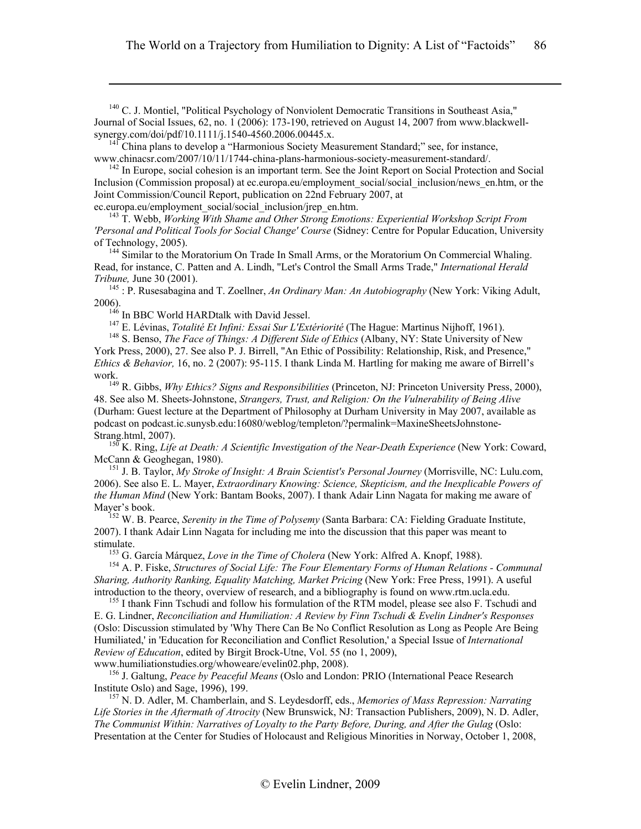<sup>140</sup> C. J. Montiel, "Political Psychology of Nonviolent Democratic Transitions in Southeast Asia," Journal of Social Issues, 62, no. 1 (2006): 173-190, retrieved on August 14, 2007 from www.blackwell-

<sup>141</sup> China plans to develop a "Harmonious Society Measurement Standard;" see, for instance, www.chinacsr.com/2007/10/11/1744-china-plans-harmonious-society-measurement-standard/.

 $142$  In Europe, social cohesion is an important term. See the Joint Report on Social Protection and Social Inclusion (Commission proposal) at [ec.europa.eu/employment\\_social/social\\_inclusion/news\\_en.htm](http://ec.europa.eu/employment_social/social_inclusion/news_en.htm), or the Joint Commission/Council Report, publication on 22nd February 2007, at ec. europa.eu/employment social/social inclusion/jrep en.htm.

 $\overline{a}$ 

<sup>143</sup> T. Webb, *Working With Shame and Other Strong Emotions: Experiential Workshop Script From 'Personal and Political Tools for Social Change' Course* (Sidney: Centre for Popular Education, University of Technology, 2005).<br><sup>144</sup> Similar to the Moratorium On Trade In Small Arms, or the Moratorium On Commercial Whaling.

Read, for instance, C. Patten and A. Lindh, "Let's Control the Small Arms Trade," *International Herald Tribune,* June 30 (2001). 145 : P. Rusesabagina and T. Zoellner, *An Ordinary Man: An Autobiography* (New York: Viking Adult,

2006).<br><sup>146</sup> In BBC World HARDtalk with David Jessel.<br><sup>147</sup> E. Lévinas, *Totalité Et Infini: Essai Sur L'Extériorité* (The Hague: Martinus Nijhoff, 1961).<br><sup>148</sup> S. Benso, *The Face of Things: A Different Side of Ethics* (A

York Press, 2000), 27. See also P. J. Birrell, "An Ethic of Possibility: Relationship, Risk, and Presence," *Ethics & Behavior,* 16, no. 2 (2007): 95-115. I thank Linda M. Hartling for making me aware of Birrell's work. 149 R. Gibbs, *Why Ethics? Signs and Responsibilities* (Princeton, NJ: Princeton University Press, 2000),

48. See also M. Sheets-Johnstone, *Strangers, Trust, and Religion: On the Vulnerability of Being Alive* (Durham: Guest lecture at the Department of Philosophy at Durham University in May 2007, available as podcast on podcast.ic.sunysb.edu:16080/weblog/templeton/?permalink=MaxineSheetsJohnstone-

Strang.html, 2007).<br><sup>150</sup> K. Ring, *Life at Death: A Scientific Investigation of the Near-Death Experience* (New York: Coward, McCann & Geoghegan, 1980).

<sup>151</sup> J. B. Taylor, *My Stroke of Insight: A Brain Scientist's Personal Journey* (Morrisville, NC: Lulu.com, 2006). See also E. L. Mayer, *Extraordinary Knowing: Science, Skepticism, and the Inexplicable Powers of the Human Mind* (New York: Bantam Books, 2007). I thank Adair Linn Nagata for making me aware of Mayer's book. 152 W. B. Pearce, *Serenity in the Time of Polysemy* (Santa Barbara: CA: Fielding Graduate Institute,

2007). I thank Adair Linn Nagata for including me into the discussion that this paper was meant to stimulate.<br><sup>153</sup> G. García Márquez, *Love in the Time of Cholera* (New York: Alfred A. Knopf, 1988).<br><sup>154</sup> A. P. Fiske, *Structures of Social Life: The Four Elementary Forms of Human Relations - Communal* 

*Sharing, Authority Ranking, Equality Matching, Market Pricing* (New York: Free Press, 1991). A useful introduction to the theory, overview of research, and a bibliography is found on www.rtm.ucla.edu. 155 I thank Finn Tschudi and follow his formulation of the RTM model, please see also F. Tschudi and

E. G. Lindner, *Reconciliation and Humiliation: A Review by Finn Tschudi & Evelin Lindner's Responses* (Oslo: Discussion stimulated by 'Why There Can Be No Conflict Resolution as Long as People Are Being Humiliated,' in 'Education for Reconciliation and Conflict Resolution,' a Special Issue of *International Review of Education*, edited by Birgit Brock-Utne, Vol. 55 (no 1, 2009),

<sup>156</sup> J. Galtung, *Peace by Peaceful Means* (Oslo and London: PRIO (International Peace Research Institute Oslo) and Sage, 1996), 199.

<sup>157</sup> N. D. Adler, M. Chamberlain, and S. Leydesdorff, eds., *Memories of Mass Repression: Narrating Life Stories in the Aftermath of Atrocity* (New Brunswick, NJ: Transaction Publishers, 2009), N. D. Adler, *The Communist Within: Narratives of Loyalty to the Party Before, During, and After the Gulag* (Oslo: Presentation at the Center for Studies of Holocaust and Religious Minorities in Norway, October 1, 2008,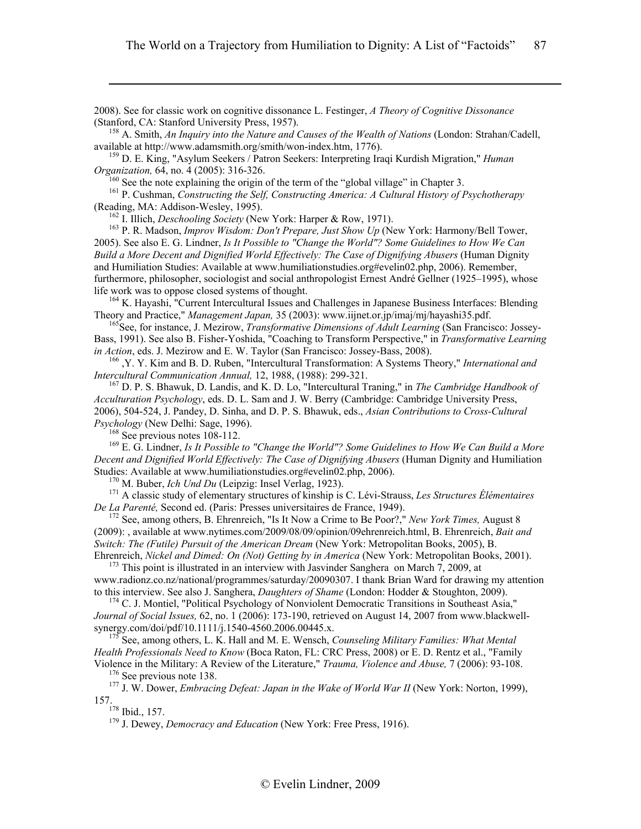2008). See for classic work on cognitive dissonance L. Festinger, *A Theory of Cognitive Dissonance* 

(Stanford, CA: Stanford University Press, 1957).<br><sup>158</sup> A. Smith, *An Inquiry into the Nature and Causes of the Wealth of Nations* (London: Strahan/Cadell, available at http://www.adamsmith.org/smith/won-index.htm, 1776).

<sup>159</sup> D. E. King, "Asylum Seekers / Patron Seekers: Interpreting Iraqi Kurdish Migration," *Human* 

Organization, 64, no. 4 (2005): 316-326.<br><sup>160</sup> See the note explaining the origin of the term of the "global village" in Chapter 3.<br><sup>161</sup> P. Cushman, *Constructing the Self, Constructing America: A Cultural History of Psyc* 

<sup>162</sup> I. Illich, *Deschooling Society* (New York: Harper & Row, 1971).<br><sup>163</sup> P. R. Madson, *Improv Wisdom: Don't Prepare, Just Show Up* (New York: Harmony/Bell Tower, 2005). See also E. G. Lindner, *Is It Possible to "Change the World"? Some Guidelines to How We Can Build a More Decent and Dignified World Effectively: The Case of Dignifying Abusers* (Human Dignity and Humiliation Studies: Available at www.humiliationstudies.org#evelin02.php, 2006). Remember, furthermore, philosopher, sociologist and social anthropologist Ernest André Gellner (1925–1995), whose

life work was to oppose closed systems of thought.<br><sup>164</sup> K. Hayashi, "Current Intercultural Issues and Challenges in Japanese Business Interfaces: Blending<br>Theory and Practice," *Management Japan*, 35 (2003): www.iijnet.or

<sup>165</sup>See, for instance, J. Mezirow, *Transformative Dimensions of Adult Learning* (San Francisco: Jossey-Bass, 1991). See also B. Fisher-Yoshida, "Coaching to Transform Perspective," in *Transformative Learning* 

*in Action*, eds. J. Mezirow and E. W. Taylor (San Francisco: Jossey-Bass, 2008).<br><sup>166</sup>, Y. Y. Kim and B. D. Ruben, "Intercultural Transformation: A Systems Theory," *International and Intercultural Communication Annual* 

<sup>167</sup> D. P. S. Bhawuk, D. Landis, and K. D. Lo, "Intercultural Traning," in *The Cambridge Handbook of Acculturation Psychology*, eds. D. L. Sam and J. W. Berry (Cambridge: Cambridge University Press, 2006), 504-524, J. Pandey, D. Sinha, and D. P. S. Bhawuk, eds., *Asian Contributions to Cross-Cultural Psychology* (New Delhi: Sage, 1996).<br><sup>168</sup> See previous notes 108-112.<br><sup>169</sup> E. G. Lindner, *Is It Possible to "Change the World"? Some Guidelines to How We Can Build a More* 

 $\overline{a}$ 

*Decent and Dignified World Effectively: The Case of Dignifying Abusers* (Human Dignity and Humiliation

Studies: Available at www.humiliationstudies.org#evelin02.php, 2006).<br><sup>170</sup> M. Buber, *Ich Und Du* (Leipzig: Insel Verlag, 1923).<br><sup>171</sup> A classic study of elementary structures of kinship is C. Lévi-Strauss, *Les Structure* 

<sup>172</sup> See, among others, B. Ehrenreich, "Is It Now a Crime to Be Poor?," *New York Times*, August 8 (2009): , available at www.nytimes.com/2009/08/09/opinion/09ehrenreich.html, B. Ehrenreich, *Bait and Switch: The (Futile) Pursuit of the American Dream* (New York: Metropolitan Books, 2005), B. Ehrenreich, *Nickel and Dimed: On (Not) Getting by in America* (New York: Metropolitan Books, 2001). <sup>173</sup> This point is illustrated in an interview with Jasvinder Sanghera on March 7, 2009, at

www.radionz.co.nz/national/programmes/saturday/20090307. I thank Brian Ward for drawing my attention

to this interview. See also J. Sanghera, *Daughters of Shame* (London: Hodder & Stoughton, 2009). 174 C. J. Montiel, "Political Psychology of Nonviolent Democratic Transitions in Southeast Asia," *Journal of Social Issues,* 62, no. 1 (2006): 173-190, retrieved on August 14, 2007 from www.blackwellsynergy.com/doi/pdf/10.1111/j.1540-4560.2006.00445.x. 175 See, among others, L. K. Hall and M. E. Wensch, *Counseling Military Families: What Mental* 

*Health Professionals Need to Know (Boca Raton, FL: CRC Press, 2008) or E. D. Rentz et al., "Family Violence in the Military: A Review of the Literature," <i>Trauma, Violence and Abuse, 7 (2006): 93-108.* 

<sup>176</sup> See previous note 138.<br><sup>177</sup> J. W. Dower, *Embracing Defeat: Japan in the Wake of World War II* (New York: Norton, 1999),<br><sup>178</sup> Ibid 157

<sup>179</sup> J. Dewey, *Democracy and Education* (New York: Free Press, 1916).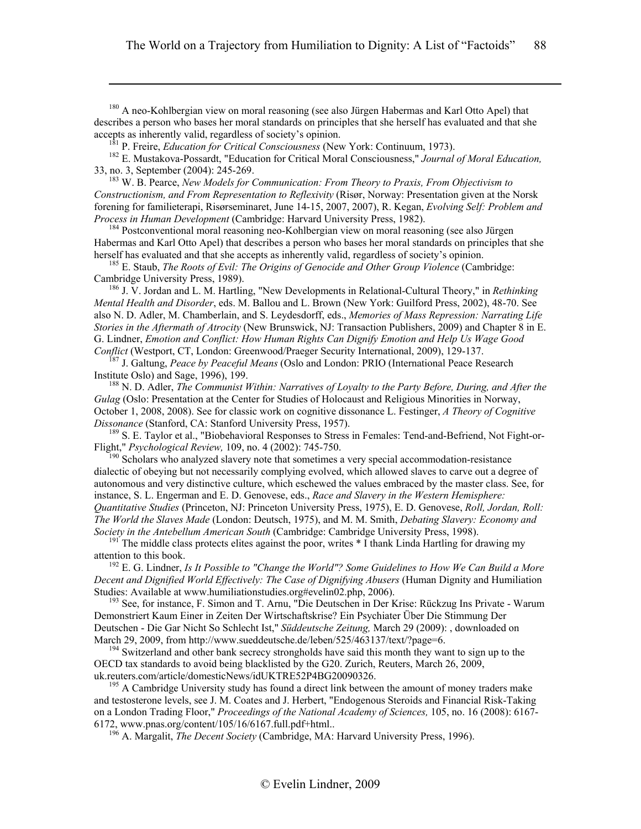<sup>180</sup> A neo-Kohlbergian view on moral reasoning (see also Jürgen Habermas and Karl Otto Apel) that describes a person who bases her moral standards on principles that she herself has evaluated and that she accepts as inherently valid, regardless of society's opinion.

 $\overline{a}$ 

<sup>181</sup> P. Freire, *Education for Critical Consciousness* (New York: Continuum, 1973).<br><sup>182</sup> E. Mustakova-Possardt, "Education for Critical Moral Consciousness," *Journal of Moral Education*,<br>33, no. 3, September (2004): 24

<sup>183</sup> W. B. Pearce, *New Models for Communication: From Theory to Praxis, From Objectivism to Constructionism, and From Representation to Reflexivity* (Risør, Norway: Presentation given at the Norsk forening for familieterapi, Risørseminaret, June 14-15, 2007, 2007), R. Kegan, *Evolving Self: Problem and* 

<sup>184</sup> Postconventional moral reasoning neo-Kohlbergian view on moral reasoning (see also Jürgen Habermas and Karl Otto Apel) that describes a person who bases her moral standards on principles that she herself has evaluated and that she accepts as inherently valid, regardless of society's opinion. 185 E. Staub, *The Roots of Evil: The Origins of Genocide and Other Group Violence* (Cambridge:

Cambridge University Press, 1989).<br><sup>186</sup> J. V. Jordan and L. M. Hartling, "New Developments in Relational-Cultural Theory," in *Rethinking* 

*Mental Health and Disorder*, eds. M. Ballou and L. Brown (New York: Guilford Press, 2002), 48-70. See also N. D. Adler, M. Chamberlain, and S. Leydesdorff, eds., *Memories of Mass Repression: Narrating Life Stories in the Aftermath of Atrocity* (New Brunswick, NJ: Transaction Publishers, 2009) and Chapter 8 in E. G. Lindner, *Emotion and Conflict: How Human Rights Can Dignify Emotion and Help Us Wage Good* 

*Conflict* (Westport, CT, London: Greenwood/Praeger Security International, 2009), 129-137.<br><sup>187</sup> J. Galtung, *Peace by Peaceful Means* (Oslo and London: PRIO (International Peace Research Institute Oslo) and Sage, 1996),

<sup>188</sup> N. D. Adler, *The Communist Within: Narratives of Loyalty to the Party Before, During, and After the Gulag* (Oslo: Presentation at the Center for Studies of Holocaust and Religious Minorities in Norway, October 1, 2008, 2008). See for classic work on cognitive dissonance L. Festinger, *A Theory of Cognitive* 

*Dissonance* (Stanford, CA: Stanford University Press, 1957).<br><sup>189</sup> S. E. Taylor et al., "Biobehavioral Responses to Stress in Females: Tend-and-Befriend, Not Fight-or-<br>Flight," *Psychological Review*, 109, no. 4 (2002): 7

<sup>190</sup> Scholars who analyzed slavery note that sometimes a very special accommodation-resistance dialectic of obeying but not necessarily complying evolved, which allowed slaves to carve out a degree of autonomous and very distinctive culture, which eschewed the values embraced by the master class. See, for instance, S. L. Engerman and E. D. Genovese, eds., *Race and Slavery in the Western Hemisphere: Quantitative Studies* (Princeton, NJ: Princeton University Press, 1975), E. D. Genovese, *Roll, Jordan, Roll: The World the Slaves Made* (London: Deutsch, 1975), and M. M. Smith, *Debating Slavery: Economy and* 

*Society in the Antebellum American South* (Cambridge: Cambridge University Press, 1998).<br><sup>191</sup> The middle class protects elites against the poor, writes \* I thank Linda Hartling for drawing my attention to this book.

<sup>192</sup> E. G. Lindner, *Is It Possible to "Change the World"? Some Guidelines to How We Can Build a More Decent and Dignified World Effectively: The Case of Dignifying Abusers* (Human Dignity and Humiliation Studies: Available at www.humiliationstudies.org#evelin02.php, 2006).<br><sup>193</sup> See, for instance, F. Simon and T. Arnu, "Die Deutschen in Der Krise: Rückzug Ins Private - Warum

Demonstriert Kaum Einer in Zeiten Der Wirtschaftskrise? Ein Psychiater Über Die Stimmung Der Deutschen - Die Gar Nicht So Schlecht Ist," *Süddeutsche Zeitung,* March 29 (2009): , downloaded on March 29, 2009, from http://www.sueddeutsche.de/leben/525/463137/text/?page=6.<br><sup>194</sup> Switzerland and other bank secrecy strongholds have said this month they want to sign up to the

OECD tax standards to avoid being blacklisted by the G20. Zurich, Reuters, March 26, 2009, uk.reuters.com/article/domesticNews/idUKTRE52P4BG20090326.<br><sup>195</sup> A Cambridge University study has found a direct link between the amount of money traders make

and testosterone levels, see J. M. Coates and J. Herbert, "Endogenous Steroids and Financial Risk-Taking on a London Trading Floor," *Proceedings of the National Academy of Sciences,* 105, no. 16 (2008): 6167- 6172, www.pnas.org/content/105/16/6167.full.pdf+html.. 196 A. Margalit, *The Decent Society* (Cambridge, MA: Harvard University Press, 1996).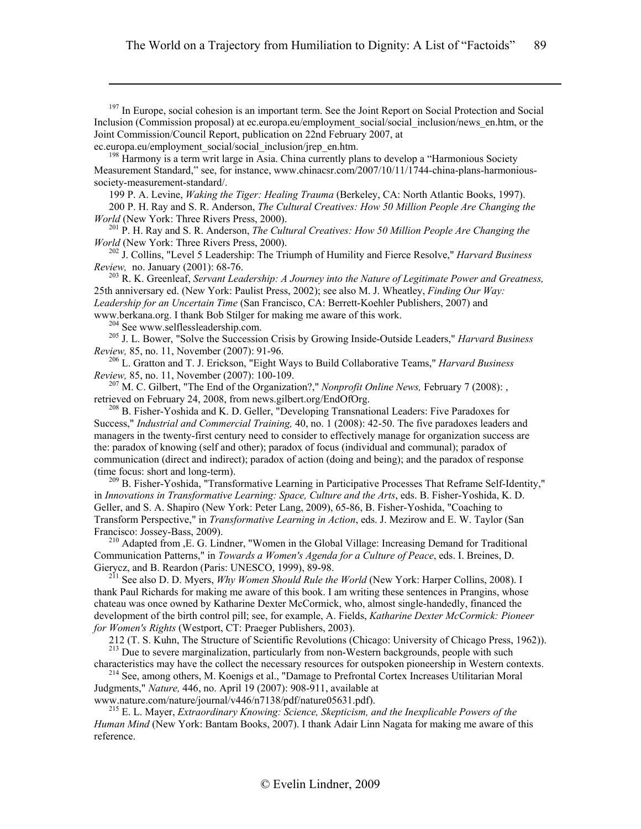<sup>197</sup> In Europe, social cohesion is an important term. See the Joint Report on Social Protection and Social Inclusion (Commission proposal) at [ec.europa.eu/employment\\_social/social\\_inclusion/news\\_en.htm](http://ec.europa.eu/employment_social/social_inclusion/news_en.htm), or the Joint Commission/Council Report, publication on 22nd February 2007, at

ec.europa.eu/employment\_social/social\_inclusion/jrep\_en.htm. 198 Harmony is a term writ large in Asia. China currently plans to develop a "Harmonious Society Measurement Standard," see, for instance, www.chinacsr.com/2007/10/11/1744-china-plans-harmonioussociety-measurement-standard/.

199 P. A. Levine, *Waking the Tiger: Healing Trauma* (Berkeley, CA: North Atlantic Books, 1997).

200 P. H. Ray and S. R. Anderson, *The Cultural Creatives: How 50 Million People Are Changing the* 

*World* (New York: Three Rivers Press, 2000).<br><sup>201</sup> P. H. Ray and S. R. Anderson, *The Cultural Creatives: How 50 Million People Are Changing the World* (New York: Three Rivers Press, 2000).

<sup>202</sup> J. Collins, "Level 5 Leadership: The Triumph of Humility and Fierce Resolve," *Harvard Business Review,* no. January (2001): 68-76. 203 R. K. Greenleaf, *Servant Leadership: A Journey into the Nature of Legitimate Power and Greatness,* 

25th anniversary ed. (New York: Paulist Press, 2002); see also M. J. Wheatley, *Finding Our Way: Leadership for an Uncertain Time* (San Francisco, CA: Berrett-Koehler Publishers, 2007) and

 $\overline{a}$ 

<sup>204</sup> See www.selflessleadership.com.<br><sup>205</sup> J. L. Bower, "Solve the Succession Crisis by Growing Inside-Outside Leaders," *Harvard Business Review*, 85, no. 11, November (2007): 91-96.

<sup>206</sup> L. Gratton and T. J. Erickson, "Eight Ways to Build Collaborative Teams," *Harvard Business Review*, 85, no. 11, November (2007): 100-109.

<sup>207</sup> M. C. Gilbert, "The End of the Organization?," *Nonprofit Online News, February 7 (2008):* , retrieved on February 24, 2008, from news gilbert org/EndOfOrg.

 $^{208}$  B. Fisher-Yoshida and K. D. Geller, "Developing Transnational Leaders: Five Paradoxes for Success," *Industrial and Commercial Training,* 40, no. 1 (2008): 42-50. The five paradoxes leaders and managers in the twenty-first century need to consider to effectively manage for organization success are the: paradox of knowing (self and other); paradox of focus (individual and communal); paradox of communication (direct and indirect); paradox of action (doing and being); and the paradox of response

<sup>209</sup> B. Fisher-Yoshida, "Transformative Learning in Participative Processes That Reframe Self-Identity," in *Innovations in Transformative Learning: Space, Culture and the Arts*, eds. B. Fisher-Yoshida, K. D. Geller, and S. A. Shapiro (New York: Peter Lang, 2009), 65-86, B. Fisher-Yoshida, "Coaching to Transform Perspective," in *Transformative Learning in Action*, eds. J. Mezirow and E. W. Taylor (San Francisco: Jossey-Bass, 2009).<br><sup>210</sup> Adapted from ,E. G. Lindner, "Women in the Global Village: Increasing Demand for Traditional

Communication Patterns," in *Towards a Women's Agenda for a Culture of Peace*, eds. I. Breines, D. Gierycz, and B. Reardon (Paris: UNESCO, 1999), 89-98.<br><sup>211</sup> See also D. D. Myers, *Why Women Should Rule the World* (New York: Harper Collins, 2008). I

thank Paul Richards for making me aware of this book. I am writing these sentences in Prangins, whose chateau was once owned by Katharine Dexter McCormick, who, almost single-handedly, financed the development of the birth control pill; see, for example, A. Fields, *Katharine Dexter McCormick: Pioneer for Women's Rights* (Westport, CT: Praeger Publishers, 2003).

212 (T. S. Kuhn, The Structure of Scientific Revolutions (Chicago: University of Chicago Press, 1962)).

<sup>213</sup> Due to severe marginalization, particularly from non-Western backgrounds, people with such characteristics may have the collect the necessary resources for outspoken pioneership in Western contexts. 214 See, among others, M. Koenigs et al., "Damage to Prefrontal Cortex Increases Utilitarian Moral

Judgments," *Nature,* 446, no. April 19 (2007): 908-911, available at

www.nature.com/nature/journal/v446/n7138/pdf/nature05631.pdf). 215 E. L. Mayer, *Extraordinary Knowing: Science, Skepticism, and the Inexplicable Powers of the Human Mind* (New York: Bantam Books, 2007). I thank Adair Linn Nagata for making me aware of this reference.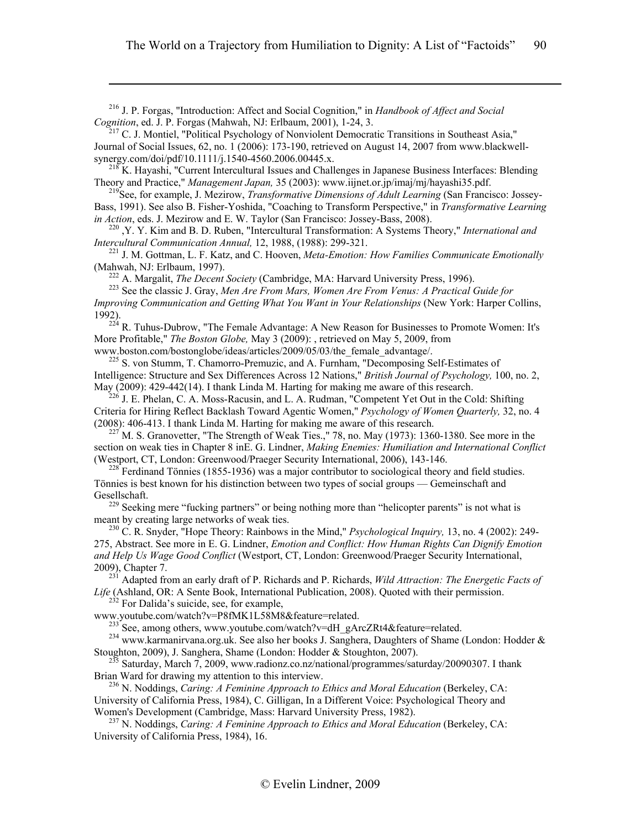216 J. P. Forgas, "Introduction: Affect and Social Cognition," in *Handbook of Affect and Social* 

<sup>217</sup> C. J. Montiel, "Political Psychology of Nonviolent Democratic Transitions in Southeast Asia," Journal of Social Issues, 62, no. 1 (2006): 173-190, retrieved on August 14, 2007 from www.blackwellsynergy.com/doi/pdf/10.1111/j.1540-4560.2006.00445.x.<br><sup>218</sup> K. Hayashi, "Current Intercultural Issues and Challenges in Japanese Business Interfaces: Blending

Theory and Practice," *Management Japan, 35 (2003): www.iijnet.or.jp/imaj/mj/hayashi35.pdf.* <sup>219</sup>See, for example, J. Mezirow, *Transformative Dimensions of Adult Learning (San Francisco: Jossey-*

Bass, 1991). See also B. Fisher-Yoshida, "Coaching to Transform Perspective," in *Transformative Learning* 

<sup>220</sup>, Y. Y. Kim and B. D. Ruben, "Intercultural Transformation: A Systems Theory," *International and Intercultural Communication Annual*, 12, 1988, (1988): 299-321.

<sup>221</sup> J. M. Gottman, L. F. Katz, and C. Hooven, *Meta-Emotion: How Families Communicate Emotionally* (Mahwah, NJ: Erlbaum, 1997). 222 A. Margalit, *The Decent Society* (Cambridge, MA: Harvard University Press, 1996). 223 See the classic J. Gray, *Men Are From Mars, Women Are From Venus: A Practical Guide for* 

*Improving Communication and Getting What You Want in Your Relationships* (New York: Harper Collins,

1992).<br><sup>224</sup> R. Tuhus-Dubrow, "The Female Advantage: A New Reason for Businesses to Promote Women: It's More Profitable," *The Boston Globe,* May 3 (2009): , retrieved on May 5, 2009, from

www.boston.com/bostonglobe/ideas/articles/2009/05/03/the\_female\_advantage/.<br><sup>225</sup> S. von Stumm, T. Chamorro-Premuzic, and A. Furnham, "Decomposing Self-Estimates of Intelligence: Structure and Sex Differences Across 12 Nations," *British Journal of Psychology,* 100, no. 2, May (2009): 429-442(14). I thank Linda M. Harting for making me aware of this research.

J. E. Phelan, C. A. Moss-Racusin, and L. A. Rudman, "Competent Yet Out in the Cold: Shifting Criteria for Hiring Reflect Backlash Toward Agentic Women," *Psychology of Women Quarterly,* 32, no. 4

<sup>227</sup> M. S. Granovetter, "The Strength of Weak Ties.," 78, no. May (1973): 1360-1380. See more in the section on weak ties in Chapter 8 inE. G. Lindner, *Making Enemies: Humiliation and International Conflict*  (Westport, CT, London: Greenwood/Praeger Security International, 2006), 143-146.<br><sup>228</sup> Ferdinand Tönnies (1855-1936) was a major contributor to sociological theory and field studies.

Tönnies is best known for his distinction between two types of social groups — Gemeinschaft and

Gesellschaft.<br><sup>229</sup> Seeking mere "fucking partners" or being nothing more than "helicopter parents" is not what is<br>meant by creating large networks of weak ties.

<sup>230</sup> C. R. Snyder, "Hope Theory: Rainbows in the Mind," *Psychological Inquiry*, 13, no. 4 (2002): 249-275, Abstract. See more in E. G. Lindner, *Emotion and Conflict: How Human Rights Can Dignify Emotion and Help Us Wage Good Conflict* (Westport, CT, London: Greenwood/Praeger Security International, 2009), Chapter 7. 231 Adapted from an early draft of P. Richards and P. Richards, *Wild Attraction: The Energetic Facts of* 

*Life* (Ashland, OR: A Sente Book, International Publication, 2008). Quoted with their permission. <sup>232</sup> For Dalida's suicide, see, for example,

 $\overline{a}$ 

www.youtube.com/watch?v=P8fMK1L58M8&feature=related.<br>
<sup>233</sup> See, among others, www.youtube.com/watch?v=dH\_gArcZRt4&feature=related.<br>
<sup>234</sup> www.karmanirvana.org.uk. See also her books J. Sanghera, Daughters of Shame (London

 $^{235}$  Saturday, March 7, 2009, www.radionz.co.nz/national/programmes/saturday/20090307. I thank Brian Ward for drawing my attention to this interview.<br><sup>236</sup> N. Noddings, *Caring: A Feminine Approach to Ethics and Moral Education* (Berkeley, CA:

University of California Press, 1984), C. Gilligan, In a Different Voice: Psychological Theory and Women's Development (Cambridge, Mass: Harvard University Press, 1982).<br><sup>237</sup> N. Noddings, *Caring: A Feminine Approach to Ethics and Moral Education* (Berkeley, CA:

University of California Press, 1984), 16.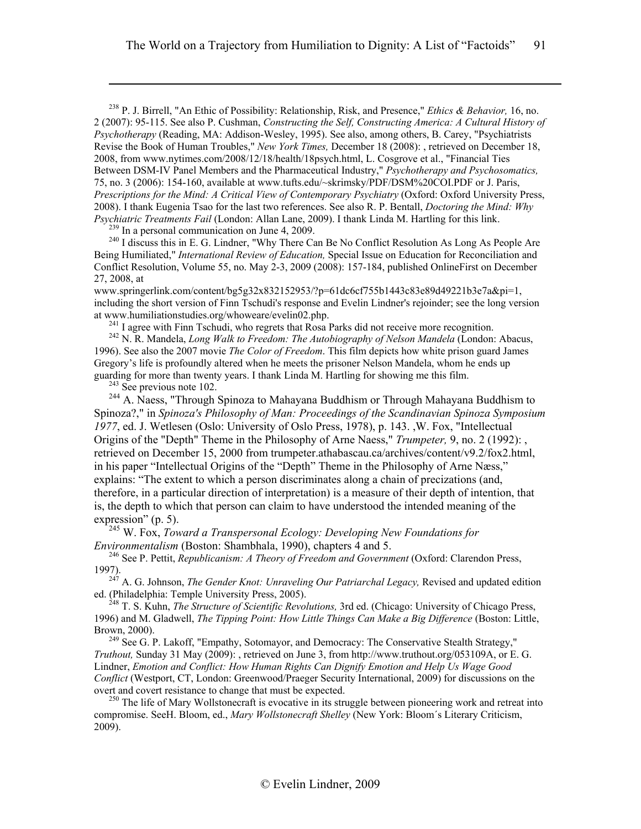238 P. J. Birrell, "An Ethic of Possibility: Relationship, Risk, and Presence," *Ethics & Behavior,* 16, no. 2 (2007): 95-115. See also P. Cushman, *Constructing the Self, Constructing America: A Cultural History of Psychotherapy* (Reading, MA: Addison-Wesley, 1995). See also, among others, B. Carey, "Psychiatrists Revise the Book of Human Troubles," *New York Times,* December 18 (2008): , retrieved on December 18, 2008, from www.nytimes.com/2008/12/18/health/18psych.html, L. Cosgrove et al., "Financial Ties Between DSM-IV Panel Members and the Pharmaceutical Industry," *Psychotherapy and Psychosomatics,*  75, no. 3 (2006): 154-160, available at www.tufts.edu/~skrimsky/PDF/DSM%20COI.PDF or J. Paris, *Prescriptions for the Mind: A Critical View of Contemporary Psychiatry* (Oxford: Oxford University Press, 2008). I thank Eugenia Tsao for the last two references. See also R. P. Bentall, *Doctoring the Mind: Why* 

 $^{239}$  In a personal communication on June 4, 2009.<br><sup>240</sup> I discuss this in E. G. Lindner, "Why There Can Be No Conflict Resolution As Long As People Are Being Humiliated," *International Review of Education,* Special Issue on Education for Reconciliation and Conflict Resolution, Volume 55, no. May 2-3, 2009 (2008): 157-184, published OnlineFirst on December 27, 2008, at

www.springerlink.com/content/bg5g32x832152953/?p=61dc6cf755b1443c83e89d49221b3e7a&pi=1, including the short version of Finn Tschudi's response and Evelin Lindner's rejoinder; see the long version at www.humiliationstudies.org/whoweare/evelin02.php.<br><sup>241</sup> I agree with Finn Tschudi, who regrets that Rosa Parks did not receive more recognition.<br><sup>242</sup> N. R. Mandela, *Long Walk to Freedom: The Autobiography of Nelson M* 

1996). See also the 2007 movie *The Color of Freedom*. This film depicts how white prison guard James Gregory's life is profoundly altered when he meets the prisoner Nelson Mandela, whom he ends up guarding for more than twenty years. I thank Linda M. Hartling for showing me this film. <sup>243</sup> See previous note 102.

 $\overline{a}$ 

 $^{244}$  A. Naess, "Through Spinoza to Mahayana Buddhism or Through Mahayana Buddhism to Spinoza?," in *Spinoza's Philosophy of Man: Proceedings of the Scandinavian Spinoza Symposium 1977*, ed. J. Wetlesen (Oslo: University of Oslo Press, 1978), p. 143. ,W. Fox, "Intellectual Origins of the "Depth" Theme in the Philosophy of Arne Naess," *Trumpeter,* 9, no. 2 (1992): , retrieved on December 15, 2000 from trumpeter.athabascau.ca/archives/content/v9.2/fox2.html, in his paper "Intellectual Origins of the "Depth" Theme in the Philosophy of Arne Næss," explains: "The extent to which a person discriminates along a chain of precizations (and, therefore, in a particular direction of interpretation) is a measure of their depth of intention, that is, the depth to which that person can claim to have understood the intended meaning of the expression" (p. 5).

245 W. Fox, *Toward a Transpersonal Ecology: Developing New Foundations for Environmentalism* (Boston: Shambhala, 1990), chapters 4 and 5. 246 See P. Pettit, *Republicanism: A Theory of Freedom and Government* (Oxford: Clarendon Press,

1997).<br><sup>247</sup> A. G. Johnson, *The Gender Knot: Unraveling Our Patriarchal Legacy*, Revised and updated edition<br>ed. (Philadelphia: Temple University Press, 2005).

<sup>248</sup> T. S. Kuhn, *The Structure of Scientific Revolutions*, 3rd ed. (Chicago: University of Chicago Press, 1996) and M. Gladwell, *The Tipping Point: How Little Things Can Make a Big Difference* (Boston: Little, Brown, 2000).<br><sup>249</sup> See G. P. Lakoff, "Empathy, Sotomayor, and Democracy: The Conservative Stealth Strategy,"

*Truthout,* Sunday 31 May (2009): , retrieved on June 3, from http://www.truthout.org/053109A, or E. G. Lindner, *Emotion and Conflict: How Human Rights Can Dignify Emotion and Help Us Wage Good Conflict* (Westport, CT, London: Greenwood/Praeger Security International, 2009) for discussions on the overt and covert resistance to change that must be expected.

 $^{250}$  The life of Mary Wollstonecraft is evocative in its struggle between pioneering work and retreat into compromise. SeeH. Bloom, ed., *Mary Wollstonecraft Shelley* (New York: Bloom´s Literary Criticism, 2009).